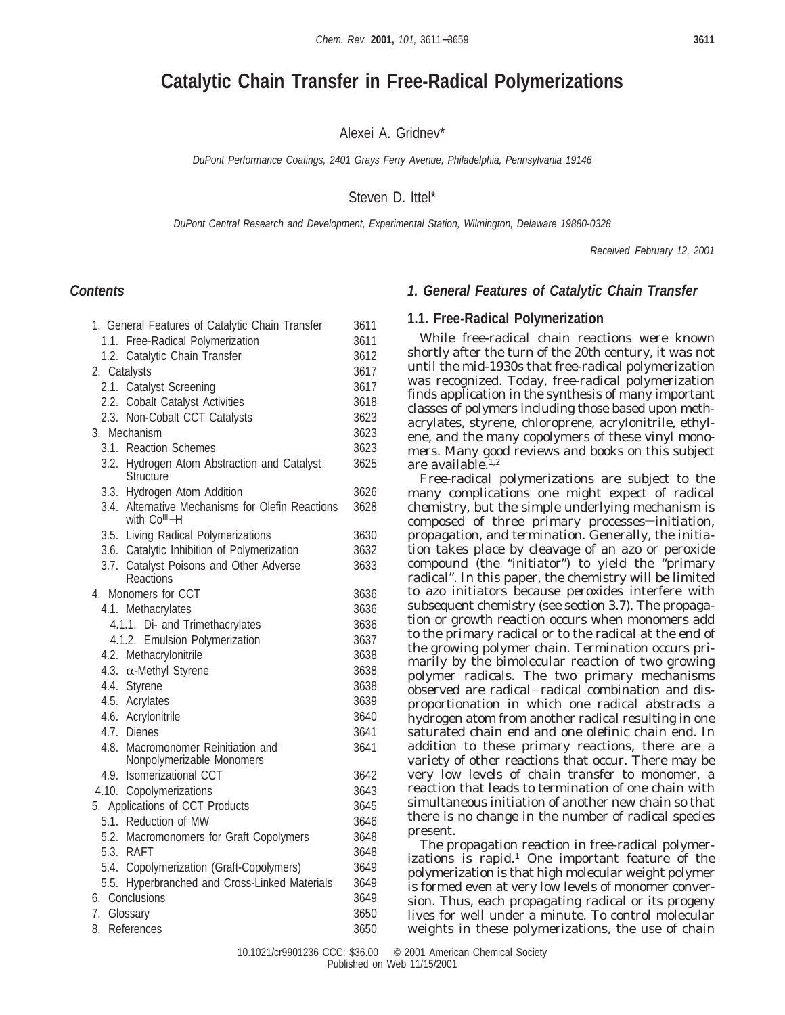# **Catalytic Chain Transfer in Free-Radical Polymerizations**

Alexei A. Gridnev\*

*DuPont Performance Coatings, 2401 Grays Ferry Avenue, Philadelphia, Pennsylvania 19146*

Steven D. Ittel\*

*DuPont Central Research and Development, Experimental Station, Wilmington, Delaware 19880-0328*

*Received February 12, 2001*

# *Contents*

| 1. General Features of Catalytic Chain Transfer                               | 3611 |
|-------------------------------------------------------------------------------|------|
| 1.1. Free-Radical Polymerization                                              | 3611 |
| 1.2. Catalytic Chain Transfer                                                 | 3612 |
| 2. Catalysts                                                                  | 3617 |
| 2.1. Catalyst Screening                                                       | 3617 |
| 2.2. Cobalt Catalyst Activities                                               | 3618 |
| 2.3. Non-Cobalt CCT Catalysts                                                 | 3623 |
| 3. Mechanism                                                                  | 3623 |
| 3.1. Reaction Schemes                                                         | 3623 |
| 3.2. Hydrogen Atom Abstraction and Catalyst<br>Structure                      | 3625 |
| 3.3. Hydrogen Atom Addition                                                   | 3626 |
| 3.4. Alternative Mechanisms for Olefin Reactions<br>with Co <sup>III</sup> -H | 3628 |
| 3.5. Living Radical Polymerizations                                           | 3630 |
| 3.6. Catalytic Inhibition of Polymerization                                   | 3632 |
| 3.7. Catalyst Poisons and Other Adverse<br>Reactions                          | 3633 |
| 4. Monomers for CCT                                                           | 3636 |
| 4.1. Methacrylates                                                            | 3636 |
| 4.1.1. Di- and Trimethacrylates                                               | 3636 |
| 4.1.2. Emulsion Polymerization                                                | 3637 |
| 4.2. Methacrylonitrile                                                        | 3638 |
| 4.3. $\alpha$ -Methyl Styrene                                                 | 3638 |
| 4.4. Styrene                                                                  | 3638 |
| 4.5. Acrylates                                                                | 3639 |
| 4.6. Acrylonitrile                                                            | 3640 |
| 4.7. Dienes                                                                   | 3641 |
| 4.8. Macromonomer Reinitiation and<br>Nonpolymerizable Monomers               | 3641 |
| 4.9. Isomerizational CCT                                                      | 3642 |
| 4.10. Copolymerizations                                                       | 3643 |
| 5. Applications of CCT Products                                               | 3645 |
| 5.1. Reduction of MW                                                          | 3646 |
| 5.2. Macromonomers for Graft Copolymers                                       | 3648 |
| 5.3. RAFT                                                                     | 3648 |
| 5.4. Copolymerization (Graft-Copolymers)                                      | 3649 |
| Hyperbranched and Cross-Linked Materials<br>5.5.                              | 3649 |
| 6. Conclusions                                                                | 3649 |
| 7. Glossary                                                                   | 3650 |
| 8.<br>References                                                              | 3650 |

# *1. General Features of Catalytic Chain Transfer*

#### **1.1. Free-Radical Polymerization**

While free-radical chain reactions were known shortly after the turn of the 20th century, it was not until the mid-1930s that free-radical polymerization was recognized. Today, free-radical polymerization finds application in the synthesis of many important classes of polymers including those based upon methacrylates, styrene, chloroprene, acrylonitrile, ethylene, and the many copolymers of these vinyl monomers. Many good reviews and books on this subject are available.<sup>1,2</sup>

Free-radical polymerizations are subject to the many complications one might expect of radical chemistry, but the simple underlying mechanism is composed of three primary processes-*initiation*, *propagation,* and *termination*. Generally, the *initiation* takes place by cleavage of an azo or peroxide compound (the "initiator") to yield the "primary radical". In this paper, the chemistry will be limited to azo initiators because peroxides interfere with subsequent chemistry (see section 3.7). The *propagation* or growth reaction occurs when monomers add to the primary radical or to the radical at the end of the growing polymer chain. *Termination* occurs primarily by the bimolecular reaction of two growing polymer radicals. The two primary mechanisms observed are radical-radical combination and disproportionation in which one radical abstracts a hydrogen atom from another radical resulting in one saturated chain end and one olefinic chain end. In addition to these primary reactions, there are a variety of other reactions that occur. There may be very low levels of *chain transfer* to monomer, a reaction that leads to termination of one chain with simultaneous initiation of another new chain so that there is no change in the number of radical species present.

The propagation reaction in free-radical polymerizations is rapid.<sup>1</sup> One important feature of the polymerization is that high molecular weight polymer is formed even at very low levels of monomer conversion. Thus, each propagating radical or its progeny lives for well under a minute. To control molecular weights in these polymerizations, the use of chain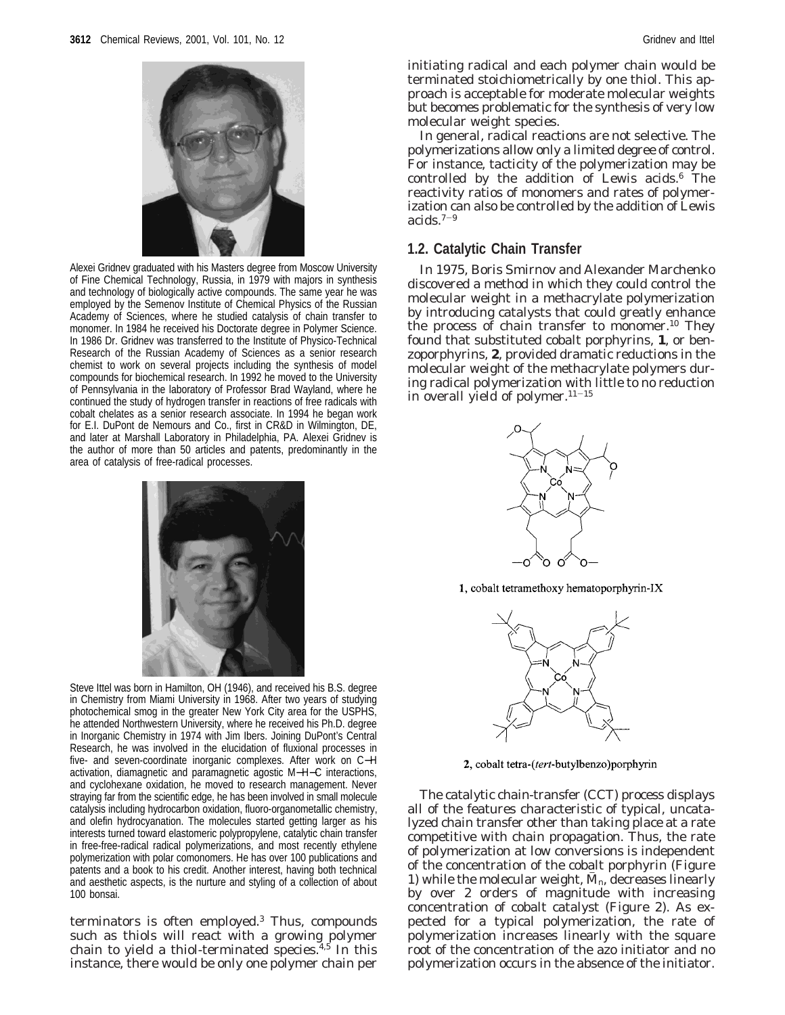

Alexei Gridnev graduated with his Masters degree from Moscow University of Fine Chemical Technology, Russia, in 1979 with majors in synthesis and technology of biologically active compounds. The same year he was employed by the Semenov Institute of Chemical Physics of the Russian Academy of Sciences, where he studied catalysis of chain transfer to monomer. In 1984 he received his Doctorate degree in Polymer Science. In 1986 Dr. Gridnev was transferred to the Institute of Physico-Technical Research of the Russian Academy of Sciences as a senior research chemist to work on several projects including the synthesis of model compounds for biochemical research. In 1992 he moved to the University of Pennsylvania in the laboratory of Professor Brad Wayland, where he continued the study of hydrogen transfer in reactions of free radicals with cobalt chelates as a senior research associate. In 1994 he began work for E.I. DuPont de Nemours and Co., first in CR&D in Wilmington, DE, and later at Marshall Laboratory in Philadelphia, PA. Alexei Gridnev is the author of more than 50 articles and patents, predominantly in the area of catalysis of free-radical processes.



Steve Ittel was born in Hamilton, OH (1946), and received his B.S. degree in Chemistry from Miami University in 1968. After two years of studying photochemical smog in the greater New York City area for the USPHS, he attended Northwestern University, where he received his Ph.D. degree in Inorganic Chemistry in 1974 with Jim Ibers. Joining DuPont's Central Research, he was involved in the elucidation of fluxional processes in five- and seven-coordinate inorganic complexes. After work on C−H activation, diamagnetic and paramagnetic agostic M−H−C interactions, and cyclohexane oxidation, he moved to research management. Never straying far from the scientific edge, he has been involved in small molecule catalysis including hydrocarbon oxidation, fluoro-organometallic chemistry, and olefin hydrocyanation. The molecules started getting larger as his interests turned toward elastomeric polypropylene, catalytic chain transfer in free-free-radical radical polymerizations, and most recently ethylene polymerization with polar comonomers. He has over 100 publications and patents and a book to his credit. Another interest, having both technical and aesthetic aspects, is the nurture and styling of a collection of about 100 bonsai.

terminators is often employed. $3$  Thus, compounds such as thiols will react with a growing polymer chain to yield a thiol-terminated species.<sup>4,5</sup> In this instance, there would be only one polymer chain per

initiating radical and each polymer chain would be terminated stoichiometrically by one thiol. This approach is acceptable for moderate molecular weights but becomes problematic for the synthesis of very low molecular weight species.

In general, radical reactions are not selective. The polymerizations allow only a limited degree of control. For instance, tacticity of the polymerization may be controlled by the addition of Lewis acids.6 The reactivity ratios of monomers and rates of polymerization can also be controlled by the addition of Lewis acids. $7-9$ 

# **1.2. Catalytic Chain Transfer**

In 1975, Boris Smirnov and Alexander Marchenko discovered a method in which they could control the molecular weight in a methacrylate polymerization by introducing catalysts that could greatly enhance the process of chain transfer to monomer.<sup>10</sup> They found that substituted cobalt porphyrins, **1**, or benzoporphyrins, **2**, provided dramatic reductions in the molecular weight of the methacrylate polymers during radical polymerization with little to no reduction in overall yield of polymer.<sup>11-15</sup>



1, cobalt tetramethoxy hematoporphyrin-IX



2, cobalt tetra-(tert-butylbenzo)porphyrin

The catalytic chain-transfer (CCT) process displays all of the features characteristic of typical, uncatalyzed chain transfer other than taking place at a rate competitive with chain propagation. Thus, the rate of polymerization at low conversions is independent of the concentration of the cobalt porphyrin (Figure 1) while the molecular weight,  $\bar{M}_n$ , decreases linearly by over 2 orders of magnitude with increasing concentration of cobalt catalyst (Figure 2). As expected for a typical polymerization, the rate of polymerization increases linearly with the square root of the concentration of the azo initiator and no polymerization occurs in the absence of the initiator.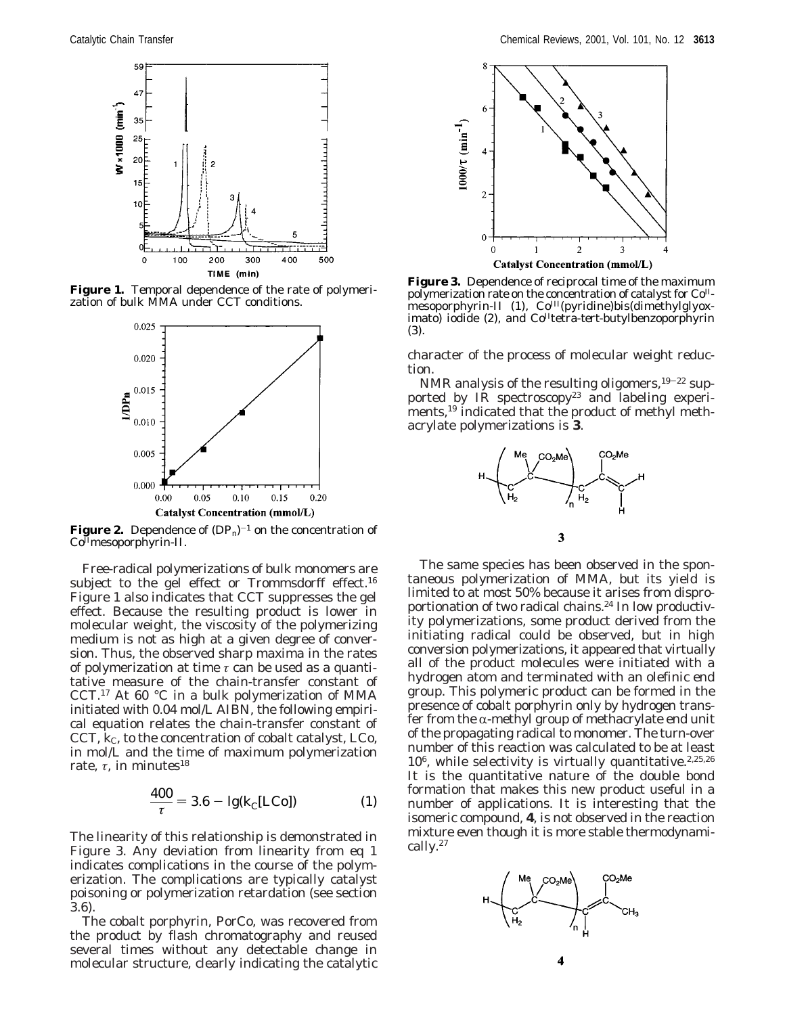

**Figure 1.** Temporal dependence of the rate of polymerization of bulk MMA under CCT conditions.



**Figure 2.** Dependence of  $(DP_n)^{-1}$  on the concentration of Co<sup>II</sup>mesoporphyrin-II.

Free-radical polymerizations of bulk monomers are subject to the gel effect or Trommsdorff effect.<sup>16</sup> Figure 1 also indicates that CCT suppresses the gel effect. Because the resulting product is lower in molecular weight, the viscosity of the polymerizing medium is not as high at a given degree of conversion. Thus, the observed sharp maxima in the rates of polymerization at time *τ* can be used as a quantitative measure of the chain-transfer constant of CCT.17 At 60 °C in a bulk polymerization of MMA initiated with 0.04 mol/L AIBN, the following empirical equation relates the chain-transfer constant of CCT,  $k<sub>C</sub>$ , to the concentration of cobalt catalyst, LCo, in mol/L and the time of maximum polymerization rate,  $\tau$ , in minutes<sup>18</sup>

$$
\frac{400}{\tau} = 3.6 - \lg(k_C[LC_0])
$$
 (1)

The linearity of this relationship is demonstrated in Figure 3. Any deviation from linearity from eq 1 indicates complications in the course of the polymerization. The complications are typically catalyst poisoning or polymerization retardation (see section 3.6).

The cobalt porphyrin, PorCo, was recovered from the product by flash chromatography and reused several times without any detectable change in molecular structure, clearly indicating the catalytic



**Figure 3.** Dependence of reciprocal time of the maximum polymerization rate on the concentration of catalyst for Co<sup>II</sup>mesoporphyrin-II (1), Co<sup>III</sup>(pyridine)bis(dimethylglyoximato) iodide (2), and Co<sup>II</sup>tetra-tert-butylbenzoporphyrin (3).

character of the process of molecular weight reduction.

NMR analysis of the resulting oligomers,  $19-22$  supported by IR spectroscopy<sup>23</sup> and labeling experiments,<sup>19</sup> indicated that the product of methyl methacrylate polymerizations is **3**.



The same species has been observed in the spontaneous polymerization of MMA, but its yield is limited to at most 50% because it arises from disproportionation of two radical chains.<sup>24</sup> In low productivity polymerizations, some product derived from the initiating radical could be observed, but in high conversion polymerizations, it appeared that virtually all of the product molecules were initiated with a hydrogen atom and terminated with an olefinic end group. This polymeric product can be formed in the presence of cobalt porphyrin only by hydrogen transfer from the  $\alpha$ -methyl group of methacrylate end unit of the propagating radical to monomer. The turn-over number of this reaction was calculated to be at least  $10^6$ , while selectivity is virtually quantitative.<sup>2,25,26</sup> It is the quantitative nature of the double bond formation that makes this new product useful in a number of applications. It is interesting that the isomeric compound, **4**, is not observed in the reaction mixture even though it is more stable thermodynamically.27

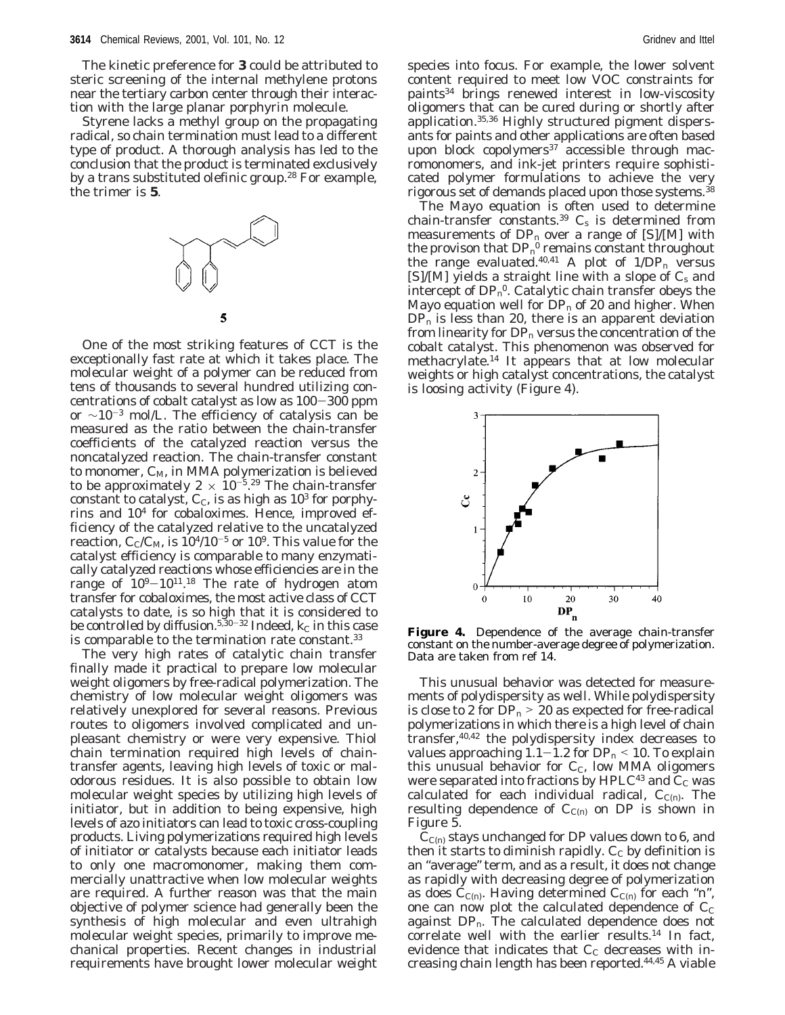The kinetic preference for **3** could be attributed to steric screening of the internal methylene protons near the tertiary carbon center through their interaction with the large planar porphyrin molecule.

Styrene lacks a methyl group on the propagating radical, so chain termination must lead to a different type of product. A thorough analysis has led to the conclusion that the product is terminated exclusively by a trans substituted olefinic group.<sup>28</sup> For example, the trimer is **5**.



One of the most striking features of CCT is the exceptionally fast rate at which it takes place. The molecular weight of a polymer can be reduced from tens of thousands to several hundred utilizing concentrations of cobalt catalyst as low as 100-300 ppm or ∼10-<sup>3</sup> mol/L. The efficiency of catalysis can be measured as the ratio between the chain-transfer coefficients of the catalyzed reaction versus the noncatalyzed reaction. The chain-transfer constant to monomer, C<sub>M</sub>, in MMA polymerization is believed to be approximately  $2 \times 10^{-5.29}$  The chain-transfer constant to catalyst,  $C_{\text{C}}$ , is as high as  $10^3$  for porphyrins and  $10<sup>4</sup>$  for cobaloximes. Hence, improved efficiency of the catalyzed relative to the uncatalyzed reaction,  $C_C/C_M$ , is  $10^{4}/10^{-5}$  or  $10^9$ . This value for the catalyst efficiency is comparable to many enzymatically catalyzed reactions whose efficiencies are in the range of 10<sup>9</sup>–10<sup>11</sup>.<sup>18</sup> The rate of hydrogen atom<br>transfer.for.cobaloximes.the.most.active.class.of.CCT transfer for cobaloximes, the most active class of CCT catalysts to date, is so high that it is considered to be controlled by diffusion.<sup>5,30-32</sup> Indeed,  $k<sub>C</sub>$  in this case is comparable to the termination rate constant.<sup>33</sup>

The very high rates of catalytic chain transfer finally made it practical to prepare low molecular weight oligomers by free-radical polymerization. The chemistry of low molecular weight oligomers was relatively unexplored for several reasons. Previous routes to oligomers involved complicated and unpleasant chemistry or were very expensive. Thiol chain termination required high levels of chaintransfer agents, leaving high levels of toxic or malodorous residues. It is also possible to obtain low molecular weight species by utilizing high levels of initiator, but in addition to being expensive, high levels of azo initiators can lead to toxic cross-coupling products. Living polymerizations required high levels of initiator or catalysts because each initiator leads to only one macromonomer, making them commercially unattractive when low molecular weights are required. A further reason was that the main objective of polymer science had generally been the synthesis of high molecular and even ultrahigh molecular weight species, primarily to improve mechanical properties. Recent changes in industrial requirements have brought lower molecular weight

species into focus. For example, the lower solvent content required to meet low VOC constraints for paints<sup>34</sup> brings renewed interest in low-viscosity oligomers that can be cured during or shortly after application.35,36 Highly structured pigment dispersants for paints and other applications are often based upon block copolymers $37$  accessible through macromonomers, and ink-jet printers require sophisticated polymer formulations to achieve the very rigorous set of demands placed upon those systems.38

The Mayo equation is often used to determine chain-transfer constants.39 *C*<sup>s</sup> is determined from measurements of DP*<sup>n</sup>* over a range of [S]/[M] with the provison that DP<sub>n</sub><sup>0</sup> remains constant throughout the range evaluated.<sup>40,41</sup> A plot of  $1/DP_n$  versus [S]/[M] yields a straight line with a slope of *C*<sup>s</sup> and intercept of DP*<sup>n</sup>* 0. Catalytic chain transfer obeys the Mayo equation well for DP*<sup>n</sup>* of 20 and higher. When  $DP<sub>n</sub>$  is less than 20, there is an apparent deviation from linearity for DP*<sup>n</sup>* versus the concentration of the cobalt catalyst. This phenomenon was observed for methacrylate.<sup>14</sup> It appears that at low molecular weights or high catalyst concentrations, the catalyst is loosing activity (Figure 4).



**Figure 4.** Dependence of the average chain-transfer constant on the number-average degree of polymerization. Data are taken from ref 14.

This unusual behavior was detected for measurements of polydispersity as well. While polydispersity is close to 2 for  $\text{DP}_n > 20$  as expected for free-radical polymerizations in which there is a high level of chain transfer,40,42 the polydispersity index decreases to values approaching  $1.1-1.2$  for  $DP_n \leq 10$ . To explain this unusual behavior for  $C<sub>C</sub>$ , low MMA oligomers were separated into fractions by HPLC<sup>43</sup> and  $C_{\rm C}$  was calculated for each individual radical,  $C_{C(n)}$ . The resulting dependence of  $C_{C(n)}$  on DP is shown in Figure 5.

 $C_{C(n)}$  stays unchanged for DP values down to 6, and then it starts to diminish rapidly.  $C_{\rm C}$  by definition is an "average" term, and as a result, it does not change as rapidly with decreasing degree of polymerization as does  $C_{C(n)}$ . Having determined  $C_{C(n)}$  for each "*n*", one can now plot the calculated dependence of  $C_{\text{C}}$ against DP*n*. The calculated dependence does not correlate well with the earlier results.<sup>14</sup> In fact, evidence that indicates that  $C_{\text{C}}$  decreases with increasing chain length has been reported.<sup>44,45</sup> A viable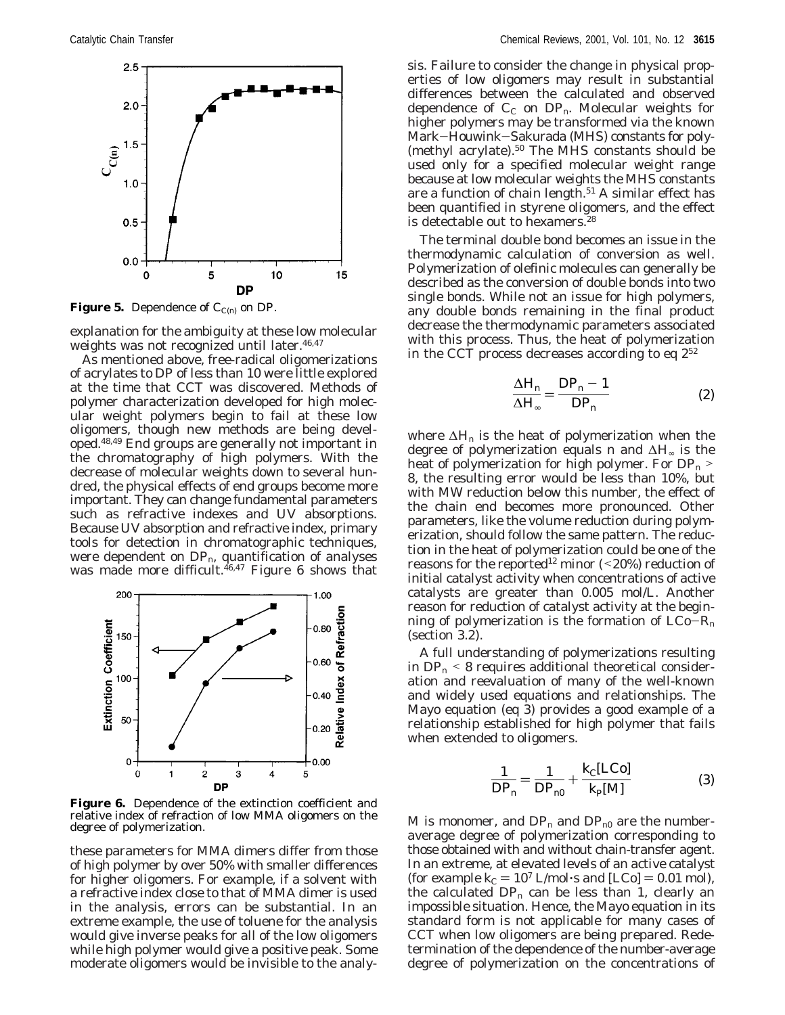

**Figure 5.** Dependence of  $C_{C(n)}$  on DP.

explanation for the ambiguity at these low molecular weights was not recognized until later.<sup>46,47</sup>

As mentioned above, free-radical oligomerizations of acrylates to DP of less than 10 were little explored at the time that CCT was discovered. Methods of polymer characterization developed for high molecular weight polymers begin to fail at these low oligomers, though new methods are being developed.48,49 End groups are generally not important in the chromatography of high polymers. With the decrease of molecular weights down to several hundred, the physical effects of end groups become more important. They can change fundamental parameters such as refractive indexes and UV absorptions. Because UV absorption and refractive index, primary tools for detection in chromatographic techniques, were dependent on DP*n*, quantification of analyses was made more difficult.<sup>46,47</sup> Figure 6 shows that



**Figure 6.** Dependence of the extinction coefficient and relative index of refraction of low MMA oligomers on the degree of polymerization.

these parameters for MMA dimers differ from those of high polymer by over 50% with smaller differences for higher oligomers. For example, if a solvent with a refractive index close to that of MMA dimer is used in the analysis, errors can be substantial. In an extreme example, the use of toluene for the analysis would give inverse peaks for all of the low oligomers while high polymer would give a positive peak. Some moderate oligomers would be invisible to the analysis. Failure to consider the change in physical properties of low oligomers may result in substantial differences between the calculated and observed dependence of  $C_c$  on  $DP_n$ . Molecular weights for higher polymers may be transformed via the known Mark-Houwink-Sakurada (MHS) constants for poly- (methyl acrylate). $50$  The MHS constants should be used only for a specified molecular weight range because at low molecular weights the MHS constants are a function of chain length. $51$  A similar effect has been quantified in styrene oligomers, and the effect is detectable out to hexamers.<sup>28</sup>

The terminal double bond becomes an issue in the thermodynamic calculation of conversion as well. Polymerization of olefinic molecules can generally be described as the conversion of double bonds into two single bonds. While not an issue for high polymers, any double bonds remaining in the final product decrease the thermodynamic parameters associated with this process. Thus, the heat of polymerization in the CCT process decreases according to eq 252

$$
\frac{\Delta H_n}{\Delta H_\infty} = \frac{\text{DP}_n - 1}{\text{DP}_n} \tag{2}
$$

where  $\Delta H_n$  is the heat of polymerization when the degree of polymerization equals *n* and ∆*H*<sup>∞</sup> is the heat of polymerization for high polymer. For DP*<sup>n</sup>* <sup>&</sup>gt; 8, the resulting error would be less than 10%, but with MW reduction below this number, the effect of the chain end becomes more pronounced. Other parameters, like the volume reduction during polymerization, should follow the same pattern. The reduction in the heat of polymerization could be one of the reasons for the reported<sup>12</sup> minor (<20%) reduction of initial catalyst activity when concentrations of active catalysts are greater than 0.005 mol/L. Another reason for reduction of catalyst activity at the beginning of polymerization is the formation of LCo-R*<sup>n</sup>* (section 3.2).

A full understanding of polymerizations resulting in  $DP_n < 8$  requires additional theoretical consideration and reevaluation of many of the well-known and widely used equations and relationships. The Mayo equation (eq 3) provides a good example of a relationship established for high polymer that fails when extended to oligomers.

$$
\frac{1}{DP_n} = \frac{1}{DP_{n0}} + \frac{k_c [LCo]}{k_p [M]}
$$
(3)

M is monomer, and  $DP_n$  and  $DP_{n0}$  are the numberaverage degree of polymerization corresponding to those obtained with and without chain-transfer agent. In an extreme, at elevated levels of an active catalyst (for example  $k_C = 10^7$  L/mol·s and  $[LCo] = 0.01$  mol), the calculated  $DP<sub>n</sub>$  can be less than 1, clearly an impossible situation. Hence, the Mayo equation in its standard form is not applicable for many cases of CCT when low oligomers are being prepared. Redetermination of the dependence of the number-average degree of polymerization on the concentrations of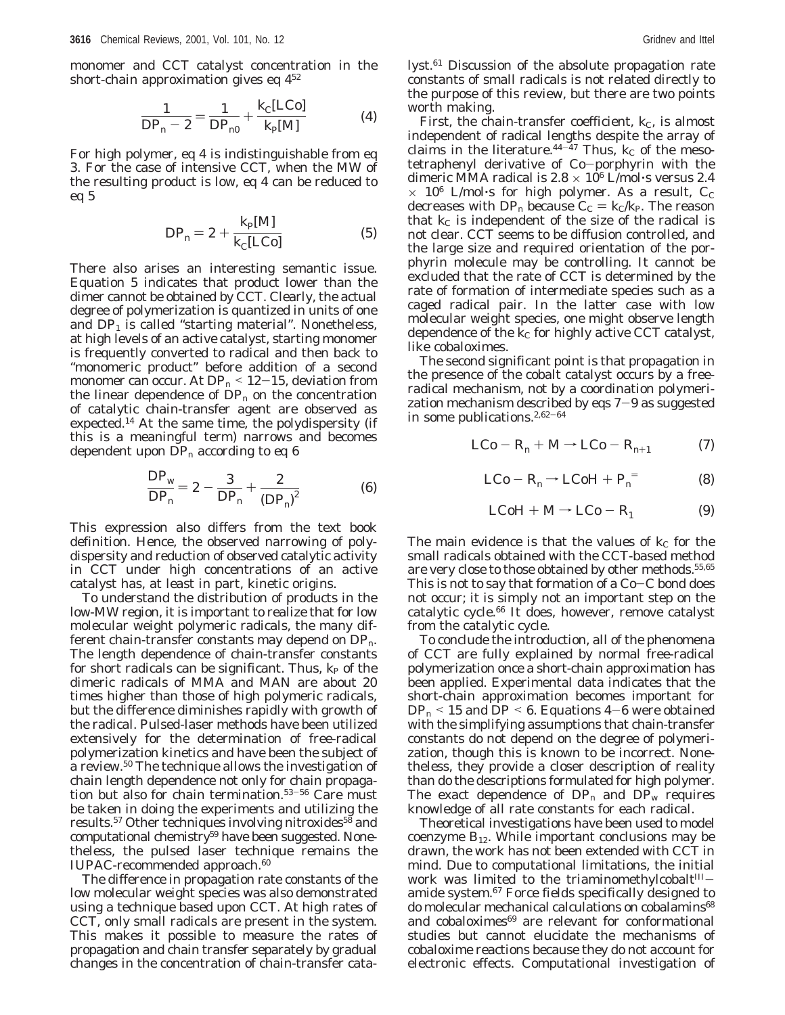monomer and CCT catalyst concentration in the short-chain approximation gives eq 452

$$
\frac{1}{\text{D}P_{\text{n}}-2} = \frac{1}{\text{D}P_{\text{n}0}} + \frac{k_{\text{C}}[\text{LCo}]}{k_{\text{P}}[\text{M}]}
$$
(4)

For high polymer, eq 4 is indistinguishable from eq 3. For the case of intensive CCT, when the MW of the resulting product is low, eq 4 can be reduced to eq 5

$$
DP_n = 2 + \frac{k_P[M]}{k_C[LCo]}
$$
 (5)

There also arises an interesting semantic issue. Equation 5 indicates that product lower than the dimer cannot be obtained by CCT. Clearly, the actual degree of polymerization is quantized in units of one and  $DP_1$  is called "starting material". Nonetheless, at high levels of an active catalyst, starting monomer is frequently converted to radical and then back to "monomeric product" before addition of a second monomer can occur. At  $DP_n < 12-15$ , deviation from the linear dependence of  $DP_n$  on the concentration of catalytic chain-transfer agent are observed as expected.14 At the same time, the polydispersity (if this is a meaningful term) narrows and becomes dependent upon  $\overline{DP}_n$  according to eq 6

$$
\frac{DP_w}{DP_n} = 2 - \frac{3}{DP_n} + \frac{2}{(DP_n)^2}
$$
 (6)

This expression also differs from the text book definition. Hence, the observed narrowing of polydispersity and reduction of observed catalytic activity in CCT under high concentrations of an active catalyst has, at least in part, kinetic origins.

To understand the distribution of products in the low-MW region, it is important to realize that for low molecular weight polymeric radicals, the many different chain-transfer constants may depend on DP*n*. The length dependence of chain-transfer constants for short radicals can be significant. Thus,  $k_P$  of the dimeric radicals of MMA and MAN are about 20 times higher than those of high polymeric radicals, but the difference diminishes rapidly with growth of the radical. Pulsed-laser methods have been utilized extensively for the determination of free-radical polymerization kinetics and have been the subject of a review.50 The technique allows the investigation of chain length dependence not only for chain propagation but also for chain termination.53-<sup>56</sup> Care must be taken in doing the experiments and utilizing the results.<sup>57</sup> Other techniques involving nitroxides<sup>58</sup> and computational chemistry<sup>59</sup> have been suggested. Nonetheless, the pulsed laser technique remains the IUPAC-recommended approach.<sup>60</sup>

The difference in propagation rate constants of the low molecular weight species was also demonstrated using a technique based upon CCT. At high rates of CCT, only small radicals are present in the system. This makes it possible to measure the rates of propagation and chain transfer separately by gradual changes in the concentration of chain-transfer catalyst.<sup>61</sup> Discussion of the absolute propagation rate constants of small radicals is not related directly to the purpose of this review, but there are two points worth making.

First, the chain-transfer coefficient,  $k<sub>C</sub>$ , is almost independent of radical lengths despite the array of claims in the literature.<sup>44-47</sup> Thus,  $k<sub>C</sub>$  of the mesotetraphenyl derivative of Co-porphyrin with the dimeric MMA radical is  $2.8 \times 10^6$  L/mol $\cdot$ s versus 2.4  $\times$  10<sup>6</sup> L/mol·s for high polymer. As a result,  $C_c$ decreases with  $DP_n$  because  $C_C = k_C/k_P$ . The reason that  $k<sub>C</sub>$  is independent of the size of the radical is not clear. CCT seems to be diffusion controlled, and the large size and required orientation of the porphyrin molecule may be controlling. It cannot be excluded that the rate of CCT is determined by the rate of formation of intermediate species such as a caged radical pair. In the latter case with low molecular weight species, one might observe length dependence of the  $k<sub>C</sub>$  for highly active CCT catalyst, like cobaloximes.

The second significant point is that propagation in the presence of the cobalt catalyst occurs by a freeradical mechanism, not by a coordination polymerization mechanism described by eqs  $7-9$  as suggested in some publications.<sup>2,62-64</sup>

$$
LCo - R_n + M \rightarrow LCo - R_{n+1} \tag{7}
$$

$$
LCo - R_n \rightarrow LCoH + P_n^-
$$
 (8)

$$
LCoH + M \rightarrow LCo - R_1 \tag{9}
$$

The main evidence is that the values of  $k<sub>C</sub>$  for the small radicals obtained with the CCT-based method are very close to those obtained by other methods.<sup>55,65</sup> This is not to say that formation of a  $Co-C$  bond does not occur; it is simply not an important step on the catalytic cycle.66 It does, however, remove catalyst from the catalytic cycle.

To conclude the introduction, all of the phenomena of CCT are fully explained by normal free-radical polymerization once a short-chain approximation has been applied. Experimental data indicates that the short-chain approximation becomes important for  $DP_n < 15$  and  $DP < 6$ . Equations  $4-6$  were obtained with the simplifying assumptions that chain-transfer constants do not depend on the degree of polymerization, though this is known to be incorrect. Nonetheless, they provide a closer description of reality than do the descriptions formulated for high polymer. The exact dependence of  $DP_n$  and  $DP_w$  requires knowledge of all rate constants for each radical.

Theoretical investigations have been used to model coenzyme  $B_{12}$ . While important conclusions may be drawn, the work has not been extended with CCT in mind. Due to computational limitations, the initial work was limited to the triaminomethylcobalt $III$ amide system.67 Force fields specifically designed to do molecular mechanical calculations on cobalamins<sup>68</sup> and cobaloximes<sup>69</sup> are relevant for conformational studies but cannot elucidate the mechanisms of cobaloxime reactions because they do not account for electronic effects. Computational investigation of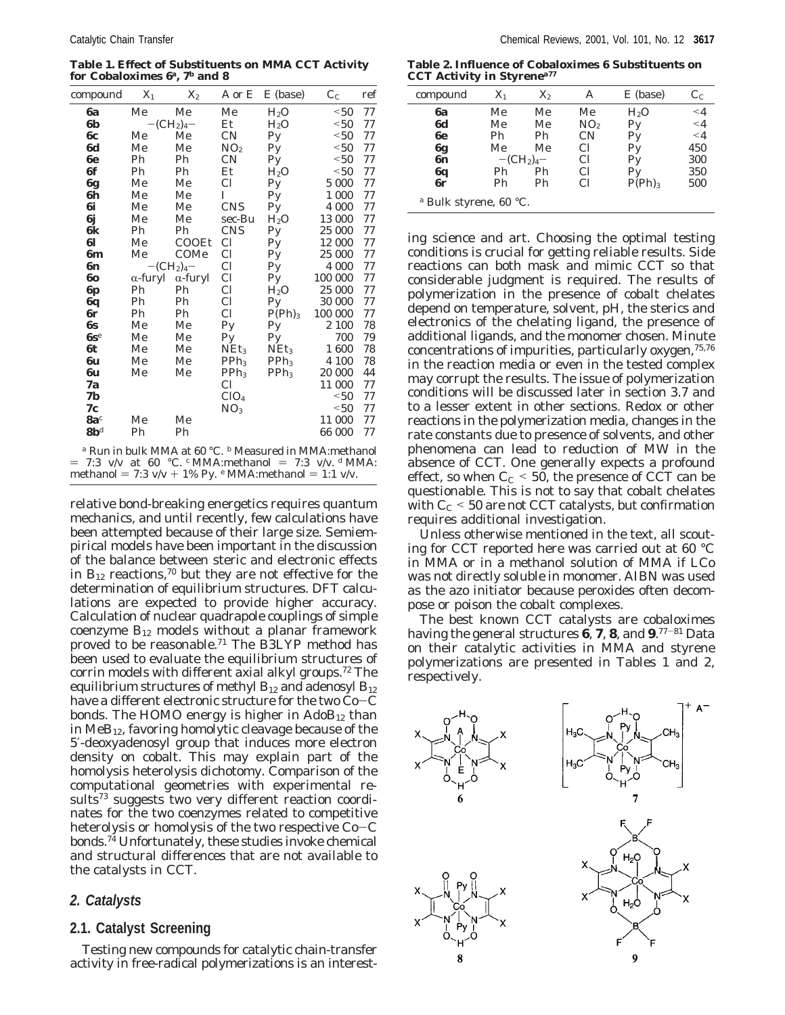**Table 1. Effect of Substituents on MMA CCT Activity for Cobaloximes 6a, 7b and 8**

| compound        | $X_1$           | $X_2$           | A or E                     | $E$ (base)           | $C_{\rm C}$ | ref |
|-----------------|-----------------|-----------------|----------------------------|----------------------|-------------|-----|
| <b>6a</b>       | Me              | Me              | Me                         | H <sub>2</sub> O     | ~150        | 77  |
| 6b              |                 | $-CH_2)_4-$     | Et                         | H <sub>2</sub> O     | ~150        | 77  |
| 6с              | Me              | Me              | CN                         | Py                   | $50$        | 77  |
| 6d              | Me              | Me              | NO <sub>2</sub>            | Py                   | ~150        | 77  |
| 6e              | Ph              | Ph              | CN                         | $\overline{Py}$      | ~150        | 77  |
| 6f              | Ph              | Ph              | Et                         | H <sub>2</sub> O     | $50$        | 77  |
| 6g              | Me              | Me              | <b>Cl</b>                  | Py                   | 5 000       | 77  |
| 6h              | Me              | Me              | Ι                          | Py                   | 1 0 0 0     | 77  |
| 6i              | Me              | Me              | <b>CNS</b>                 | Py                   | 4 0 0 0     | 77  |
| <sub>6j</sub>   | Me              | Me              | sec-Bu                     | H <sub>2</sub> O     | 13 000      | 77  |
| 6k              | Ph              | Ph              | <b>CNS</b>                 | Py                   | 25 000      | 77  |
| 67              | Me              | COOEt           | Cl                         | Py                   | 12 000      | 77  |
| 6m              | Me              | COMe            | Cl                         | $\overline{Py}$      | 25 000      | 77  |
| 6n              |                 | $- (CH2)4 -$    | $\mathop{\rm Cl}\nolimits$ | Py                   | 4 0 0 0     | 77  |
| 60              | $\alpha$ -furyl | $\alpha$ -furyl | Cl                         | Py                   | 100 000     | 77  |
| 6p              | Ph              | Ph              | Cl                         | H <sub>2</sub> O     | 25 000      | 77  |
| 6q              | Ph              | Ph              | Cl                         | Py                   | 30 000      | 77  |
| 6r              | Ph              | Ph              | <b>Cl</b>                  | $P(Ph)$ <sub>3</sub> | 100 000     | 77  |
| 6s              | Me              | Me              | Py                         | Py                   | 2 1 0 0     | 78  |
| 6s <sup>e</sup> | Me              | Me              | Py                         | Py                   | 700         | 79  |
| 6t              | Me              | Me              | $NEt_3$                    | $NEt_3$              | 1600        | 78  |
| 6u              | Me              | Me              | PPh <sub>3</sub>           | $PPh_3$              | 4 100       | 78  |
| 6u              | Me              | Me              | PPh <sub>3</sub>           | PPh <sub>3</sub>     | 20 000      | 44  |
| 7a              |                 |                 | Cl                         |                      | 11 000      | 77  |
| 7 <sub>b</sub>  |                 |                 | ClO <sub>4</sub>           |                      | ~150        | 77  |
| 7с              |                 |                 | NO <sub>3</sub>            |                      | $50$        | 77  |
| $8a^c$          | Me              | Me              |                            |                      | 11 000      | 77  |
| $8b^d$          | Ph              | Ph              |                            |                      | 66 000      | 77  |
|                 |                 |                 |                            |                      |             |     |

<sup>*a*</sup> Run in bulk MMA at 60 °C. *b* Measured in MMA: methanol = 7:3  $v/v$  at 60 °C. *c* MMA: methanol = 7:3  $v/v$ . *d* MMA: = 7:3 v/v at 60 °C. <sup>*c*</sup> MMA:methanol = 7:3 v/v. <sup>*d*</sup> MMA:<br>methanol = 7:3 v/v + 1% Pv. *<sup>e</sup>* MMA:methanol = 1:1 v/v. methanol = 7:3 v/v + 1% Py. *e* MMA:methanol = 1:1 v/v.

relative bond-breaking energetics requires quantum mechanics, and until recently, few calculations have been attempted because of their large size. Semiempirical models have been important in the discussion of the balance between steric and electronic effects in  $B_{12}$  reactions,<sup>70</sup> but they are not effective for the determination of equilibrium structures. DFT calculations are expected to provide higher accuracy. Calculation of nuclear quadrapole couplings of simple coenzyme  $B_{12}$  models without a planar framework proved to be reasonable.71 The B3LYP method has been used to evaluate the equilibrium structures of corrin models with different axial alkyl groups.72 The equilibrium structures of methyl  $B_{12}$  and adenosyl  $B_{12}$ have a different electronic structure for the two Co-C bonds. The HOMO energy is higher in  $Ad_2$  than in  $\text{MeB}_{12}$ , favoring homolytic cleavage because of the 5′-deoxyadenosyl group that induces more electron density on cobalt. This may explain part of the homolysis heterolysis dichotomy. Comparison of the computational geometries with experimental results<sup>73</sup> suggests two very different reaction coordinates for the two coenzymes related to competitive heterolysis or homolysis of the two respective Co–C bonds.74 Unfortunately, these studies invoke chemical and structural differences that are not available to the catalysts in CCT.

#### *2. Catalysts*

#### **2.1. Catalyst Screening**

Testing new compounds for catalytic chain-transfer activity in free-radical polymerizations is an interest-

**Table 2. Influence of Cobaloximes 6 Substituents on CCT Activity in Styrene***<sup>a</sup>***<sup>77</sup>**

| compound                          | $X_1$ | $X_2$        | А               | $E$ (base)           | $C_{\rm C}$ |
|-----------------------------------|-------|--------------|-----------------|----------------------|-------------|
| <b>6a</b>                         | Me    | Me           | Me              | H <sub>2</sub> O     | $\leq 4$    |
| 6d                                | Me    | Me           | NO <sub>2</sub> | $P_{V}$              | $\leq 4$    |
| 6e                                | Ph    | Ph           | <b>CN</b>       | Py                   | $\leq 4$    |
| 6g                                | Me    | Me           | Cl              | $P_{V}$              | 450         |
| 6 <sub>n</sub>                    |       | $- (CH2)4 -$ | Cl              | Py                   | 300         |
| 6q                                | Ph    | Ph           | Cl              | Py                   | 350         |
| 6r                                | Ph    | Ph           | Cl              | $P(Ph)$ <sub>3</sub> | 500         |
| <sup>a</sup> Bulk styrene, 60 °C. |       |              |                 |                      |             |

ing science and art. Choosing the optimal testing conditions is crucial for getting reliable results. Side reactions can both mask and mimic CCT so that considerable judgment is required. The results of polymerization in the presence of cobalt chelates depend on temperature, solvent, pH, the sterics and electronics of the chelating ligand, the presence of additional ligands, and the monomer chosen. Minute concentrations of impurities, particularly oxygen,75,76 in the reaction media or even in the tested complex may corrupt the results. The issue of polymerization conditions will be discussed later in section 3.7 and to a lesser extent in other sections. Redox or other reactions in the polymerization media, changes in the rate constants due to presence of solvents, and other phenomena can lead to reduction of MW in the absence of CCT. One generally expects a profound effect, so when  $C_{\rm C}$  < 50, the presence of CCT can be questionable. This is not to say that cobalt chelates with  $C_{\rm C}$  < 50 are not CCT catalysts, but confirmation requires additional investigation.

Unless otherwise mentioned in the text, all scouting for CCT reported here was carried out at 60 °C in MMA or in a methanol solution of MMA if LCo was not directly soluble in monomer. AIBN was used as the azo initiator because peroxides often decompose or poison the cobalt complexes.

The best known CCT catalysts are cobaloximes having the general structures **6**, **7**, **8**, and **9**. <sup>77</sup>-<sup>81</sup> Data on their catalytic activities in MMA and styrene polymerizations are presented in Tables 1 and 2, respectively.

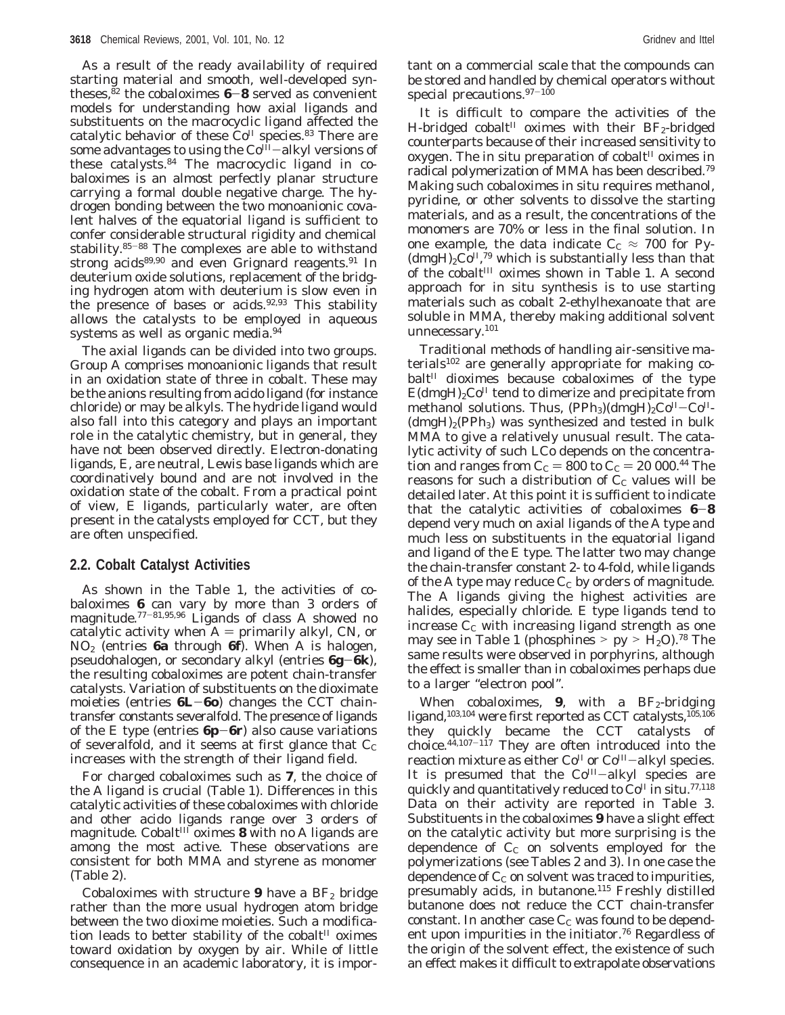As a result of the ready availability of required starting material and smooth, well-developed syntheses,82 the cobaloximes **<sup>6</sup>**-**<sup>8</sup>** served as convenient models for understanding how axial ligands and substituents on the macrocyclic ligand affected the catalytic behavior of these  $Co<sup>H</sup>$  species.<sup>83</sup> There are some advantages to using the Co<sup>III</sup>-alkyl versions of these catalysts.84 The macrocyclic ligand in cobaloximes is an almost perfectly planar structure carrying a formal double negative charge. The hydrogen bonding between the two monoanionic covalent halves of the equatorial ligand is sufficient to confer considerable structural rigidity and chemical stability.85-<sup>88</sup> The complexes are able to withstand strong acids<sup>89,90</sup> and even Grignard reagents.<sup>91</sup> In deuterium oxide solutions, replacement of the bridging hydrogen atom with deuterium is slow even in the presence of bases or acids.92,93 This stability allows the catalysts to be employed in aqueous systems as well as organic media.<sup>94</sup>

The axial ligands can be divided into two groups. Group A comprises monoanionic ligands that result in an oxidation state of three in cobalt. These may be the anions resulting from acido ligand (for instance chloride) or may be alkyls. The hydride ligand would also fall into this category and plays an important role in the catalytic chemistry, but in general, they have not been observed directly. Electron-donating ligands, E, are neutral, Lewis base ligands which are coordinatively bound and are not involved in the oxidation state of the cobalt. From a practical point of view, E ligands, particularly water, are often present in the catalysts employed for CCT, but they are often unspecified.

#### **2.2. Cobalt Catalyst Activities**

As shown in the Table 1, the activities of cobaloximes **6** can vary by more than 3 orders of magnitude.<sup>77-81,95,96</sup> Ligands of class A showed no catalytic activity when  $A =$  primarily alkyl, CN, or NO2 (entries **6a** through **6f**). When A is halogen, pseudohalogen, or secondary alkyl (entries **6g**-**6k**), the resulting cobaloximes are potent chain-transfer catalysts. Variation of substituents on the dioximate moieties (entries **6L**-**6o**) changes the CCT chaintransfer constants severalfold. The presence of ligands of the E type (entries **6p**-**6r**) also cause variations of severalfold, and it seems at first glance that  $C_{\text{C}}$ increases with the strength of their ligand field.

For charged cobaloximes such as **7**, the choice of the A ligand is crucial (Table 1). Differences in this catalytic activities of these cobaloximes with chloride and other acido ligands range over 3 orders of magnitude. Cobalt<sup>III</sup> oximes  $\boldsymbol{8}$  with no A ligands are among the most active. These observations are consistent for both MMA and styrene as monomer (Table 2).

Cobaloximes with structure  $9$  have a  $BF<sub>2</sub>$  bridge rather than the more usual hydrogen atom bridge between the two dioxime moieties. Such a modification leads to better stability of the cobalt<sup>11</sup> oximes toward oxidation by oxygen by air. While of little consequence in an academic laboratory, it is impor-

tant on a commercial scale that the compounds can be stored and handled by chemical operators without special precautions. $97-100$ 

It is difficult to compare the activities of the H-bridged cobalt<sup>II</sup> oximes with their  $BF_2$ -bridged counterparts because of their increased sensitivity to oxygen. The in situ preparation of cobalt<sup>II</sup> oximes in radical polymerization of MMA has been described.79 Making such cobaloximes in situ requires methanol, pyridine, or other solvents to dissolve the starting materials, and as a result, the concentrations of the monomers are 70% or less in the final solution. In one example, the data indicate  $C_{\rm C} \approx 700$  for Py- $(dmgH)_{2}Co<sup>H</sup>,<sup>79</sup>$  which is substantially less than that of the cobalt<sup>III</sup> oximes shown in Table 1. A second approach for in situ synthesis is to use starting materials such as cobalt 2-ethylhexanoate that are soluble in MMA, thereby making additional solvent unnecessary.<sup>101</sup>

Traditional methods of handling air-sensitive ma $terials<sup>102</sup>$  are generally appropriate for making co $b$ alt<sup>II</sup> dioximes because cobaloximes of the type  $E(dmgH)<sub>2</sub>Co<sup>II</sup>$  tend to dimerize and precipitate from methanol solutions. Thus,  $(PPh_3)(dmgH)_2Co<sup>II</sup>-Co<sup>II</sup> (dmgH)<sub>2</sub>(PPh<sub>3</sub>)$  was synthesized and tested in bulk MMA to give a relatively unusual result. The catalytic activity of such LCo depends on the concentration and ranges from  $C<sub>C</sub> = 800$  to  $C<sub>C</sub> = 20 000.<sup>44</sup>$  The reasons for such a distribution of  $C<sub>C</sub>$  values will be detailed later. At this point it is sufficient to indicate that the catalytic activities of cobaloximes **<sup>6</sup>**-**<sup>8</sup>** depend very much on axial ligands of the A type and much less on substituents in the equatorial ligand and ligand of the E type. The latter two may change the chain-transfer constant 2- to 4-fold, while ligands of the A type may reduce  $C<sub>C</sub>$  by orders of magnitude. The A ligands giving the highest activities are halides, especially chloride. E type ligands tend to increase  $C_{\text{C}}$  with increasing ligand strength as one may see in Table 1 (phosphines  $> py > H<sub>2</sub>O$ ).<sup>78</sup> The same results were observed in porphyrins, although the effect is smaller than in cobaloximes perhaps due to a larger "electron pool".

When cobaloximes, **9**, with a  $BF_2$ -bridging ligand, $103,104$  were first reported as CCT catalysts,  $105,106$ they quickly became the CCT catalysts of choice. $44,107-117$  They are often introduced into the reaction mixture as either Co<sup>II</sup> or Co<sup>III</sup>-alkyl species. It is presumed that the  $Co^{III}-alkyl$  species are quickly and quantitatively reduced to  $Co<sup>II</sup>$  in situ.<sup>77,118</sup> Data on their activity are reported in Table 3. Substituents in the cobaloximes **9** have a slight effect on the catalytic activity but more surprising is the dependence of  $C_{\text{C}}$  on solvents employed for the polymerizations (see Tables 2 and 3). In one case the dependence of  $C_{\rm C}$  on solvent was traced to impurities, presumably acids, in butanone.<sup>115</sup> Freshly distilled butanone does not reduce the CCT chain-transfer constant. In another case  $C<sub>C</sub>$  was found to be dependent upon impurities in the initiator.<sup>76</sup> Regardless of the origin of the solvent effect, the existence of such an effect makes it difficult to extrapolate observations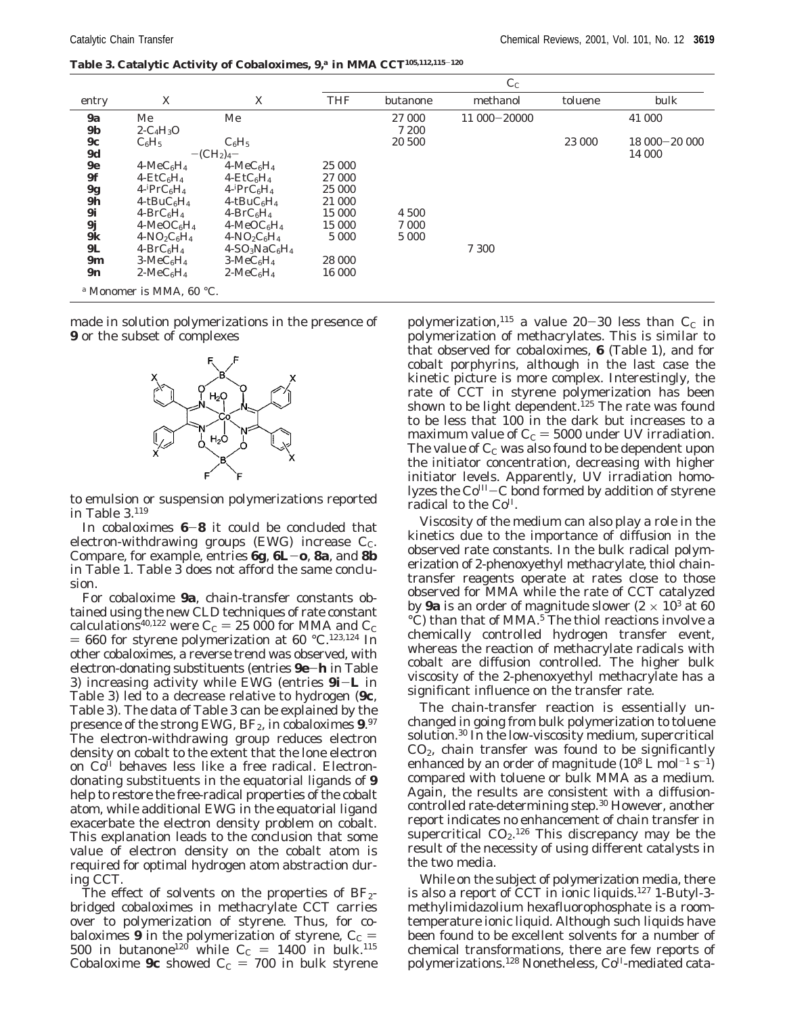**Table 3. Catalytic Activity of Cobaloximes, 9,***<sup>a</sup>* **in MMA CCT105,112,115**-**<sup>120</sup>**

|                 |                                      |                      |            |          | $C_{\rm C}$     |         |                |
|-----------------|--------------------------------------|----------------------|------------|----------|-----------------|---------|----------------|
| entry           | X                                    | X                    | <b>THF</b> | butanone | methanol        | toluene | bulk           |
| 9a              | Me                                   | Me                   |            | 27 000   | $11000 - 20000$ |         | 41 000         |
| 9 <sub>b</sub>  | $2-C_4H_3O$                          |                      |            | 7 200    |                 |         |                |
| 9c              | $C_6H_5$                             | $C_6H_5$             |            | 20 500   |                 | 23 000  | $18000 - 2000$ |
| 9d              |                                      | $- (CH2)4 -$         |            |          |                 |         | 14 000         |
| 9e              | $4$ -Me $C_6H_4$                     | $4-MeC_6H_4$         | 25 000     |          |                 |         |                |
| 9f              | $4$ -EtC $6H_4$                      | $4$ -EtC $6H_4$      | 27 000     |          |                 |         |                |
| $\frac{9g}{9h}$ | $4$ -PrC <sub>6</sub> H <sub>4</sub> | $4$ - $\rm PrC_6H_4$ | 25 000     |          |                 |         |                |
|                 | $4-tBuC6H4$                          | $4-tBuC6H4$          | 21 000     |          |                 |         |                |
| 9i              | $4-BrC_6H_4$                         | $4-BrC_6H_4$         | 15 000     | 4 500    |                 |         |                |
| 9j<br>9k        | $4-MeOC6H4$                          | $4-MeOC6H4$          | 15 000     | 7 0 0 0  |                 |         |                |
|                 | $4-NO2C6H4$                          | $4-NO_2C_6H_4$       | 5 0 0 0    | 5 0 0 0  |                 |         |                |
| 9L              | $4-BrC_6H_4$                         | $4-SO_3NaC_6H_4$     |            |          | 7 300           |         |                |
| 9m              | $3-MeC6H4$                           | $3-MeC6H4$           | 28 000     |          |                 |         |                |
| 9n              | $2-MeC6H4$                           | $2-MeC6H4$           | 16 000     |          |                 |         |                |
|                 | <sup>a</sup> Monomer is MMA, 60 °C.  |                      |            |          |                 |         |                |

made in solution polymerizations in the presence of **9** or the subset of complexes



to emulsion or suspension polymerizations reported in Table  $3.119$ 

In cobaloximes **<sup>6</sup>**-**<sup>8</sup>** it could be concluded that electron-withdrawing groups (EWG) increase C<sub>C</sub>. Compare, for example, entries **6g**, **6L**-**o**, **8a**, and **8b** in Table 1. Table 3 does not afford the same conclusion.

For cobaloxime **9a**, chain-transfer constants obtained using the new CLD techniques of rate constant calculations<sup>40,122</sup> were  $C_{\text{C}} = 25000$  for MMA and  $C_{\text{C}}$ = 660 for styrene polymerization at 60 °C.<sup>123,124</sup> In other cobaloximes, a reverse trend was observed, with electron-donating substituents (entries **9e**-**<sup>h</sup>** in Table 3) increasing activity while EWG (entries **9i**-**<sup>L</sup>** in Table 3) led to a decrease relative to hydrogen (**9c**, Table 3). The data of Table 3 can be explained by the presence of the strong EWG, BF<sub>2</sub>, in cobaloximes  $9.^{97}$ The electron-withdrawing group reduces electron density on cobalt to the extent that the lone electron on Co<sup>II</sup> behaves less like a free radical. Electrondonating substituents in the equatorial ligands of **9** help to restore the free-radical properties of the cobalt atom, while additional EWG in the equatorial ligand exacerbate the electron density problem on cobalt. This explanation leads to the conclusion that some value of electron density on the cobalt atom is required for optimal hydrogen atom abstraction during CCT.

The effect of solvents on the properties of  $BF_{2}$ bridged cobaloximes in methacrylate CCT carries over to polymerization of styrene. Thus, for cobaloximes **9** in the polymerization of styrene,  $C_c = 500$  in bulk  $^{115}$ 500 in butanone<sup>120</sup> while  $C_{\text{C}} = 1400$  in bulk.<sup>115</sup><br>Cobaloxime **9c** showed  $C_{\text{C}} = 700$  in bulk styrene Cobaloxime **9c** showed  $C_C = 700$  in bulk styrene

polymerization,<sup>115</sup> a value 20-30 less than  $C_{\text{C}}$  in polymerization of methacrylates. This is similar to that observed for cobaloximes, **6** (Table 1), and for cobalt porphyrins, although in the last case the kinetic picture is more complex. Interestingly, the rate of CCT in styrene polymerization has been shown to be light dependent.<sup>125</sup> The rate was found to be less that 100 in the dark but increases to a maximum value of  $C_{\text{C}} = 5000$  under UV irradiation. The value of  $C_{\rm C}$  was also found to be dependent upon the initiator concentration, decreasing with higher initiator levels. Apparently, UV irradiation homolyzes the  $Co<sup>III</sup>-C$  bond formed by addition of styrene radical to the Co<sup>II</sup>.

Viscosity of the medium can also play a role in the kinetics due to the importance of diffusion in the observed rate constants. In the bulk radical polymerization of 2-phenoxyethyl methacrylate, thiol chaintransfer reagents operate at rates close to those observed for MMA while the rate of CCT catalyzed by **9a** is an order of magnitude slower  $(2 \times 10^3 \text{ at } 60$  $\rm^{\circ}\tilde{C}$ ) than that of MMA.<sup>5</sup> The thiol reactions involve a chemically controlled hydrogen transfer event, whereas the reaction of methacrylate radicals with cobalt are diffusion controlled. The higher bulk viscosity of the 2-phenoxyethyl methacrylate has a significant influence on the transfer rate.

The chain-transfer reaction is essentially unchanged in going from bulk polymerization to toluene solution.30 In the low-viscosity medium, supercritical  $CO<sub>2</sub>$ , chain transfer was found to be significantly enhanced by an order of magnitude  $(10^8 \text{ L mol}^{-1} \text{ s}^{-1})$ compared with toluene or bulk MMA as a medium. Again, the results are consistent with a diffusioncontrolled rate-determining step.30 However, another report indicates no enhancement of chain transfer in supercritical  $CO<sub>2</sub>$ .<sup>126</sup> This discrepancy may be the result of the necessity of using different catalysts in the two media.

While on the subject of polymerization media, there is also a report of CCT in ionic liquids.127 1-Butyl-3 methylimidazolium hexafluorophosphate is a roomtemperature ionic liquid. Although such liquids have been found to be excellent solvents for a number of chemical transformations, there are few reports of polymerizations.<sup>128</sup> Nonetheless, Co<sup>II</sup>-mediated cata-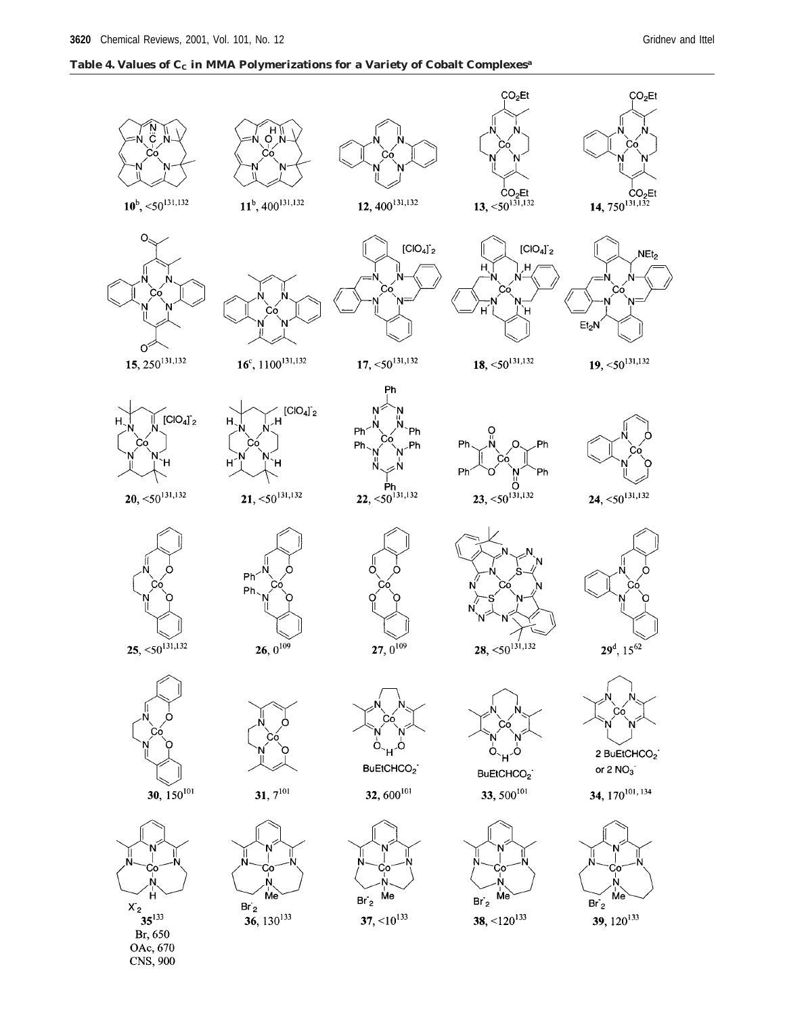CNS, 900

# Table 4. Values of  $C_c$  in MMA Polymerizations for a Variety of Cobalt Complexes<sup>a</sup>

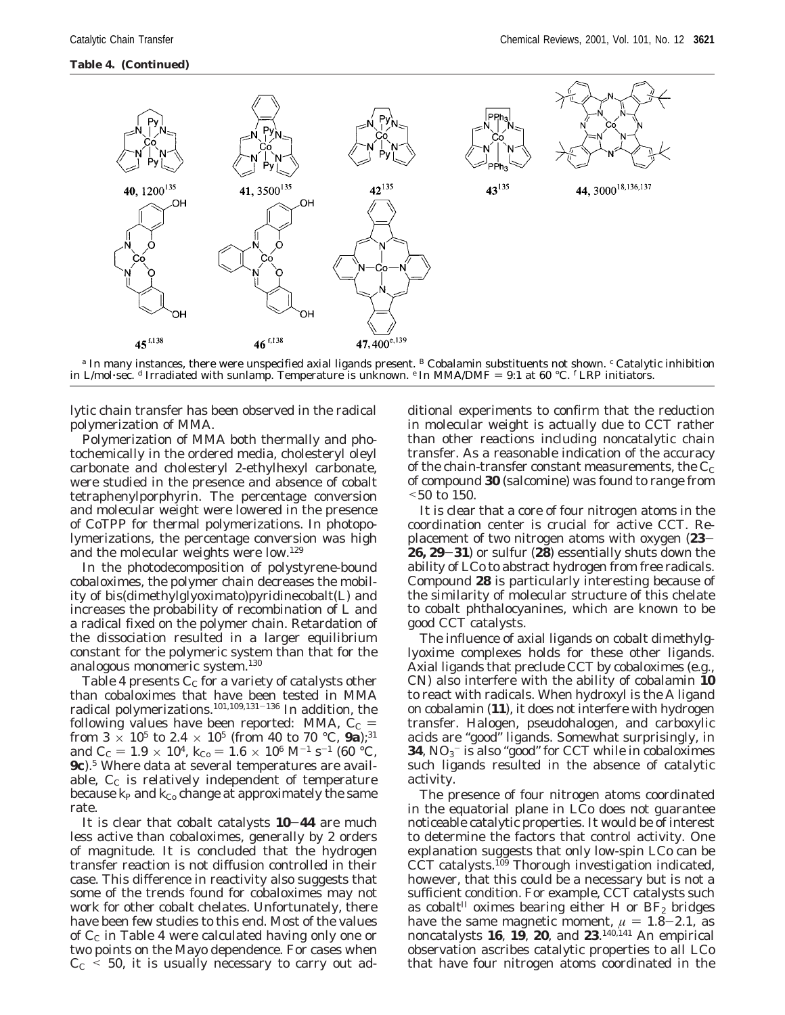



lytic chain transfer has been observed in the radical polymerization of MMA.

Polymerization of MMA both thermally and photochemically in the ordered media, cholesteryl oleyl carbonate and cholesteryl 2-ethylhexyl carbonate, were studied in the presence and absence of cobalt tetraphenylporphyrin. The percentage conversion and molecular weight were lowered in the presence of CoTPP for thermal polymerizations. In photopolymerizations, the percentage conversion was high and the molecular weights were low.<sup>129</sup>

In the photodecomposition of polystyrene-bound cobaloximes, the polymer chain decreases the mobility of bis(dimethylglyoximato)pyridinecobalt(L) and increases the probability of recombination of L and a radical fixed on the polymer chain. Retardation of the dissociation resulted in a larger equilibrium constant for the polymeric system than that for the analogous monomeric system.<sup>130</sup>

Table 4 presents  $C_{\rm C}$  for a variety of catalysts other than cobaloximes that have been tested in MMA radical polymerizations.101,109,131-<sup>136</sup> In addition, the following values have been reported: MMA,  $C_{\text{C}} =$ from  $3 \times 10^5$  to  $2.4 \times 10^5$  (from 40 to 70 °C, **9a**);<sup>31</sup> and  $C_{\rm C} = 1.9 \times 10^4$ ,  $k_{\rm Co} = 1.6 \times 10^6$  M<sup>-1</sup> s<sup>-1</sup> (60 °C, **9c**).<sup>5</sup> Where data at several temperatures are available,  $C_{\text{C}}$  is relatively independent of temperature because  $k_{\rm P}$  and  $k_{\rm Co}$  change at approximately the same rate.

It is clear that cobalt catalysts **<sup>10</sup>**-**<sup>44</sup>** are much less active than cobaloximes, generally by 2 orders of magnitude. It is concluded that the hydrogen transfer reaction is not diffusion controlled in their case. This difference in reactivity also suggests that some of the trends found for cobaloximes may not work for other cobalt chelates. Unfortunately, there have been few studies to this end. Most of the values of *C*<sup>C</sup> in Table 4 were calculated having only one or two points on the Mayo dependence. For cases when  $C_{\rm C}$  < 50, it is usually necessary to carry out ad-

ditional experiments to confirm that the reduction in molecular weight is actually due to CCT rather than other reactions including noncatalytic chain transfer. As a reasonable indication of the accuracy of the chain-transfer constant measurements, the  $C_{\text{C}}$ of compound **30** (salcomine) was found to range from  $< 50$  to 150.

It is clear that a core of four nitrogen atoms in the coordination center is crucial for active CCT. Replacement of two nitrogen atoms with oxygen (**23**- **26, 29**-**31**) or sulfur (**28**) essentially shuts down the ability of LCo to abstract hydrogen from free radicals. Compound **28** is particularly interesting because of the similarity of molecular structure of this chelate to cobalt phthalocyanines, which are known to be good CCT catalysts.

The influence of axial ligands on cobalt dimethylglyoxime complexes holds for these other ligands. Axial ligands that preclude CCT by cobaloximes (e.g., CN) also interfere with the ability of cobalamin **10** to react with radicals. When hydroxyl is the A ligand on cobalamin (**11**), it does not interfere with hydrogen transfer. Halogen, pseudohalogen, and carboxylic acids are "good" ligands. Somewhat surprisingly, in **34**, NO<sub>3</sub><sup>-</sup> is also "good" for CCT while in cobaloximes such ligands resulted in the absence of catalytic activity.

The presence of four nitrogen atoms coordinated in the equatorial plane in LCo does not guarantee noticeable catalytic properties. It would be of interest to determine the factors that control activity. One explanation suggests that only low-spin LCo can be  $CCT$  catalysts.<sup>109</sup> Thorough investigation indicated, however, that this could be a necessary but is not a sufficient condition. For example, CCT catalysts such as cobalt<sup>II</sup> oximes bearing either H or  $BF<sub>2</sub>$  bridges have the same magnetic moment,  $\mu = 1.8-2.1$ , as noncatalysts **16**, **19**, **20**, and **23**. 140,141 An empirical observation ascribes catalytic properties to all LCo that have four nitrogen atoms coordinated in the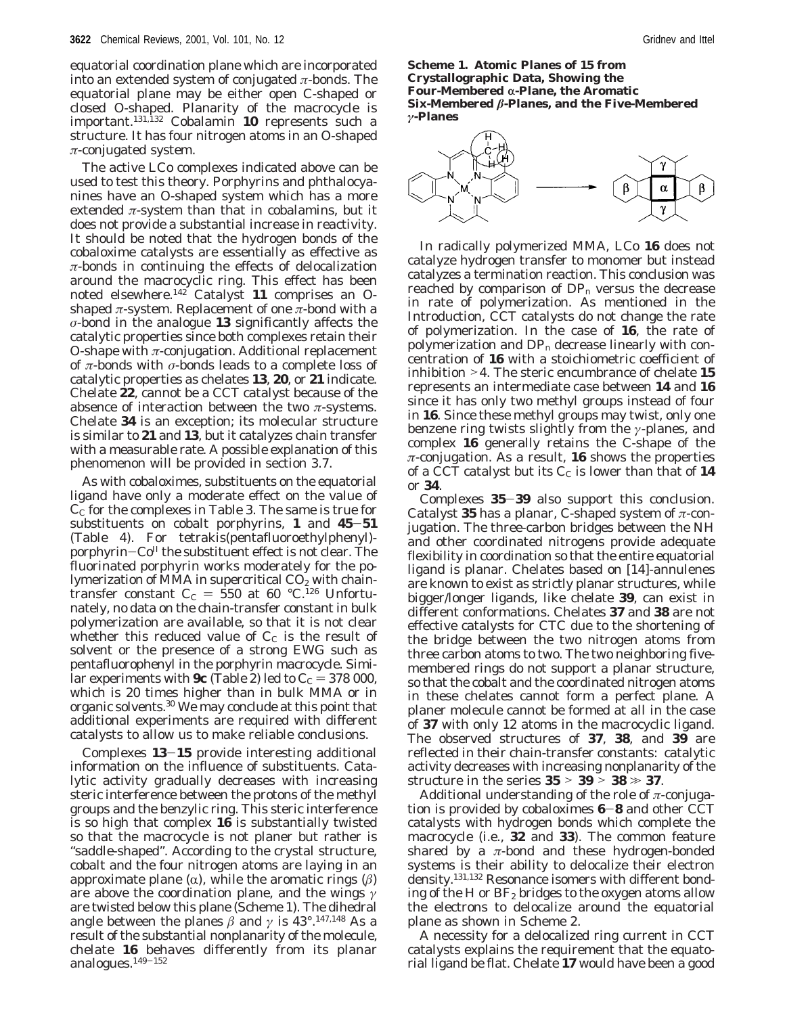equatorial coordination plane which are incorporated into an extended system of conjugated *π*-bonds. The equatorial plane may be either open C-shaped or closed O-shaped. Planarity of the macrocycle is important.131,132 Cobalamin **10** represents such a structure. It has four nitrogen atoms in an O-shaped *π*-conjugated system.

The active LCo complexes indicated above can be used to test this theory. Porphyrins and phthalocyanines have an O-shaped system which has a more extended  $\pi$ -system than that in cobalamins, but it does not provide a substantial increase in reactivity. It should be noted that the hydrogen bonds of the cobaloxime catalysts are essentially as effective as *π*-bonds in continuing the effects of delocalization around the macrocyclic ring. This effect has been noted elsewhere.142 Catalyst **11** comprises an Oshaped *π*-system. Replacement of one *π*-bond with a *σ*-bond in the analogue **13** significantly affects the catalytic properties since both complexes retain their O-shape with *π*-conjugation. Additional replacement of *π*-bonds with *σ*-bonds leads to a complete loss of catalytic properties as chelates **13**, **20**, or **21** indicate. Chelate **22**, cannot be a CCT catalyst because of the absence of interaction between the two *π*-systems. Chelate **34** is an exception; its molecular structure is similar to **21** and **13**, but it catalyzes chain transfer with a measurable rate. A possible explanation of this phenomenon will be provided in section 3.7.

As with cobaloximes, substituents on the equatorial ligand have only a moderate effect on the value of *C*<sub>C</sub> for the complexes in Table 3. The same is true for substituents on cobalt porphyrins, **<sup>1</sup>** and **<sup>45</sup>**-**<sup>51</sup>** (Table 4). For tetrakis(pentafluoroethylphenyl) porphyrin $-Co^{II}$  the substituent effect is not clear. The fluorinated porphyrin works moderately for the polymerization of MMA in supercritical  $CO<sub>2</sub>$  with chaintransfer constant  $C_{\text{C}} = 550$  at 60 °C.<sup>126</sup> Unfortunately, no data on the chain-transfer constant in bulk polymerization are available, so that it is not clear whether this reduced value of  $C_{\text{C}}$  is the result of solvent or the presence of a strong EWG such as pentafluorophenyl in the porphyrin macrocycle. Similar experiments with **9c** (Table 2) led to  $C_{\text{C}} = 378\,000$ , which is 20 times higher than in bulk MMA or in organic solvents.30 We may conclude at this point that additional experiments are required with different catalysts to allow us to make reliable conclusions.

Complexes **<sup>13</sup>**-**<sup>15</sup>** provide interesting additional information on the influence of substituents. Catalytic activity gradually decreases with increasing steric interference between the protons of the methyl groups and the benzylic ring. This steric interference is so high that complex **16** is substantially twisted so that the macrocycle is not planer but rather is "saddle-shaped". According to the crystal structure, cobalt and the four nitrogen atoms are laying in an approximate plane ( $\alpha$ ), while the aromatic rings ( $\beta$ ) are above the coordination plane, and the wings *γ* are twisted below this plane (Scheme 1). The dihedral angle between the planes  $\beta$  and  $\gamma$  is 43°.<sup>147,148</sup> As a result of the substantial nonplanarity of the molecule, chelate **16** behaves differently from its planar analogues.<sup>149-152</sup>

**Scheme 1. Atomic Planes of 15 from Crystallographic Data, Showing the** Four-Membered  $\alpha$ -Plane, the Aromatic **Six-Membered** *â***-Planes, and the Five-Membered** *γ***-Planes**



In radically polymerized MMA, LCo **16** does not catalyze hydrogen transfer to monomer but instead catalyzes a termination reaction. This conclusion was reached by comparison of  $DP<sub>n</sub>$  versus the decrease in rate of polymerization. As mentioned in the Introduction, CCT catalysts do not change the rate of polymerization. In the case of **16**, the rate of polymerization and DP*<sup>n</sup>* decrease linearly with concentration of **16** with a stoichiometric coefficient of inhibition >4. The steric encumbrance of chelate **<sup>15</sup>** represents an intermediate case between **14** and **16** since it has only two methyl groups instead of four in **16**. Since these methyl groups may twist, only one benzene ring twists slightly from the *γ*-planes, and complex **16** generally retains the C-shape of the *π*-conjugation. As a result, **16** shows the properties of a  $\text{CCT}$  catalyst but its  $C_{\text{C}}$  is lower than that of 14 or **34**.

Complexes **<sup>35</sup>**-**<sup>39</sup>** also support this conclusion. Catalyst **35** has a planar, C-shaped system of *π*-conjugation. The three-carbon bridges between the NH and other coordinated nitrogens provide adequate flexibility in coordination so that the entire equatorial ligand is planar. Chelates based on [14]-annulenes are known to exist as strictly planar structures, while bigger/longer ligands, like chelate **39**, can exist in different conformations. Chelates **37** and **38** are not effective catalysts for CTC due to the shortening of the bridge between the two nitrogen atoms from three carbon atoms to two. The two neighboring fivemembered rings do not support a planar structure, so that the cobalt and the coordinated nitrogen atoms in these chelates cannot form a perfect plane. A planer molecule cannot be formed at all in the case of **37** with only 12 atoms in the macrocyclic ligand. The observed structures of **37**, **38**, and **39** are reflected in their chain-transfer constants: catalytic activity decreases with increasing nonplanarity of the structure in the series  $35 > 39 > 38 \gg 37$ .

Additional understanding of the role of *π*-conjugation is provided by cobaloximes **<sup>6</sup>**-**<sup>8</sup>** and other CCT catalysts with hydrogen bonds which complete the macrocycle (i.e., **32** and **33**). The common feature shared by a  $\pi$ -bond and these hydrogen-bonded systems is their ability to delocalize their electron density.131,132 Resonance isomers with different bonding of the H or  $BF<sub>2</sub>$  bridges to the oxygen atoms allow the electrons to delocalize around the equatorial plane as shown in Scheme 2.

A necessity for a delocalized ring current in CCT catalysts explains the requirement that the equatorial ligand be flat. Chelate **17** would have been a good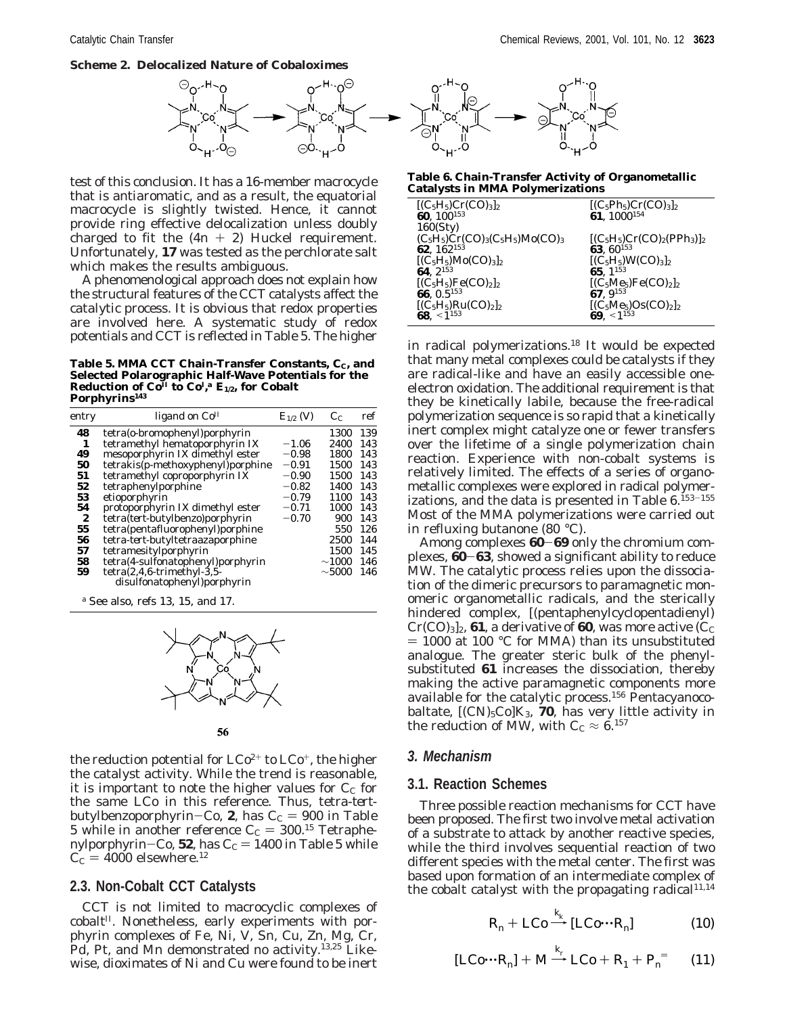



test of this conclusion. It has a 16-member macrocycle that is antiaromatic, and as a result, the equatorial macrocycle is slightly twisted. Hence, it cannot provide ring effective delocalization unless doubly charged to fit the  $(4n + 2)$  Huckel requirement. Unfortunately, **17** was tested as the perchlorate salt which makes the results ambiguous.

A phenomenological approach does not explain how the structural features of the CCT catalysts affect the catalytic process. It is obvious that redox properties are involved here. A systematic study of redox potentials and CCT is reflected in Table 5. The higher

Table 5. MMA CCT Chain-Transfer Constants,  $C_c$ , and **Selected Polarographic Half-Wave Potentials for the Reduction of CoII to CoI ,** *<sup>a</sup> E***1/2, for Cobalt Porphyrins143**

| entry | ligand on Co <sup>II</sup>                                  | $E_{1/2}$ (V) | $C_{\rm C}$    | ref |
|-------|-------------------------------------------------------------|---------------|----------------|-----|
| 48    | $tetra(\rho{\text -}bromopheny)$ porphyrin                  |               | 1300           | 139 |
| 1     | tetramethyl hematoporphyrin IX                              | $-1.06$       | 2400           | 143 |
| 49    | mesoporphyrin IX dimethyl ester                             | $-0.98$       | 1800           | 143 |
| 50    | $tetrakis(p-methoxyphenyl)$ porphine                        | $-0.91$       | 1500           | 143 |
| 51    | tetramethyl coproporphyrin IX                               | $-0.90$       | 1500           | 143 |
| 52    | tetraphenylporphine                                         | $-0.82$       | 1400           | 143 |
| 53    | etioporphyrin                                               | $-0.79$       | 1100           | 143 |
| 54    | protoporphyrin IX dimethyl ester                            | $-0.71$       | 1000           | 143 |
| 2     | tetra(tert-butylbenzo)porphyrin                             | $-0.70$       | 900            | 143 |
| 55    | tetra(pentafluorophenyl)porphine                            |               | 550            | 126 |
| 56    | tetra-tert-butyltetraazaporphine                            |               | 2500           | 144 |
| 57    | tetramesitylporphyrin                                       |               | 1500           | 145 |
| 58    | tetra(4-sulfonatophenyl)porphyrin                           |               | $\sim$ 1000    | 146 |
| 59    | $tetra(2,4,6-trimethyl-3,5-$<br>disulfonatophenyl)porphyrin |               | $\sim\!\!5000$ | 146 |

*<sup>a</sup>* See also, refs 13, 15, and 17.



56

the reduction potential for  $LCo^{2+}$  to  $LCo^+$ , the higher the catalyst activity. While the trend is reasonable, it is important to note the higher values for  $C<sub>C</sub>$  for the same LCo in this reference. Thus, tetra-*tert*butylbenzoporphyrin-Co, 2, has  $C_{\text{C}} = 900$  in Table 5 while in another reference  $C_{\text{C}} = 300^{15}$  Tetraphenylporphyrin-Co, 52, has  $C_{C} = 1400$  in Table 5 while  $C_{\text{C}} = 4000$  elsewhere.<sup>12</sup>

#### **2.3. Non-Cobalt CCT Catalysts**

CCT is not limited to macrocyclic complexes of cobalt<sup>II</sup>. Nonetheless, early experiments with porphyrin complexes of Fe, Ni, V, Sn, Cu, Zn, Mg, Cr, Pd, Pt, and Mn demonstrated no activity.<sup>13,25</sup> Likewise, dioximates of Ni and Cu were found to be inert

**Table 6. Chain-Transfer Activity of Organometallic Catalysts in MMA Polymerizations**

| $[(C_5H_5)Cr(CO)_3]_2$<br>60, 100 $153$   | $[(C_5Ph_5)Cr(CO)_3]_2$<br>$61, 1000^{154}$ |
|-------------------------------------------|---------------------------------------------|
| 160(Sty)                                  |                                             |
| $(C_5H_5)\text{Cr}(CO)_3(C_5H_5)Mo(CO)_3$ | $[(C_5H_5)Cr(CO)_2(PPh_3)]_2$               |
| 62. 162 <sup>153</sup>                    | 63, 60 <sup>153</sup>                       |
| $[(C_5H_5)Mo(CO)_3]_2$                    | $[(C_5H_5)W(CO)_3]_2$                       |
| 64, 2 <sup>153</sup>                      | 65, $1^{153}$                               |
| $[(C_5H_5)Fe(CO)_2]_2$                    | $[(C_5Me_5)Fe(CO)_2]_2$                     |
| 66, $0.5^{153}$                           | 67. $9^{153}$                               |
| $[(C_5H_5)Ru(CO)_2]_2$                    | $[(C_5Me_5)Os(CO)_2]_2$                     |
| 68, $\leq 1^{153}$                        | 69. $\leq 1^{153}$                          |
|                                           |                                             |

in radical polymerizations.<sup>18</sup> It would be expected that many metal complexes could be catalysts if they are radical-like and have an easily accessible oneelectron oxidation. The additional requirement is that they be kinetically labile, because the free-radical polymerization sequence is so rapid that a kinetically inert complex might catalyze one or fewer transfers over the lifetime of a single polymerization chain reaction. Experience with non-cobalt systems is relatively limited. The effects of a series of organometallic complexes were explored in radical polymerizations, and the data is presented in Table  $6.153-155$ Most of the MMA polymerizations were carried out in refluxing butanone (80 °C).

Among complexes **<sup>60</sup>**-**<sup>69</sup>** only the chromium complexes, **<sup>60</sup>**-**63**, showed a significant ability to reduce MW. The catalytic process relies upon the dissociation of the dimeric precursors to paramagnetic monomeric organometallic radicals, and the sterically hindered complex, [(pentaphenylcyclopentadienyl)  $Cr(CO)_{3}]_2$ , **61**, a derivative of **60**, was more active ( $C_C$  $=$  1000 at 100 °C for MMA) than its unsubstituted analogue. The greater steric bulk of the phenylsubstituted **61** increases the dissociation, thereby making the active paramagnetic components more available for the catalytic process.<sup>156</sup> Pentacyanocobaltate,  $[(CN)_5Co]K_3$ , **70**, has very little activity in the reduction of MW, with  $C_{\rm C} \approx 6.157$ 

# *3. Mechanism*

#### **3.1. Reaction Schemes**

Three possible reaction mechanisms for CCT have been proposed. The first two involve metal activation of a substrate to attack by another reactive species, while the third involves sequential reaction of two different species with the metal center. The first was based upon formation of an intermediate complex of the cobalt catalyst with the propagating radical<sup>11,14</sup>

$$
R_n + LC_0 \stackrel{k_k}{\longrightarrow} [LC_0 \cdots R_n]
$$
 (10)

$$
[\text{LCo}\cdots\text{R}_n] + \text{M} \xrightarrow{k_r} \text{LCo} + \text{R}_1 + \text{P}_n = (11)
$$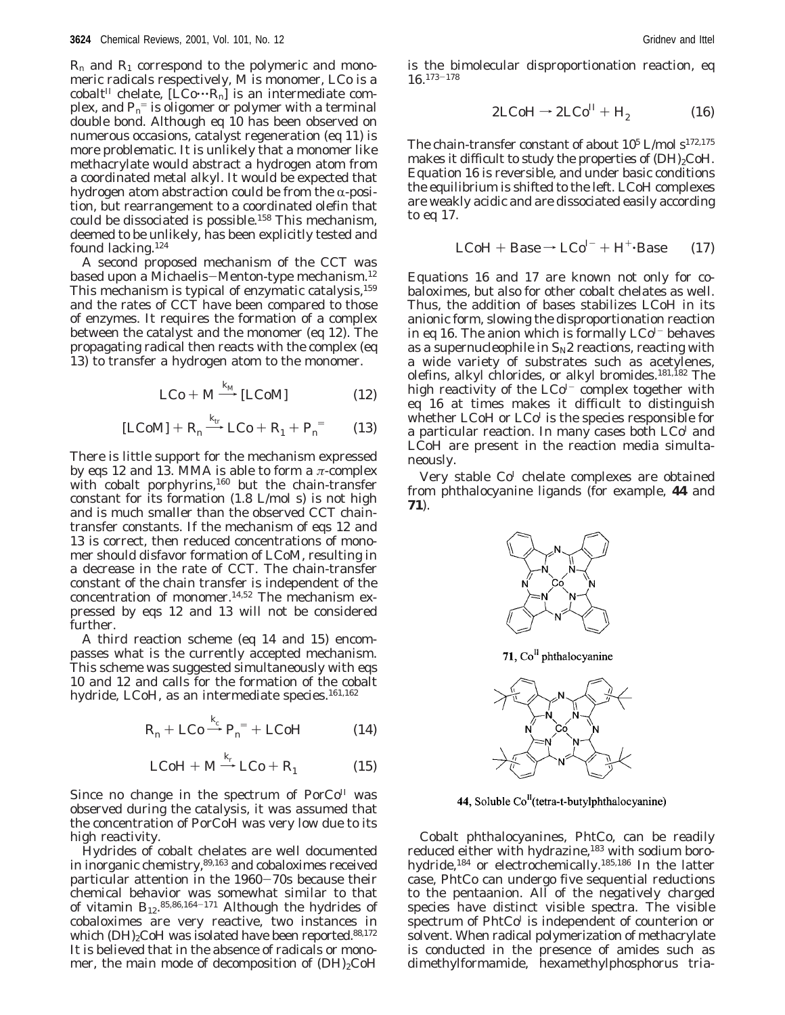$R_n$  and  $R_1$  correspond to the polymeric and monomeric radicals respectively, M is monomer, LCo is a cobalt<sup>II</sup> chelate,  $[LCo...R_n]$  is an intermediate complex, and  ${\rm P}_{\scriptscriptstyle{B}}{}^={\rm i}$ s oligomer or polymer with a terminal double bond. Although eq 10 has been observed on numerous occasions, catalyst regeneration (eq 11) is more problematic. It is unlikely that a monomer like methacrylate would abstract a hydrogen atom from a coordinated metal alkyl. It would be expected that hydrogen atom abstraction could be from the  $\alpha$ -position, but rearrangement to a coordinated olefin that could be dissociated is possible.<sup>158</sup> This mechanism, deemed to be unlikely, has been explicitly tested and found lacking.124

A second proposed mechanism of the CCT was based upon a Michaelis-Menton-type mechanism.<sup>12</sup> This mechanism is typical of enzymatic catalysis,<sup>159</sup> and the rates of CCT have been compared to those of enzymes. It requires the formation of a complex between the catalyst and the monomer (eq 12). The propagating radical then reacts with the complex (eq 13) to transfer a hydrogen atom to the monomer.

$$
LCo + M \xrightarrow{k_M} [LCoM] \tag{12}
$$
\n
$$
Ml + R_n \xrightarrow{k_{tr}} LCo + R_1 + P_n = \tag{13}
$$

$$
[LCoM] + R_n \xrightarrow{k_{tr}} LCo + R_1 + P_n^-
$$
 (13)  
There is little support for the mechanism expressed

by eqs 12 and 13. MMA is able to form a *π*-complex with cobalt porphyrins, $160$  but the chain-transfer constant for its formation (1.8 L/mol s) is not high and is much smaller than the observed CCT chaintransfer constants. If the mechanism of eqs 12 and 13 is correct, then reduced concentrations of monomer should disfavor formation of LCoM, resulting in a decrease in the rate of CCT. The chain-transfer constant of the chain transfer is independent of the concentration of monomer.14,52 The mechanism expressed by eqs 12 and 13 will not be considered further.

A third reaction scheme (eq 14 and 15) encompasses what is the currently accepted mechanism. This scheme was suggested simultaneously with eqs 10 and 12 and calls for the formation of the cobalt hydride, LCoH, as an intermediate species.<sup>161,162</sup>

$$
R_n + LCo \xrightarrow{k_c} P_n^{\ =} + LCoH \tag{14}
$$

$$
LCoH + M \xrightarrow{k_r} LCo + R_1 \tag{15}
$$

 $LCoH + M \rightarrow LCo + R_1$  (15)<br>Since no change in the spectrum of PorCo<sup>II</sup> was observed during the catalysis, it was assumed that the concentration of PorCoH was very low due to its high reactivity.

Hydrides of cobalt chelates are well documented in inorganic chemistry, 89,163 and cobaloximes received particular attention in the 1960-70s because their chemical behavior was somewhat similar to that of vitamin  $B_{12}$ .<sup>85,86,164-171</sup> Although the hydrides of cobaloximes are very reactive, two instances in which (DH)<sub>2</sub>CoH was isolated have been reported.<sup>88,172</sup> It is believed that in the absence of radicals or monomer, the main mode of decomposition of  $(DH)_2COH$ 

is the bimolecular disproportionation reaction, eq 16.173-<sup>178</sup>

$$
2LCoH \rightarrow 2LCoII + H2
$$
 (16)

The chain-transfer constant of about  $10^5$  L/mol s<sup>172,175</sup> makes it difficult to study the properties of  $(DH)_2COH$ . Equation 16 is reversible, and under basic conditions the equilibrium is shifted to the left. LCoH complexes are weakly acidic and are dissociated easily according to eq 17.

$$
LCoH + Base \rightarrow LCo^{I-} + H^{+} \cdot Base \qquad (17)
$$

Equations 16 and 17 are known not only for cobaloximes, but also for other cobalt chelates as well. Thus, the addition of bases stabilizes LCoH in its anionic form, slowing the disproportionation reaction in eq 16. The anion which is formally  $LCo<sup>I-</sup>$  behaves as a supernucleophile in  $S_N^2$  reactions, reacting with a wide variety of substrates such as acetylenes, olefins, alkyl chlorides, or alkyl bromides.<sup>181,182</sup> The high reactivity of the  $LCo<sup>I-</sup>$  complex together with eq 16 at times makes it difficult to distinguish whether  $LCoH$  or  $LCo<sup>I</sup>$  is the species responsible for a particular reaction. In many cases both  $LCo<sup>1</sup>$  and LCoH are present in the reaction media simultaneously.

Very stable Co<sup>I</sup> chelate complexes are obtained from phthalocyanine ligands (for example, **44** and **71**).



44, Soluble Co<sup>ll</sup>(tetra-t-butylphthalocyanine)

Cobalt phthalocyanines, PhtCo, can be readily reduced either with hydrazine,<sup>183</sup> with sodium borohydride,184 or electrochemically.185,186 In the latter case, PhtCo can undergo five sequential reductions to the pentaanion. All of the negatively charged species have distinct visible spectra. The visible spectrum of PhtCo<sup>I</sup> is independent of counterion or solvent. When radical polymerization of methacrylate is conducted in the presence of amides such as dimethylformamide, hexamethylphosphorus tria-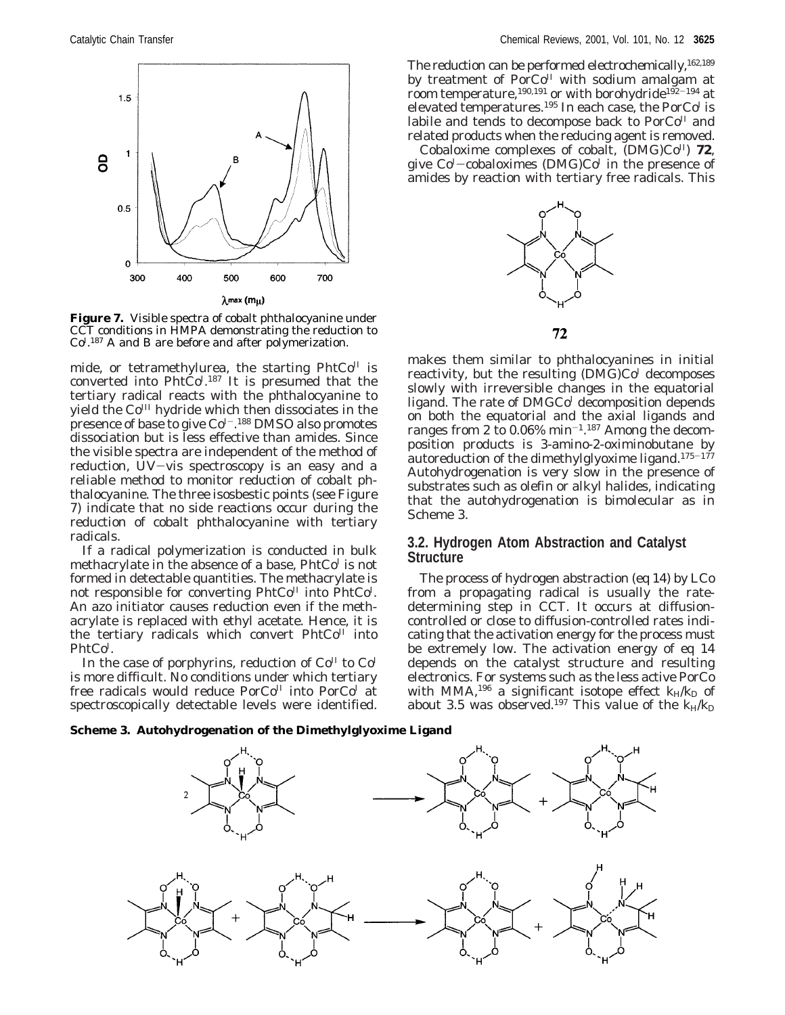

**Figure 7.** Visible spectra of cobalt phthalocyanine under CCT conditions in HMPA demonstrating the reduction to Co<sup>I</sup>.<sup>187</sup> A and B are before and after polymerization.

mide, or tetramethylurea, the starting  $P$ ht $Co<sup>H</sup>$  is converted into  $P$ htCo<sup>I</sup>.<sup>187</sup> It is presumed that the tertiary radical reacts with the phthalocyanine to yield the Co<sup>III</sup> hydride which then dissociates in the presence of base to give  $\mathrm{Co^{I-}.^{188}}$  DMSO also promotes dissociation but is less effective than amides. Since the visible spectra are independent of the method of reduction, UV-vis spectroscopy is an easy and a reliable method to monitor reduction of cobalt phthalocyanine. The three isosbestic points (see Figure 7) indicate that no side reactions occur during the reduction of cobalt phthalocyanine with tertiary radicals.

If a radical polymerization is conducted in bulk methacrylate in the absence of a base, PhtCo<sup>I</sup> is not formed in detectable quantities. The methacrylate is not responsible for converting  $P$ htCo<sup>II</sup> into  $P$ htCo<sup>I</sup>. An azo initiator causes reduction even if the methacrylate is replaced with ethyl acetate. Hence, it is the tertiary radicals which convert PhtCo<sup>II</sup> into PhtCo<sup>I</sup>.

In the case of porphyrins, reduction of  $Co<sup>H</sup>$  to  $Co<sup>I</sup>$ is more difficult. No conditions under which tertiary free radicals would reduce PorCo<sup>II</sup> into PorCo<sup>I</sup> at spectroscopically detectable levels were identified.

The reduction can be performed electrochemically, 162,189 by treatment of PorCo<sup>II</sup> with sodium amalgam at room temperature, $^{190,191}$  or with borohydride $^{192-194}$  at elevated temperatures.<sup>195</sup> In each case, the PorCo<sup>I</sup> is labile and tends to decompose back to  $PorCo<sup>H</sup>$  and related products when the reducing agent is removed.

Cobaloxime complexes of cobalt, (DMG)CoII) **72**, give Co<sup>I</sup>-cobaloximes (DMG)Co<sup>I</sup> in the presence of<br>amides by reaction with tertiary free radicals. This amides by reaction with tertiary free radicals. This



makes them similar to phthalocyanines in initial reactivity, but the resulting  $(DMG)Co<sup>T</sup>$  decomposes slowly with irreversible changes in the equatorial ligand. The rate of DMGCo<sup>I</sup> decomposition depends on both the equatorial and the axial ligands and ranges from 2 to 0.06% min-1. <sup>187</sup> Among the decomposition products is 3-amino-2-oximinobutane by autoreduction of the dimethylglyoxime ligand.<sup>175-177</sup> Autohydrogenation is very slow in the presence of substrates such as olefin or alkyl halides, indicating that the autohydrogenation is bimolecular as in Scheme 3.

# **3.2. Hydrogen Atom Abstraction and Catalyst Structure**

The process of hydrogen abstraction (eq 14) by LCo from a propagating radical is usually the ratedetermining step in CCT. It occurs at diffusioncontrolled or close to diffusion-controlled rates indicating that the activation energy for the process must be extremely low. The activation energy of eq 14 depends on the catalyst structure and resulting electronics. For systems such as the less active PorCo with MMA,<sup>196</sup> a significant isotope effect  $k_H/k_D$  of about 3.5 was observed.<sup>197</sup> This value of the  $k_H/k_D$ 

**Scheme 3. Autohydrogenation of the Dimethylglyoxime Ligand**

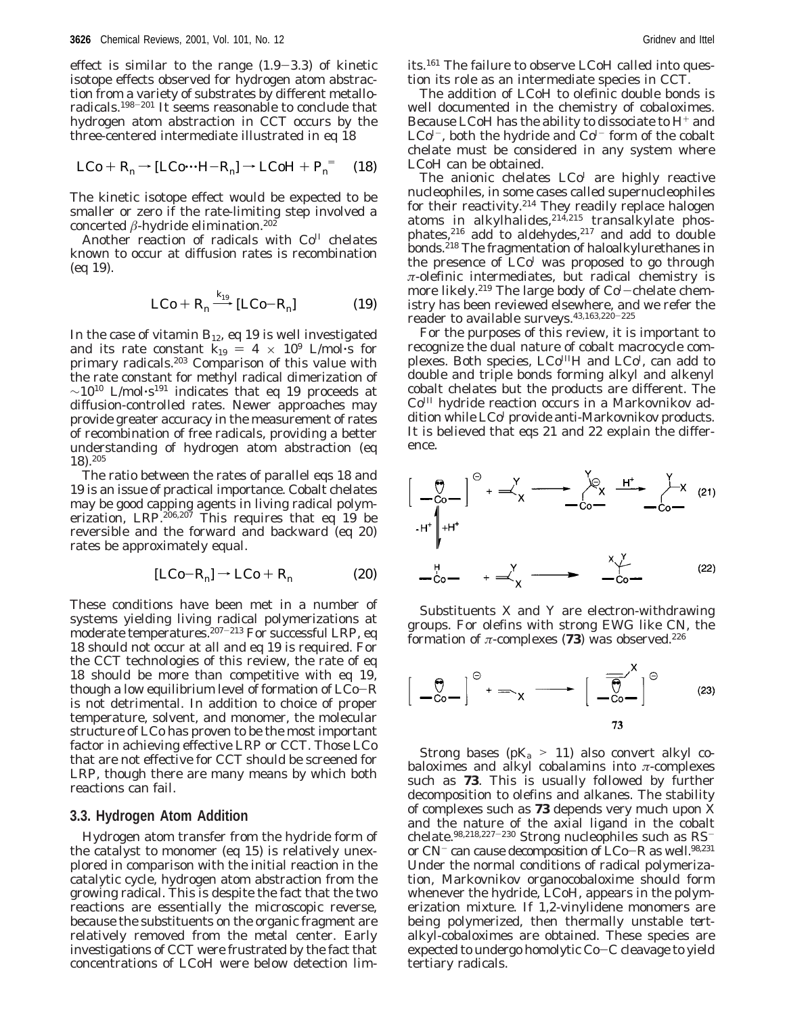effect is similar to the range  $(1.9-3.3)$  of kinetic isotope effects observed for hydrogen atom abstraction from a variety of substrates by different metalloradicals.198-<sup>201</sup> It seems reasonable to conclude that hydrogen atom abstraction in CCT occurs by the three-centered intermediate illustrated in eq 18

$$
\text{LCo} + \text{R}_n \rightarrow \text{[LCo} \cdots \text{H} - \text{R}_n] \rightarrow \text{LCoH} + \text{P}_n = (18)
$$

The kinetic isotope effect would be expected to be smaller or zero if the rate-limiting step involved a concerted *β*-hydride elimination.<sup>202</sup>

Another reaction of radicals with  $Co<sup>H</sup>$  chelates known to occur at diffusion rates is recombination (eq 19).

$$
LCo + R_n \xrightarrow{k_{19}} [LCo - R_n]
$$
 (19)  
In the case of vitamin B<sub>12</sub>, eq 19 is well investigated

and its rate constant  $k_{19} = 4 \times 10^9$  L/mol<sup>to</sup>s for primary radicals.<sup>203</sup> Comparison of this value with the rate constant for methyl radical dimerization of  $\sim$ 10<sup>10</sup> L/mol·s<sup>191</sup> indicates that eq 19 proceeds at diffusion-controlled rates. Newer approaches may provide greater accuracy in the measurement of rates of recombination of free radicals, providing a better understanding of hydrogen atom abstraction (eq 18).205

The ratio between the rates of parallel eqs 18 and 19 is an issue of practical importance. Cobalt chelates may be good capping agents in living radical polymerization, LRP. $206,207$  This requires that eq 19 be reversible and the forward and backward (eq 20) rates be approximately equal.

$$
[LCo - Rn] \rightarrow LCo + Rn \tag{20}
$$

These conditions have been met in a number of systems yielding living radical polymerizations at moderate temperatures.<sup>207-213</sup> For successful LRP, eq 18 should not occur at all and eq 19 is required. For the CCT technologies of this review, the rate of eq 18 should be more than competitive with eq 19, though a low equilibrium level of formation of LCo-<sup>R</sup> is not detrimental. In addition to choice of proper temperature, solvent, and monomer, the molecular structure of LCo has proven to be the most important factor in achieving effective LRP or CCT. Those LCo that are not effective for CCT should be screened for LRP, though there are many means by which both reactions can fail.

#### **3.3. Hydrogen Atom Addition**

Hydrogen atom transfer from the hydride form of the catalyst to monomer (eq 15) is relatively unexplored in comparison with the initial reaction in the catalytic cycle, hydrogen atom abstraction from the growing radical. This is despite the fact that the two reactions are essentially the microscopic reverse, because the substituents on the organic fragment are relatively removed from the metal center. Early investigations of CCT were frustrated by the fact that concentrations of LCoH were below detection limits.161 The failure to observe LCoH called into question its role as an intermediate species in CCT.

The addition of LCoH to olefinic double bonds is well documented in the chemistry of cobaloximes. Because LCoH has the ability to dissociate to  $H^+$  and  $LCo<sup>I-</sup>$ , both the hydride and  $Co<sup>I-</sup>$  form of the cobalt chelate must be considered in any system where LCoH can be obtained.

The anionic chelates  $LCo<sup>1</sup>$  are highly reactive nucleophiles, in some cases called supernucleophiles for their reactivity.<sup>214</sup> They readily replace halogen atoms in alkylhalides, $214,215$  transalkylate phosphates, $216$  add to aldehydes, $217$  and add to double bonds.<sup>218</sup> The fragmentation of haloalkylurethanes in the presence of  $LCo<sup>I</sup>$  was proposed to go through *π*-olefinic intermediates, but radical chemistry is more likely.<sup>219</sup> The large body of Co<sup>I</sup>–chelate chem-<br>istry has been reviewed elsewhere, and we refer the istry has been reviewed elsewhere, and we refer the reader to available surveys.43,163,220-<sup>225</sup>

For the purposes of this review, it is important to recognize the dual nature of cobalt macrocycle complexes. Both species, LCo<sup>III</sup>H and LCo<sup>I</sup>, can add to double and triple bonds forming alkyl and alkenyl cobalt chelates but the products are different. The Co<sup>III</sup> hydride reaction occurs in a Markovnikov addition while  $LCo<sup>I</sup>$  provide anti-Markovnikov products. It is believed that eqs 21 and 22 explain the difference.



Substituents X and Y are electron-withdrawing groups. For olefins with strong EWG like CN, the formation of  $\pi$ -complexes (73) was observed.<sup>226</sup>

$$
\left[\begin{array}{c} \mathcal{O} \\ -\mathcal{O} & \end{array}\right]^\ominus + \Longrightarrow \chi \longrightarrow \left[\begin{array}{c} \overline{\mathcal{O}}^{\times} \\ -\mathcal{O} & \end{array}\right]^\ominus \tag{23}
$$

Strong bases ( $pK_a > 11$ ) also convert alkyl cobaloximes and alkyl cobalamins into *π*-complexes such as **73**. This is usually followed by further decomposition to olefins and alkanes. The stability of complexes such as **73** depends very much upon X and the nature of the axial ligand in the cobalt chelate.98,218,227-<sup>230</sup> Strong nucleophiles such as RSor  $CN^-$  can cause decomposition of  $\text{LCo}-R$  as well.<sup>98,231</sup> Under the normal conditions of radical polymerization, Markovnikov organocobaloxime should form whenever the hydride, LCoH, appears in the polymerization mixture. If 1,2-vinylidene monomers are being polymerized, then thermally unstable *tert*alkyl-cobaloximes are obtained. These species are expected to undergo homolytic Co-C cleavage to yield tertiary radicals.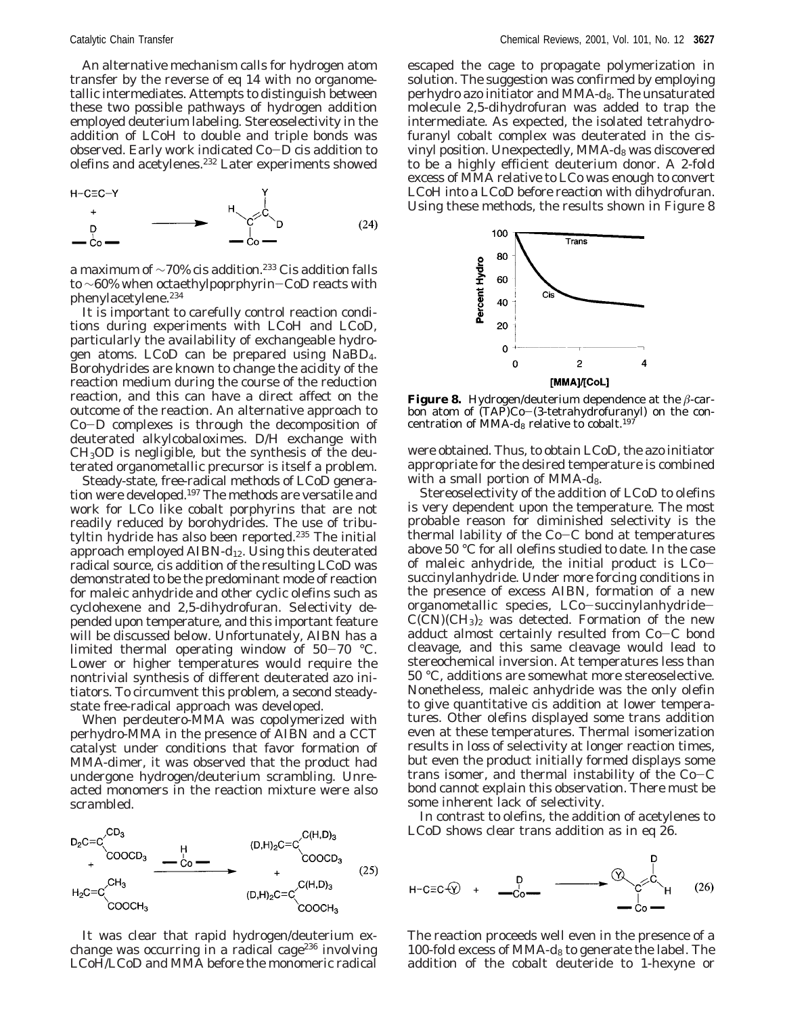An alternative mechanism calls for hydrogen atom transfer by the reverse of eq 14 with no organometallic intermediates. Attempts to distinguish between these two possible pathways of hydrogen addition employed deuterium labeling. Stereoselectivity in the addition of LCoH to double and triple bonds was observed. Early work indicated Co-D cis addition to olefins and acetylenes.232 Later experiments showed



a maximum of  $\sim$ 70% cis addition.<sup>233</sup> Cis addition falls to <sup>∼</sup>60% when octaethylpoprphyrin-CoD reacts with phenylacetylene.234

It is important to carefully control reaction conditions during experiments with LCoH and LCoD, particularly the availability of exchangeable hydrogen atoms. LCoD can be prepared using NaBD4. Borohydrides are known to change the acidity of the reaction medium during the course of the reduction reaction, and this can have a direct affect on the outcome of the reaction. An alternative approach to Co-D complexes is through the decomposition of deuterated alkylcobaloximes. D/H exchange with  $CH<sub>3</sub>OD$  is negligible, but the synthesis of the deuterated organometallic precursor is itself a problem.

Steady-state, free-radical methods of LCoD generation were developed.197 The methods are versatile and work for LCo like cobalt porphyrins that are not readily reduced by borohydrides. The use of tributyltin hydride has also been reported.<sup>235</sup> The initial approach employed AIBN-*d*12. Using this deuterated radical source, cis addition of the resulting LCoD was demonstrated to be the predominant mode of reaction for maleic anhydride and other cyclic olefins such as cyclohexene and 2,5-dihydrofuran. Selectivity depended upon temperature, and this important feature will be discussed below. Unfortunately, AIBN has a limited thermal operating window of 50-70 °C. Lower or higher temperatures would require the nontrivial synthesis of different deuterated azo initiators. To circumvent this problem, a second steadystate free-radical approach was developed.

When perdeutero-MMA was copolymerized with perhydro-MMA in the presence of AIBN and a CCT catalyst under conditions that favor formation of MMA-dimer, it was observed that the product had undergone hydrogen/deuterium scrambling. Unreacted monomers in the reaction mixture were also scrambled.



It was clear that rapid hydrogen/deuterium exchange was occurring in a radical cage<sup>236</sup> involving LCoH/LCoD and MMA before the monomeric radical

escaped the cage to propagate polymerization in solution. The suggestion was confirmed by employing perhydro azo initiator and MMA-*d*8. The unsaturated molecule 2,5-dihydrofuran was added to trap the intermediate. As expected, the isolated tetrahydrofuranyl cobalt complex was deuterated in the *cis*vinyl position. Unexpectedly, MMA-*d*<sup>8</sup> was discovered to be a highly efficient deuterium donor. A 2-fold excess of MMA relative to LCo was enough to convert LCoH into a LCoD before reaction with dihydrofuran. Using these methods, the results shown in Figure 8



**Figure 8.** Hydrogen/deuterium dependence at the  $\beta$ -carbon atom of (TAP)Co-(3-tetrahydrofuranyl) on the concentration of MMA-*d*<sup>8</sup> relative to cobalt.197

were obtained. Thus, to obtain LCoD, the azo initiator appropriate for the desired temperature is combined with a small portion of MMA- $d_8$ .

Stereoselectivity of the addition of LCoD to olefins is very dependent upon the temperature. The most probable reason for diminished selectivity is the thermal lability of the Co-C bond at temperatures above 50 °C for all olefins studied to date. In the case of maleic anhydride, the initial product is LCosuccinylanhydride. Under more forcing conditions in the presence of excess AIBN, formation of a new organometallic species, LCo-succinylanhydride- $C(CN)(CH_3)_2$  was detected. Formation of the new adduct almost certainly resulted from Co-C bond cleavage, and this same cleavage would lead to stereochemical inversion. At temperatures less than 50 °C, additions are somewhat more stereoselective. Nonetheless, maleic anhydride was the only olefin to give quantitative cis addition at lower temperatures. Other olefins displayed some trans addition even at these temperatures. Thermal isomerization results in loss of selectivity at longer reaction times, but even the product initially formed displays some trans isomer, and thermal instability of the  $Co-C$ bond cannot explain this observation. There must be some inherent lack of selectivity.

In contrast to olefins, the addition of acetylenes to LCoD shows clear trans addition as in eq 26.



The reaction proceeds well even in the presence of a 100-fold excess of MMA-*d*<sup>8</sup> to generate the label. The addition of the cobalt deuteride to 1-hexyne or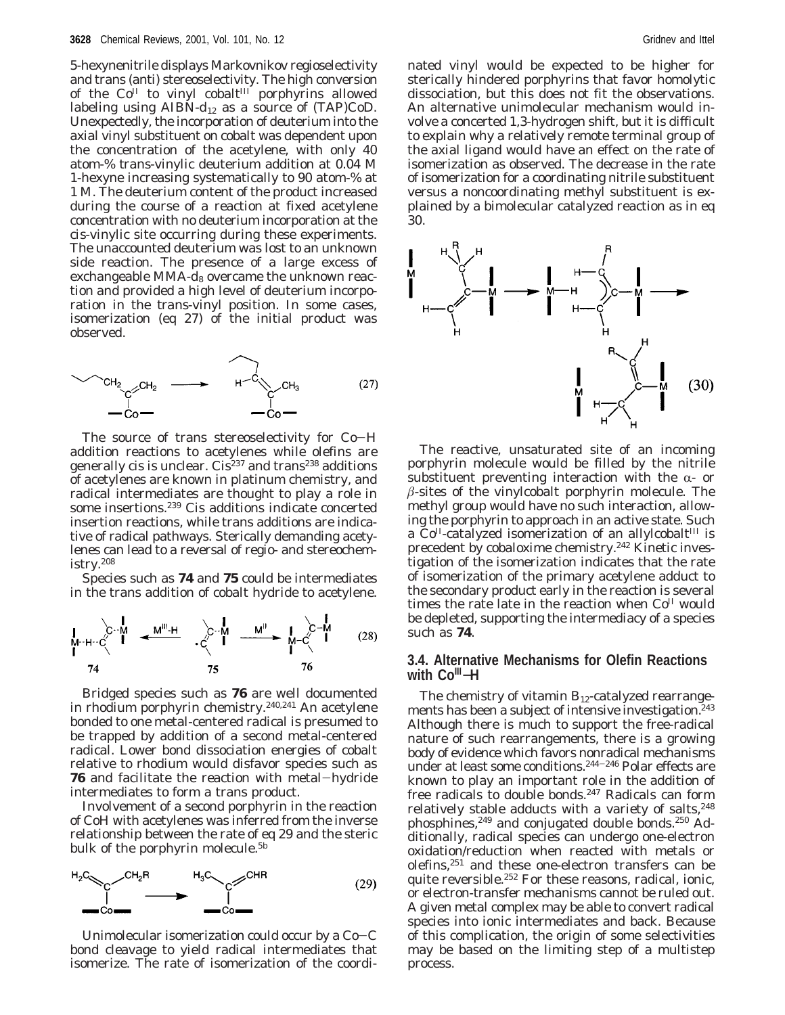5-hexynenitrile displays Markovnikov regioselectivity and trans (anti) stereoselectivity. The high conversion of the  $Co^{II}$  to vinyl cobalt<sup>III'</sup> porphyrins allowed labeling using  $AIBN-d_{12}$  as a source of (TAP)CoD. Unexpectedly, the incorporation of deuterium into the axial vinyl substituent on cobalt was dependent upon the concentration of the acetylene, with only 40 atom-% *trans*-vinylic deuterium addition at 0.04 M 1-hexyne increasing systematically to 90 atom-% at 1 M. The deuterium content of the product increased during the course of a reaction at fixed acetylene concentration with no deuterium incorporation at the *cis*-vinylic site occurring during these experiments. The unaccounted deuterium was lost to an unknown side reaction. The presence of a large excess of exchangeable MMA- $d_8$  overcame the unknown reaction and provided a high level of deuterium incorporation in the *trans*-vinyl position. In some cases, isomerization (eq 27) of the initial product was observed.



The source of trans stereoselectivity for Co-<sup>H</sup> addition reactions to acetylenes while olefins are generally cis is unclear.  $Cis^{237}$  and trans<sup>238</sup> additions of acetylenes are known in platinum chemistry, and radical intermediates are thought to play a role in some insertions.<sup>239</sup> Cis additions indicate concerted insertion reactions, while trans additions are indicative of radical pathways. Sterically demanding acetylenes can lead to a reversal of regio- and stereochemistry.208

Species such as **74** and **75** could be intermediates in the trans addition of cobalt hydride to acetylene.

Bridged species such as **76** are well documented in rhodium porphyrin chemistry.<sup>240,241</sup> An acetylene bonded to one metal-centered radical is presumed to be trapped by addition of a second metal-centered radical. Lower bond dissociation energies of cobalt relative to rhodium would disfavor species such as **<sup>76</sup>** and facilitate the reaction with metal-hydride intermediates to form a trans product.

Involvement of a second porphyrin in the reaction of CoH with acetylenes was inferred from the inverse relationship between the rate of eq 29 and the steric bulk of the porphyrin molecule.<sup>5b</sup>



Unimolecular isomerization could occur by a Co-<sup>C</sup> bond cleavage to yield radical intermediates that isomerize. The rate of isomerization of the coordi-

nated vinyl would be expected to be higher for sterically hindered porphyrins that favor homolytic dissociation, but this does not fit the observations. An alternative unimolecular mechanism would involve a concerted 1,3-hydrogen shift, but it is difficult to explain why a relatively remote terminal group of the axial ligand would have an effect on the rate of isomerization as observed. The decrease in the rate of isomerization for a coordinating nitrile substituent versus a noncoordinating methyl substituent is explained by a bimolecular catalyzed reaction as in eq 30.



The reactive, unsaturated site of an incoming porphyrin molecule would be filled by the nitrile substituent preventing interaction with the  $\alpha$ - or  $\beta$ -sites of the vinylcobalt porphyrin molecule. The methyl group would have no such interaction, allowing the porphyrin to approach in an active state. Such a Co<sup>II</sup>-catalyzed isomerization of an allylcobalt<sup>III</sup> is precedent by cobaloxime chemistry.<sup>242</sup> Kinetic investigation of the isomerization indicates that the rate of isomerization of the primary acetylene adduct to the secondary product early in the reaction is several times the rate late in the reaction when  $Co<sup>H</sup>$  would be depleted, supporting the intermediacy of a species such as **74**.

#### **3.4. Alternative Mechanisms for Olefin Reactions with CoIII**−**H**

The chemistry of vitamin  $B_{12}$ -catalyzed rearrangements has been a subject of intensive investigation.<sup>243</sup> Although there is much to support the free-radical nature of such rearrangements, there is a growing body of evidence which favors nonradical mechanisms under at least some conditions.<sup>244-246</sup> Polar effects are known to play an important role in the addition of free radicals to double bonds.247 Radicals can form relatively stable adducts with a variety of salts,<sup>248</sup> phosphines,<sup>249</sup> and conjugated double bonds.<sup>250</sup> Additionally, radical species can undergo one-electron oxidation/reduction when reacted with metals or olefins,251 and these one-electron transfers can be quite reversible.<sup>252</sup> For these reasons, radical, ionic, or electron-transfer mechanisms cannot be ruled out. A given metal complex may be able to convert radical species into ionic intermediates and back. Because of this complication, the origin of some selectivities may be based on the limiting step of a multistep process.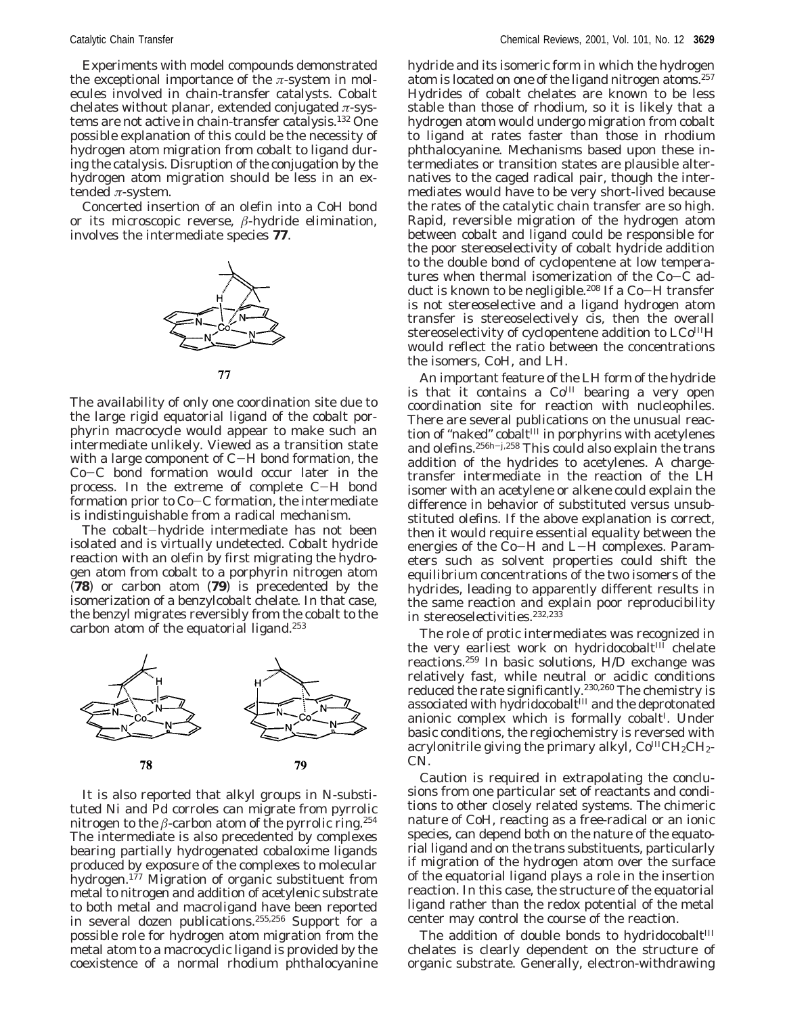Experiments with model compounds demonstrated the exceptional importance of the *π*-system in molecules involved in chain-transfer catalysts. Cobalt chelates without planar, extended conjugated *π*-systems are not active in chain-transfer catalysis.132 One possible explanation of this could be the necessity of hydrogen atom migration from cobalt to ligand during the catalysis. Disruption of the conjugation by the hydrogen atom migration should be less in an extended *π*-system.

Concerted insertion of an olefin into a CoH bond or its microscopic reverse, *â*-hydride elimination, involves the intermediate species **77**.



The availability of only one coordination site due to the large rigid equatorial ligand of the cobalt porphyrin macrocycle would appear to make such an intermediate unlikely. Viewed as a transition state with a large component of  $C-H$  bond formation, the Co-C bond formation would occur later in the process. In the extreme of complete C-H bond formation prior to Co-C formation, the intermediate is indistinguishable from a radical mechanism.

The cobalt-hydride intermediate has not been isolated and is virtually undetected. Cobalt hydride reaction with an olefin by first migrating the hydrogen atom from cobalt to a porphyrin nitrogen atom (**78**) or carbon atom (**79**) is precedented by the isomerization of a benzylcobalt chelate. In that case, the benzyl migrates reversibly from the cobalt to the carbon atom of the equatorial ligand.253



It is also reported that alkyl groups in N-substituted Ni and Pd corroles can migrate from pyrrolic nitrogen to the  $\beta$ -carbon atom of the pyrrolic ring.<sup>254</sup> The intermediate is also precedented by complexes bearing partially hydrogenated cobaloxime ligands produced by exposure of the complexes to molecular hydrogen.177 Migration of organic substituent from metal to nitrogen and addition of acetylenic substrate to both metal and macroligand have been reported in several dozen publications.<sup>255,256</sup> Support for a possible role for hydrogen atom migration from the metal atom to a macrocyclic ligand is provided by the coexistence of a normal rhodium phthalocyanine

hydride and its isomeric form in which the hydrogen atom is located on one of the ligand nitrogen atoms.257 Hydrides of cobalt chelates are known to be less stable than those of rhodium, so it is likely that a hydrogen atom would undergo migration from cobalt to ligand at rates faster than those in rhodium phthalocyanine. Mechanisms based upon these intermediates or transition states are plausible alternatives to the caged radical pair, though the intermediates would have to be very short-lived because the rates of the catalytic chain transfer are so high. Rapid, reversible migration of the hydrogen atom between cobalt and ligand could be responsible for the poor stereoselectivity of cobalt hydride addition to the double bond of cyclopentene at low temperatures when thermal isomerization of the  $Co-C$  adduct is known to be negligible.<sup>208</sup> If a  $Co-H$  transfer is not stereoselective and a ligand hydrogen atom transfer is stereoselectively cis, then the overall stereoselectivity of cyclopentene addition to LCo<sup>III</sup>H would reflect the ratio between the concentrations the isomers, CoH, and LH.

An important feature of the LH form of the hydride is that it contains a  $Co<sup>III</sup>$  bearing a very open coordination site for reaction with nucleophiles. There are several publications on the unusual reaction of "naked" cobalt $III$  in porphyrins with acetylenes and olefins.256h-j,258 This could also explain the trans addition of the hydrides to acetylenes. A chargetransfer intermediate in the reaction of the LH isomer with an acetylene or alkene could explain the difference in behavior of substituted versus unsubstituted olefins. If the above explanation is correct, then it would require essential equality between the energies of the Co-H and L-H complexes. Parameters such as solvent properties could shift the equilibrium concentrations of the two isomers of the hydrides, leading to apparently different results in the same reaction and explain poor reproducibility in stereoselectivities.232,233

The role of protic intermediates was recognized in the very earliest work on hydridocobalt<sup>III</sup> chelate reactions.259 In basic solutions, H/D exchange was relatively fast, while neutral or acidic conditions reduced the rate significantly.230,260 The chemistry is associated with hydridocobalt<sup>III</sup> and the deprotonated anionic complex which is formally cobalt<sup>I</sup>. Under basic conditions, the regiochemistry is reversed with acrylonitrile giving the primary alkyl,  $Co<sup>H</sup>CH<sub>2</sub>CH<sub>2</sub>$ -CN.

Caution is required in extrapolating the conclusions from one particular set of reactants and conditions to other closely related systems. The chimeric nature of CoH, reacting as a free-radical or an ionic species, can depend both on the nature of the equatorial ligand and on the trans substituents, particularly if migration of the hydrogen atom over the surface of the equatorial ligand plays a role in the insertion reaction. In this case, the structure of the equatorial ligand rather than the redox potential of the metal center may control the course of the reaction.

The addition of double bonds to hydridocobalt $III$ chelates is clearly dependent on the structure of organic substrate. Generally, electron-withdrawing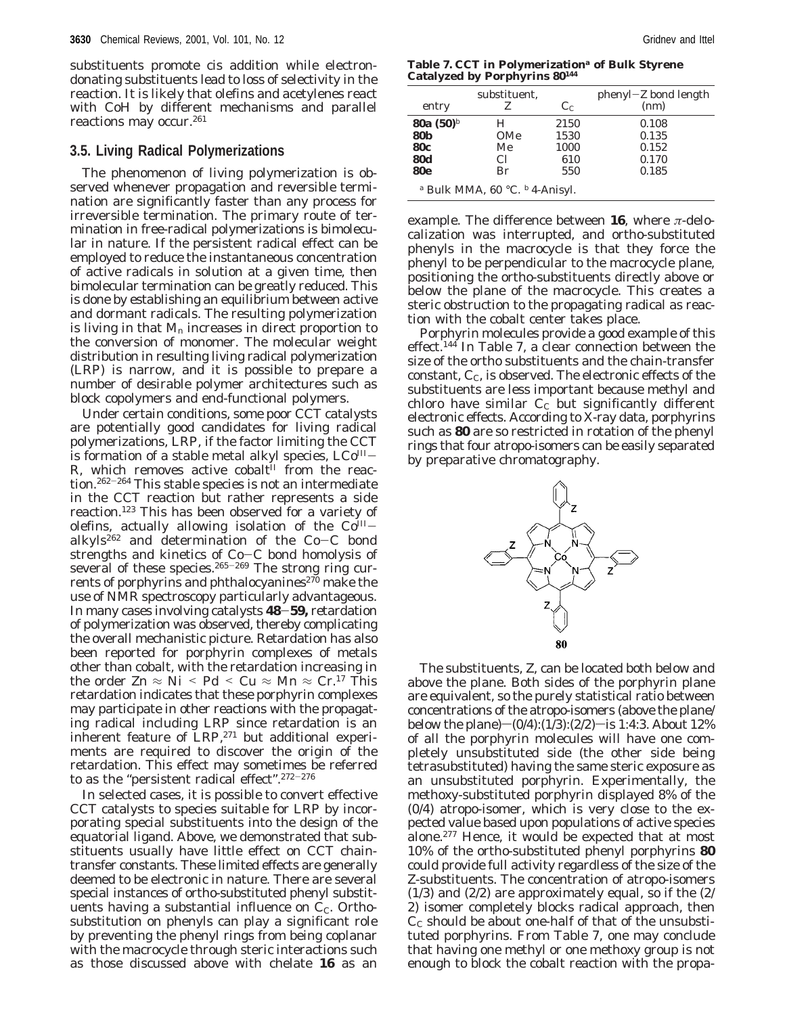substituents promote cis addition while electrondonating substituents lead to loss of selectivity in the reaction. It is likely that olefins and acetylenes react with CoH by different mechanisms and parallel reactions may occur.<sup>261</sup>

# **3.5. Living Radical Polymerizations**

The phenomenon of living polymerization is observed whenever propagation and reversible termination are significantly faster than any process for irreversible termination. The primary route of termination in free-radical polymerizations is bimolecular in nature. If the persistent radical effect can be employed to reduce the instantaneous concentration of active radicals in solution at a given time, then bimolecular termination can be greatly reduced. This is done by establishing an equilibrium between active and dormant radicals. The resulting polymerization is living in that  $M_{n}$  increases in direct proportion to the conversion of monomer. The molecular weight distribution in resulting living radical polymerization (LRP) is narrow, and it is possible to prepare a number of desirable polymer architectures such as block copolymers and end-functional polymers.

Under certain conditions, some poor CCT catalysts are potentially good candidates for living radical polymerizations, LRP, if the factor limiting the CCT is formation of a stable metal alkyl species,  $LCo$ <sup>III</sup> $-$ R, which removes active cobalt<sup>II</sup> from the reaction.262-<sup>264</sup> This stable species is not an intermediate in the CCT reaction but rather represents a side reaction.123 This has been observed for a variety of olefins, actually allowing isolation of the  $Co<sup>III</sup>$ alkyls<sup>262</sup> and determination of the Co-C bond strengths and kinetics of Co-C bond homolysis of several of these species.<sup>265-269</sup> The strong ring currents of porphyrins and phthalocyanines<sup> $270$ </sup> make the use of NMR spectroscopy particularly advantageous. In many cases involving catalysts **<sup>48</sup>**-**59,** retardation of polymerization was observed, thereby complicating the overall mechanistic picture. Retardation has also been reported for porphyrin complexes of metals other than cobalt, with the retardation increasing in the order Zn  $\approx$  Ni  $\leq$  Pd  $\leq$  Cu  $\approx$  Mn  $\approx$  Cr.<sup>17</sup> This retardation indicates that these porphyrin complexes may participate in other reactions with the propagating radical including LRP since retardation is an inherent feature of LRP,<sup>271</sup> but additional experiments are required to discover the origin of the retardation. This effect may sometimes be referred to as the "persistent radical effect".272-<sup>276</sup>

In selected cases, it is possible to convert effective CCT catalysts to species suitable for LRP by incorporating special substituents into the design of the equatorial ligand. Above, we demonstrated that substituents usually have little effect on CCT chaintransfer constants. These limited effects are generally deemed to be electronic in nature. There are several special instances of ortho-substituted phenyl substituents having a substantial influence on  $C<sub>C</sub>$ . Orthosubstitution on phenyls can play a significant role by preventing the phenyl rings from being coplanar with the macrocycle through steric interactions such as those discussed above with chelate **16** as an

**Table 7. CCT in Polymerization***<sup>a</sup>* **of Bulk Styrene Catalyzed by Porphyrins 80144**

| entry                                        | substituent.<br>Z | $C_{\rm C}$ | phenyl-Z bond length<br>(nm) |  |  |  |
|----------------------------------------------|-------------------|-------------|------------------------------|--|--|--|
| <b>80a</b> (50) <sup><i>b</i></sup>          | н                 | 2150        | 0.108                        |  |  |  |
| <b>80b</b>                                   | <b>OMe</b>        | 1530        | 0.135                        |  |  |  |
| <b>80c</b>                                   | Me                | 1000        | 0.152                        |  |  |  |
| <b>80d</b>                                   | Сl                | 610         | 0.170                        |  |  |  |
| <b>80e</b>                                   | Br                | 550         | 0.185                        |  |  |  |
| <sup>a</sup> Bulk MMA, 60 °C. $^b$ 4-Anisyl. |                   |             |                              |  |  |  |

example. The difference between **16**, where *π*-delocalization was interrupted, and ortho-substituted phenyls in the macrocycle is that they force the phenyl to be perpendicular to the macrocycle plane, positioning the ortho-substituents directly above or below the plane of the macrocycle. This creates a steric obstruction to the propagating radical as reaction with the cobalt center takes place.

Porphyrin molecules provide a good example of this effect.144 In Table 7, a clear connection between the size of the ortho substituents and the chain-transfer constant,  $C_c$ , is observed. The electronic effects of the substituents are less important because methyl and chloro have similar  $C_{\text{C}}$  but significantly different electronic effects. According to X-ray data, porphyrins such as **80** are so restricted in rotation of the phenyl rings that four atropo-isomers can be easily separated by preparative chromatography.



The substituents, Z, can be located both below and above the plane. Both sides of the porphyrin plane are equivalent, so the purely statistical ratio between concentrations of the atropo-isomers (above the plane/ below the plane) $-(0/4):(1/3):(2/2)$ -is 1:4:3. About 12% of all the porphyrin molecules will have one completely unsubstituted side (the other side being tetrasubstituted) having the same steric exposure as an unsubstituted porphyrin. Experimentally, the methoxy-substituted porphyrin displayed 8% of the (0/4) atropo-isomer, which is very close to the expected value based upon populations of active species alone.277 Hence, it would be expected that at most 10% of the ortho-substituted phenyl porphyrins **80** could provide full activity regardless of the size of the Z-substituents. The concentration of atropo-isomers (1/3) and (2/2) are approximately equal, so if the (2/ 2) isomer completely blocks radical approach, then  $C_{\text{C}}$  should be about one-half of that of the unsubstituted porphyrins. From Table 7, one may conclude that having one methyl or one methoxy group is not enough to block the cobalt reaction with the propa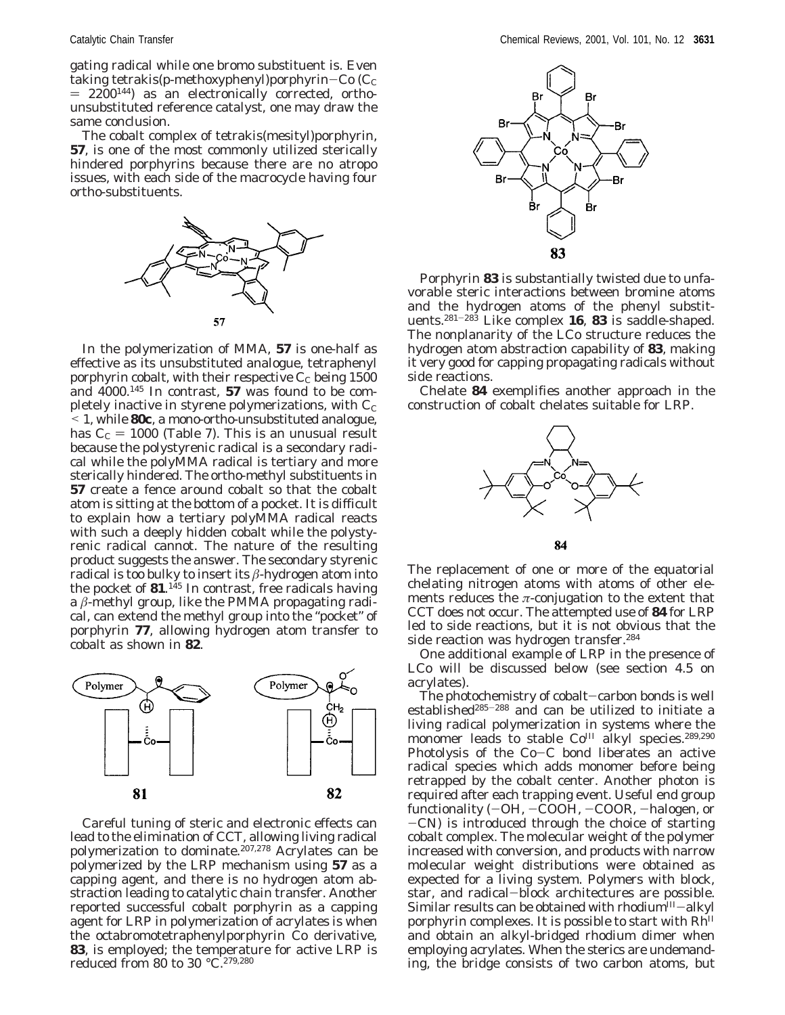gating radical while one bromo substituent is. Even taking tetrakis( $p$ -methoxyphenyl)porphyrin-Co ( $C_c$  $= 2200^{144}$ ) as an electronically corrected, orthounsubstituted reference catalyst, one may draw the same conclusion.

The cobalt complex of tetrakis(mesityl)porphyrin, **57**, is one of the most commonly utilized sterically hindered porphyrins because there are no atropo issues, with each side of the macrocycle having four ortho-substituents.



In the polymerization of MMA, **57** is one-half as effective as its unsubstituted analogue, tetraphenyl porphyrin cobalt, with their respective  $C<sub>C</sub>$  being 1500 and 4000.145 In contrast, **57** was found to be completely inactive in styrene polymerizations, with  $C_{\text{C}}$ < 1, while **80c**, a mono-ortho-unsubstituted analogue, has  $C_{\text{C}} = 1000$  (Table 7). This is an unusual result because the polystyrenic radical is a secondary radical while the polyMMA radical is tertiary and more sterically hindered. The ortho-methyl substituents in **57** create a fence around cobalt so that the cobalt atom is sitting at the bottom of a pocket. It is difficult to explain how a tertiary polyMMA radical reacts with such a deeply hidden cobalt while the polystyrenic radical cannot. The nature of the resulting product suggests the answer. The secondary styrenic radical is too bulky to insert its *â*-hydrogen atom into the pocket of **81**. <sup>145</sup> In contrast, free radicals having a *â*-methyl group, like the PMMA propagating radical, can extend the methyl group into the "pocket" of porphyrin **77**, allowing hydrogen atom transfer to cobalt as shown in **82**.



Careful tuning of steric and electronic effects can lead to the elimination of CCT, allowing living radical polymerization to dominate.<sup>207,278</sup> Acrylates can be polymerized by the LRP mechanism using **57** as a capping agent, and there is no hydrogen atom abstraction leading to catalytic chain transfer. Another reported successful cobalt porphyrin as a capping agent for LRP in polymerization of acrylates is when the octabromotetraphenylporphyrin Co derivative, **83**, is employed; the temperature for active LRP is reduced from 80 to 30 °C.279,280



Porphyrin **83** is substantially twisted due to unfavorable steric interactions between bromine atoms and the hydrogen atoms of the phenyl substituents.281-<sup>283</sup> Like complex **16**, **83** is saddle-shaped. The nonplanarity of the LCo structure reduces the hydrogen atom abstraction capability of **83**, making it very good for capping propagating radicals without side reactions.

Chelate **84** exemplifies another approach in the construction of cobalt chelates suitable for LRP.



84

The replacement of one or more of the equatorial chelating nitrogen atoms with atoms of other elements reduces the  $\pi$ -conjugation to the extent that CCT does not occur. The attempted use of **84** for LRP led to side reactions, but it is not obvious that the side reaction was hydrogen transfer.284

One additional example of LRP in the presence of LCo will be discussed below (see section 4.5 on acrylates).

The photochemistry of cobalt-carbon bonds is well established<sup>285-288</sup> and can be utilized to initiate a living radical polymerization in systems where the monomer leads to stable Co<sup>III</sup> alkyl species.<sup>289,290</sup> Photolysis of the Co-C bond liberates an active radical species which adds monomer before being retrapped by the cobalt center. Another photon is required after each trapping event. Useful end group functionality (-OH, -COOH, -COOR, -halogen, or  $-CN$ ) is introduced through the choice of starting cobalt complex. The molecular weight of the polymer increased with conversion, and products with narrow molecular weight distributions were obtained as expected for a living system. Polymers with block, star, and radical-block architectures are possible. Similar results can be obtained with rhodium $III$ -alkyl porphyrin complexes. It is possible to start with  $Rh<sup>II</sup>$ and obtain an alkyl-bridged rhodium dimer when employing acrylates. When the sterics are undemanding, the bridge consists of two carbon atoms, but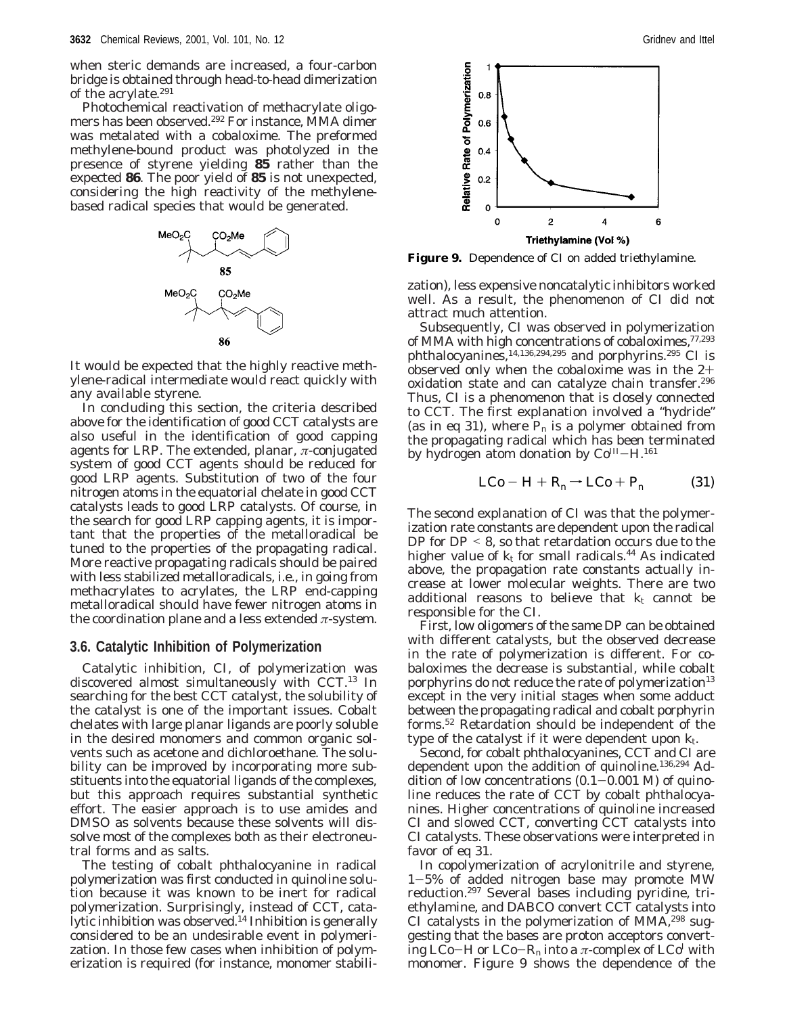when steric demands are increased, a four-carbon bridge is obtained through head-to-head dimerization of the acrylate.<sup>291</sup>

Photochemical reactivation of methacrylate oligomers has been observed.<sup>292</sup> For instance, MMA dimer was metalated with a cobaloxime. The preformed methylene-bound product was photolyzed in the presence of styrene yielding **85** rather than the expected **86**. The poor yield of **85** is not unexpected, considering the high reactivity of the methylenebased radical species that would be generated.



It would be expected that the highly reactive methylene-radical intermediate would react quickly with any available styrene.

In concluding this section, the criteria described above for the identification of good CCT catalysts are also useful in the identification of good capping agents for LRP. The extended, planar, *π*-conjugated system of good CCT agents should be reduced for good LRP agents. Substitution of two of the four nitrogen atoms in the equatorial chelate in good CCT catalysts leads to good LRP catalysts. Of course, in the search for good LRP capping agents, it is important that the properties of the metalloradical be tuned to the properties of the propagating radical. More reactive propagating radicals should be paired with less stabilized metalloradicals, i.e., in going from methacrylates to acrylates, the LRP end-capping metalloradical should have fewer nitrogen atoms in the coordination plane and a less extended *π*-system.

# **3.6. Catalytic Inhibition of Polymerization**

Catalytic inhibition, CI, of polymerization was discovered almost simultaneously with CCT.13 In searching for the best CCT catalyst, the solubility of the catalyst is one of the important issues. Cobalt chelates with large planar ligands are poorly soluble in the desired monomers and common organic solvents such as acetone and dichloroethane. The solubility can be improved by incorporating more substituents into the equatorial ligands of the complexes, but this approach requires substantial synthetic effort. The easier approach is to use amides and DMSO as solvents because these solvents will dissolve most of the complexes both as their electroneutral forms and as salts.

The testing of cobalt phthalocyanine in radical polymerization was first conducted in quinoline solution because it was known to be inert for radical polymerization. Surprisingly, instead of CCT, catalytic inhibition was observed.<sup>14</sup> Inhibition is generally considered to be an undesirable event in polymerization. In those few cases when inhibition of polymerization is required (for instance, monomer stabili-



**Figure 9.** Dependence of CI on added triethylamine.

zation), less expensive noncatalytic inhibitors worked well. As a result, the phenomenon of CI did not attract much attention.

Subsequently, CI was observed in polymerization of MMA with high concentrations of cobaloximes, 77,293 phthalocyanines,14,136,294,295 and porphyrins.295 CI is observed only when the cobaloxime was in the 2+ oxidation state and can catalyze chain transfer.<sup>296</sup> Thus, CI is a phenomenon that is closely connected to CCT. The first explanation involved a "hydride" (as in eq 31), where  $P_n$  is a polymer obtained from the propagating radical which has been terminated by hydrogen atom donation by Co<sup>III</sup>-H.<sup>161</sup>

$$
LCo - H + R_n \rightarrow LCo + P_n \tag{31}
$$

The second explanation of CI was that the polymerization rate constants are dependent upon the radical DP for  $DP < 8$ , so that retardation occurs due to the higher value of  $k_t$  for small radicals.<sup>44</sup> As indicated above, the propagation rate constants actually increase at lower molecular weights. There are two additional reasons to believe that  $k_t$  cannot be responsible for the CI.

First, low oligomers of the same DP can be obtained with different catalysts, but the observed decrease in the rate of polymerization is different. For cobaloximes the decrease is substantial, while cobalt porphyrins do not reduce the rate of polymerization<sup>13</sup> except in the very initial stages when some adduct between the propagating radical and cobalt porphyrin forms.52 Retardation should be independent of the type of the catalyst if it were dependent upon  $k_t$ .

Second, for cobalt phthalocyanines, CCT and CI are dependent upon the addition of quinoline.<sup>136,294</sup> Addition of low concentrations  $(0.1-0.001 \text{ M})$  of quinoline reduces the rate of CCT by cobalt phthalocyanines. Higher concentrations of quinoline increased CI and slowed CCT, converting CCT catalysts into CI catalysts. These observations were interpreted in favor of eq 31.

In copolymerization of acrylonitrile and styrene, <sup>1</sup>-5% of added nitrogen base may promote MW reduction.297 Several bases including pyridine, triethylamine, and DABCO convert CCT catalysts into CI catalysts in the polymerization of MMA,<sup>298</sup> suggesting that the bases are proton acceptors converting LCo-H or LCo- $R_n$  into a  $\pi$ -complex of LCo<sup>I</sup> with monomer. Figure 9 shows the dependence of the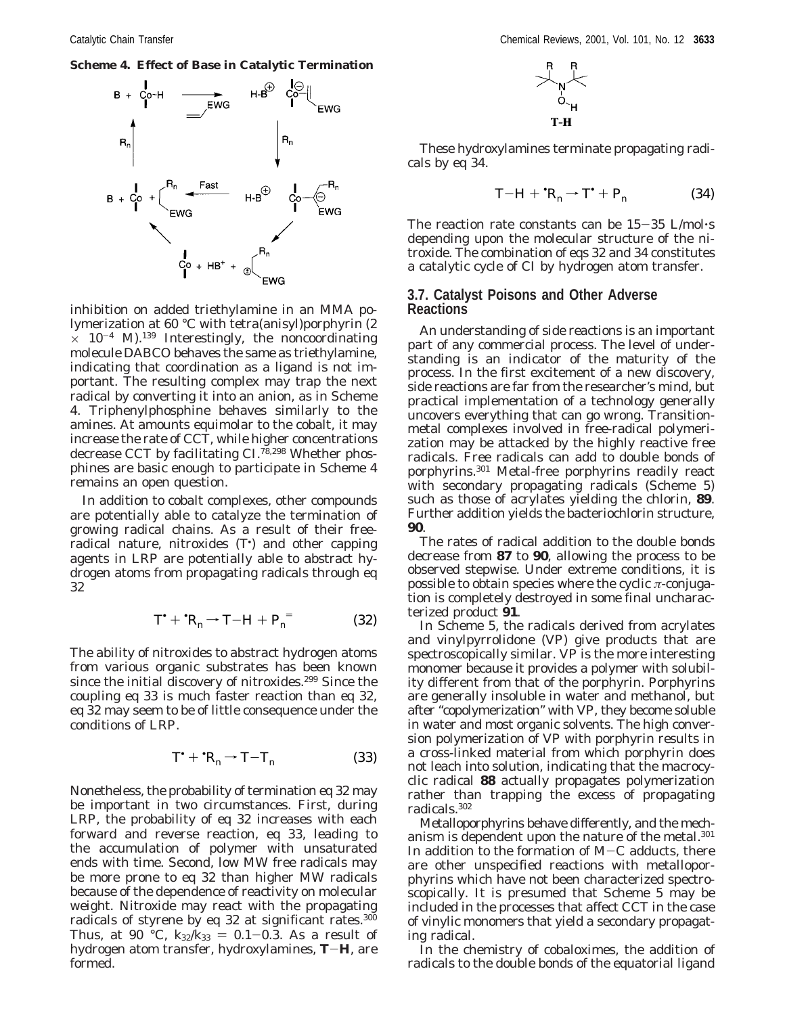

inhibition on added triethylamine in an MMA polymerization at 60 °C with tetra(anisyl)porphyrin (2  $\times$  10<sup>-4</sup> M).<sup>139</sup> Interestingly, the noncoordinating molecule DABCO behaves the same as triethylamine, indicating that coordination as a ligand is not important. The resulting complex may trap the next radical by converting it into an anion, as in Scheme 4. Triphenylphosphine behaves similarly to the amines. At amounts equimolar to the cobalt, it may increase the rate of CCT, while higher concentrations decrease CCT by facilitating CI.<sup>78,298</sup> Whether phosphines are basic enough to participate in Scheme 4 remains an open question.

In addition to cobalt complexes, other compounds are potentially able to catalyze the termination of growing radical chains. As a result of their freeradical nature, nitroxides (T• ) and other capping agents in LRP are potentially able to abstract hydrogen atoms from propagating radicals through eq 32

$$
T^* + {}^*\!R_n \to T - H + P_n^{\, =} \tag{32}
$$

The ability of nitroxides to abstract hydrogen atoms from various organic substrates has been known since the initial discovery of nitroxides.<sup>299</sup> Since the coupling eq 33 is much faster reaction than eq 32, eq 32 may seem to be of little consequence under the conditions of LRP.

$$
T^* + {}^*R_n \to T - T_n \tag{33}
$$

Nonetheless, the probability of termination eq 32 may be important in two circumstances. First, during LRP, the probability of eq 32 increases with each forward and reverse reaction, eq 33, leading to the accumulation of polymer with unsaturated ends with time. Second, low MW free radicals may be more prone to eq 32 than higher MW radicals because of the dependence of reactivity on molecular weight. Nitroxide may react with the propagating radicals of styrene by eq 32 at significant rates.<sup>300</sup> Thus, at 90 °C,  $k_{32}/k_{33} = 0.1-0.3$ . As a result of hydrogen atom transfer, hydroxylamines, **<sup>T</sup>**-**H**, are formed.



These hydroxylamines terminate propagating radicals by eq 34.

$$
T-H + {}^{*}R_{n} \rightarrow T^{*} + P_{n}
$$
 (34)

The reaction rate constants can be  $15-35$  L/mol $\cdot$ s depending upon the molecular structure of the nitroxide. The combination of eqs 32 and 34 constitutes a catalytic cycle of CI by hydrogen atom transfer.

# **3.7. Catalyst Poisons and Other Adverse Reactions**

An understanding of side reactions is an important part of any commercial process. The level of understanding is an indicator of the maturity of the process. In the first excitement of a new discovery, side reactions are far from the researcher's mind, but practical implementation of a technology generally uncovers everything that can go wrong. Transitionmetal complexes involved in free-radical polymerization may be attacked by the highly reactive free radicals. Free radicals can add to double bonds of porphyrins.301 Metal-free porphyrins readily react with secondary propagating radicals (Scheme 5) such as those of acrylates yielding the chlorin, **89**. Further addition yields the bacteriochlorin structure, **90**.

The rates of radical addition to the double bonds decrease from **87** to **90**, allowing the process to be observed stepwise. Under extreme conditions, it is possible to obtain species where the cyclic *π*-conjugation is completely destroyed in some final uncharacterized product **91**.

In Scheme 5, the radicals derived from acrylates and vinylpyrrolidone (VP) give products that are spectroscopically similar. VP is the more interesting monomer because it provides a polymer with solubility different from that of the porphyrin. Porphyrins are generally insoluble in water and methanol, but after "copolymerization" with VP, they become soluble in water and most organic solvents. The high conversion polymerization of VP with porphyrin results in a cross-linked material from which porphyrin does not leach into solution, indicating that the macrocyclic radical **88** actually propagates polymerization rather than trapping the excess of propagating radicals.302

Metalloporphyrins behave differently, and the mechanism is dependent upon the nature of the metal.<sup>301</sup> In addition to the formation of  $M-C$  adducts, there are other unspecified reactions with metalloporphyrins which have not been characterized spectroscopically. It is presumed that Scheme 5 may be included in the processes that affect CCT in the case of vinylic monomers that yield a secondary propagating radical.

In the chemistry of cobaloximes, the addition of radicals to the double bonds of the equatorial ligand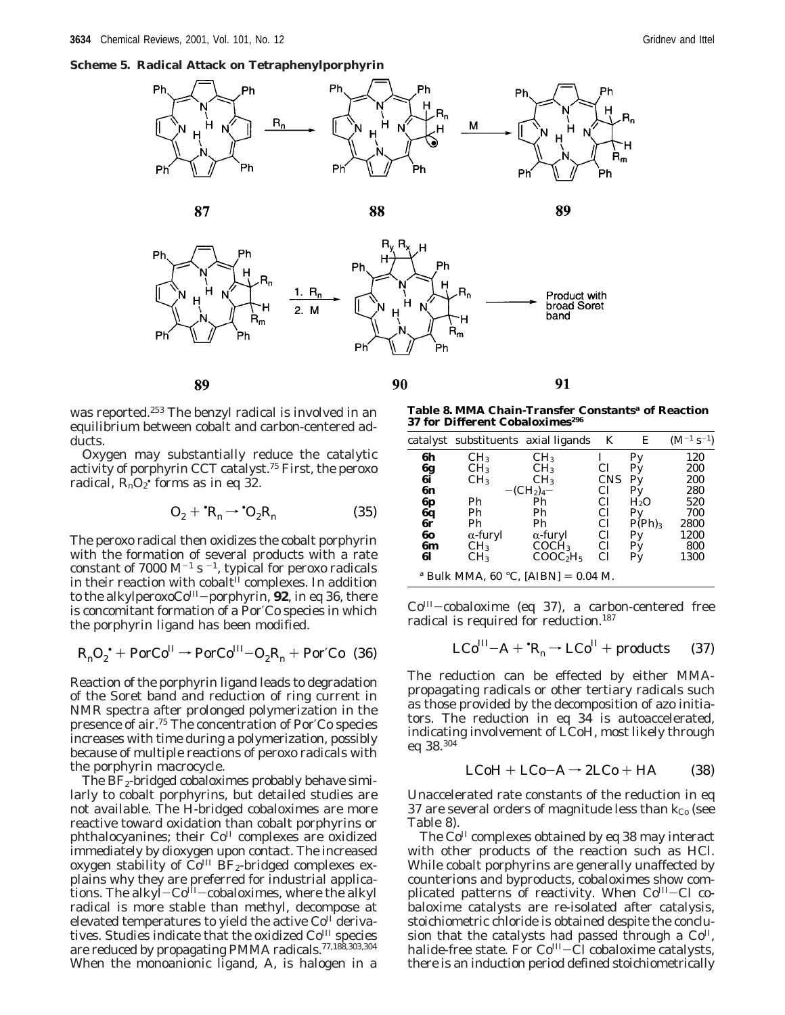



89

was reported.<sup>253</sup> The benzyl radical is involved in an equilibrium between cobalt and carbon-centered adducts.

Oxygen may substantially reduce the catalytic activity of porphyrin CCT catalyst.75 First, the peroxo radical, R<sub>n</sub>O<sub>2</sub>• forms as in eq 32.

$$
O_2 + {}^{\bullet}R_n \rightarrow {}^{\bullet}O_2R_n \tag{35}
$$

The peroxo radical then oxidizes the cobalt porphyrin with the formation of several products with a rate constant of 7000  $M^{-1}$  s<sup>-1</sup>, typical for peroxo radicals in their reaction with cobalt<sup>II</sup> complexes. In addition to the alkylperoxoCo<sup>III</sup>-porphyrin, **92**, in eq 36, there is concomitant formation of a Por′Co species in which the porphyrin ligand has been modified.

$$
R_nO_2^{\bullet} + PorCo^{II} \rightarrow PorCo^{III} - O_2R_n + Por^{\prime}Co \quad (36)
$$

Reaction of the porphyrin ligand leads to degradation of the Soret band and reduction of ring current in NMR spectra after prolonged polymerization in the presence of air.75 The concentration of Por′Co species increases with time during a polymerization, possibly because of multiple reactions of peroxo radicals with the porphyrin macrocycle.

The  $BF_2$ -bridged cobaloximes probably behave similarly to cobalt porphyrins, but detailed studies are not available. The H-bridged cobaloximes are more reactive toward oxidation than cobalt porphyrins or phthalocyanines; their Co<sup>II</sup> complexes are oxidized immediately by dioxygen upon contact. The increased oxygen stability of  $\widetilde{\mathbf{Co}}^{\text{III}}$  BF<sub>2</sub>-bridged complexes explains why they are preferred for industrial applications. The alkyl—Co<sup>III</sup>—cobaloximes, where the alkyl<br>radical is more stable than methyl decompose at radical is more stable than methyl, decompose at elevated temperatures to yield the active  $Co<sup>H</sup>$  derivatives. Studies indicate that the oxidized Co<sup>III</sup> species are reduced by propagating PMMA radicals.<sup>77,188</sup>,303,304 When the monoanionic ligand, A, is halogen in a

90

91

**Table 8. MMA Chain-Transfer Constants***<sup>a</sup>* **of Reaction 37 for Different Cobaloximes<sup>296</sup>** 

|          |                 | catalyst substituents axial·ligands            | K              | E                    | $(M^{-1} s^{-1})$ |
|----------|-----------------|------------------------------------------------|----------------|----------------------|-------------------|
| 6h       | CH <sub>3</sub> | CH <sub>3</sub>                                |                | Py                   | 120               |
| 6g<br>6i | CH <sub>3</sub> | CH <sub>3</sub>                                | Cl             | P <sub>V</sub>       | 200               |
|          | CH <sub>3</sub> | CH <sub>3</sub>                                | <b>CNS</b>     | Pv                   | 200               |
| 6n       |                 | $- (CH2)4 -$                                   | Cl             | Py                   | 280               |
| 6p       | Ph              | Ph                                             | Cl             | $H_2O$               | 520               |
| 6q<br>6r | Ph              | Ph                                             | C <sub>1</sub> | Py                   | 700               |
|          | Ph              | Ph                                             | C <sub>1</sub> | $P(Ph)$ <sub>3</sub> | 2800              |
| 60       | $\alpha$ -furyl | $\alpha$ -furyl                                | <b>Cl</b>      | Py                   | 1200              |
| 6m       | CH <sub>3</sub> | COCH <sub>3</sub>                              | <b>Cl</b>      | Py                   | 800               |
| 61       | CH <sub>3</sub> | COOC <sub>2</sub> H <sub>5</sub>               | Cl             | Py                   | 1300              |
|          |                 | <sup>a</sup> Bulk MMA, 60 °C, [AIBN] = 0.04 M. |                |                      |                   |

 $Co<sup>III</sup>-cobaloxime$  (eq 37), a carbon-centered free radical is required for reduction.187

$$
LCoIII-A + 'Rn \rightarrow LCoII + products \t(37)
$$

The reduction can be effected by either MMApropagating radicals or other tertiary radicals such as those provided by the decomposition of azo initiators. The reduction in eq 34 is autoaccelerated, indicating involvement of LCoH, most likely through eq 38.304

$$
LCoH + LCo - A \rightarrow 2LCo + HA \qquad (38)
$$

Unaccelerated rate constants of the reduction in eq 37 are several orders of magnitude less than  $k_{Co}$  (see Table 8).

The  $Co<sup>H</sup>$  complexes obtained by eq 38 may interact with other products of the reaction such as HCl. While cobalt porphyrins are generally unaffected by counterions and byproducts, cobaloximes show complicated patterns of reactivity. When Co<sup>III</sup>-Cl cobaloxime catalysts are re-isolated after catalysis, stoichiometric chloride is obtained despite the conclusion that the catalysts had passed through a  $Co<sup>H</sup>$ , halide-free state. For  $Co<sup>III</sup>-C1$  cobaloxime catalysts, there is an induction period defined stoichiometrically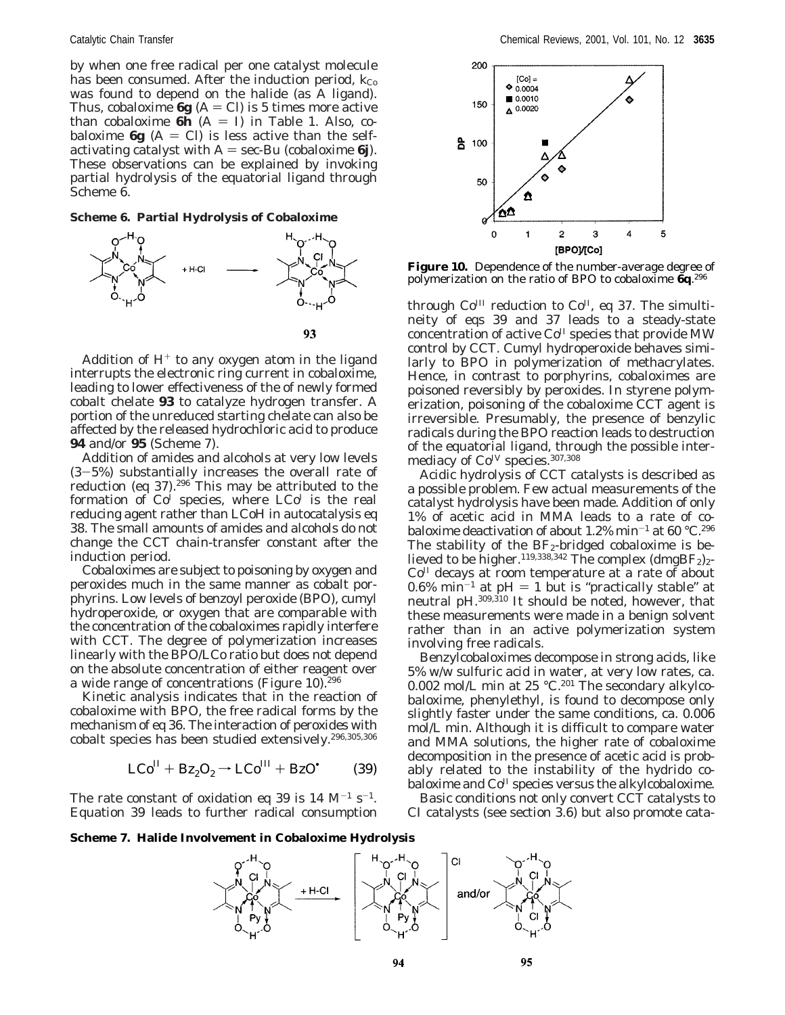by when one free radical per one catalyst molecule has been consumed. After the induction period,  $k_{Co}$ was found to depend on the halide (as A ligand). Thus, cobaloxime  $6g$  (A = Cl) is 5 times more active than cobaloxime  $6\bar{h}$  (A = I) in Table 1. Also, cobaloxime  $6g$  (A = Cl) is less active than the selfactivating catalyst with  $A = \sec Bu$  (cobaloxime **6j**). These observations can be explained by invoking partial hydrolysis of the equatorial ligand through Scheme 6.

#### **Scheme 6. Partial Hydrolysis of Cobaloxime**



Addition of  $H^+$  to any oxygen atom in the ligand interrupts the electronic ring current in cobaloxime, leading to lower effectiveness of the of newly formed cobalt chelate **93** to catalyze hydrogen transfer. A portion of the unreduced starting chelate can also be affected by the released hydrochloric acid to produce **94** and/or **95** (Scheme 7).

Addition of amides and alcohols at very low levels (3-5%) substantially increases the overall rate of reduction (eq  $37$ ).<sup>296</sup> This may be attributed to the formation of  $Co<sup>I</sup>$  species, where  $LO<sup>I</sup>$  is the real reducing agent rather than LCoH in autocatalysis eq 38. The small amounts of amides and alcohols do not change the CCT chain-transfer constant after the induction period.

Cobaloximes are subject to poisoning by oxygen and peroxides much in the same manner as cobalt porphyrins. Low levels of benzoyl peroxide (BPO), cumyl hydroperoxide, or oxygen that are comparable with the concentration of the cobaloximes rapidly interfere with CCT. The degree of polymerization increases linearly with the BPO/LCo ratio but does not depend on the absolute concentration of either reagent over a wide range of concentrations (Figure 10).296

Kinetic analysis indicates that in the reaction of cobaloxime with BPO, the free radical forms by the mechanism of eq 36. The interaction of peroxides with cobalt species has been studied extensively.296,305,306

$$
LCoH + Bz2O2 \rightarrow LCoIII + BzO' \qquad (39)
$$

The rate constant of oxidation eq 39 is 14  $M^{-1}$  s<sup>-1</sup>. Equation 39 leads to further radical consumption



**Figure 10.** Dependence of the number-average degree of polymerization on the ratio of BPO to cobaloxime **6q**. 296

through  $Co^{III}$  reduction to  $Co^{II}$ , eq 37. The simultineity of eqs 39 and 37 leads to a steady-state concentration of active  $Co<sup>H</sup>$  species that provide MW control by CCT. Cumyl hydroperoxide behaves similarly to BPO in polymerization of methacrylates. Hence, in contrast to porphyrins, cobaloximes are poisoned reversibly by peroxides. In styrene polymerization, poisoning of the cobaloxime CCT agent is irreversible. Presumably, the presence of benzylic radicals during the BPO reaction leads to destruction of the equatorial ligand, through the possible intermediacy of Co<sup>IV</sup> species.<sup>307,308</sup>

Acidic hydrolysis of CCT catalysts is described as a possible problem. Few actual measurements of the catalyst hydrolysis have been made. Addition of only 1% of acetic acid in MMA leads to a rate of cobaloxime deactivation of about 1.2% min<sup>-1</sup> at 60 °C.<sup>296</sup> The stability of the  $BF_2$ -bridged cobaloxime is believed to be higher.<sup>119,338,342</sup> The complex  $(dmgBF<sub>2</sub>)<sub>2</sub>$ - $Co<sup>H</sup>$  decays at room temperature at a rate of about 0.6% min<sup>-1</sup> at pH = 1 but is "practically stable" at neutral pH.309,310 It should be noted, however, that these measurements were made in a benign solvent rather than in an active polymerization system involving free radicals.

Benzylcobaloximes decompose in strong acids, like 5% w/w sulfuric acid in water, at very low rates, ca. 0.002 mol/L min at  $25$  °C.<sup>201</sup> The secondary alkylcobaloxime, phenylethyl, is found to decompose only slightly faster under the same conditions, ca. 0.006 mol/L min. Although it is difficult to compare water and MMA solutions, the higher rate of cobaloxime decomposition in the presence of acetic acid is probably related to the instability of the hydrido cobaloxime and Co<sup>II</sup> species versus the alkylcobaloxime.

Basic conditions not only convert CCT catalysts to CI catalysts (see section 3.6) but also promote cata-

95



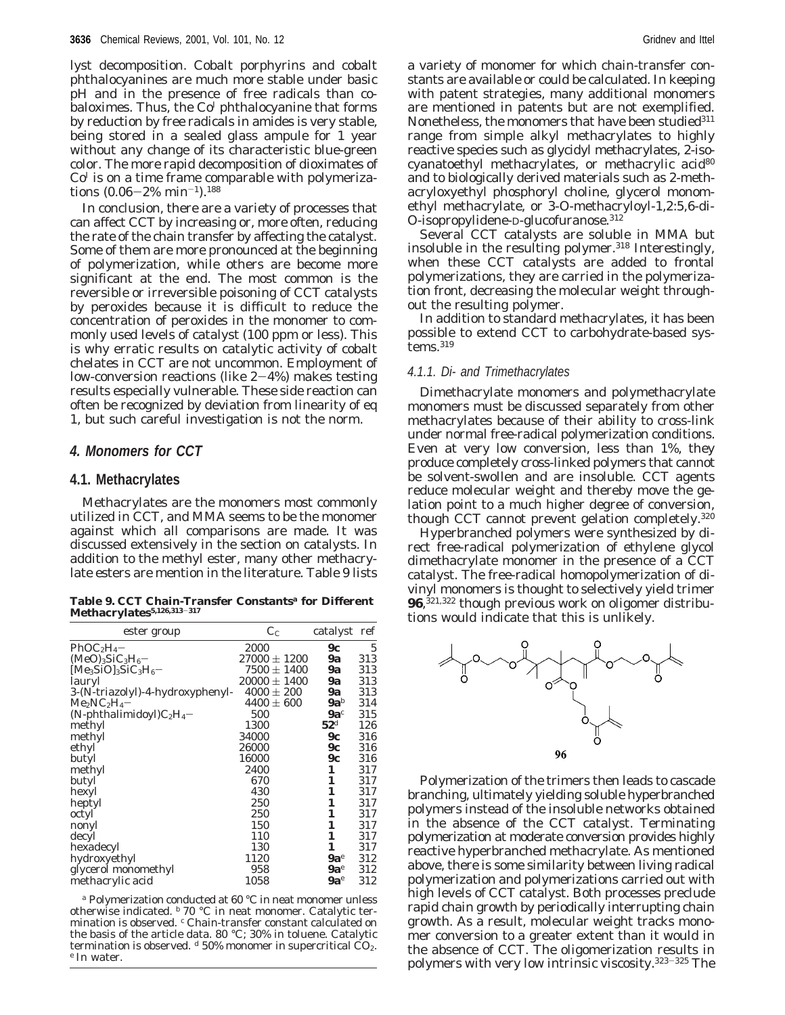lyst decomposition. Cobalt porphyrins and cobalt phthalocyanines are much more stable under basic pH and in the presence of free radicals than cobaloximes. Thus, the  $Co<sup>I</sup>$  phthalocyanine that forms by reduction by free radicals in amides is very stable, being stored in a sealed glass ampule for 1 year without any change of its characteristic blue-green color. The more rapid decomposition of dioximates of  $Co<sup>1</sup>$  is on a time frame comparable with polymerizations  $(0.06-2\% \text{ min}^{-1})$ .<sup>188</sup>

In conclusion, there are a variety of processes that can affect CCT by increasing or, more often, reducing the rate of the chain transfer by affecting the catalyst. Some of them are more pronounced at the beginning of polymerization, while others are become more significant at the end. The most common is the reversible or irreversible poisoning of CCT catalysts by peroxides because it is difficult to reduce the concentration of peroxides in the monomer to commonly used levels of catalyst (100 ppm or less). This is why erratic results on catalytic activity of cobalt chelates in CCT are not uncommon. Employment of low-conversion reactions (like  $2-4\%$ ) makes testing results especially vulnerable. These side reaction can often be recognized by deviation from linearity of eq 1, but such careful investigation is not the norm.

# *4. Monomers for CCT*

#### **4.1. Methacrylates**

Methacrylates are the monomers most commonly utilized in CCT, and MMA seems to be the monomer against which all comparisons are made. It was discussed extensively in the section on catalysts. In addition to the methyl ester, many other methacrylate esters are mention in the literature. Table 9 lists

**Table 9. CCT Chain-Transfer Constants***<sup>a</sup>* **for Different Methacrylates5,126,313**-**<sup>317</sup>**

| ester group                                                   | $C_{\rm C}$      | catalyst        | ref |
|---------------------------------------------------------------|------------------|-----------------|-----|
| $PhOC2H4$ -                                                   | 2000             | 9c              | 5   |
| $(MeO)3SiC3H6$                                                | $27000\pm1200$   | 9a              | 313 |
| $[M_{2S}$ SiO] <sub>3</sub> SiC <sub>3</sub> H <sub>6</sub> - | $7500 \pm 1400$  | 9a              | 313 |
| lauryl                                                        | $20000 \pm 1400$ | 9a              | 313 |
| 3-(N-triazolyl)-4-hydroxyphenyl-                              | $4000 \pm 200$   | 9a              | 313 |
| $Me2NC2H4$ -                                                  | $4400 \pm 600$   | $9a^b$          | 314 |
| $(N$ -phthalimidoyl) $C_2H_4-$                                | 500              | $9a^c$          | 315 |
| methyl                                                        | 1300             | 52 <sup>d</sup> | 126 |
| methyl                                                        | 34000            | 9c              | 316 |
| ethyl                                                         | 26000            | 9c              | 316 |
| butyl                                                         | 16000            | 9c              | 316 |
| methyl                                                        | 2400             | 1               | 317 |
| butyl                                                         | 670              | 1               | 317 |
| hexyl                                                         | 430              | 1               | 317 |
| heptyl                                                        | 250              | 1               | 317 |
| octyl                                                         | 250              | 1               | 317 |
| nonyl                                                         | 150              | 1               | 317 |
| decyl                                                         | 110              | 1               | 317 |
| hexadecyl                                                     | 130              | 1               | 317 |
| hydroxyethyl                                                  | 1120             | $9a^e$          | 312 |
| glycerol monomethyl                                           | 958              | $9a^e$          | 312 |
| methacrylic acid                                              | 1058             | $9a^e$          | 312 |

*<sup>a</sup>* Polymerization conducted at 60 °C in neat monomer unless otherwise indicated. *<sup>b</sup>* 70 °C in neat monomer. Catalytic termination is observed. *<sup>c</sup>* Chain-transfer constant calculated on the basis of the article data. 80 °C; 30% in toluene. Catalytic termination is observed. *<sup>d</sup>* 50% monomer in supercritical CO2. *<sup>e</sup>* In water.

a variety of monomer for which chain-transfer constants are available or could be calculated. In keeping with patent strategies, many additional monomers are mentioned in patents but are not exemplified. Nonetheless, the monomers that have been studied<sup>311</sup> range from simple alkyl methacrylates to highly reactive species such as glycidyl methacrylates, 2-isocyanatoethyl methacrylates, or methacrylic acid<sup>80</sup> and to biologically derived materials such as 2-methacryloxyethyl phosphoryl choline, glycerol monomethyl methacrylate, or 3-*O*-methacryloyl-1,2:5,6-di-*O*-isopropylidene-D-glucofuranose.312

Several CCT catalysts are soluble in MMA but insoluble in the resulting polymer.<sup>318</sup> Interestingly, when these CCT catalysts are added to frontal polymerizations, they are carried in the polymerization front, decreasing the molecular weight throughout the resulting polymer.

In addition to standard methacrylates, it has been possible to extend CCT to carbohydrate-based systems.<sup>319</sup>

#### *4.1.1. Di- and Trimethacrylates*

Dimethacrylate monomers and polymethacrylate monomers must be discussed separately from other methacrylates because of their ability to cross-link under normal free-radical polymerization conditions. Even at very low conversion, less than 1%, they produce completely cross-linked polymers that cannot be solvent-swollen and are insoluble. CCT agents reduce molecular weight and thereby move the gelation point to a much higher degree of conversion, though CCT cannot prevent gelation completely.320

Hyperbranched polymers were synthesized by direct free-radical polymerization of ethylene glycol dimethacrylate monomer in the presence of a CCT catalyst. The free-radical homopolymerization of divinyl monomers is thought to selectively yield trimer **96**, 321,322 though previous work on oligomer distributions would indicate that this is unlikely.



Polymerization of the trimers then leads to cascade branching, ultimately yielding soluble hyperbranched polymers instead of the insoluble networks obtained in the absence of the CCT catalyst. Terminating polymerization at moderate conversion provides highly reactive hyperbranched methacrylate. As mentioned above, there is some similarity between living radical polymerization and polymerizations carried out with high levels of CCT catalyst. Both processes preclude rapid chain growth by periodically interrupting chain growth. As a result, molecular weight tracks monomer conversion to a greater extent than it would in the absence of CCT. The oligomerization results in polymers with very low intrinsic viscosity.<sup>323-325</sup> The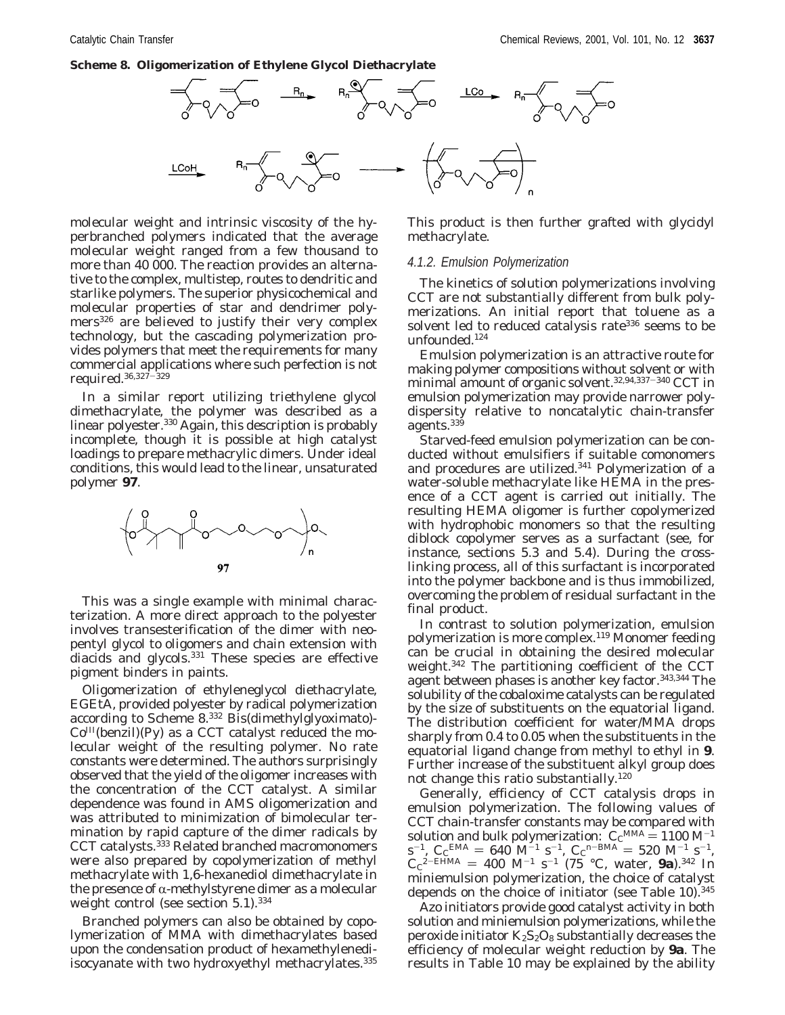



molecular weight and intrinsic viscosity of the hyperbranched polymers indicated that the average molecular weight ranged from a few thousand to more than 40 000. The reaction provides an alternative to the complex, multistep, routes to dendritic and starlike polymers. The superior physicochemical and molecular properties of star and dendrimer polymers326 are believed to justify their very complex technology, but the cascading polymerization provides polymers that meet the requirements for many commercial applications where such perfection is not required.36,327-<sup>329</sup>

In a similar report utilizing triethylene glycol dimethacrylate, the polymer was described as a linear polyester.330 Again, this description is probably incomplete, though it is possible at high catalyst loadings to prepare methacrylic dimers. Under ideal conditions, this would lead to the linear, unsaturated polymer **97**.



This was a single example with minimal characterization. A more direct approach to the polyester involves transesterification of the dimer with neopentyl glycol to oligomers and chain extension with diacids and glycols.331 These species are effective pigment binders in paints.

Oligomerization of ethyleneglycol diethacrylate, EGEtA, provided polyester by radical polymerization according to Scheme 8.332 Bis(dimethylglyoximato)-  $Co<sup>III</sup>(benzil)(Py)$  as a CCT catalyst reduced the molecular weight of the resulting polymer. No rate constants were determined. The authors surprisingly observed that the yield of the oligomer increases with the concentration of the CCT catalyst. A similar dependence was found in AMS oligomerization and was attributed to minimization of bimolecular termination by rapid capture of the dimer radicals by CCT catalysts.<sup>333</sup> Related branched macromonomers were also prepared by copolymerization of methyl methacrylate with 1,6-hexanediol dimethacrylate in the presence of  $\alpha$ -methylstyrene dimer as a molecular weight control (see section  $5.1$ ).<sup>334</sup>

Branched polymers can also be obtained by copolymerization of MMA with dimethacrylates based upon the condensation product of hexamethylenediisocyanate with two hydroxyethyl methacrylates.<sup>335</sup>

This product is then further grafted with glycidyl methacrylate.

#### *4.1.2. Emulsion Polymerization*

The kinetics of solution polymerizations involving CCT are not substantially different from bulk polymerizations. An initial report that toluene as a solvent led to reduced catalysis rate<sup>336</sup> seems to be unfounded.124

Emulsion polymerization is an attractive route for making polymer compositions without solvent or with minimal amount of organic solvent.32,94,337-<sup>340</sup> CCT in emulsion polymerization may provide narrower polydispersity relative to noncatalytic chain-transfer agents.<sup>339</sup>

Starved-feed emulsion polymerization can be conducted without emulsifiers if suitable comonomers and procedures are utilized.<sup>341</sup> Polymerization of a water-soluble methacrylate like HEMA in the presence of a CCT agent is carried out initially. The resulting HEMA oligomer is further copolymerized with hydrophobic monomers so that the resulting diblock copolymer serves as a surfactant (see, for instance, sections 5.3 and 5.4). During the crosslinking process, all of this surfactant is incorporated into the polymer backbone and is thus immobilized, overcoming the problem of residual surfactant in the final product.

In contrast to solution polymerization, emulsion polymerization is more complex.119 Monomer feeding can be crucial in obtaining the desired molecular weight.342 The partitioning coefficient of the CCT agent between phases is another key factor.343,344 The solubility of the cobaloxime catalysts can be regulated by the size of substituents on the equatorial ligand. The distribution coefficient for water/MMA drops sharply from 0.4 to 0.05 when the substituents in the equatorial ligand change from methyl to ethyl in **9**. Further increase of the substituent alkyl group does not change this ratio substantially.<sup>120</sup>

Generally, efficiency of CCT catalysis drops in emulsion polymerization. The following values of CCT chain-transfer constants may be compared with solution and bulk polymerization:  $C_{\rm C}^{\rm MMA} = 1100 \rm \ M^{-1}$ <br>s<sup>-1</sup>  $C_{\rm C}^{\rm EMA} = 640 \rm \ M^{-1}$  s<sup>-1</sup>  $C_{\rm C}^{\rm n-BMA} = 520 \rm \ M^{-1}$  s<sup>-1</sup>  $S^{-1}$ ,  $C_{\rm C}^{\rm EMA} = 640 \text{ M}^{-1} \text{ s}^{-1}$ ,  $C_{\rm C}^{\rm n-BMA} = 520 \text{ M}^{-1} \text{ s}^{-1}$ ,<br> $C_{\rm C}^{\rm 2-EHMA} = 400 \text{ M}^{-1} \text{ s}^{-1}$  (75 °C, water **9a**)<sup>342</sup> In  $C_c^{2-EHMA} = 400 \text{ M}^{-1} \text{ s}^{-1}$  (75 °C, water, **9a**).<sup>342</sup> In miniemulsion polymerization the choice of catalyst miniemulsion polymerization, the choice of catalyst depends on the choice of initiator (see Table 10).345

Azo initiators provide good catalyst activity in both solution and miniemulsion polymerizations, while the peroxide initiator  $K_2S_2O_8$  substantially decreases the efficiency of molecular weight reduction by **9a**. The results in Table 10 may be explained by the ability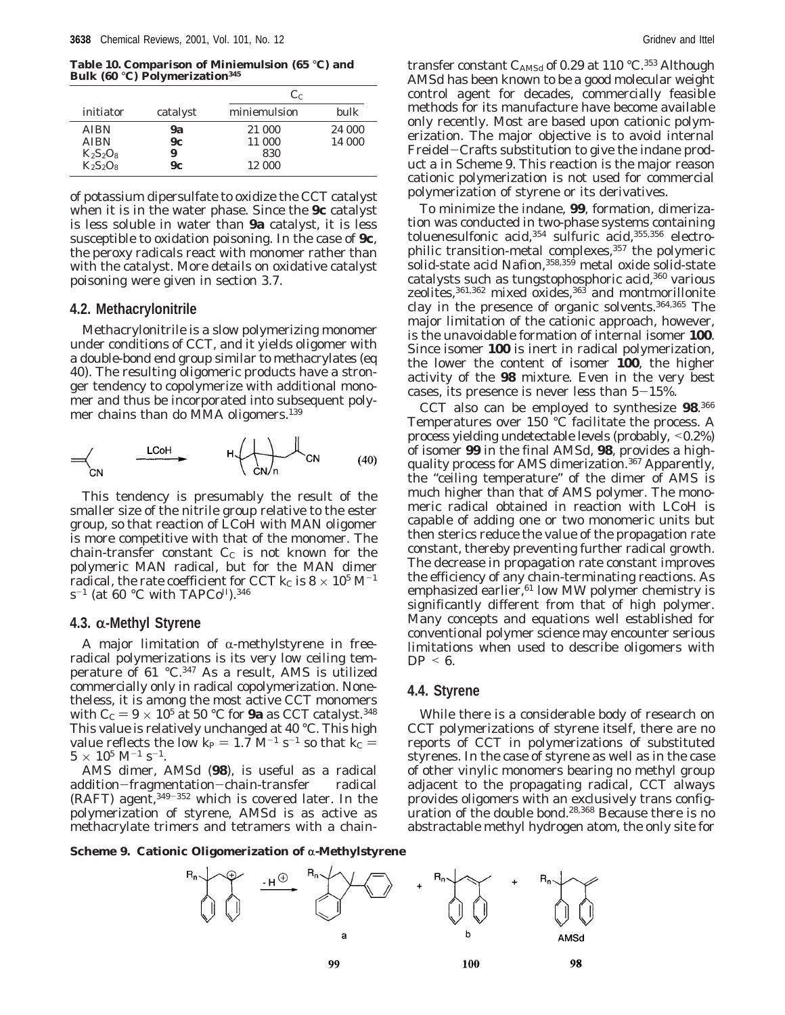**Table 10. Comparison of Miniemulsion (65** °**C) and Bulk (60** °**C) Polymerization345**

|             |          | $\mathcal{C}_{\mathcal{C}}$ |        |  |
|-------------|----------|-----------------------------|--------|--|
| initiator   | catalyst | miniemulsion                | bulk   |  |
| <b>AIBN</b> | 9а       | 21 000                      | 24 000 |  |
| <b>AIBN</b> | 9c       | 11 000                      | 14 000 |  |
| $K_2S_2O_8$ | 9        | 830                         |        |  |
| $K_2S_2O_8$ | 9с       | 12 000                      |        |  |

of potassium dipersulfate to oxidize the CCT catalyst when it is in the water phase. Since the **9c** catalyst is less soluble in water than **9a** catalyst, it is less susceptible to oxidation poisoning. In the case of **9c**, the peroxy radicals react with monomer rather than with the catalyst. More details on oxidative catalyst poisoning were given in section 3.7.

# **4.2. Methacrylonitrile**

Methacrylonitrile is a slow polymerizing monomer under conditions of CCT, and it yields oligomer with a double-bond end group similar to methacrylates (eq 40). The resulting oligomeric products have a stronger tendency to copolymerize with additional monomer and thus be incorporated into subsequent polymer chains than do MMA oligomers.<sup>139</sup>

$$
M_{\text{CN}} \longrightarrow M_{\text{CN}} \longrightarrow M_{\text{CN}} \longrightarrow M_{\text{CN}} \tag{40}
$$

This tendency is presumably the result of the smaller size of the nitrile group relative to the ester group, so that reaction of LCoH with MAN oligomer is more competitive with that of the monomer. The chain-transfer constant  $C<sub>C</sub>$  is not known for the polymeric MAN radical, but for the MAN dimer radical, the rate coefficient for CCT  $k<sub>C</sub>$  is  $8 \times 10<sup>5</sup>$  M<sup>-1</sup>  $s^{-1}$  (at 60 °C with TAPCo<sup>II</sup>).<sup>346</sup>

# **4.3. α-Methyl Styrene**

A major limitation of  $\alpha$ -methylstyrene in freeradical polymerizations is its very low ceiling temperature of 61 $\degree$ C.<sup>347</sup> As a result, AMS is utilized commercially only in radical copolymerization. Nonetheless, it is among the most active CCT monomers with  $C_{\rm C}$  = 9  $\times$  10<sup>5</sup> at 50 °C for **9a** as CCT catalyst.<sup>348</sup> This value is relatively unchanged at 40 °C. This high value reflects the low  $k_P = 1.7 \text{ M}^{-1} \text{ s}^{-1}$  so that  $k_C =$  $5 \times 10^5$  M<sup>-1</sup> s<sup>-1</sup>.

AMS dimer, AMSd (**98**), is useful as a radical addition–fragmentation–chain-transfer radical<br>(RAFT) agent,<sup>349–352</sup> which is covered later. In the polymerization of styrene, AMSd is as active as methacrylate trimers and tetramers with a chaintransfer constant  $C_{AMSd}$  of 0.29 at 110 °C.<sup>353</sup> Although AMSd has been known to be a good molecular weight control agent for decades, commercially feasible methods for its manufacture have become available only recently. Most are based upon cationic polymerization. The major objective is to avoid internal Freidel-Crafts substitution to give the indane product a in Scheme 9. This reaction is the major reason cationic polymerization is not used for commercial polymerization of styrene or its derivatives.

To minimize the indane, **99**, formation, dimerization was conducted in two-phase systems containing toluenesulfonic acid,354 sulfuric acid,355,356 electrophilic transition-metal complexes,<sup>357</sup> the polymeric solid-state acid Nafion,<sup>358,359</sup> metal oxide solid-state catalysts such as tungstophosphoric acid,<sup>360</sup> various zeolites,  $361,362$  mixed oxides,  $363$  and montmorillonite clay in the presence of organic solvents.364,365 The major limitation of the cationic approach, however, is the unavoidable formation of internal isomer **100**. Since isomer **100** is inert in radical polymerization, the lower the content of isomer **100**, the higher activity of the **98** mixture. Even in the very best cases, its presence is never less than  $5-15\%$ .

CCT also can be employed to synthesize **98**. 366 Temperatures over 150 °C facilitate the process. A process yielding undetectable levels (probably,  $\leq 0.2\%$ ) of isomer **99** in the final AMSd, **98**, provides a highquality process for AMS dimerization.<sup>367</sup> Apparently, the "ceiling temperature" of the dimer of AMS is much higher than that of AMS polymer. The monomeric radical obtained in reaction with LCoH is capable of adding one or two monomeric units but then sterics reduce the value of the propagation rate constant, thereby preventing further radical growth. The decrease in propagation rate constant improves the efficiency of any chain-terminating reactions. As emphasized earlier, $61$  low MW polymer chemistry is significantly different from that of high polymer. Many concepts and equations well established for conventional polymer science may encounter serious limitations when used to describe oligomers with  $DP < 6$ .

#### **4.4. Styrene**

While there is a considerable body of research on CCT polymerizations of styrene itself, there are no reports of CCT in polymerizations of substituted styrenes. In the case of styrene as well as in the case of other vinylic monomers bearing no methyl group adjacent to the propagating radical, CCT always provides oligomers with an exclusively trans configuration of the double bond.<sup>28,368</sup> Because there is no abstractable methyl hydrogen atom, the only site for

**Scheme 9. Cationic Oligomerization of α-Methylstyrene** 

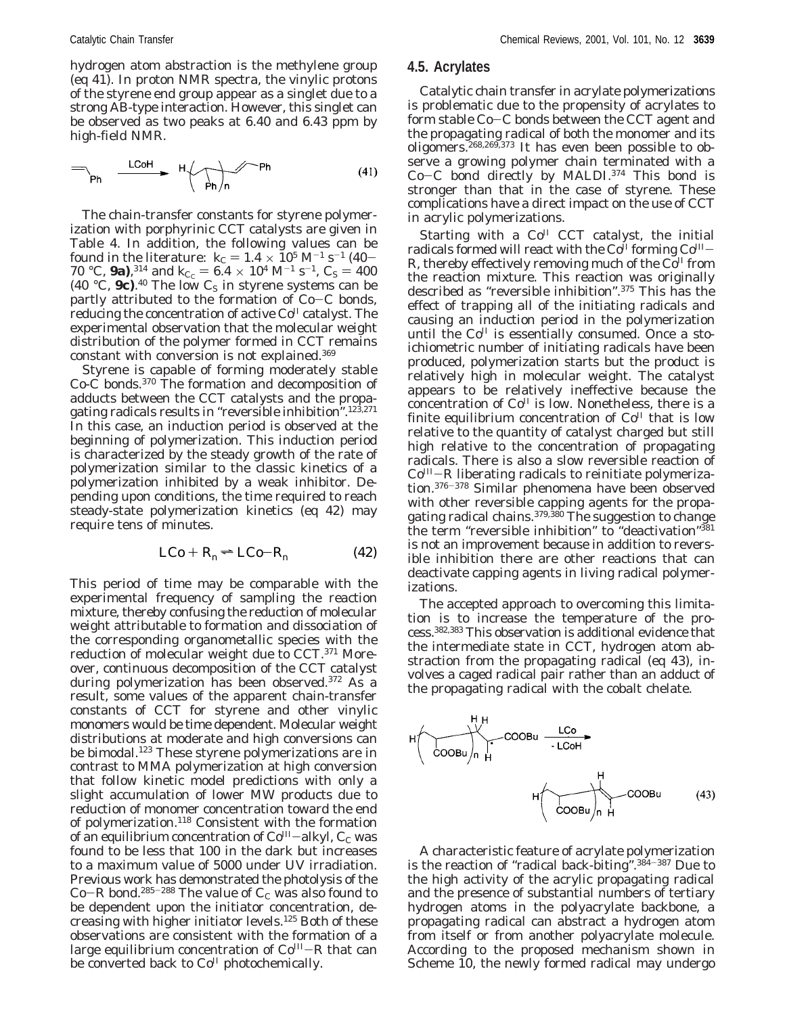hydrogen atom abstraction is the methylene group (eq 41). In proton NMR spectra, the vinylic protons of the styrene end group appear as a singlet due to a strong AB-type interaction. However, this singlet can be observed as two peaks at 6.40 and 6.43 ppm by high-field NMR.

The chain-transfer constants for styrene polymerization with porphyrinic CCT catalysts are given in Table 4. In addition, the following values can be found in the literature:  $k_C = 1.4 \times 10^5 \text{ M}^{-1} \text{ s}^{-1}$  (40-70 °C, **9a**),<sup>314</sup> and  $k_{C_C} = 6.4 \times 10^4$  M<sup>-1</sup> s<sup>-1</sup>,  $C_S = 400$ <br>(40 °C, **9c**) <sup>40</sup> The low  $C_S$  in styrene systems can be (40 °C, **9c)**.<sup>40</sup> The low  $C_S$  in styrene systems can be partly attributed to the formation of  $Co-C$  bonds, reducing the concentration of active Co<sup>II</sup> catalyst. The experimental observation that the molecular weight distribution of the polymer formed in CCT remains constant with conversion is not explained.<sup>369</sup>

Styrene is capable of forming moderately stable  $Co-C$  bonds.<sup>370</sup> The formation and decomposition of adducts between the CCT catalysts and the propagating radicals results in "reversible inhibition".<sup>123,271</sup> In this case, an induction period is observed at the beginning of polymerization. This induction period is characterized by the steady growth of the rate of polymerization similar to the classic kinetics of a polymerization inhibited by a weak inhibitor. Depending upon conditions, the time required to reach steady-state polymerization kinetics (eq 42) may require tens of minutes.

$$
LCo + R_n \rightleftharpoons LCo - R_n \tag{42}
$$

This period of time may be comparable with the experimental frequency of sampling the reaction mixture, thereby confusing the reduction of molecular weight attributable to formation and dissociation of the corresponding organometallic species with the reduction of molecular weight due to CCT.371 Moreover, continuous decomposition of the CCT catalyst during polymerization has been observed.<sup>372</sup> As a result, some values of the apparent chain-transfer constants of CCT for styrene and other vinylic monomers would be time dependent. Molecular weight distributions at moderate and high conversions can be bimodal.<sup>123</sup> These styrene polymerizations are in contrast to MMA polymerization at high conversion that follow kinetic model predictions with only a slight accumulation of lower MW products due to reduction of monomer concentration toward the end of polymerization.<sup>118</sup> Consistent with the formation of an equilibrium concentration of  $Co<sup>III</sup>-alkyl$ ,  $C<sub>C</sub>$  was found to be less that 100 in the dark but increases to a maximum value of 5000 under UV irradiation. Previous work has demonstrated the photolysis of the Co-R bond.<sup>285-288</sup> The value of  $C_{\text{C}}$  was also found to be dependent upon the initiator concentration, decreasing with higher initiator levels.<sup>125</sup> Both of these observations are consistent with the formation of a large equilibrium concentration of  $Co<sup>III</sup>-R$  that can be converted back to  $Co<sup>H</sup>$  photochemically.

# **4.5. Acrylates**

Catalytic chain transfer in acrylate polymerizations is problematic due to the propensity of acrylates to form stable Co-C bonds between the CCT agent and the propagating radical of both the monomer and its oligomers.268,269,373 It has even been possible to observe a growing polymer chain terminated with a Co-C bond directly by MALDI.374 This bond is stronger than that in the case of styrene. These complications have a direct impact on the use of CCT in acrylic polymerizations.

Starting with a  $Co<sup>H</sup>$  CCT catalyst, the initial radicals formed will react with the  $Co<sup>II</sup>$  forming  $Co<sup>III</sup>$ -R, thereby effectively removing much of the  $Co<sup>H</sup>$  from the reaction mixture. This reaction was originally described as "reversible inhibition".375 This has the effect of trapping all of the initiating radicals and causing an induction period in the polymerization until the  $Co<sup>H</sup>$  is essentially consumed. Once a stoichiometric number of initiating radicals have been produced, polymerization starts but the product is relatively high in molecular weight. The catalyst appears to be relatively ineffective because the concentration of  $Co<sup>H</sup>$  is low. Nonetheless, there is a finite equilibrium concentration of  $Co<sup>H</sup>$  that is low relative to the quantity of catalyst charged but still high relative to the concentration of propagating radicals. There is also a slow reversible reaction of  $Co<sup>III</sup>-R$  liberating radicals to reinitiate polymerization.376-<sup>378</sup> Similar phenomena have been observed with other reversible capping agents for the propagating radical chains.<sup>379,380</sup> The suggestion to change the term "reversible inhibition" to "deactivation"381 is not an improvement because in addition to reversible inhibition there are other reactions that can deactivate capping agents in living radical polymerizations.

The accepted approach to overcoming this limitation is to increase the temperature of the process.382,383 This observation is additional evidence that the intermediate state in CCT, hydrogen atom abstraction from the propagating radical (eq 43), involves a caged radical pair rather than an adduct of the propagating radical with the cobalt chelate.



A characteristic feature of acrylate polymerization is the reaction of "radical back-biting". $384-387$  Due to the high activity of the acrylic propagating radical and the presence of substantial numbers of tertiary hydrogen atoms in the polyacrylate backbone, a propagating radical can abstract a hydrogen atom from itself or from another polyacrylate molecule. According to the proposed mechanism shown in Scheme 10, the newly formed radical may undergo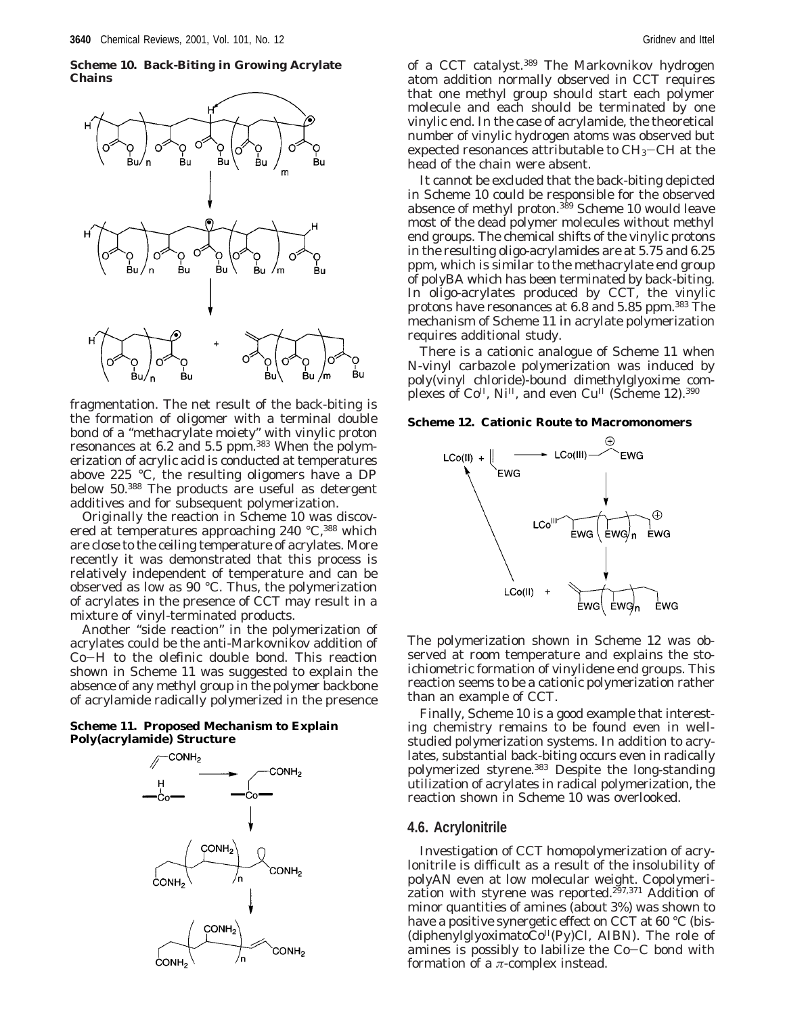#### **Scheme 10. Back-Biting in Growing Acrylate Chains**



fragmentation. The net result of the back-biting is the formation of oligomer with a terminal double bond of a "methacrylate moiety" with vinylic proton resonances at 6.2 and 5.5 ppm.383 When the polymerization of acrylic acid is conducted at temperatures above 225 °C, the resulting oligomers have a DP below 50.388 The products are useful as detergent additives and for subsequent polymerization.

Originally the reaction in Scheme 10 was discovered at temperatures approaching 240  $°C^{388}$  which are close to the ceiling temperature of acrylates. More recently it was demonstrated that this process is relatively independent of temperature and can be observed as low as 90 °C. Thus, the polymerization of acrylates in the presence of CCT may result in a mixture of vinyl-terminated products.

Another "side reaction" in the polymerization of acrylates could be the anti-Markovnikov addition of Co-H to the olefinic double bond. This reaction shown in Scheme 11 was suggested to explain the absence of any methyl group in the polymer backbone of acrylamide radically polymerized in the presence

#### **Scheme 11. Proposed Mechanism to Explain Poly(acrylamide) Structure**



of a CCT catalyst.<sup>389</sup> The Markovnikov hydrogen atom addition normally observed in CCT requires that one methyl group should start each polymer molecule and each should be terminated by one vinylic end. In the case of acrylamide, the theoretical number of vinylic hydrogen atoms was observed but expected resonances attributable to  $CH_3-CH$  at the head of the chain were absent.

It cannot be excluded that the back-biting depicted in Scheme 10 could be responsible for the observed absence of methyl proton.389 Scheme 10 would leave most of the dead polymer molecules without methyl end groups. The chemical shifts of the vinylic protons in the resulting oligo-acrylamides are at 5.75 and 6.25 ppm, which is similar to the methacrylate end group of polyBA which has been terminated by back-biting. In oligo-acrylates produced by CCT, the vinylic protons have resonances at 6.8 and 5.85 ppm.383 The mechanism of Scheme 11 in acrylate polymerization requires additional study.

There is a cationic analogue of Scheme 11 when *N*-vinyl carbazole polymerization was induced by poly(vinyl chloride)-bound dimethylglyoxime complexes of Co<sup>II</sup>, Ni<sup>II</sup>, and even Cu<sup>II</sup> (Scheme 12).<sup>390</sup>

#### **Scheme 12. Cationic Route to Macromonomers**



The polymerization shown in Scheme 12 was observed at room temperature and explains the stoichiometric formation of vinylidene end groups. This reaction seems to be a cationic polymerization rather than an example of CCT.

Finally, Scheme 10 is a good example that interesting chemistry remains to be found even in wellstudied polymerization systems. In addition to acrylates, substantial back-biting occurs even in radically polymerized styrene.383 Despite the long-standing utilization of acrylates in radical polymerization, the reaction shown in Scheme 10 was overlooked.

#### **4.6. Acrylonitrile**

Investigation of CCT homopolymerization of acrylonitrile is difficult as a result of the insolubility of polyAN even at low molecular weight. Copolymerization with styrene was reported.<sup>297,371</sup> Addition of minor quantities of amines (about 3%) was shown to have a positive synergetic effect on CCT at 60 °C (bis- (diphenylglyoximato $Co<sup>H</sup>(Py)Cl$ , AIBN). The role of amines is possibly to labilize the  $Co-C$  bond with formation of a *π*-complex instead.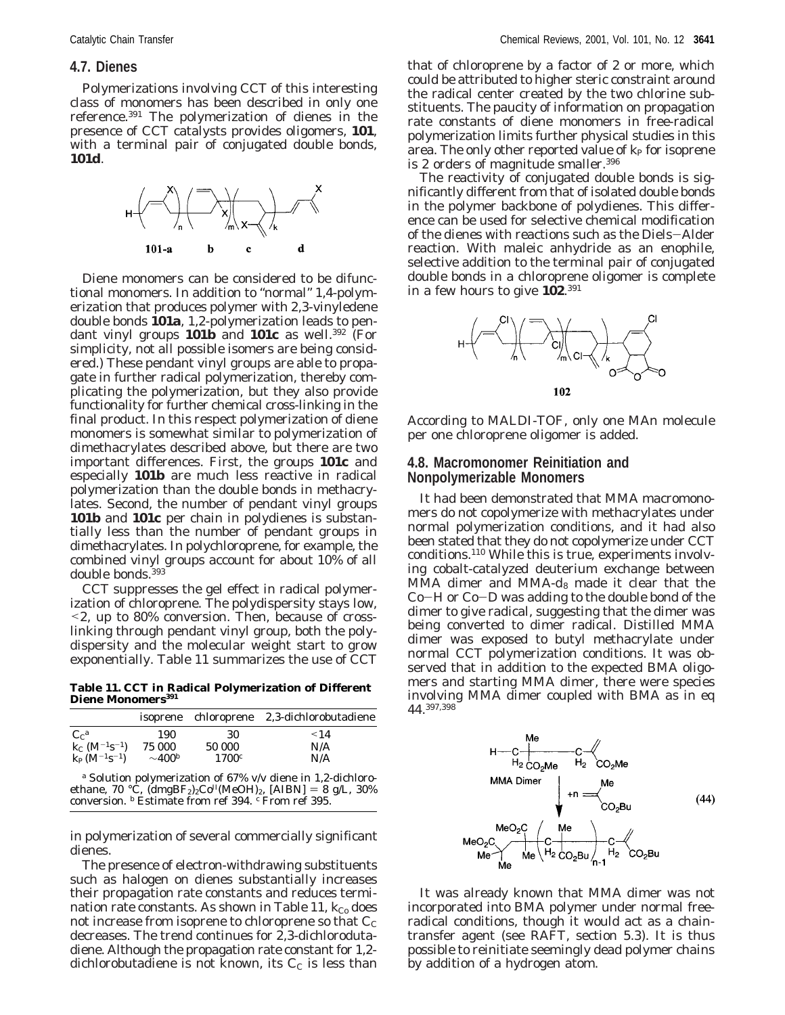#### **4.7. Dienes**

Polymerizations involving CCT of this interesting class of monomers has been described in only one reference.391 The polymerization of dienes in the presence of CCT catalysts provides oligomers, **101**, with a terminal pair of conjugated double bonds, **101d**.



Diene monomers can be considered to be difunctional monomers. In addition to "normal" 1,4-polymerization that produces polymer with 2,3-vinyledene double bonds **101a**, 1,2-polymerization leads to pendant vinyl groups **101b** and **101c** as well.392 (For simplicity, not all possible isomers are being considered.) These pendant vinyl groups are able to propagate in further radical polymerization, thereby complicating the polymerization, but they also provide functionality for further chemical cross-linking in the final product. In this respect polymerization of diene monomers is somewhat similar to polymerization of dimethacrylates described above, but there are two important differences. First, the groups **101c** and especially **101b** are much less reactive in radical polymerization than the double bonds in methacrylates. Second, the number of pendant vinyl groups **101b** and **101c** per chain in polydienes is substantially less than the number of pendant groups in dimethacrylates. In polychloroprene, for example, the combined vinyl groups account for about 10% of all double bonds.<sup>393</sup>

CCT suppresses the gel effect in radical polymerization of chloroprene. The polydispersity stays low, <2, up to 80% conversion. Then, because of crosslinking through pendant vinyl group, both the polydispersity and the molecular weight start to grow exponentially. Table 11 summarizes the use of CCT

**Table 11. CCT in Radical Polymerization of Different Diene Monomers391**

|                                                    |                         |                   | isoprene chloroprene 2,3-dichlorobutadiene |
|----------------------------------------------------|-------------------------|-------------------|--------------------------------------------|
| C <sup>a</sup>                                     | 190                     | -30               | $\leq 14$                                  |
| $k_{\mathrm{C}}\ (\mathrm{M}^{-1}\mathrm{s}^{-1})$ | 75 000                  | 50 000            | N/A                                        |
| $k_{\rm P}$ $(M^{-1}s^{-1})$                       | $\sim$ 400 <sup>b</sup> | 1700 <sup>c</sup> | N/A                                        |

*<sup>a</sup>* Solution polymerization of 67% v/v diene in 1,2-dichloroethane, 70 °C,  $(dmgBF_2)_2Co<sup>H</sup>(MeOH)_2$ ,  $[AIBN] = 8 g/L$ , 30% conversion. *<sup>b</sup>* Estimate from ref 394. *<sup>c</sup>* From ref 395.

in polymerization of several commercially significant dienes.

The presence of electron-withdrawing substituents such as halogen on dienes substantially increases their propagation rate constants and reduces termination rate constants. As shown in Table 11,  $k_{Co}$  does not increase from isoprene to chloroprene so that  $C_c$ decreases. The trend continues for 2,3-dichlorodutadiene. Although the propagation rate constant for 1,2 dichlorobutadiene is not known, its  $C<sub>C</sub>$  is less than

that of chloroprene by a factor of 2 or more, which could be attributed to higher steric constraint around the radical center created by the two chlorine substituents. The paucity of information on propagation rate constants of diene monomers in free-radical polymerization limits further physical studies in this area. The only other reported value of  $k_{\rm P}$  for isoprene is 2 orders of magnitude smaller.<sup>396</sup>

The reactivity of conjugated double bonds is significantly different from that of isolated double bonds in the polymer backbone of polydienes. This difference can be used for selective chemical modification of the dienes with reactions such as the Diels-Alder reaction. With maleic anhydride as an enophile, selective addition to the terminal pair of conjugated double bonds in a chloroprene oligomer is complete in a few hours to give **102**. 391



According to MALDI-TOF, only one MAn molecule per one chloroprene oligomer is added.

# **4.8. Macromonomer Reinitiation and Nonpolymerizable Monomers**

It had been demonstrated that MMA macromonomers do not copolymerize with methacrylates under normal polymerization conditions, and it had also been stated that they do not copolymerize under CCT conditions.110 While this is true, experiments involving cobalt-catalyzed deuterium exchange between MMA dimer and MMA-*d*<sup>8</sup> made it clear that the Co-H or Co-D was adding to the double bond of the dimer to give radical, suggesting that the dimer was being converted to dimer radical. Distilled MMA dimer was exposed to butyl methacrylate under normal CCT polymerization conditions. It was observed that in addition to the expected BMA oligomers and starting MMA dimer, there were species involving MMA dimer coupled with BMA as in eq 44.397,398



It was already known that MMA dimer was not incorporated into BMA polymer under normal freeradical conditions, though it would act as a chaintransfer agent (see RAFT, section 5.3). It is thus possible to reinitiate seemingly dead polymer chains by addition of a hydrogen atom.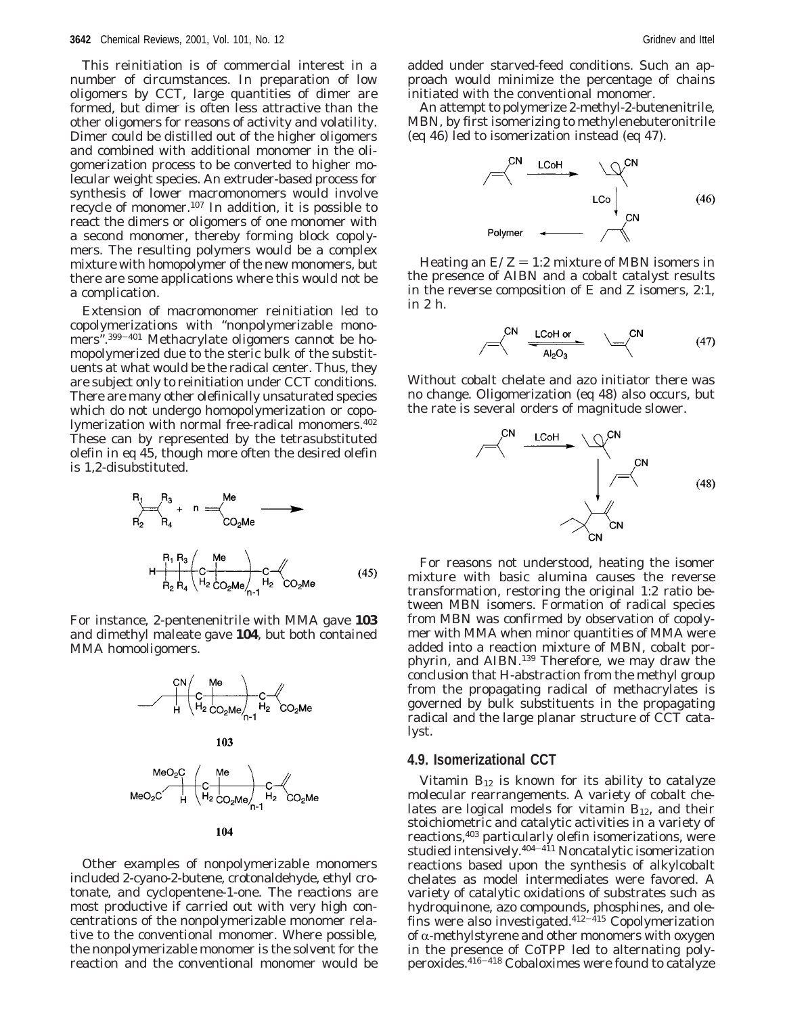This reinitiation is of commercial interest in a number of circumstances. In preparation of low oligomers by CCT, large quantities of dimer are formed, but dimer is often less attractive than the other oligomers for reasons of activity and volatility. Dimer could be distilled out of the higher oligomers and combined with additional monomer in the oligomerization process to be converted to higher molecular weight species. An extruder-based process for synthesis of lower macromonomers would involve recycle of monomer.107 In addition, it is possible to react the dimers or oligomers of one monomer with a second monomer, thereby forming block copolymers. The resulting polymers would be a complex mixture with homopolymer of the new monomers, but there are some applications where this would not be a complication.

Extension of macromonomer reinitiation led to copolymerizations with "nonpolymerizable monomers".399-<sup>401</sup> Methacrylate oligomers cannot be homopolymerized due to the steric bulk of the substituents at what would be the radical center. Thus, they are subject only to reinitiation under CCT conditions. There are many other olefinically unsaturated species which do not undergo homopolymerization or copolymerization with normal free-radical monomers.<sup>402</sup> These can by represented by the tetrasubstituted olefin in eq 45, though more often the desired olefin is 1,2-disubstituted.

$$
R_1 + n = \frac{Me}{CO_2Me}
$$
  
\n
$$
H_1 + R_3 / C
$$
  
\n
$$
H_2 + R_4 + C
$$
  
\n
$$
H_1 + C
$$
  
\n
$$
R_2 + R_4 + R_2 + C_2 Me
$$
  
\n
$$
H_2 + C_2 Me
$$
  
\n
$$
H_1 + C
$$
  
\n
$$
H_2 + C_2 Me
$$
  
\n(45)

For instance, 2-pentenenitrile with MMA gave **103** and dimethyl maleate gave **104**, but both contained MMA homooligomers.



Other examples of nonpolymerizable monomers included 2-cyano-2-butene, crotonaldehyde, ethyl crotonate, and cyclopentene-1-one. The reactions are most productive if carried out with very high concentrations of the nonpolymerizable monomer relative to the conventional monomer. Where possible, the nonpolymerizable monomer is the solvent for the reaction and the conventional monomer would be

added under starved-feed conditions. Such an approach would minimize the percentage of chains initiated with the conventional monomer.

An attempt to polymerize 2-methyl-2-butenenitrile, MBN, by first isomerizing to methylenebuteronitrile (eq 46) led to isomerization instead (eq 47).



Heating an  $E/Z = 1:2$  mixture of MBN isomers in the presence of AIBN and a cobalt catalyst results in the reverse composition of *E* and *Z* isomers, 2:1, in 2 h.

$$
\frac{CN}{A|_{2}O_{3}} \longrightarrow \frac{LCOH \text{ or } (47)}{A|_{2}O_{3}}
$$

Without cobalt chelate and azo initiator there was no change. Oligomerization (eq 48) also occurs, but the rate is several orders of magnitude slower.



For reasons not understood, heating the isomer mixture with basic alumina causes the reverse transformation, restoring the original 1:2 ratio between MBN isomers. Formation of radical species from MBN was confirmed by observation of copolymer with MMA when minor quantities of MMA were added into a reaction mixture of MBN, cobalt porphyrin, and AIBN.139 Therefore, we may draw the conclusion that H-abstraction from the methyl group from the propagating radical of methacrylates is governed by bulk substituents in the propagating radical and the large planar structure of CCT catalyst.

#### **4.9. Isomerizational CCT**

Vitamin  $B_{12}$  is known for its ability to catalyze molecular rearrangements. A variety of cobalt chelates are logical models for vitamin  $B_{12}$ , and their stoichiometric and catalytic activities in a variety of reactions,403 particularly olefin isomerizations, were studied intensively. $404-411$  Noncatalytic isomerization reactions based upon the synthesis of alkylcobalt chelates as model intermediates were favored. A variety of catalytic oxidations of substrates such as hydroquinone, azo compounds, phosphines, and olefins were also investigated. $412-\overline{415}$  Copolymerization of  $\alpha$ -methylstyrene and other monomers with oxygen in the presence of CoTPP led to alternating polyperoxides.416-<sup>418</sup> Cobaloximes were found to catalyze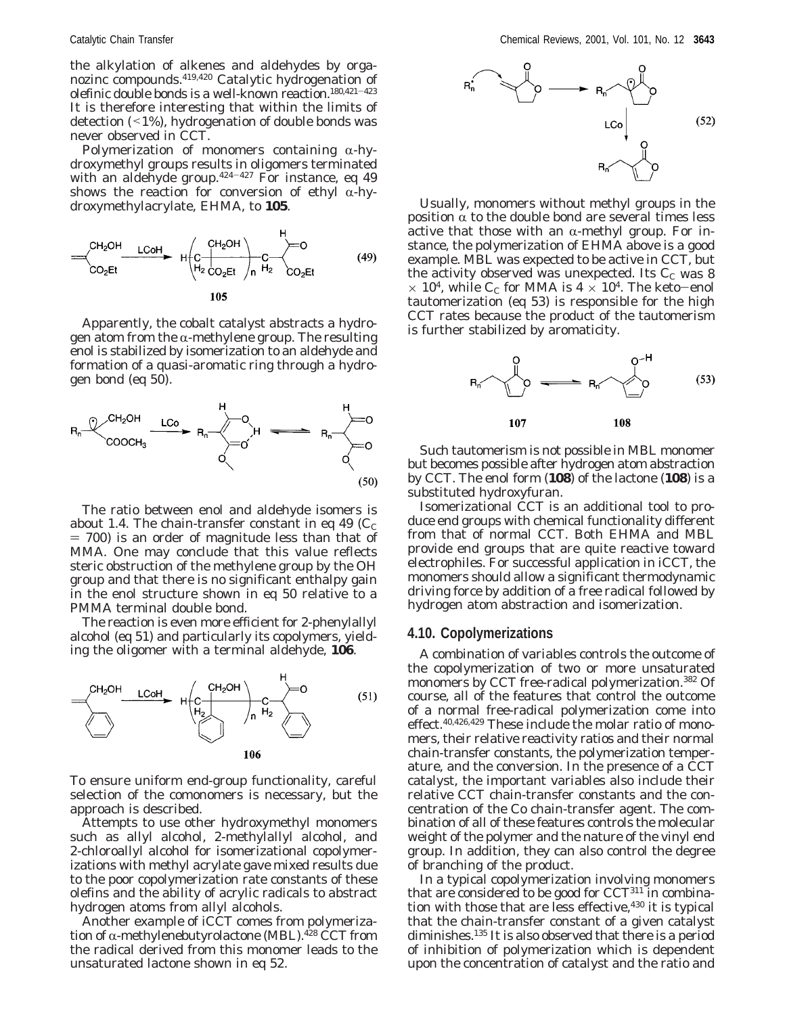the alkylation of alkenes and aldehydes by organozinc compounds.419,420 Catalytic hydrogenation of olefinic double bonds is a well-known reaction.180,421-<sup>423</sup> It is therefore interesting that within the limits of detection (<1%), hydrogenation of double bonds was never observed in CCT.

Polymerization of monomers containing  $\alpha$ -hydroxymethyl groups results in oligomers terminated with an aldehyde group.<sup>424-427</sup> For instance, eq 49 shows the reaction for conversion of ethyl  $\alpha$ -hydroxymethylacrylate, EHMA, to **105**.

$$
\begin{array}{c}\n\text{CH}_2\text{OH} \quad \text{LOH} \\
\text{CO}_2\text{Et}\n\end{array}\n\quad\n\begin{array}{c}\n\text{CH}_2\text{OH} \\
\text{H}_2\text{CO}_2\text{Et}\n\end{array}\n\quad\n\begin{array}{c}\n\text{H} \\
\text{CO}_2\text{Et}\n\end{array}\n\quad\n\begin{array}{c}\n\text{H} \\
\text{CO}_2\text{Et}\n\end{array}\n\quad\n\begin{array}{c}\n\text{H} \\
\text{CO}_2\text{Et}\n\end{array}
$$
\n
$$
\begin{array}{c}\n105\n\end{array}
$$
\n
$$
(49)
$$

Apparently, the cobalt catalyst abstracts a hydrogen atom from the  $\alpha$ -methylene group. The resulting enol is stabilized by isomerization to an aldehyde and formation of a quasi-aromatic ring through a hydrogen bond (eq 50).



The ratio between enol and aldehyde isomers is about 1.4. The chain-transfer constant in eq 49 ( $C_c$ )  $= 700$ ) is an order of magnitude less than that of MMA. One may conclude that this value reflects steric obstruction of the methylene group by the OH group and that there is no significant enthalpy gain in the enol structure shown in eq 50 relative to a PMMA terminal double bond.

The reaction is even more efficient for 2-phenylallyl alcohol (eq 51) and particularly its copolymers, yielding the oligomer with a terminal aldehyde, **106**.



To ensure uniform end-group functionality, careful selection of the comonomers is necessary, but the approach is described.

Attempts to use other hydroxymethyl monomers such as allyl alcohol, 2-methylallyl alcohol, and 2-chloroallyl alcohol for isomerizational copolymerizations with methyl acrylate gave mixed results due to the poor copolymerization rate constants of these olefins and the ability of acrylic radicals to abstract hydrogen atoms from allyl alcohols.

Another example of iCCT comes from polymerization of  $\alpha$ -methylenebutyrolactone (MBL).<sup>428</sup> CCT from the radical derived from this monomer leads to the unsaturated lactone shown in eq 52.



Usually, monomers without methyl groups in the position  $\alpha$  to the double bond are several times less active that those with an  $\alpha$ -methyl group. For instance, the polymerization of EHMA above is a good example. MBL was expected to be active in CCT, but the activity observed was unexpected. Its  $C<sub>C</sub>$  was 8  $\times$  10<sup>4</sup>, while *C*<sub>C</sub> for MMA is 4  $\times$  10<sup>4</sup>. The keto-enol tautomerization (eq 53) is responsible for the high CCT rates because the product of the tautomerism is further stabilized by aromaticity.



Such tautomerism is not possible in MBL monomer but becomes possible after hydrogen atom abstraction by CCT. The enol form (**108**) of the lactone (**108**) is a substituted hydroxyfuran.

Isomerizational CCT is an additional tool to produce end groups with chemical functionality different from that of normal CCT. Both EHMA and MBL provide end groups that are quite reactive toward electrophiles. For successful application in iCCT, the monomers should allow a significant thermodynamic driving force by addition of a free radical followed by hydrogen atom abstraction and isomerization.

# **4.10. Copolymerizations**

A combination of variables controls the outcome of the copolymerization of two or more unsaturated monomers by CCT free-radical polymerization.382 Of course, all of the features that control the outcome of a normal free-radical polymerization come into effect.40,426,429 These include the molar ratio of monomers, their relative reactivity ratios and their normal chain-transfer constants, the polymerization temperature, and the conversion. In the presence of a CCT catalyst, the important variables also include their relative CCT chain-transfer constants and the concentration of the Co chain-transfer agent. The combination of all of these features controls the molecular weight of the polymer and the nature of the vinyl end group. In addition, they can also control the degree of branching of the product.

In a typical copolymerization involving monomers that are considered to be good for CCT<sup>311</sup> in combination with those that are less effective, 430 it is typical that the chain-transfer constant of a given catalyst diminishes.<sup>135</sup> It is also observed that there is a period of inhibition of polymerization which is dependent upon the concentration of catalyst and the ratio and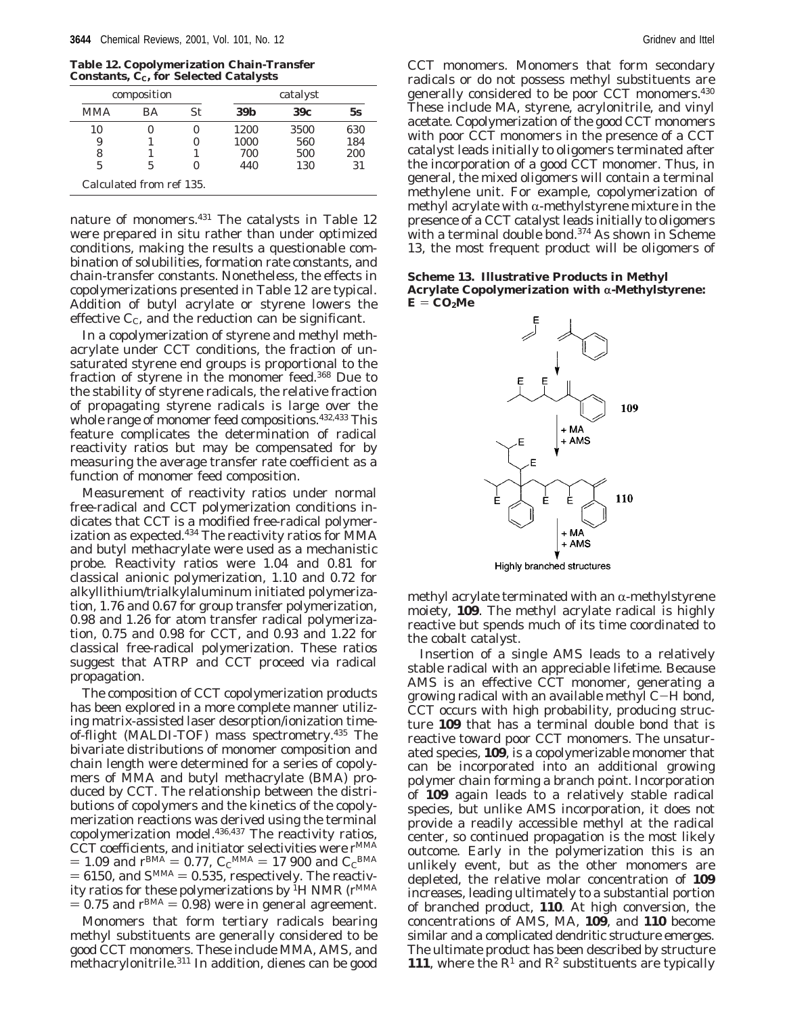**Table 12. Copolymerization Chain-Transfer Constants,** *C***C, for Selected Catalysts**

|                          | composition |    |            | catalyst |     |  |
|--------------------------|-------------|----|------------|----------|-----|--|
| <b>MMA</b>               | BА          | St | <b>39b</b> | 39c      | 5s  |  |
| 10                       |             | 0  | 1200       | 3500     | 630 |  |
| 9                        |             | 0  | 1000       | 560      | 184 |  |
| 8                        |             |    | 700        | 500      | 200 |  |
| 5                        | 5           | 0  | 440        | 130      | 31  |  |
| Calculated from ref 135. |             |    |            |          |     |  |

nature of monomers.<sup>431</sup> The catalysts in Table 12 were prepared in situ rather than under optimized conditions, making the results a questionable combination of solubilities, formation rate constants, and chain-transfer constants. Nonetheless, the effects in copolymerizations presented in Table 12 are typical. Addition of butyl acrylate or styrene lowers the effective  $C_{\rm C}$ , and the reduction can be significant.

In a copolymerization of styrene and methyl methacrylate under CCT conditions, the fraction of unsaturated styrene end groups is proportional to the fraction of styrene in the monomer feed.368 Due to the stability of styrene radicals, the relative fraction of propagating styrene radicals is large over the whole range of monomer feed compositions.<sup>432,433</sup> This feature complicates the determination of radical reactivity ratios but may be compensated for by measuring the average transfer rate coefficient as a function of monomer feed composition.

Measurement of reactivity ratios under normal free-radical and CCT polymerization conditions indicates that CCT is a modified free-radical polymerization as expected.<sup>434</sup> The reactivity ratios for MMA and butyl methacrylate were used as a mechanistic probe. Reactivity ratios were 1.04 and 0.81 for classical anionic polymerization, 1.10 and 0.72 for alkyllithium/trialkylaluminum initiated polymerization, 1.76 and 0.67 for group transfer polymerization, 0.98 and 1.26 for atom transfer radical polymerization, 0.75 and 0.98 for CCT, and 0.93 and 1.22 for classical free-radical polymerization. These ratios suggest that ATRP and CCT proceed via radical propagation.

The composition of CCT copolymerization products has been explored in a more complete manner utilizing matrix-assisted laser desorption/ionization timeof-flight (MALDI-TOF) mass spectrometry.435 The bivariate distributions of monomer composition and chain length were determined for a series of copolymers of MMA and butyl methacrylate (BMA) produced by CCT. The relationship between the distributions of copolymers and the kinetics of the copolymerization reactions was derived using the terminal copolymerization model. $436,437$  The reactivity ratios, CCT coefficients, and initiator selectivities were  $I<sup>MMA</sup>$  $= 1.09$  and  $I<sup>BMA</sup> = 0.77$ ,  $C<sup>CMMA</sup> = 17900$  and  $C<sup>CBMA</sup> = 6150$  and  $S<sup>MMA</sup> = 0.535$  respectively. The reactiv- $= 6150$ , and  $S<sup>MMA</sup> = 0.535$ , respectively. The reactivity ratios for these polymerizations by  ${}^{1}$ H NMR ( $r^{MMA}$ )  $= 0.75$  and  $r<sup>BMA</sup> = 0.98$ ) were in general agreement.

Monomers that form tertiary radicals bearing methyl substituents are generally considered to be good CCT monomers. These include MMA, AMS, and methacrylonitrile.311 In addition, dienes can be good

CCT monomers. Monomers that form secondary radicals or do not possess methyl substituents are generally considered to be poor CCT monomers.430 These include MA, styrene, acrylonitrile, and vinyl acetate. Copolymerization of the good CCT monomers with poor CCT monomers in the presence of a CCT catalyst leads initially to oligomers terminated after the incorporation of a good CCT monomer. Thus, in general, the mixed oligomers will contain a terminal methylene unit. For example, copolymerization of methyl acrylate with  $\alpha$ -methylstyrene mixture in the presence of a CCT catalyst leads initially to oligomers with a terminal double bond.<sup>374</sup> As shown in Scheme 13, the most frequent product will be oligomers of

#### **Scheme 13. Illustrative Products in Methyl** Acrylate Copolymerization with  $\alpha$ -Methylstyrene:  $E = CO<sub>2</sub>Me$



methyl acrylate terminated with an  $\alpha$ -methylstyrene moiety, **109**. The methyl acrylate radical is highly reactive but spends much of its time coordinated to the cobalt catalyst.

Insertion of a single AMS leads to a relatively stable radical with an appreciable lifetime. Because AMS is an effective CCT monomer, generating a growing radical with an available methyl C-H bond, CCT occurs with high probability, producing structure **109** that has a terminal double bond that is reactive toward poor CCT monomers. The unsaturated species, **109**, is a copolymerizable monomer that can be incorporated into an additional growing polymer chain forming a branch point. Incorporation of **109** again leads to a relatively stable radical species, but unlike AMS incorporation, it does not provide a readily accessible methyl at the radical center, so continued propagation is the most likely outcome. Early in the polymerization this is an unlikely event, but as the other monomers are depleted, the relative molar concentration of **109** increases, leading ultimately to a substantial portion of branched product, **110**. At high conversion, the concentrations of AMS, MA, **109**, and **110** become similar and a complicated dendritic structure emerges. The ultimate product has been described by structure **111**, where the  $\mathbb{R}^1$  and  $\mathbb{R}^2$  substituents are typically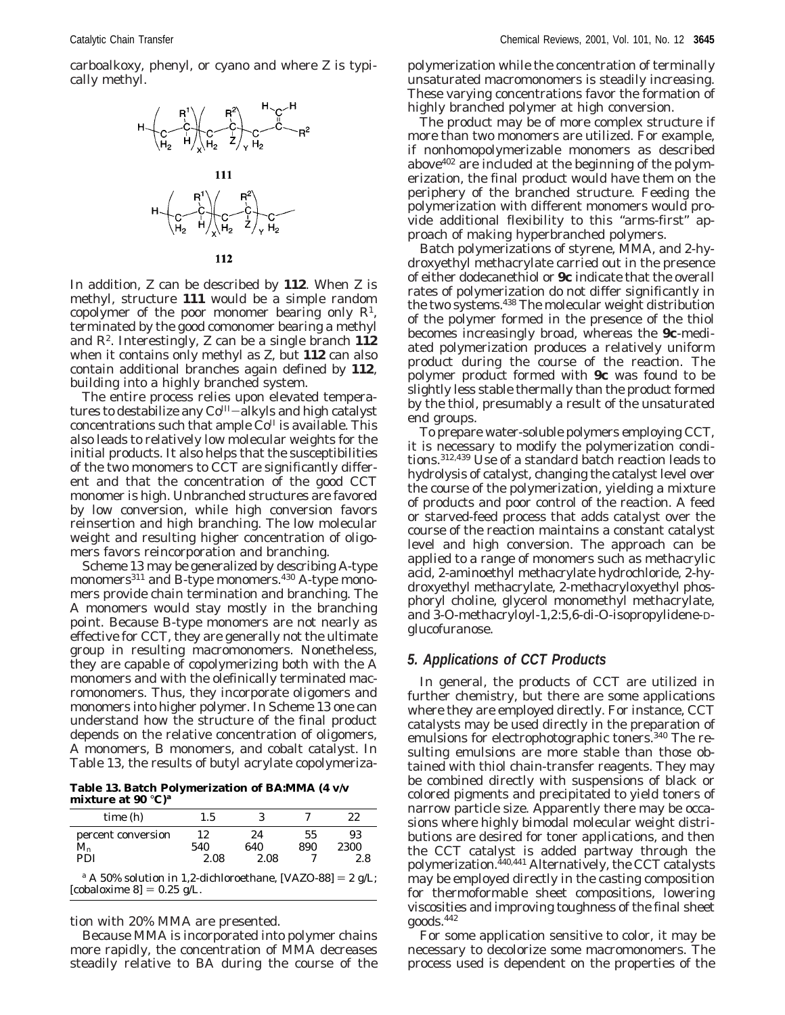carboalkoxy, phenyl, or cyano and where Z is typically methyl.



In addition, Z can be described by **112**. When Z is methyl, structure **111** would be a simple random copolymer of the poor monomer bearing only  $R<sup>1</sup>$ , terminated by the good comonomer bearing a methyl and R2. Interestingly, Z can be a single branch **112** when it contains only methyl as Z, but **112** can also contain additional branches again defined by **112**, building into a highly branched system.

The entire process relies upon elevated temperatures to destabilize any  $Co<sup>III</sup>-alkyls$  and high catalyst concentrations such that ample  $\check{C}o^{II}$  is available. This also leads to relatively low molecular weights for the initial products. It also helps that the susceptibilities of the two monomers to CCT are significantly different and that the concentration of the good CCT monomer is high. Unbranched structures are favored by low conversion, while high conversion favors reinsertion and high branching. The low molecular weight and resulting higher concentration of oligomers favors reincorporation and branching.

Scheme 13 may be generalized by describing A-type monomers<sup>311</sup> and B-type monomers.<sup>430</sup> A-type monomers provide chain termination and branching. The A monomers would stay mostly in the branching point. Because B-type monomers are not nearly as effective for CCT, they are generally not the ultimate group in resulting macromonomers. Nonetheless, they are capable of copolymerizing both with the A monomers and with the olefinically terminated macromonomers. Thus, they incorporate oligomers and monomers into higher polymer. In Scheme 13 one can understand how the structure of the final product depends on the relative concentration of oligomers, A monomers, B monomers, and cobalt catalyst. In Table 13, the results of butyl acrylate copolymeriza-

**Table 13. Batch Polymerization of BA:MMA (4 v/v mixture at 90** °**C)***<sup>a</sup>*

| time (h)                                    | 1.5               | Q                 |           | 22                |
|---------------------------------------------|-------------------|-------------------|-----------|-------------------|
| percent conversion<br>$\mathrm{M}_n$<br>PDI | 12<br>540<br>2.08 | 24<br>640<br>2.08 | 55<br>890 | 93<br>2300<br>2.8 |

<sup>*a*</sup> A 50% solution in 1,2-dichloroethane, [VAZO-88] = 2 g/L; [cobaloxime  $8$ ] = 0.25 g/L.

#### tion with 20% MMA are presented.

Because MMA is incorporated into polymer chains more rapidly, the concentration of MMA decreases steadily relative to BA during the course of the

polymerization while the concentration of terminally unsaturated macromonomers is steadily increasing. These varying concentrations favor the formation of highly branched polymer at high conversion.

The product may be of more complex structure if more than two monomers are utilized. For example, if nonhomopolymerizable monomers as described above402 are included at the beginning of the polymerization, the final product would have them on the periphery of the branched structure. Feeding the polymerization with different monomers would provide additional flexibility to this "arms-first" approach of making hyperbranched polymers.

Batch polymerizations of styrene, MMA, and 2-hydroxyethyl methacrylate carried out in the presence of either dodecanethiol or **9c** indicate that the overall rates of polymerization do not differ significantly in the two systems.<sup>438</sup> The molecular weight distribution of the polymer formed in the presence of the thiol becomes increasingly broad, whereas the **9c**-mediated polymerization produces a relatively uniform product during the course of the reaction. The polymer product formed with **9c** was found to be slightly less stable thermally than the product formed by the thiol, presumably a result of the unsaturated end groups.

To prepare water-soluble polymers employing CCT, it is necessary to modify the polymerization conditions.312,439 Use of a standard batch reaction leads to hydrolysis of catalyst, changing the catalyst level over the course of the polymerization, yielding a mixture of products and poor control of the reaction. A feed or starved-feed process that adds catalyst over the course of the reaction maintains a constant catalyst level and high conversion. The approach can be applied to a range of monomers such as methacrylic acid, 2-aminoethyl methacrylate hydrochloride, 2-hydroxyethyl methacrylate, 2-methacryloxyethyl phosphoryl choline, glycerol monomethyl methacrylate, and 3-*O*-methacryloyl-1,2:5,6-di-*O*-isopropylidene-Dglucofuranose.

# *5. Applications of CCT Products*

In general, the products of CCT are utilized in further chemistry, but there are some applications where they are employed directly. For instance, CCT catalysts may be used directly in the preparation of emulsions for electrophotographic toners.<sup>340</sup> The resulting emulsions are more stable than those obtained with thiol chain-transfer reagents. They may be combined directly with suspensions of black or colored pigments and precipitated to yield toners of narrow particle size. Apparently there may be occasions where highly bimodal molecular weight distributions are desired for toner applications, and then the CCT catalyst is added partway through the polymerization.440,441 Alternatively, the CCT catalysts may be employed directly in the casting composition for thermoformable sheet compositions, lowering viscosities and improving toughness of the final sheet goods.442

For some application sensitive to color, it may be necessary to decolorize some macromonomers. The process used is dependent on the properties of the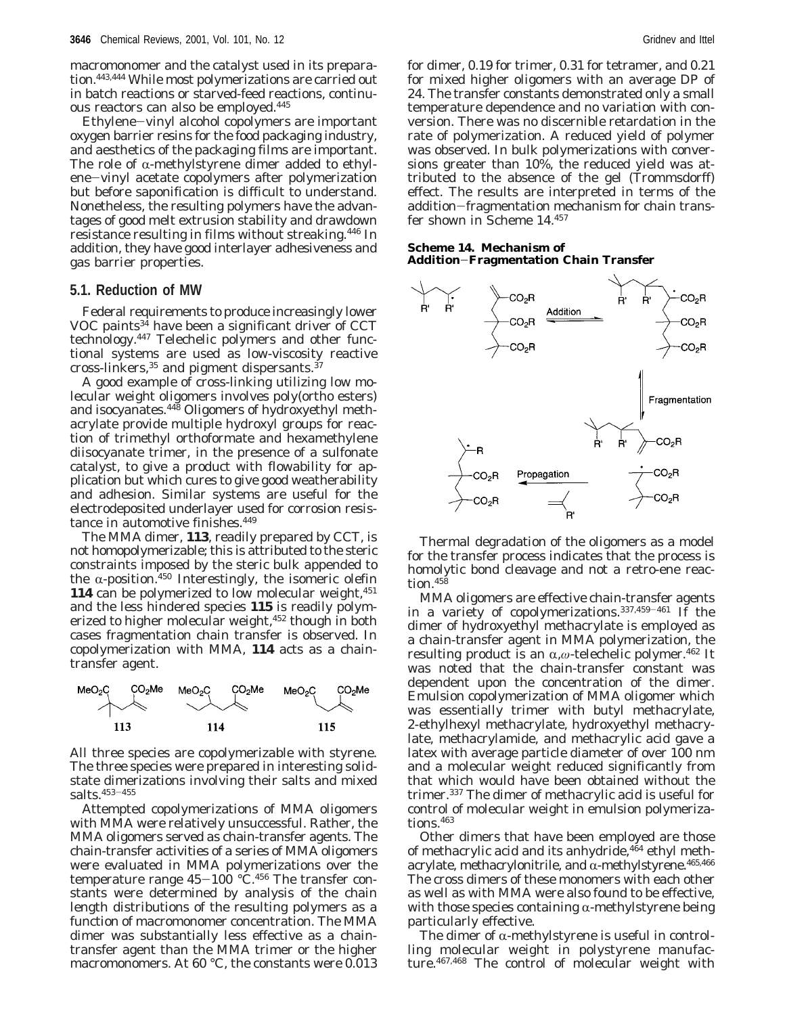macromonomer and the catalyst used in its preparation.443,444 While most polymerizations are carried out in batch reactions or starved-feed reactions, continuous reactors can also be employed.445

Ethylene-vinyl alcohol copolymers are important oxygen barrier resins for the food packaging industry, and aesthetics of the packaging films are important. The role of  $\alpha$ -methylstyrene dimer added to ethylene-vinyl acetate copolymers after polymerization but before saponification is difficult to understand. Nonetheless, the resulting polymers have the advantages of good melt extrusion stability and drawdown resistance resulting in films without streaking.446 In addition, they have good interlayer adhesiveness and gas barrier properties.

#### **5.1. Reduction of MW**

Federal requirements to produce increasingly lower VOC paints<sup>34</sup> have been a significant driver of CCT technology.447 Telechelic polymers and other functional systems are used as low-viscosity reactive cross-linkers,  $35$  and pigment dispersants.  $37$ 

A good example of cross-linking utilizing low molecular weight oligomers involves poly(ortho esters) and isocyanates.<sup>448</sup> Oligomers of hydroxyethyl methacrylate provide multiple hydroxyl groups for reaction of trimethyl orthoformate and hexamethylene diisocyanate trimer, in the presence of a sulfonate catalyst, to give a product with flowability for application but which cures to give good weatherability and adhesion. Similar systems are useful for the electrodeposited underlayer used for corrosion resistance in automotive finishes.449

The MMA dimer, **113**, readily prepared by CCT, is not homopolymerizable; this is attributed to the steric constraints imposed by the steric bulk appended to the  $\alpha$ -position.<sup>450</sup> Interestingly, the isomeric olefin 114 can be polymerized to low molecular weight,<sup>451</sup> and the less hindered species **115** is readily polymerized to higher molecular weight,<sup>452</sup> though in both cases fragmentation chain transfer is observed. In copolymerization with MMA, **114** acts as a chaintransfer agent.



All three species are copolymerizable with styrene. The three species were prepared in interesting solidstate dimerizations involving their salts and mixed salts.<sup>453-455</sup>

Attempted copolymerizations of MMA oligomers with MMA were relatively unsuccessful. Rather, the MMA oligomers served as chain-transfer agents. The chain-transfer activities of a series of MMA oligomers were evaluated in MMA polymerizations over the temperature range  $45-100$  °C.<sup>456</sup> The transfer constants were determined by analysis of the chain length distributions of the resulting polymers as a function of macromonomer concentration. The MMA dimer was substantially less effective as a chaintransfer agent than the MMA trimer or the higher macromonomers. At 60 °C, the constants were 0.013

for dimer, 0.19 for trimer, 0.31 for tetramer, and 0.21 for mixed higher oligomers with an average DP of 24. The transfer constants demonstrated only a small temperature dependence and no variation with conversion. There was no discernible retardation in the rate of polymerization. A reduced yield of polymer was observed. In bulk polymerizations with conversions greater than 10%, the reduced yield was attributed to the absence of the gel (Trommsdorff) effect. The results are interpreted in terms of the addition-fragmentation mechanism for chain transfer shown in Scheme 14.457

#### **Scheme 14. Mechanism of Addition**-**Fragmentation Chain Transfer**



Thermal degradation of the oligomers as a model for the transfer process indicates that the process is homolytic bond cleavage and not a retro-ene reaction.<sup>458</sup>

MMA oligomers are effective chain-transfer agents in a variety of copolymerizations.  $337,459-461$  If the dimer of hydroxyethyl methacrylate is employed as a chain-transfer agent in MMA polymerization, the resulting product is an α,ω-telechelic polymer.<sup>462</sup> It was noted that the chain-transfer constant was dependent upon the concentration of the dimer. Emulsion copolymerization of MMA oligomer which was essentially trimer with butyl methacrylate, 2-ethylhexyl methacrylate, hydroxyethyl methacrylate, methacrylamide, and methacrylic acid gave a latex with average particle diameter of over 100 nm and a molecular weight reduced significantly from that which would have been obtained without the trimer.337 The dimer of methacrylic acid is useful for control of molecular weight in emulsion polymerizations.463

Other dimers that have been employed are those of methacrylic acid and its anhydride, $464$  ethyl methacrylate, methacrylonitrile, and  $\alpha$ -methylstyrene.<sup>465,466</sup> The cross dimers of these monomers with each other as well as with MMA were also found to be effective, with those species containing  $\alpha$ -methylstyrene being particularly effective.

The dimer of  $\alpha$ -methylstyrene is useful in controlling molecular weight in polystyrene manufacture.467,468 The control of molecular weight with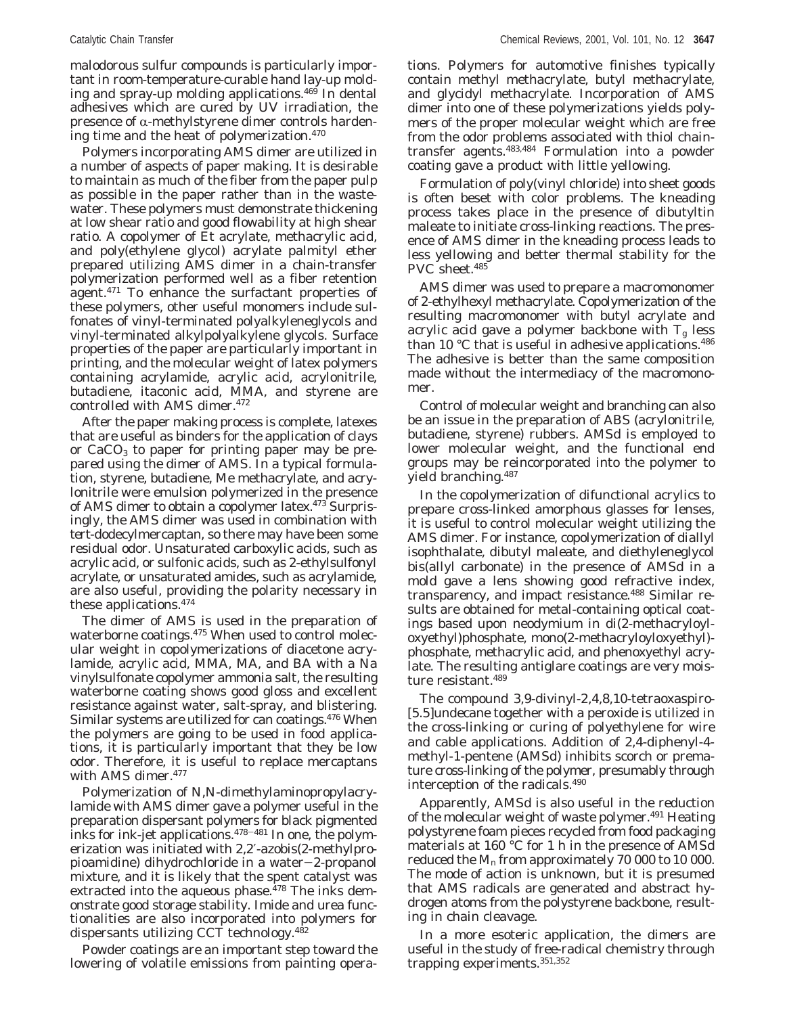malodorous sulfur compounds is particularly important in room-temperature-curable hand lay-up molding and spray-up molding applications.469 In dental adhesives which are cured by UV irradiation, the presence of  $\alpha$ -methylstyrene dimer controls hardening time and the heat of polymerization.470

Polymers incorporating AMS dimer are utilized in a number of aspects of paper making. It is desirable to maintain as much of the fiber from the paper pulp as possible in the paper rather than in the wastewater. These polymers must demonstrate thickening at low shear ratio and good flowability at high shear ratio. A copolymer of Et acrylate, methacrylic acid, and poly(ethylene glycol) acrylate palmityl ether prepared utilizing AMS dimer in a chain-transfer polymerization performed well as a fiber retention agent.471 To enhance the surfactant properties of these polymers, other useful monomers include sulfonates of vinyl-terminated polyalkyleneglycols and vinyl-terminated alkylpolyalkylene glycols. Surface properties of the paper are particularly important in printing, and the molecular weight of latex polymers containing acrylamide, acrylic acid, acrylonitrile, butadiene, itaconic acid, MMA, and styrene are controlled with AMS dimer.472

After the paper making process is complete, latexes that are useful as binders for the application of clays or  $CaCO<sub>3</sub>$  to paper for printing paper may be prepared using the dimer of AMS. In a typical formulation, styrene, butadiene, Me methacrylate, and acrylonitrile were emulsion polymerized in the presence of AMS dimer to obtain a copolymer latex.<sup>473</sup> Surprisingly, the AMS dimer was used in combination with *tert*-dodecylmercaptan, so there may have been some residual odor. Unsaturated carboxylic acids, such as acrylic acid, or sulfonic acids, such as 2-ethylsulfonyl acrylate, or unsaturated amides, such as acrylamide, are also useful, providing the polarity necessary in these applications.474

The dimer of AMS is used in the preparation of waterborne coatings.<sup>475</sup> When used to control molecular weight in copolymerizations of diacetone acrylamide, acrylic acid, MMA, MA, and BA with a Na vinylsulfonate copolymer ammonia salt, the resulting waterborne coating shows good gloss and excellent resistance against water, salt-spray, and blistering. Similar systems are utilized for can coatings.476 When the polymers are going to be used in food applications, it is particularly important that they be low odor. Therefore, it is useful to replace mercaptans with AMS dimer.<sup>477</sup>

Polymerization of *N*,*N*-dimethylaminopropylacrylamide with AMS dimer gave a polymer useful in the preparation dispersant polymers for black pigmented inks for ink-jet applications. $478-481$  In one, the polymerization was initiated with 2,2′-azobis(2-methylpropioamidine) dihydrochloride in a water-2-propanol mixture, and it is likely that the spent catalyst was extracted into the aqueous phase. $478$  The inks demonstrate good storage stability. Imide and urea functionalities are also incorporated into polymers for dispersants utilizing CCT technology.482

Powder coatings are an important step toward the lowering of volatile emissions from painting opera-

tions. Polymers for automotive finishes typically contain methyl methacrylate, butyl methacrylate, and glycidyl methacrylate. Incorporation of AMS dimer into one of these polymerizations yields polymers of the proper molecular weight which are free from the odor problems associated with thiol chaintransfer agents.483,484 Formulation into a powder coating gave a product with little yellowing.

Formulation of poly(vinyl chloride) into sheet goods is often beset with color problems. The kneading process takes place in the presence of dibutyltin maleate to initiate cross-linking reactions. The presence of AMS dimer in the kneading process leads to less yellowing and better thermal stability for the PVC sheet.<sup>485</sup>

AMS dimer was used to prepare a macromonomer of 2-ethylhexyl methacrylate. Copolymerization of the resulting macromonomer with butyl acrylate and acrylic acid gave a polymer backbone with *T*<sup>g</sup> less than 10 °C that is useful in adhesive applications.<sup>486</sup> The adhesive is better than the same composition made without the intermediacy of the macromonomer.

Control of molecular weight and branching can also be an issue in the preparation of ABS (acrylonitrile, butadiene, styrene) rubbers. AMSd is employed to lower molecular weight, and the functional end groups may be reincorporated into the polymer to yield branching.<sup>487</sup>

In the copolymerization of difunctional acrylics to prepare cross-linked amorphous glasses for lenses, it is useful to control molecular weight utilizing the AMS dimer. For instance, copolymerization of diallyl isophthalate, dibutyl maleate, and diethyleneglycol bis(allyl carbonate) in the presence of AMSd in a mold gave a lens showing good refractive index, transparency, and impact resistance.<sup>488</sup> Similar results are obtained for metal-containing optical coatings based upon neodymium in di(2-methacryloyloxyethyl)phosphate, mono(2-methacryloyloxyethyl) phosphate, methacrylic acid, and phenoxyethyl acrylate. The resulting antiglare coatings are very moisture resistant.<sup>489</sup>

The compound 3,9-divinyl-2,4,8,10-tetraoxaspiro- [5.5]undecane together with a peroxide is utilized in the cross-linking or curing of polyethylene for wire and cable applications. Addition of 2,4-diphenyl-4 methyl-1-pentene (AMSd) inhibits scorch or premature cross-linking of the polymer, presumably through interception of the radicals.490

Apparently, AMSd is also useful in the reduction of the molecular weight of waste polymer.<sup>491</sup> Heating polystyrene foam pieces recycled from food packaging materials at 160 °C for 1 h in the presence of AMSd reduced the *M*<sup>n</sup> from approximately 70 000 to 10 000. The mode of action is unknown, but it is presumed that AMS radicals are generated and abstract hydrogen atoms from the polystyrene backbone, resulting in chain cleavage.

In a more esoteric application, the dimers are useful in the study of free-radical chemistry through trapping experiments.351,352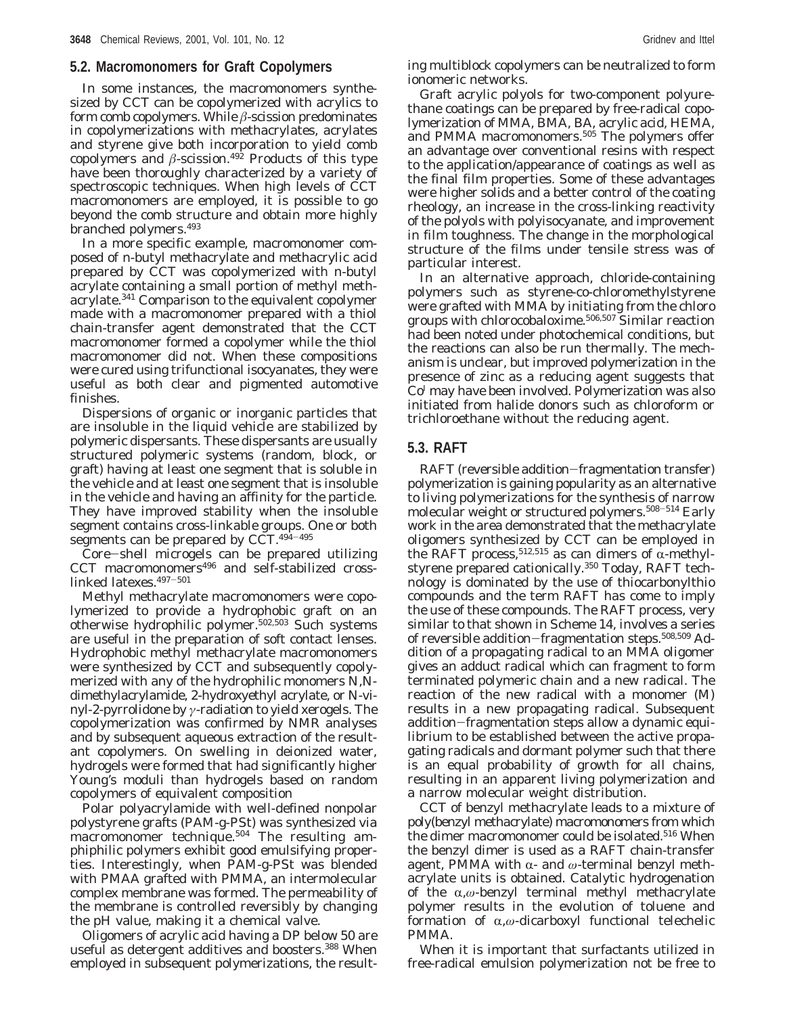### **5.2. Macromonomers for Graft Copolymers**

In some instances, the macromonomers synthesized by CCT can be copolymerized with acrylics to form comb copolymers. While *â*-scission predominates in copolymerizations with methacrylates, acrylates and styrene give both incorporation to yield comb copolymers and  $\beta$ -scission.<sup>492</sup> Products of this type have been thoroughly characterized by a variety of spectroscopic techniques. When high levels of CCT macromonomers are employed, it is possible to go beyond the comb structure and obtain more highly branched polymers.493

In a more specific example, macromonomer composed of *n*-butyl methacrylate and methacrylic acid prepared by CCT was copolymerized with *n*-butyl acrylate containing a small portion of methyl methacrylate.341 Comparison to the equivalent copolymer made with a macromonomer prepared with a thiol chain-transfer agent demonstrated that the CCT macromonomer formed a copolymer while the thiol macromonomer did not. When these compositions were cured using trifunctional isocyanates, they were useful as both clear and pigmented automotive finishes.

Dispersions of organic or inorganic particles that are insoluble in the liquid vehicle are stabilized by polymeric dispersants. These dispersants are usually structured polymeric systems (random, block, or graft) having at least one segment that is soluble in the vehicle and at least one segment that is insoluble in the vehicle and having an affinity for the particle. They have improved stability when the insoluble segment contains cross-linkable groups. One or both segments can be prepared by CCT.494-495

Core-shell microgels can be prepared utilizing CCT macromonomers $496$  and self-stabilized crosslinked latexes.497-<sup>501</sup>

Methyl methacrylate macromonomers were copolymerized to provide a hydrophobic graft on an otherwise hydrophilic polymer.<sup>502,503</sup> Such systems are useful in the preparation of soft contact lenses. Hydrophobic methyl methacrylate macromonomers were synthesized by CCT and subsequently copolymerized with any of the hydrophilic monomers *N*,*N*dimethylacrylamide, 2-hydroxyethyl acrylate, or *N*-vinyl-2-pyrrolidone by *γ*-radiation to yield xerogels. The copolymerization was confirmed by NMR analyses and by subsequent aqueous extraction of the resultant copolymers. On swelling in deionized water, hydrogels were formed that had significantly higher Young's moduli than hydrogels based on random copolymers of equivalent composition

Polar polyacrylamide with well-defined nonpolar polystyrene grafts (PAM-*g*-PSt) was synthesized via macromonomer technique.<sup>504</sup> The resulting amphiphilic polymers exhibit good emulsifying properties. Interestingly, when PAM-*g*-PSt was blended with PMAA grafted with PMMA, an intermolecular complex membrane was formed. The permeability of the membrane is controlled reversibly by changing the pH value, making it a chemical valve.

Oligomers of acrylic acid having a DP below 50 are useful as detergent additives and boosters.388 When employed in subsequent polymerizations, the resulting multiblock copolymers can be neutralized to form ionomeric networks.

Graft acrylic polyols for two-component polyurethane coatings can be prepared by free-radical copolymerization of MMA, BMA, BA, acrylic acid, HEMA, and PMMA macromonomers.<sup>505</sup> The polymers offer an advantage over conventional resins with respect to the application/appearance of coatings as well as the final film properties. Some of these advantages were higher solids and a better control of the coating rheology, an increase in the cross-linking reactivity of the polyols with polyisocyanate, and improvement in film toughness. The change in the morphological structure of the films under tensile stress was of particular interest.

In an alternative approach, chloride-containing polymers such as styrene-*co*-chloromethylstyrene were grafted with MMA by initiating from the chloro groups with chlorocobaloxime.506,507 Similar reaction had been noted under photochemical conditions, but the reactions can also be run thermally. The mechanism is unclear, but improved polymerization in the presence of zinc as a reducing agent suggests that Co<sup>I</sup> may have been involved. Polymerization was also initiated from halide donors such as chloroform or trichloroethane without the reducing agent.

# **5.3. RAFT**

RAFT (reversible addition-fragmentation transfer) polymerization is gaining popularity as an alternative to living polymerizations for the synthesis of narrow molecular weight or structured polymers.<sup>508-514</sup> Early work in the area demonstrated that the methacrylate oligomers synthesized by CCT can be employed in the RAFT process,  $512,515$  as can dimers of  $\alpha$ -methylstyrene prepared cationically.350 Today, RAFT technology is dominated by the use of thiocarbonylthio compounds and the term RAFT has come to imply the use of these compounds. The RAFT process, very similar to that shown in Scheme 14, involves a series of reversible addition-fragmentation steps.<sup>508,509</sup> Addition of a propagating radical to an MMA oligomer gives an adduct radical which can fragment to form terminated polymeric chain and a new radical. The reaction of the new radical with a monomer (M) results in a new propagating radical. Subsequent addition-fragmentation steps allow a dynamic equilibrium to be established between the active propagating radicals and dormant polymer such that there is an equal probability of growth for all chains, resulting in an apparent living polymerization and a narrow molecular weight distribution.

CCT of benzyl methacrylate leads to a mixture of poly(benzyl methacrylate) macromonomers from which the dimer macromonomer could be isolated.516 When the benzyl dimer is used as a RAFT chain-transfer agent, PMMA with  $α$ - and  $ω$ -terminal benzyl methacrylate units is obtained. Catalytic hydrogenation of the  $\alpha$ , $\omega$ -benzyl terminal methyl methacrylate polymer results in the evolution of toluene and formation of  $\alpha$ , $\omega$ -dicarboxyl functional telechelic PMMA.

When it is important that surfactants utilized in free-radical emulsion polymerization not be free to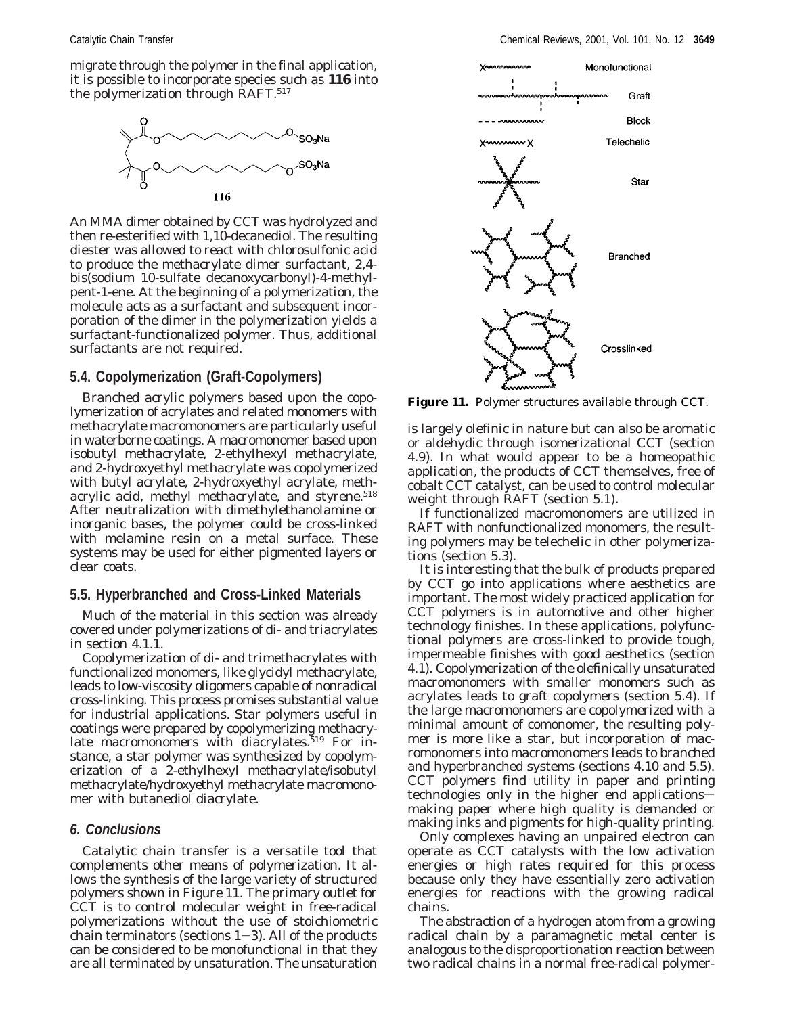migrate through the polymer in the final application, it is possible to incorporate species such as **116** into the polymerization through RAFT.517



An MMA dimer obtained by CCT was hydrolyzed and then re-esterified with 1,10-decanediol. The resulting diester was allowed to react with chlorosulfonic acid to produce the methacrylate dimer surfactant, 2,4 bis(sodium 10-sulfate decanoxycarbonyl)-4-methylpent-1-ene. At the beginning of a polymerization, the molecule acts as a surfactant and subsequent incorporation of the dimer in the polymerization yields a surfactant-functionalized polymer. Thus, additional surfactants are not required.

# **5.4. Copolymerization (Graft-Copolymers)**

Branched acrylic polymers based upon the copolymerization of acrylates and related monomers with methacrylate macromonomers are particularly useful in waterborne coatings. A macromonomer based upon isobutyl methacrylate, 2-ethylhexyl methacrylate, and 2-hydroxyethyl methacrylate was copolymerized with butyl acrylate, 2-hydroxyethyl acrylate, methacrylic acid, methyl methacrylate, and styrene.518 After neutralization with dimethylethanolamine or inorganic bases, the polymer could be cross-linked with melamine resin on a metal surface. These systems may be used for either pigmented layers or clear coats.

#### **5.5. Hyperbranched and Cross-Linked Materials**

Much of the material in this section was already covered under polymerizations of di- and triacrylates in section 4.1.1.

Copolymerization of di- and trimethacrylates with functionalized monomers, like glycidyl methacrylate, leads to low-viscosity oligomers capable of nonradical cross-linking. This process promises substantial value for industrial applications. Star polymers useful in coatings were prepared by copolymerizing methacrylate macromonomers with diacrylates.<sup>519</sup> For instance, a star polymer was synthesized by copolymerization of a 2-ethylhexyl methacrylate/isobutyl methacrylate/hydroxyethyl methacrylate macromonomer with butanediol diacrylate.

#### *6. Conclusions*

Catalytic chain transfer is a versatile tool that complements other means of polymerization. It allows the synthesis of the large variety of structured polymers shown in Figure 11. The primary outlet for CCT is to control molecular weight in free-radical polymerizations without the use of stoichiometric chain terminators (sections  $1-3$ ). All of the products can be considered to be monofunctional in that they are all terminated by unsaturation. The unsaturation



**Figure 11.** Polymer structures available through CCT.

is largely olefinic in nature but can also be aromatic or aldehydic through isomerizational CCT (section 4.9). In what would appear to be a homeopathic application, the products of CCT themselves, free of cobalt CCT catalyst, can be used to control molecular weight through RAFT (section 5.1).

If functionalized macromonomers are utilized in RAFT with nonfunctionalized monomers, the resulting polymers may be telechelic in other polymerizations (section 5.3).

It is interesting that the bulk of products prepared by CCT go into applications where aesthetics are important. The most widely practiced application for CCT polymers is in automotive and other higher technology finishes. In these applications, polyfunctional polymers are cross-linked to provide tough, impermeable finishes with good aesthetics (section 4.1). Copolymerization of the olefinically unsaturated macromonomers with smaller monomers such as acrylates leads to graft copolymers (section 5.4). If the large macromonomers are copolymerized with a minimal amount of comonomer, the resulting polymer is more like a star, but incorporation of macromonomers into macromonomers leads to branched and hyperbranched systems (sections 4.10 and 5.5). CCT polymers find utility in paper and printing technologies only in the higher end applicationsmaking paper where high quality is demanded or making inks and pigments for high-quality printing.

Only complexes having an unpaired electron can operate as CCT catalysts with the low activation energies or high rates required for this process because only they have essentially zero activation energies for reactions with the growing radical chains.

The abstraction of a hydrogen atom from a growing radical chain by a paramagnetic metal center is analogous to the disproportionation reaction between two radical chains in a normal free-radical polymer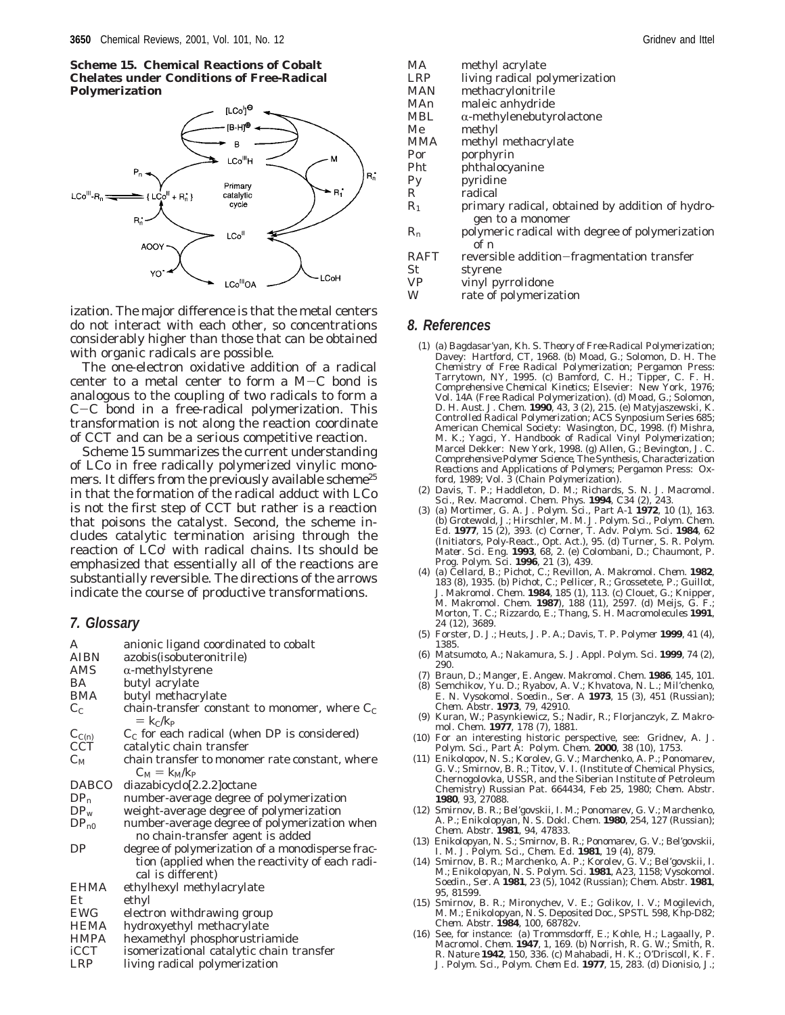**Scheme 15. Chemical Reactions of Cobalt Chelates under Conditions of Free-Radical Polymerization**



ization. The major difference is that the metal centers do not interact with each other, so concentrations considerably higher than those that can be obtained with organic radicals are possible.

The one-electron oxidative addition of a radical center to a metal center to form a M-C bond is analogous to the coupling of two radicals to form a <sup>C</sup>-C bond in a free-radical polymerization. This transformation is not along the reaction coordinate of CCT and can be a serious competitive reaction.

Scheme 15 summarizes the current understanding of LCo in free radically polymerized vinylic monomers. It differs from the previously available scheme<sup>25</sup> in that the formation of the radical adduct with LCo is not the first step of CCT but rather is a reaction that poisons the catalyst. Second, the scheme includes catalytic termination arising through the reaction of LCo<sup>I</sup> with radical chains. Its should be emphasized that essentially all of the reactions are substantially reversible. The directions of the arrows indicate the course of productive transformations.

# *7. Glossary*

| A                | anionic ligand coordinated to cobalt                          |
|------------------|---------------------------------------------------------------|
| <b>AIBN</b>      | azobis(isobuteronitrile)                                      |
| <b>AMS</b>       | $\alpha$ -methylstyrene                                       |
| BA               | butyl acrylate                                                |
| BMA              | butyl methacrylate                                            |
| $C_{\rm C}$      | chain-transfer constant to monomer, where $CC$<br>$= k_C/k_P$ |
| $C_{C(n)}$       | $C_{\rm C}$ for each radical (when DP is considered)          |
| <b>CCT</b>       | catalytic chain transfer                                      |
| $C_{\rm M}$      | chain transfer to monomer rate constant, where                |
|                  | $C_M = k_M/k_P$                                               |
| <b>DABCO</b>     | diazabicyclo[2.2.2] octane                                    |
| $DP_n$           | number-average degree of polymerization                       |
| $DP_{w}$         | weight-average degree of polymerization                       |
| DP <sub>n0</sub> | number-average degree of polymerization when                  |
|                  | no chain-transfer agent is added                              |
| DP               | degree of polymerization of a monodisperse frac-              |
|                  | tion (applied when the reactivity of each radi-               |
|                  | cal is different)                                             |
| <b>EHMA</b>      | ethylhexyl methylacrylate                                     |
| Et               | ethyl                                                         |
| <b>EWG</b>       | electron withdrawing group                                    |
| <b>HEMA</b>      | hydroxyethyl methacrylate                                     |
| <b>HMPA</b>      | hexamethyl phosphorustriamide                                 |
| iCCT             | isomerizational catalytic chain transfer                      |
| LRP              | living radical polymerization                                 |

|  | Gridney and Ittel |  |
|--|-------------------|--|
|  |                   |  |

- MA methyl acrylate<br>LRP living radical po
- LRP living radical polymerization<br>MAN methacrylonitrile
- MAN methacrylonitrile<br>MAn maleic anhydride
- MAn maleic anhydride<br>MBL  $\alpha$ -methylenebutyr
- MBL  $\alpha$ -methylenebutyrolactone<br>Me methyl
- Me methyl<br>MMA methyl
- methyl methacrylate
- Por porphyrin
- Pht phthalocyanine<br>Py pyridine
- Py pyridine<br>R radical
- radical
- $R_1$  primary radical, obtained by addition of hydrogen to a monomer
- R*<sup>n</sup>* polymeric radical with degree of polymerization of *n*
- RAFT reversible addition-fragmentation transfer<br>St styrene
- St styrene<br>VP vinyl py vinyl pyrrolidone
- 
- W rate of polymerization

# *8. References*

- (1) (a) Bagdasar'yan, Kh. S. *Theory of Free-Radical Polymerization*; Davey: Hartford, CT, 1968. (b) Moad, G.; Solomon, D. H. *The Chemistry of Free Radical Polymerization*; Pergamon Press: Tarrytown, NY, 1995. (c) Bamford, C. H.; Tipper, C. F. H. *Comprehensive Chemical Kinetics*; Elsevier: New York, 1976; Vol. 14A (Free Radical Polymerization)*.* (d) Moad, G.; Solomon, D. H. *Aust. J. Chem.* **1990**, *43*, 3 (2), 215. (e) Matyjaszewski, K. *Controlled Radical Polymerization*; ACS Synposium Series 685; American Chemical Society: Wasington, DC, 1998. (f) Mishra, M. K.; Yagci, Y. *Handbook of Radical Vinyl Polymerization*; Marcel Dekker: New York, 1998. (g) Allen, G.; Bevington, J. C. *Comprehensive Polymer Science, The Synthesis, Characterization Reactions and Applications of Polymers*; Pergamon Press: Ox-ford, 1989; Vol. 3 (Chain Polymerization).
- (2) Davis, T. P.; Haddleton, D. M.; Richards, S. N. *J. Macromol. Sci., Rev. Macromol. Chem. Phys.* **1994**, *C34* (2), 243.
- (3) (a) Mortimer, G. A. *J. Polym. Sci., Part A-1* **1972**, *10* (1), 163. (b) Grotewold, J.; Hirschler, M. M. *J. Polym. Sci., Polym. Chem. Ed.* **1977**, *15* (2), 393. (c) Corner, T. *Adv. Polym. Sci.* **1984**, *62* (Initiators, Poly-React., Opt. Act.), 95. (d) Turner, S. R. *Polym. Mater. Sci. Eng.* **1993**, *68*, 2. (e) Colombani, D.; Chaumont, P. *Prog. Polym. Sci.* **1996**, *21* (3), 439.
- (4) (a) Cellard, B.; Pichot, C.; Revillon, A. *Makromol. Chem.* **1982**, *183* (8), 1935. (b) Pichot, C.; Pellicer, R.; Grossetete, P.; Guillot, J. *Makromol. Chem.* **1984**, *185* (1), 113. (c) Clouet, G.; Knipper, M. *Makromol. Chem.* **1987**), *188* (11), 2597. (d) Meijs, G. F.; Morton, T. C.; Rizzardo, E.; Thang, S. H. *Macromolecules* **1991**, *24* (12), 3689.
- (5) Forster, D. J.; Heuts, J. P. A.; Davis, T. P. *Polymer* **1999**, *41* (4), 1385.
- (6) Matsumoto, A.; Nakamura, S. *J. Appl. Polym. Sci.* **1999**, *74* (2), 290.
- (7) Braun, D.; Manger, E. *Angew. Makromol. Chem.* **1986**, *145,* 101.
- (8) Semchikov, Yu. D.; Ryabov, A. V.; Khvatova, N. L.; Mil'chenko, E. N. *Vysokomol. Soedin., Ser. A* **1973**, *15* (3), 451 (Russian); *Chem. Abstr.* **1973**, *79*, 42910.
- (9) Kuran, W.; Pasynkiewicz, S.; Nadir, R.; Florjanczyk, Z. *Makromol. Chem.* **1977**, *178* (7), 1881.
- (10) For an interesting historic perspective, see: Gridnev, A. *J. Polym. Sci., Part A: Polym. Chem.* **2000**, *38* (10), 1753.
- (11) Enikolopov, N. S.; Korolev, G. V.; Marchenko, A. P.; Ponomarev, G. V.; Smirnov, B. R.; Titov, V. I. (Institute of Chemical Physics, Chernogolovka, USSR, and the Siberian Institute of Petroleum Chemistry) Russian Pat. 664434, Feb 25, 1980; *Chem. Abstr.* **1980**, *93*, 27088.
- (12) Smirnov, B. R.; Bel'govskii, I. M.; Ponomarev, G. V.; Marchenko, A. P.; Enikolopyan, N. S. *Dokl. Chem.* **1980**, *254,* 127 (Russian); *Chem. Abstr.* **1981**, *94*, 47833.
- (13) Enikolopyan, N. S.; Smirnov, B. R.; Ponomarev, G. V.; Bel'govskii, I. M. *J. Polym. Sci., Chem. Ed.* **1981**, *19* (4), 879.
- (14) Smirnov, B. R.; Marchenko, A. P.; Korolev, G. V.; Bel'govskii, I. M.; Enikolopyan, N. S. *Polym. Sci*. **1981**, *A23*, 1158; *Vysokomol. Soedin., Ser. A* **1981**, *23* (5), 1042 (Russian); *Chem. Abstr*. **1981**, *95*, 81599.
- (15) Smirnov, B. R.; Mironychev, V. E.; Golikov, I. V.; Mogilevich, M. M.; Enikolopyan, N. S. Deposited Doc., SPSTL 598, Khp-D82; *Chem. Abstr*. **1984**, *100*, 68782v.
- (16) See, for instance: (a) Trommsdorff, E.; Kohle, H.; Lagaally, P. *Macromol. Chem.* **1947**, *1*, 169. (b) Norrish, R. G. W.; Smith, R. R. *Nature* **1942**, *150*, 336. (c) Mahabadi, H. K.; O'Driscoll, K. F. *J. Polym. Sci., Polym. Chem Ed.* **1977**, *15*, 283. (d) Dionisio, J.;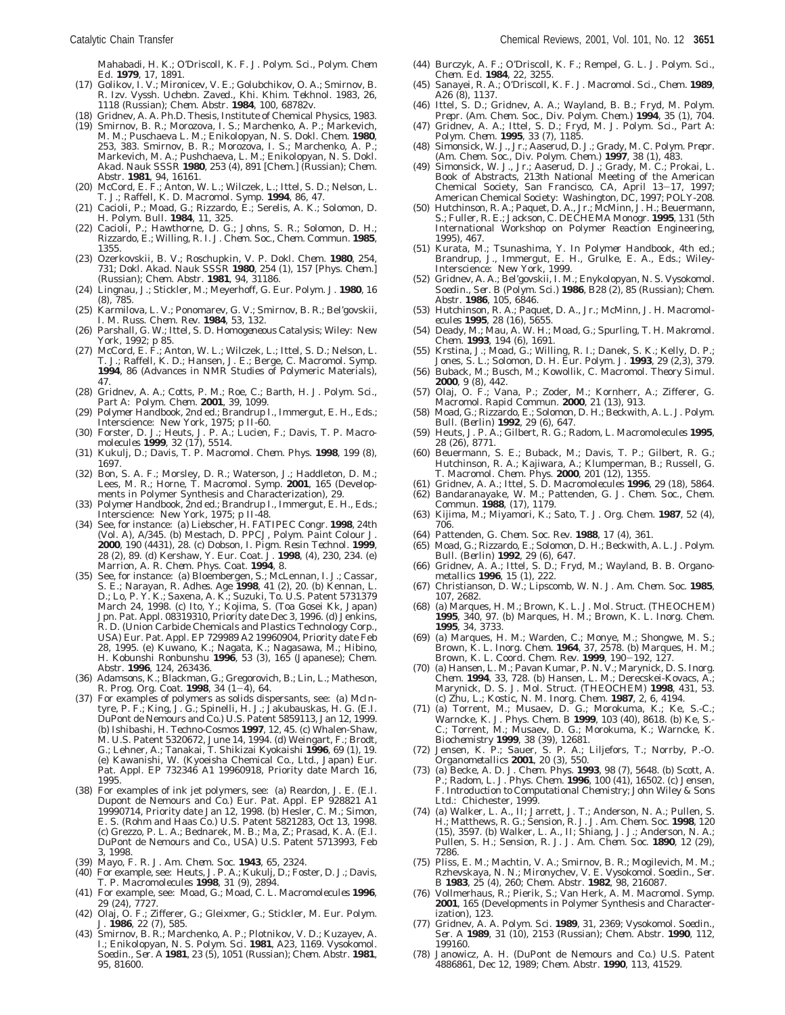Mahabadi, H. K.; O'Driscoll, K. F. *J. Polym. Sci., Polym. Chem Ed.* **1979**, *17*, 1891.

- (17) Golikov, I. V.; Mironicev, V. E.; Golubchikov, O. A.; Smirnov, B. R. *Izv. Vyssh. Uchebn. Zaved., Khi. Khim. Tekhnol.* 1983, *26,* 1118 (Russian); *Chem. Abstr*. **1984**, *100*, 68782v.
- (18) Gridnev, A. A. Ph.D. Thesis, Institute of Chemical Physics, 1983.
- (19) Smirnov, B. R.; Morozova, I. S.; Marchenko, A. P.; Markevich, M. M.; Puschaeva L. M.; Enikolopyan, N. S. *Dokl. Chem.* **1980**, 253, 383. Smirnov, B. R.; Morozova, I. S.; Marchenko, A. P.; Marchenko, A. P.; Marchenko, *Akad. Nauk SSSR* **1980**, *253* (4), 891 *[Chem.]* (Russian); *Chem.*
- *Abstr*. **1981**, *94*, 16161. (20) McCord, E. F.; Anton, W. L.; Wilczek, L.; Ittel, S. D.; Nelson, L. T. J.; Raffell, K. D. *Macromol. Symp.* **1994**, *86,* 47.
- (21) Cacioli, P.; Moad, G.; Rizzardo, E.; Serelis, A. K.; Solomon, D. H. *Polym. Bull.* **1984**, *11*, 325.
- (22) Cacioli, P.; Hawthorne, D. G.; Johns, S. R.; Solomon, D. H.; Rizzardo, E.; Willing, R. I. *J. Chem. Soc., Chem. Commun*. **1985**, 1355.
- (23) Ozerkovskii, B. V.; Roschupkin, V. P. *Dokl. Chem*. **1980**, *254*, 731; *Dokl. Akad. Nauk SSSR* **1980**, *254* (1), 157 *[Phys. Chem.]* (Russian); *Chem. Abstr*. **1981**, *94*, 31186.
- (24) Lingnau, J.; Stickler, M.; Meyerhoff, G. *Eur. Polym. J.* **1980**, *16 (8)*, 785.
- (25) Karmilova, L. V.; Ponomarev, G. V.; Smirnov, B. R.; Bel'govskii,
- I. M. *Russ. Chem. Rev.* **1984**, *53*, 132. (26) Parshall, G. W.; Ittel, S. D. *Homogeneous Catalysis*; Wiley: New York, 1992; p 85.
- (27) McCord, E. F.; Anton, W. L.; Wilczek, L.; Ittel, S. D.; Nelson, L. T. J.; Raffell, K. D.; Hansen, J. E.; Berge, C. *Macromol. Symp.* **1994**, *86* (Advances in NMR Studies of Polymeric Materials), 47.
- (28) Gridnev, A. A.; Cotts, P. M.; Roe, C.; Barth, H. *J. Polym. Sci., Part A: Polym. Chem.* **2001**, *39*, 1099.
- (29) *Polymer Handbook*, 2nd ed.; Brandrup I., Immergut, E. H., Eds.; Interscience: New York, 1975; p II-60.
- (30) Forster, D. J.; Heuts, J. P. A.; Lucien, F.; Davis, T. P. *Macromolecules* **1999**, *32* (17), 5514.
- (31) Kukulj, D.; Davis, T. P. *Macromol. Chem. Phys.* **1998**, *199* (8), 1697.
- (32) Bon, S. A. F.; Morsley, D. R.; Waterson, J.; Haddleton, D. M.; Lees, M. R.; Horne, T. *Macromol. Symp.* **2001**, *165* (Developments in Polymer Synthesis and Characterization), 29.
- (33) *Polymer Handbook*, 2nd ed.; Brandrup I., Immergut, E. H., Eds.; Interscience: New York, 1975; p II-48.
- (34) See, for instance: (a) Liebscher, H. *FATIPEC Congr.* **1998**, 24th (Vol. A), A/345. (b) Mestach, D. *PPCJ, Polym. Paint Colour J.* **2000**, *190* (4431), 28. (c) Dobson, I. *Pigm. Resin Technol.* **1999**, *28* (2), 89. (d) Kershaw, Y. *Eur. Coat. J.* **1998**, (4), 230, 234. (e) Marrion, A. R. *Chem. Phys. Coat.* **1994**, 8.
- (35) See, for instance: (a) Bloembergen, S.; McLennan, I. J.; Cassar, S. E.; Narayan, R. *Adhes. Ag*e **1998**, *41* (2), 20. (b) Kennan, L. D.; Lo, P. Y. K.; Saxena, A. K.; Suzuki, To. U.S. Patent 5731379 March 24, 1998. (c) Ito, Y.; Kojima, S. (Toa Gosei Kk, Japan) Jpn. Pat. Appl. 08319310, Priority date Dec 3, 1996. (d) Jenkins, R. D. (Union Carbide Chemicals and Plastics Technology Corp., USA) Eur. Pat. Appl. EP 729989 A2 19960904, Priority date Feb 28, 1995. (e) Kuwano, K.; Nagata, K.; Nagasawa, M.; Hibino, H. *Kobunshi Ronbunsh*u **1996**, *53* (3), 165 (Japanese); *Chem. Abstr*. **1996**, *124*, 263436.
- (36) Adamsons, K.; Blackman, G.; Gregorovich, B.; Lin, L.; Matheson, R. *Prog. Org. Coat.* **<sup>1998</sup>**, *<sup>34</sup>* (1-4), 64.
- (37) For examples of polymers as solids dispersants, see: (a) McIntyre, P. F.; King, J. G.; Spinelli, H. J.; Jakubauskas, H. G. (E.I. DuPont de Nemours and Co.) U.S. Patent 5859113, Jan 12, 1999. (b) Ishibashi, H. *Techno-Cosmos* **1997**, *12*, 45. (c) Whalen-Shaw, M. U.S. Patent 5320672, June 14, 1994. (d) Weingart, F.; Brodt, G.; Lehner, A.; Tanakai, T. *Shikizai Kyokaishi* **1996**, *69* (1), 19. (e) Kawanishi, W. (Kyoeisha Chemical Co., Ltd., Japan) Eur. Pat. Appl. EP 732346 A1 19960918, Priority date March 16, 1995.
- (38) For examples of ink jet polymers, see: (a) Reardon, J. E. (E.I. Dupont de Nemours and Co.) Eur. Pat. Appl. EP 928821 A1 19990714, Priority date Jan 12, 1998. (b) Hesler, C. M.; Simon, E. S. (Rohm and Haas Co.) U.S. Patent 5821283, Oct 13, 1998. (c) Grezzo, P. L. A.; Bednarek, M. B.; Ma, Z.; Prasad, K. A. (E.I. DuPont de Nemours and Co., USA) U.S. Patent 5713993, Feb 3, 1998.
- (39) Mayo, F. R. *J. Am. Chem. Soc.* **1943**, *65*, 2324.
- (40) For example, see: Heuts, J. P. A.; Kukulj, D.; Foster, D. J.; Davis, T. P. *Macromolecules* **1998**, *31* (9), 2894.
- (41) For example, see: Moad, G.; Moad, C. L. *Macromolecules* **1996**, *29* (24), 7727.
- (42) Olaj, O. F.; Zifferer, G.; Gleixmer, G.; Stickler, M. *Eur. Polym.*
- *J.* **1986**, *22* (7), 585. (43) Smirnov, B. R.; Marchenko, A. P.; Plotnikov, V. D.; Kuzayev, A. I.; Enikolopyan, N. S. *Polym. Sci.* **1981**, *A23,* 1169. *Vysokomol. Soedin., Ser. A* **1981**, *23* (5), 1051 (Russian); *Chem. Abstr*. **1981**, *95*, 81600.
- (44) Burczyk, A. F.; O'Driscoll, K. F.; Rempel, G. L. *J. Polym. Sci., Chem. Ed.* **1984**, *22,* 3255.
- (45) Sanayei, R. A.; O'Driscoll, K. F. *J. Macromol. Sci., Chem.* **1989**,
- *A26* (8), 1137. (46) Ittel, S. D.; Gridnev, A. A.; Wayland, B. B.; Fryd, M. *Polym. Prepr. (Am. Chem. Soc., Div. Polym. Chem.)* **1994**, *35* (1), 704. (47) Gridnev, A. A.; Ittel, S. D.; Fryd, M. *J. Polym. Sci., Part A:*
- *Polym. Chem.* **1995**, *33* (7), 1185. (48) Simonsick, W. J., Jr.; Aaserud, D. J.; Grady, M. C. *Polym. Prepr.*
- *(Am. Chem. Soc., Div. Polym. Chem.)* **1997**, *38* (1), 483. (49) Simonsick, W. J., Jr.; Aaserud, D. J.; Grady, M. C.; Prokai, L.
- *Book of Abstracts*, 213th National Meeting of the American<br>Chemical Society, San Francisco, CA, April 13-17, 1997;<br>American Chemical Society: Washington DC 1997<sup>,</sup> POLY-208 American Chemical Society: Washington, DC, 1997; POLY-208.
- (50) Hutchinson, R. A.; Paquet, D. A., Jr.; McMinn, J. H.; Beuermann, S.; Fuller, R. E.; Jackson, C. *DECHEMA Monogr.* **1995**, *131* (5th International Workshop on Polymer Reaction Engineering, 1995), 467.
- (51) Kurata, M.; Tsunashima, Y. In *Polymer Handboo*k, 4th ed.; Brandrup, J., Immergut, E. H., Grulke, E. A., Eds.; Wiley-Interscience: New York, 1999.
- (52) Gridnev, A. A.; Bel'govskii, I. M.; Enykolopyan, N. S. *Vysokomol. Soedin., Ser. B* (*Polym. Sci.*) **1986**, *B28* (2), 85 (Russian); *Chem. Abstr*. **1986**, *105*, 6846.
- (53) Hutchinson, R. A.; Paquet, D. A., Jr.; McMinn, J. H. *Macromolecules* **1995**, *28* (16), 5655.
- (54) Deady, M.; Mau, A. W. H.; Moad, G.; Spurling, T. H. *Makromol. Chem.* **1993**, *194* (6), 1691.
- (55) Krstina, J.; Moad, G.; Willing, R. I.; Danek, S. K.; Kelly, D. P.; Jones, S. L.; Solomon, D. H. *Eur. Polym. J.* **1993**, *29* (2,3), 379.
- (56) Buback, M.; Busch, M.; Kowollik, C. *Macromol. Theory Simul.* **2000**, *9* (8), 442. (57) Olaj, O. F.; Vana, P.; Zoder, M.; Kornherr, A.; Zifferer, G.
- *Macromol. Rapid Commun.* **2000**, *21* (13), 913.
- (58) Moad, G.; Rizzardo, E.; Solomon, D. H.; Beckwith, A. L. J. *Polym. Bull. (Berlin)* **1992**, *29* (6), 647.
- (59) Heuts, J. P. A.; Gilbert, R. G.; Radom, L. *Macromolecules* **1995**, *28* (26), 8771.
- (60) Beuermann, S. E.; Buback, M.; Davis, T. P.; Gilbert, R. G.; Hutchinson, R. A.; Kajiwara, A.; Klumperman, B.; Russell, G. T. *Macromol. Chem. Phys.* **2000**, *201* (12), 1355.
- (61) Gridnev, A. A.; Ittel, S. D. *Macromolecules* **1996**, *29* (18), 5864. (62) Bandaranayake, W. M.; Pattenden, G. *J. Chem. Soc., Chem.*
- *Commun.* **1988**, (17), 1179. (63) Kijima, M.; Miyamori, K.; Sato, T*. J. Org. Chem.* **1987**, *52* (4),
- 706. (64) Pattenden, G. *Chem. Soc. Rev.* **1988**, *17* (4), 361.
- (65) Moad, G.; Rizzardo, E.; Solomon, D. H.; Beckwith, A. L. J. *Polym. Bull. (Berlin)* **1992**, *29* (6), 647.
- (66) Gridnev, A. A.; Ittel, S. D.; Fryd, M.; Wayland, B. B. *Organometallics* **1996**, *15* (1), 222.
- (67) Christianson, D. W.; Lipscomb, W. N. *J. Am. Chem. Soc.* **1985**, *107*, 2682.
- (68) (a) Marques, H. M.; Brown, K. L. *J. Mol. Struct. (THEOCHEM)* **1995**, *340*, 97. (b) Marques, H. M.; Brown, K. L. *Inorg. Chem.* **1995**, *34*, 3733.
- (69) (a) Marques, H. M.; Warden, C.; Monye, M.; Shongwe, M. S.; Brown, K. L. *Inorg. Chem.* **1964**, *37*, 2578. (b) Marques, H. M.; Brown, K. L. *Coord. Chem. Rev.* **<sup>1999</sup>**, *<sup>190</sup>*-*19*2, 127.
- (70) (a) Hansen, L. M.; Pavan Kumar, P. N. V.; Marynick, D. S. *Inorg. Chem.* **1994**, *33*, 728. (b) Hansen, L. M.; Derecskei-Kovacs, A.; Marynick, D. S. *J. Mol. Struct. (THEOCHEM)* **1998**, *431*, 53.
- (c) Zhu, L.; Kostic, N. M. *Inorg. Chem.* **1987**, *2*, 6, 4194. (71) (a) Torrent, M.; Musaev, D. G.; Morokuma, K.; Ke, S.-C.; Warncke, K. *J. Phys. Chem. B* **1999**, *103* (40), 8618. (b) Ke, S.- C.; Torrent, M.; Musaev, D. G.; Morokuma, K.; Warncke, K. *Biochemistry* **1999**, *38* (39), 12681.
- (72) Jensen, K. P.; Sauer, S. P. A.; Liljefors, T.; Norrby, P.-O. *Organometallics* **2001**, *20* (3), 550.
- (73) (a) Becke, A. D. *J. Chem. Phys.* **1993**, *98* (7), 5648. (b) Scott, A. P.; Radom, L. *J. Phys. Chem.* **1996**, *100* (41), 16502. (c) Jensen, F. *Introduction to Computational Chemistr*y; John Wiley & Sons Ltd.: Chichester, 1999.
- (74) (a) Walker, L. A., II; Jarrett, J. T.; Anderson, N. A.; Pullen, S. H.; Matthews, R. G.; Sension, R. J. *J. Am. Chem. Soc.* **1998**, *120* (15), 3597. (b) Walker, L. A., II; Shiang, J. J.; Anderson, N. A.; Pullen, S. H.; Sension, R. J. *J. Am. Chem. Soc.* **1890**, *12* (29), 7286.
- (75) Pliss, E. M.; Machtin, V. A.; Smirnov, B. R.; Mogilevich, M. M.; Rzhevskaya, N. N.; Mironychev, V. E. *Vysokomol. Soedin., Ser. B* **1983**, *25* (4), 260; *Chem. Abstr*. **1982**, *98*, 216087.
- (76) Vollmerhaus, R.; Pierik, S.; Van Herk, A. M. *Macromol. Symp.* **2001**, *165* (Developments in Polymer Synthesis and Characterization), 123.
- (77) Gridnev, A. A. *Polym. Sci.* **1989**, *31*, 2369; *Vysokomol. Soedin., Ser. A* **1989**, *31* (10), 2153 (Russian); *Chem. Abstr*. **1990**, *112*, 199160.
- (78) Janowicz, A. H. (DuPont de Nemours and Co.) U.S. Patent 4886861, Dec 12, 1989; *Chem. Abstr*. **1990**, *113*, 41529.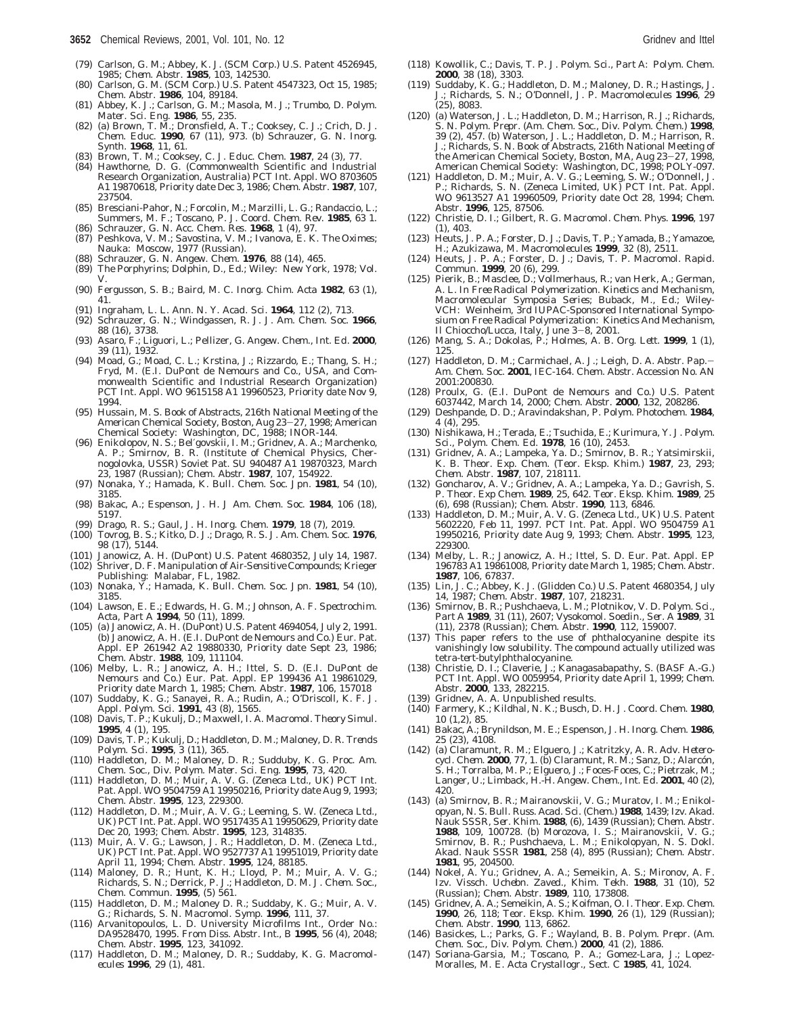- (79) Carlson, G. M.; Abbey, K. J. (SCM Corp.) U.S. Patent 4526945, 1985; *Chem. Abstr*. **1985**, *103*, 142530.
- (80) Carlson, G. M. (SCM Corp.) U.S. Patent 4547323, Oct 15, 1985;
- *Chem. Abstr*. **1986**, *104*, 89184. (81) Abbey, K. J.; Carlson, G. M.; Masola, M. J.; Trumbo, D. *Polym.*
- *Mater. Sci. Eng.* **1986**, *55*, 235. (82) (a) Brown, T. M.; Dronsfield, A. T.; Cooksey, C. J.; Crich, D. *J. Chem. Educ.* **1990**, *67* (11), 973. (b) Schrauzer, G. N. *Inorg. Synth.* **1968**, *11*, 61.
- (83) Brown, T. M.; Cooksey, C. J. *Educ. Chem*. **1987**, *24* (3), 77.
- (84) Hawthorne, D. G. (Commonwealth Scientific and Industrial Research Organization, Australia) PCT Int. Appl. WO 8703605 A1 19870618, Priority date Dec 3, 1986; *Chem. Abstr*. **1987**, *107*, 237504.
- (85) Bresciani-Pahor, N.; Forcolin, M.; Marzilli, L. G.; Randaccio, L.; Summers, M. F.; Toscano, P. J. *Coord. Chem. Rev.* **1985**, *63* 1.
- (86) Schrauzer, G. N. *Acc. Chem. Res*. **1968**, *1* (4), 97. (87) Peshkova, V. M.; Savostina, V. M.; Ivanova, E. K. *The Oximes*;
- Nauka: Moscow, 1977 (Russian).
- (88) Schrauzer, G. N. *Angew. Chem.* **1976**, *88* (14), 465. (89) *The Porphyrins*; Dolphin, D., Ed.; Wiley: New York, 1978; Vol.
- V. (90) Fergusson, S. B.; Baird, M. C. *Inorg. Chim. Acta* **1982**, *63* (1), 41.
- (91) Ingraham, L. L. *Ann. N. Y. Acad. Sci.* **1964**, *112* (2), 713.
- (92) Schrauzer, G. N.; Windgassen, R. J. *J. Am. Chem. Soc.* **1966**, *88* (16), 3738.
- (93) Asaro, F.; Liguori, L.; Pellizer, G. *Angew. Chem., Int. Ed.* **2000**, *39* (11), 1932.
- (94) Moad, G.; Moad, C. L.; Krstina, J.; Rizzardo, E.; Thang, S. H.; Fryd, M. (E.I. DuPont de Nemours and Co., USA, and Commonwealth Scientific and Industrial Research Organization) PCT Int. Appl. WO 9615158 A1 19960523, Priority date Nov 9, 1994.
- (95) Hussain, M. S. *Book of Abstracts*, 216th National Meeting of the American Chemical Society, Boston, Aug 23-27, 1998; American Chemical Society: Washington, DC, 1988; INOR-144.
- (96) Enikolopov, N. S.; Bel′govskii, I. M.; Gridnev, A. A.; Marchenko, A. P.; Smirnov, B. R. (Institute of Chemical Physics, Chernogolovka, USSR) Soviet Pat. SU 940487 A1 19870323, March 23, 1987 (Russian); *Chem. Abstr*. **1987**, *107*, 154922.
- (97) Nonaka, Y.; Hamada, K. *Bull. Chem. Soc. Jpn.* **1981**, *54* (10), 3185.
- (98) Bakac, A.; Espenson, J. H. *J Am. Chem. Soc*. **1984**, *106* (18), 5197.
- 
- (99) Drago, R. S.; Gaul, J. H. *Inorg. Chem*. **1979**, *18* (7), 2019. (100) Tovrog, B. S.; Kitko, D. J.; Drago, R. S. *J. Am. Chem. Soc.* **1976**, *98* (17), 5144.
- (101) Janowicz, A. H. (DuPont) U.S. Patent 4680352, July 14, 1987. (102) Shriver, D. F. *Manipulation of Air-Sensitive Compounds*; Krieger
- Publishing: Malabar, FL, 1982. (103) Nonaka, Y.; Hamada, K. *Bull. Chem. Soc. Jpn.* **1981**, *54* (10), 3185.
- (104) Lawson, E. E.; Edwards, H. G. M.; Johnson, A. F. *Spectrochim.*
- *Acta, Part A* **1994**, *50* (11), 1899. (105) (a) Janowicz, A. H. (DuPont) U.S. Patent 4694054, July 2, 1991. (b) Janowicz, A. H. (E.I. DuPont de Nemours and Co.) Eur. Pat. Appl. EP 261942 A2 19880330, Priority date Sept 23, 1986; *Chem. Abstr*. **1988**, *109*, 111104.
- (106) Melby, L. R.; Janowicz, A. H.; Ittel, S. D. (E.I. DuPont de Nemours and Co.) Eur. Pat. Appl. EP 199436 A1 19861029, Priority date March 1, 1985; *Chem. Abstr*. **1987**, *106*, 157018
- (107) Suddaby, K. G.; Sanayei, R. A.; Rudin, A.; O'Driscoll, K. F. *J. Appl. Polym. Sci.* **1991**, *43* (8), 1565.
- (108) Davis, T. P.; Kukulj, D*.*; Maxwell, I. A. *Macromol. Theory Simul.* **1995**, *4* (1), 195.
- (109) Davis, T. P.; Kukulj, D.; Haddleton, D. M.; Maloney, D. R. *Trends Polym. Sci.* **1995**, *3* (11), 365. (110) Haddleton, D. M.; Maloney, D. R.; Sudduby, K. G. *Proc. Am.*
- *Chem. Soc., Div. Polym. Mater. Sci. Eng.* **1995**, *73*, 420.
- (111) Haddleton, D. M.; Muir, A. V. G. (Zeneca Ltd., UK) PCT Int. Pat. Appl. WO 9504759 A1 19950216, Priority date Aug 9, 1993; *Chem. Abstr*. **1995**, *123*, 229300.
- (112) Haddleton, D. M.; Muir, A. V. G.; Leeming, S. W. (Zeneca Ltd., UK) PCT Int. Pat. Appl. WO 9517435 A1 19950629, Priority date Dec 20, 1993; *Chem. Abstr*. **1995**, *123*, 314835.
- (113) Muir, A. V. G.; Lawson, J. R.; Haddleton, D. M. (Zeneca Ltd., UK) PCT Int. Pat. Appl. WO 9527737 A1 19951019, Priority date April 11, 1994; *Chem. Abstr*. **1995**, *124*, 88185.
- (114) Maloney, D. R.; Hunt, K. H.; Lloyd, P. M.; Muir, A. V. G.; Richards, S. N.; Derrick, P. J.; Haddleton, D. M. *J. Chem. Soc., Chem. Commun.* **1995**, *(5)* 561.
- (115) Haddleton, D. M.; Maloney D. R.; Suddaby, K. G.; Muir, A. V. G.; Richards, S. N. *Macromol. Symp.* **1996**, *111*, 37.
- (116) Arvanitopoulos, L. D. University Microfilms Int., Order No.: DA9528470, 1995. From *Diss. Abstr. Int., B* **1995**, *56* (4), 2048; *Chem. Abstr*. **1995**, *123*, 341092.
- (117) Haddleton, D. M.; Maloney, D. R.; Suddaby, K. G. *Macromol-ecules* **1996**, *29* (1), 481.
- (118) Kowollik, C.; Davis, T. P. *J. Polym. Sci., Part A: Polym. Chem.* **2000**, *38* (18), 3303.
- (119) Suddaby, K. G.; Haddleton, D. M.; Maloney, D. R.; Hastings, J. J.; Richards, S. N.; O'Donnell, J. P. *Macromolecules* **1996**, *29* (25), 8083.
- (120) (a) Waterson, J. L.; Haddleton, D. M.; Harrison, R. J.; Richards, S. N. *Polym. Prepr. (Am. Coc., Div. Polym. Chem.)* **1998**,  $3\ell$  (2, 2), 457. (b) Waterson, J. L.; Haddleton, D. M.; Harrison, R. J.; Richards, S. N the American Chemical Society, Boston, MA, Aug 23–27, 1998,<br>American Chemical Society: Washington, DC, 1998; POLY-097.<br>(121) Haddleton, D. M.; Muir, A. V. G.; Leeming, S. W.; O'Donnell, J.<br>P.; Richards, S. N. (Zeneca Limit
- WO 9613527 A1 19960509, Priority date Oct 28, 1994; *Chem. Abstr*. **1996**, *125*, 87506.
- (122) Christie, D. I.; Gilbert, R. G. *Macromol. Chem. Phys.* **1996**, *197* (1), 403.
- (123) Heuts, J. P. A.; Forster, D. J.; Davis, T. P.; Yamada, B.; Yamazoe, H.; Azukizawa, M. *Macromolecules* **1999**, *32* (8), 2511.
- (124) Heuts, J. P. A.; Forster, D. J.; Davis, T. P. *Macromol. Rapid. Commun.* **1999**, *20* (6), 299. (125) Pierik, B.; Masclee, D.; Vollmerhaus, R.; van Herk, A.; German,
- A. L. In *Free Radical Polymerization. Kinetics and Mechanism, Macromolecular Symposia Series*; Buback, M., Ed.; Wiley-VCH: Weinheim, 3rd IUPAC-Sponsored International Symposium on Free Radical Polymerization: Kinetics And Mechanism, Il Chioccho/Lucca, Italy, June 3-8, 2001.
- (126) Mang, S. A.; Dokolas, P.; Holmes, A. B. *Org. Lett.* **1999**, *1* (1), 125.
- (127) Haddleton, D. M.; Carmichael, A. J.; Leigh, D. A. *Abstr. Pap. Am. Chem. Soc.* **2001**, IEC-164. *Chem. Abstr.* Accession No. AN 2001:200830.
- (128) Proulx, G. (E.I. DuPont de Nemours and Co.) U.S. Patent 6037442, March 14, 2000; *Chem. Abstr*. **2000**, *132*, 208286.
- (129) Deshpande, D. D.; Aravindakshan, P. *Polym. Photochem.* **1984**, *4* (4), 295.
- (130) Nishikawa, H.; Terada, E.; Tsuchida, E.; Kurimura, Y. *J. Polym.*
- Sci., Polym. Chem. Ed. **1978**, 16 (10), 2453.<br>
(131) Gridnev, A. A.; Lampeka, Ya. D.; Smirnov, B. R.; Yatsimirskii,<br>
K. B. Theor. Exp. Chem. (Teor. Eksp. Khim.) **1987**, 23, 293;<br>
Chem. Abstr. **1987**, 107, 218111.
- (132) Goncharov, A. V.; Gridnev, A. A.; Lampeka, Ya. D.; Gavrish, S. P. *Theor. Exp Chem*. **1989**, *25*, 642. *Teor. Eksp. Khim*. **1989**, *25* (6), 698 (Russian); *Chem. Abstr*. **1990**, *113*, 6846.
- (133) Haddleton, D. M.; Muir, A. V. G. (Zeneca Ltd., UK) U.S. Patent 5602220, Feb 11, 1997. PCT Int. Pat. Appl. WO 9504759 A1 19950216, Priority date Aug 9, 1993; *Chem. Abstr*. **1995**, *123*, 229300.
- (134) Melby, L. R.; Janowicz, A. H.; Ittel, S. D. Eur. Pat. Appl. EP 196783 A1 19861008, Priority date March 1, 1985; *Chem. Abstr*. **1987**, *106*, 67837.
- (135) Lin, J. C.; Abbey, K. J. (Glidden Co.) U.S. Patent 4680354, July 14, 1987; *Chem. Abstr*. **1987**, *107*, 218231.
- (136) Smirnov, B. R.; Pushchaeva, L. M.; Plotnikov, V. D. *Polym. Sci., Part A* **1989**, *31* (11), 2607; *Vysokomol. Soedin., Ser. A* **1989**, *31* (11), 2378 (Russian); *Chem. Abstr*. **1990**, *112*, 159007.
- (137) This paper refers to the use of phthalocyanine despite its vanishingly low solubility. The compound actually utilized was tetra-*tert*-butylphthalocyanine.
- (138) Christie, D. I.; Claverie, J.; Kanagasabapathy, S. (BASF A.-G.) PCT Int. Appl. WO 0059954, Priority date April 1, 1999; *Chem. Abstr*. **2000**, *133*, 282215.
- Gridnev, A. A. Unpublished results.
- (140) Farmery, K.; Kildhal, N. K.; Busch, D. H. *J. Coord. Chem.* **1980**, *10* (1,2), 85.
- (141) Bakac, A.; Brynildson, M. E.; Espenson, J. H. *Inorg. Chem*. **1986**, *25 (*23), 4108.
- (142) (a) Claramunt, R. M.; Elguero, J.; Katritzky, A. R. *Adv. Heterocycl. Chem.* **2000**, 77, 1. (b) Claramunt, R. M.; Sanz, D.; Alarcón, S. H.; Torralba, M. P.; Elguero, J.; Foces-Foces, C.; Pietrzak, M.; Langer, U.; Limback, H.-H. *Angew. Chem., Int. Ed.* **2001**, *40* (2), 420.
- (143) (a) Smirnov, B. R.; Mairanovskii, V. G.; Muratov, I. M.; Enikolopyan, N. S*. Bull. Russ. Acad. Sci*. *(Chem.)* **1988**, 1439; *Izv. Akad. Nauk SSSR, Ser. Khim.* **1988**, (6), 1439 (Russian); *Chem. Abstr*. **1988**, *109*, 100728. (b) Morozova, I. S.; Mairanovskii, V. G.; Smirnov, B. R.; Pushchaeva, L. M.; Enikolopyan, N. S. *Dokl. Akad. Nauk SSSR* **1981**, *258* (4), 895 (Russian); *Chem. Abstr*. **1981**, *95,* 204500.
- (144) Nokel, A. Yu.; Gridnev, A. A.; Semeikin, A. S.; Mironov, A. F. *Izv. Vissch. Uchebn. Zaved., Khim. Tekh*. **1988**, *31* (10), 52 (Russian); *Chem. Abstr*. **1989**, *110*, 173808. (145) Gridnev, A. A.; Semeikin, A. S.; Koifman, O. I. *Theor. Exp. Chem*.
- **1990**, *26*, 118; *Teor. Eksp. Khim*. **1990**, *26* (1), 129 (Russian); *Chem. Abstr*. **1990**, *113*, 6862.
- (146) Basickes, L.; Parks, G. F.; Wayland, B. B. *Polym. Prepr. (Am.*
- *Chem. Soc., Div. Polym. Chem.)* **2000**, *41* (2), 1886. (147) Soriana-Garsia, M.; Toscano, P. A.; Gomez-Lara, J.; Lopez-Moralles, M. E. *Acta Crystallogr., Sect. C* **1985**, *41*, 1024.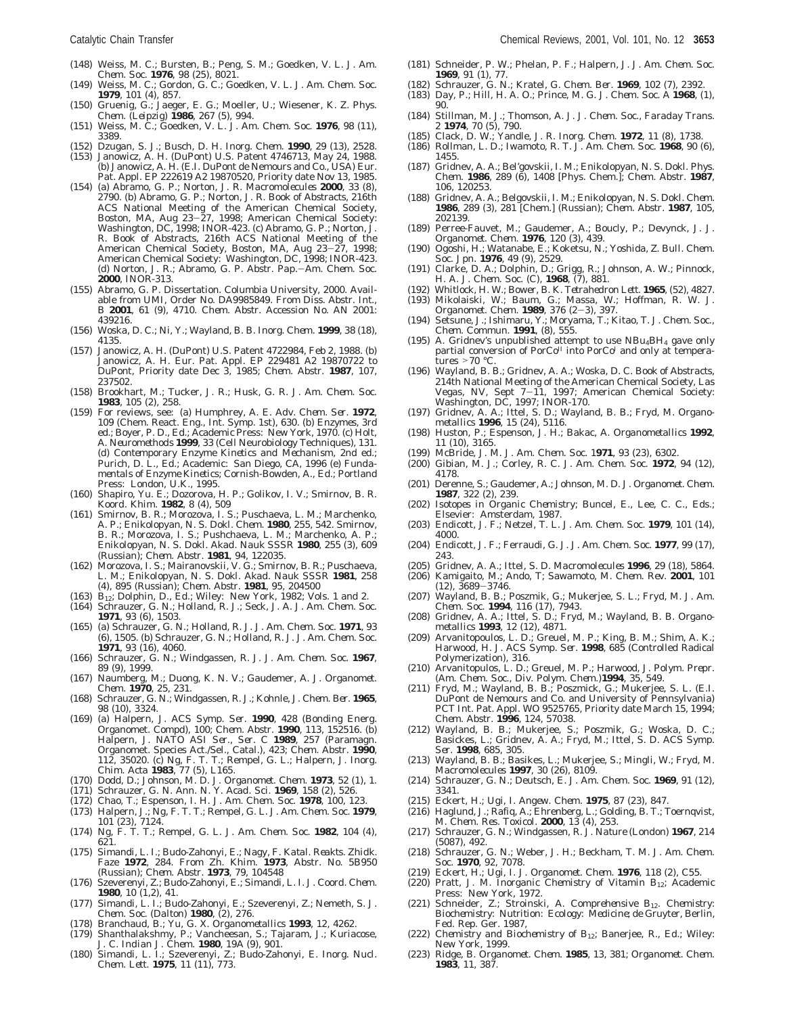- (148) Weiss, M. C.; Bursten, B.; Peng, S. M.; Goedken, V. L. *J. Am. Chem. Soc.* **1976**, *98* (25), 8021.
- (149) Weiss, M. C.; Gordon, G. C.; Goedken, V. L. *J. Am. Chem. Soc.* **1979**, *101* (4), 857.
- (150) Gruenig, G.; Jaeger, E. G.; Moeller, U.; Wiesener, K. *Z. Phys. Chem. (Leipzig)* **1986**, *267* (5), 994.
- (151) Weiss, M. C.; Goedken, V. L. *J. Am. Chem. Soc*. **1976**, *98* (11), 3389.
- (152) Dzugan, S. J.; Busch, D. H. *Inorg. Chem*. **1990**, *29* (13), 2528. (153) Janowicz, A. H. (DuPont) U.S. Patent 4746713, May 24, 1988. (b) Janowicz, A. H. (E.I. DuPont de Nemours and Co., USA) Eur.
- Pat. Appl. EP 222619 A2 19870520, Priority date Nov 13, 1985. (154) (a) Abramo, G. P.; Norton, J. R. *Macromolecules* **2000**, *33* (8),
- 2790. (b) Abramo, G. P.; Norton, J. R. *Book of Abstracts*, 216th ACS National Meeting of the American Chemical Society, Boston, MA, Aug 23-27, 1998; American Chemical Society: Washington, DC, 1998; INOR-423. (c) Abramo, G. P.; Norton, J. R. *Book of Abstracts*, 216th ACS National Meeting of the American Chemical Society, Boston, MA, Aug 23-27, 1998; American Chemical Society: Washington, DC, 1998; INOR-423. (d) Norton, J. R.; Abramo, G. P. *Abstr. Pap.*-*Am. Chem. Soc.* **2000**, INOR-313.
- (155) Abramo, G. P. Dissertation. Columbia University, 2000. Available from UMI, Order No. DA9985849. From *Diss. Abstr. Int., B* **2001**, *61* (9), 4710. *Chem. Abstr.* Accession No. AN 2001: 439216.
- (156) Woska, D. C.; Ni, Y.; Wayland, B. B. *Inorg. Chem.* **1999**, *38* (18), 4135.
- (157) Janowicz, A. H. (DuPont) U.S. Patent 4722984, Feb 2, 1988. (b) Janowicz, A. H. Eur. Pat. Appl. EP 229481 A2 19870722 to DuPont, Priority date Dec 3, 1985; *Chem. Abstr*. **1987**, *107*, 237502.
- (158) Brookhart, M.; Tucker, J. R.; Husk, G. R. *J. Am. Chem. Soc*. **1983**, *105* (2), 258.
- (159) For reviews, see: (a) Humphrey, A. E. *Adv. Chem. Ser.* **1972**, *109* (Chem. React. Eng., Int. Symp. 1st), 630. (b) *Enzymes*, 3rd ed.; Boyer, P. D., Ed.; Academic Press: New York, 1970. (c) Holt, A. *Neuromethods* **1999**, *33* (Cell Neurobiology Techniques), 131. (d) *Contemporary Enzyme Kinetics and Mechanism*, 2nd ed.; Purich, D. L., Ed.; Academic: San Diego, CA, 1996 (e) *Fundamentals of Enzyme Kinetics*; Cornish-Bowden, A., Ed.; Portland Press: London, U.K., 1995.
- (160) Shapiro, Yu. E.; Dozorova, H. P.; Golikov, I. V.; Smirnov, B. R. *Koord. Khim.* **1982**, *8* (4), 509
- (161) Smirnov, B. R.; Morozova, I. S.; Puschaeva, L. M.; Marchenko, A. P.; Enikolopyan, N. S. *Dokl. Chem.* **1980**, *255,* 542. Smirnov, B. R.; Morozova, I. S.; Pushchaeva, L. M.; Marchenko, A. P.; Enikolopyan, N. S. *Dokl. Akad. Nauk SSSR* **1980**, *255* (3), 609 (Russian); *Chem. Abstr*. **1981**, *94*, 122035. (162) Morozova, I. S.; Mairanovskii, V. G.; Smirnov, B. R.; Puschaeva,
- L. M.; Enikolopyan, N. S. *Dokl. Akad. Nauk SSSR* **1981**, *258* (4), 895 (Russian); *Chem. Abstr*. **1981**, *95*, 204500
- (163) *B12*; Dolphin, D., Ed.; Wiley: New York, 1982; Vols. 1 and 2.
- (164) Schrauzer, G. N.; Holland, R. J.; Seck, J. A. *J. Am. Chem. Soc.* **1971**, *93* (6), 1503.
- (165) (a) Schrauzer, G. N.; Holland, R. J. *J. Am. Chem. Soc.* **1971**, *93* (6), 1505. (b) Schrauzer, G. N.; Holland, R. J. *J. Am. Chem. Soc.* **1971**, *93* (16), 4060.
- (166) Schrauzer, G. N.; Windgassen, R. J. *J. Am. Chem. Soc.* **1967**, *89* (9), 1999. (167) Naumberg, M.; Duong, K. N. V.; Gaudemer, A. *J. Organomet.*
- *Chem.* **1970**, *25,* 231.
- (168) Schrauzer, G. N.; Windgassen, R. J.; Kohnle, J. *Chem. Ber.* **1965**, *98* (10), 3324.
- (169) (a) Halpern, J. *ACS Symp. Ser.* **1990**, *428* (Bonding Energ. Organomet. Compd), 100; *Chem. Abstr*. **1990**, *113*, 152516. (b) Halpern, J. *NATO ASI Ser., Ser. C* **1989**, *257* (Paramagn. Organomet. Species Act./Sel., Catal.), 423; *Chem. Abstr*. **1990**, *112*, 35020. (c) Ng, F. T. T.; Rempel, G. L.; Halpern, J. *Inorg. Chim. Acta* **1983**, *77* (5), L165.
- (170) Dodd, D.; Johnson, M. D. *J. Organomet. Chem.* **1973**, *52* (1), 1. (171) Schrauzer, G. N. *Ann. N. Y. Acad. Sci.* **1969**, *158* (2), 526.
- 
- (172) Chao, T.; Espenson, I. H. *J. Am. Chem. Soc.* **1978**, *100*, 123.
- (173) Halpern, J.; Ng, F. T. T.; Rempel, G. L. *J. Am. Chem. Soc.* **1979**, *101* (23), 7124.
- (174) Ng, F. T. T.; Rempel, G. L. *J. Am. Chem. Soc.* **1982**, *104* (4), 621.
- (175) Simandi, L. I.; Budo-Zahonyi, E.; Nagy, F. *Katal. Reakts. Zhidk. Faze* **1972**, 284. From *Zh. Khim.* **1973**, Abstr. No. 5B950 (Russian); *Chem. Abstr*. **1973**, *79*, 104548
- (176) Szeverenyi, Z.; Budo-Zahonyi, E.; Simandi, L. I. *J. Coord. Chem.* **1980**, *10* (1,2), 41. (177) Simandi, L. I.; Budo-Zahonyi, E.; Szeverenyi, Z.; Nemeth, S*. J.*
- *Chem. Soc. (Dalton)* **1980**, *(2)*, 276.
- (178) Branchaud, B.; Yu, G. X. *Organometallics* **1993**, *12*, 4262.
- (179) Shanthalakshmy, P.; Vancheesan, S.; Tajaram, J.; Kuriacose,
- J. C. *Indian J. Chem.* **1980**, *19A* (9), 901. (180) Simandi, L. I.; Szeverenyi, Z.; Budo-Zahonyi, E. *Inorg. Nucl. Chem. Lett.* **1975**, *11* (11), 773.
- (181) Schneider, P. W.; Phelan, P. F.; Halpern, J. *J. Am. Chem. Soc.* **1969**, *91* (1), 77.
- (182) Schrauzer, G. N.; Kratel, G. *Chem. Ber.* **1969**, *102* (7), 2392.
- (183) Day, P.; Hill, H. A. O.; Prince, M. G. *J. Chem. Soc. A* **1968**, (1), 90.
- (184) Stillman, M. J.; Thomson, A. J. *J. Chem. Soc., Faraday Trans.*
- *2* **1974**, *70* (5), 790. (185) Clack, D. W.; Yandle, J. R. *Inorg. Chem.* **1972**, *11* (8), 1738. (186) Rollman, L. D.; Iwamoto, R. T. *J. Am. Chem. Soc.* **1968**, *90* (6),
- 1455.
- (187) Gridnev, A. A.; Bel'govskii, I. M.; Enikolopyan, N. S. *Dokl. Phys. Chem.* **1986**, *289* (6)*,* 1408 [Phys. Chem.]; *Chem. Abstr*. **1987**, *106*, 120253.
- (188) Gridnev, A. A.; Belgovskii, I. M.; Enikolopyan, N. S. *Dokl. Chem.* **1986**, *289* (3), 281 [Chem.] (Russian); *Chem. Abstr*. **1987**, *105*, 202139.
- (189) Perree-Fauvet, M.; Gaudemer, A.; Boucly, P.; Devynck, J. *J. Organomet. Chem.* **1976**, *120* (3), 439. (190) Ogoshi, H.; Watanabe, E.; Koketsu, N.; Yoshida, Z. *Bull. Chem.*
- *Soc. Jpn.* **1976**, *49* (9), 2529.
- (191) Clarke, D. A.; Dolphin, D.; Grigg, R.; Johnson, A. W.; Pinnock, H. A. *J. Chem. Soc. (C),* **1968**, (7), 881.
- (192) Whitlock, H. W.; Bower, B. K. *Tetrahedron Lett.* **1965**, (52), 4827. (193) Mikolaiski, W.; Baum, G.; Massa, W.; Hoffman, R. W. *J.*
- *Organomet. Chem.* **<sup>1989</sup>**, *<sup>376</sup>* (2-3), 397. (194) Setsune, J.; Ishimaru, Y.; Moryama, T.; Kitao, T. *J. Chem. Soc., Chem. Commun.* **1991**, (8), 555.
- (195) A. Gridnev's unpublished attempt to use  $NBu<sub>4</sub>BH<sub>4</sub>$  gave only partial conversion of PorCo<sup>II</sup> into PorCo<sup>I</sup> and only at temperatures >70 °C.
- tures >70 °C. (196) Wayland, B. B.; Gridnev, A. A.; Woska, D. C. *Book of Abstracts*, 214th National Meeting of the American Chemical Society, Las Vegas, NV, Sept 7-11, 1997; American Chemical Society: Washington, DC, 1997; INOR-170.
- (197) Gridnev, A. A.; Ittel, S. D.; Wayland, B. B.; Fryd, M. *Organometallics* **1996**, *15* (24), 5116.
- (198) Huston, P.; Espenson, J. H.; Bakac, A. *Organometallics* **1992**, *11* (10), 3165.
- (199) McBride, J. M. *J. Am. Chem. Soc.* 1**971**, *93* (23), 6302.
- (200) Gibian, M. J.; Corley, R. C. *J. Am. Chem. Soc.* **1972**, *94* (12), 4178.
- (201) Derenne, S.; Gaudemer, A.; Johnson, M. D. *J. Organomet. Chem.* **1987**, *322* (2), 239. (202) *Isotopes in Organic Chemistry*; Buncel, E., Lee, C. C., Eds.;
- Elsevier: Amsterdam, 1987.
- (203) Endicott, J. F.; Netzel, T. L. *J. Am. Chem. Soc.* **1979**, *101* (14), 4000.
- (204) Endicott, J. F.; Ferraudi, G. J. *J. Am. Chem. Soc.* **1977**, *99* (17), 243.
- (205) Gridnev, A. A.; Ittel, S. D*. Macromolecules* **1996**, *29* (18), 5864. (206) Kamigaito, M.; Ando, T; Sawamoto, M. *Chem. Rev.* **2001**, *101* (12), 3689-3746.
- (207) Wayland, B. B.; Poszmik, G.; Mukerjee, S. L.; Fryd, M. *J. Am. Chem. Soc.* **1994**, *116* (17), 7943.
- (208) Gridnev, A. A.; Ittel, S. D.; Fryd, M.; Wayland, B. B. *Organometallics* **1993**, *12* (12), 4871.
- (209) Arvanitopoulos, L. D.; Greuel, M. P.; King, B. M.; Shim, A. K.; Harwood, H. J. *ACS Symp. Ser.* **1998**, *685* (Controlled Radical Polymerization), 316.
- (210) Arvanitopulos, L. D.; Greuel, M. P.; Harwood, J. *Polym. Prepr. (Am. Chem. Soc., Div. Polym. Chem.)***1994**, *35,* 549.
- (211) Fryd, M.; Wayland, B. B.; Poszmick, G.; Mukerjee, S. L. (E.I. DuPont de Nemours and Co. and University of Pennsylvania) PCT Int. Pat. Appl. WO 9525765, Priority date March 15, 1994; *Chem. Abstr*. **1996**, *124*, 57038.
- (212) Wayland, B. B.; Mukerjee, S.; Poszmik, G.; Woska, D. C.; Basickes, L.; Gridnev, A. A.; Fryd, M.; Ittel, S. D. *ACS Symp. Ser.* **1998**, *685,* 305.
- (213) Wayland, B. B.; Basikes, L.; Mukerjee, S.; Mingli, W.; Fryd, M. *Macromolecules* **1997**, *30* (26), 8109.
- (214) Schrauzer, G. N.; Deutsch, E. *J. Am. Chem. Soc.* **1969**, *91* (12), 3341.
- (215) Eckert, H.; Ugi, I. *Angew. Chem.* **1975**, *87* (23), 847.
- (216) Haglund, J.; Rafiq, A.; Ehrenberg, L.; Golding, B. T.; Toernqvist, M. *Chem. Res. Toxicol.* **2000**, *13* (4), 253.
- (217) Schrauzer, G. N.; Windgassen, R. J. *Nature (London)* **1967**, *214* (5087), 492.
- (218) Schrauzer, G. N.; Weber, J. H.; Beckham, T. M. *J. Am. Chem. Soc.* **1970**, *92*, 7078.
- (219) Eckert, H.; Ugi, I. *J. Organomet. Chem.* **1976**, *118* (2), C55.
- (220) Pratt, J. M. *Inorganic Chemistry of Vitamin B12*; Academic Press: New York, 1972.
- (221) Schneider, Z.; Stroinski, A. *Comprehensive B12. Chemistry: Biochemistry: Nutrition: Ecology: Medicine*; de Gruyter, Berlin, Fed. Rep. Ger. 1987,
- (222) *Chemistry and Biochemistry of B12*; Banerjee, R., Ed.; Wiley: New York, 1999.
- (223) Ridge, B. *Organomet. Chem.* **1985**, *13*, 381; *Organomet. Chem.* **1983**, *11*, 387.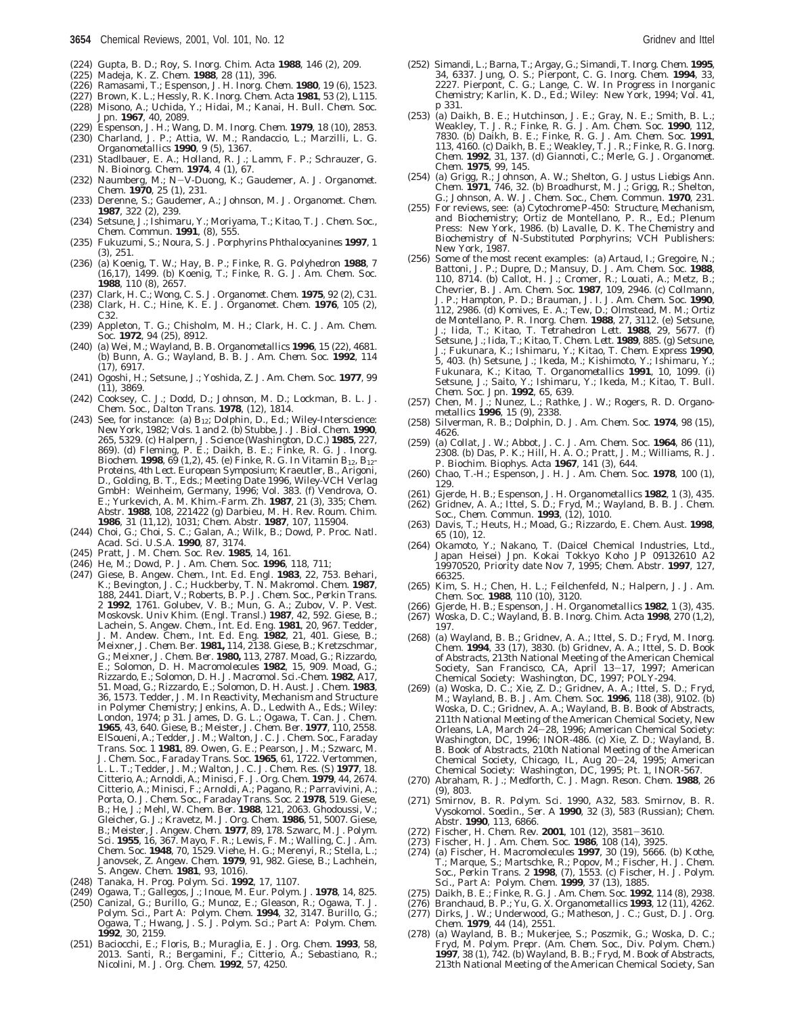- (224) Gupta, B. D.; Roy, S. *Inorg. Chim. Acta* **1988**, *146* (2), 209.
- (225) Madeja, K. *Z. Chem*. **1988**, *28* (11), 396.
- (226) Ramasami, T.; Espenson, J. H. *Inorg. Chem.* **1980**, *19* (6), 1523.
- (227) Brown, K. L.; Hessly, R. K. *Inorg. Chem. Acta* **1981**, *53* (2), L115.
- (228) Misono, A.; Uchida, Y.; Hidai, M.; Kanai, H. *Bull. Chem. Soc. Jpn.* **1967**, *40*, 2089.
- (229) Espenson, J. H.; Wang, D. M. *Inorg. Chem*. **1979**, *18* (10), 2853. (230) Charland, J. P.; Attia, W. M.; Randaccio, L.; Marzilli, L. G.
- *Organometallics* **1990**, *9* (5), 1367. (231) Stadlbauer, E. A.; Holland, R. J.; Lamm, F. P.; Schrauzer, G.
- N. *Bioinorg. Chem.* **1974**, *4* (1), 67.
- (232) Naumberg, M.; N-V-Duong, K.; Gaudemer, A. *J. Organomet. Chem.* **1970**, *25* (1), 231.
- (233) Derenne, S.; Gaudemer, A.; Johnson, M. *J. Organomet. Chem.* **1987**, *322* (2), 239.
- (234) Setsune, J.; Ishimaru, Y.; Moriyama, T.; Kitao, T. *J. Chem. Soc., Chem. Commun*. **1991**, (8), 555.
- (235) Fukuzumi, S.; Noura, S. *J. Porphyrins Phthalocyanines* **1997**, *1* (3), 251.
- (236) (a) Koenig, T. W.; Hay, B. P.; Finke, R. G. *Polyhedron* **1988**, *7* (16,17), 1499. (b) Koenig, T.; Finke, R. G. *J. Am. Chem. Soc.* **1988**, *110* (8), 2657.
- (237) Clark, H. C.; Wong, C. S. *J. Organomet. Chem.* **1975**, *92* (2), C31.
- (238) Clark, H. C.; Hine, K. E. *J. Organomet. Chem.* **1976**, *105* (2), C32.
- (239) Appleton, T. G.; Chisholm, M. H.; Clark, H. C. *J. Am. Chem. Soc.* **1972**, *94* (25), 8912.
- (240) (a) Wei, M.; Wayland, B. B. *Organometallics* **1996**, *15* (22), 4681. (b) Bunn, A. G.; Wayland, B. B. *J. Am. Chem. Soc.* **1992**, *114* (17), 6917.
- (241) Ogoshi, H.; Setsune, J.; Yoshida, Z. *J. Am. Chem. Soc.* **1977**, *99*  $(11)$ , 3869.
- (242) Cooksey, C. J.; Dodd, D.; Johnson, M. D.; Lockman, B. L. *J. Chem. Soc., Dalton Trans.* **1978**, (12), 1814.
- (243) See, for instance: (a)  $B_{12}$ ; Dolphin, D., Ed.; Wiley-Interscience: New York, 1982; Vols. 1 and 2. (b) Stubbe, J. *J. Biol. Chem.* **1990**, *265,* 5329. (c) Halpern, J. *Science (Washington, D.C.)* **1985**, *227,* 869). (d) Fleming, P. E.; Daikh, B. E.; Finke, R. G. *J. Inorg. Biochem.* **1998**, *69* (1,2), 45. (e) Finke, R. G. In *Vitamin B12, B12- Proteins, 4th Lect. European Symposium*; Kraeutler, B., Arigoni, D., Golding, B. T., Eds.; Meeting Date 1996, Wiley-VCH Verlag<br>GmbH: Weinheim, Germany, 1996; Vol. 383. (f) Vendrova, O.<br>E.; Yurkevich, A. M. *Khim.-Farm. Zh.* **1987**, *21* (3), 335*; Chem.<br>Abstr.* **1988**, *108*, 221422 (g)
- (244) Choi, G.; Choi, S. C.; Galan, A.; Wilk, B.; Dowd, P. *Proc. Natl. Acad. Sci. U.S.A.* **1990**, *87*, 3174.
- (245) Pratt, J. M. *Chem. Soc. Rev.* **1985**, *14,* 161.
- (246) He, M.; Dowd, P. *J. Am. Chem. Soc.* **1996**, *118*, 711;
- (247) Giese, B. *Angew. Chem., Int. Ed. Engl.* **1983**, *22*, 753. Behari, K.; Bevington, J. C.; Huckberby, T. N. *Makromol. Chem.* **1987**, *188,* 2441. Diart, V.; Roberts, B. P. *J. Chem. Soc., Perkin Trans. 2* **1992**, 1761. Golubev, V. B.; Mun, G. A.; Zubov, V. P. *Vest. Moskovsk. Univ Khim.* (Engl. Transl.) **1987**, *42,* 592. Giese, B.; Lachein, S. *Angew. Chem., Int. Ed. Eng.* **1981**, *20,* 967. Tedder, J. M. *Andew. Chem., Int. Ed. Eng.* **1982**, *21,* 401. Giese, B.; Meixner, J. *Chem. Ber.* **1981,** *114,* 2138. Giese, B.; Kretzschmar, G.; Meixner, J. *Chem. Ber.* **1980,** *113,* 2787. Moad, G.; Rizzardo, E.; Solomon, D. H. *Macromolecules* **1982**, *15*, 909. Moad, G.; Rizzardo, E.; Solomon, D. H. *J. Macromol. Sci.-Chem.* **1982**, *A17,* 51. Moad, G.; Rizzardo, E.; Solomon, D. H. *Aust. J. Chem.* **1983**, *36*, 1573. Tedder, J. M. In *Reactivity, Mechanism and Structure in Polymer Chemistry*; Jenkins, A. D., Ledwith A., Eds.; Wiley: London, 1974; p 31. James, D. G. L.; Ogawa, T. *Can. J. Chem.* **1965**, *43*, 640. Giese, B.; Meister, J. *Chem. Ber.* **1977**, *110*, 2558. ElSoueni, A.; Tedder, J. M.; Walton, J. C. *J. Chem. Soc., Faraday Trans. Soc. 1* **1981**, 89. Owen, G. E.; Pearson, J. M.; Szwarc, M. *J. Chem. Soc., Faraday Trans. Soc.* **1965**, *61,* 1722. Vertommen, L. L. T.; Tedder, J. M.; Walton, J. C. *J. Chem. Res. (S)* **1977**, 18. Citterio, A.; Arnoldi, A.; Minisci, F. *J. Org. Chem.* **1979**, *44*, 2674.<br>Citterio, A.; Minisci, F.; Arnoldi, A.; Pagano, R.; Parravivini, A.;<br>Porta, O. *J. Chem. Soc., Faraday Trans. Soc. 2* **1978**, 519. Giese, B.; He, J.; Mehl, W. *Chem. Ber.* **1988**, *121*, 2063. Ghodoussi, V.; Gleicher, G. J.; Kravetz, M. *J. Org. Chem.* **1986**, *51*, 5007. Giese, B.; Meister, J. *Angew. Chem.* **1977**, *89,* 178. Szwarc, M. *J. Polym. Sci.* **1955**, *16*, 367. Mayo, F. R.; Lewis, F. M.; Walling, C. *J. Am. Chem. Soc.* **1948**, *70*, 1529. Viehe, H. G.; Merenyi, R.; Stella, L.; Janovsek, Z. *Angew. Chem.* **1979**, *91*, 982. Giese, B.; Lachhein, S. *Angew. Chem.* **1981**, *93*, 1016).
- (248) Tanaka, H. *Prog. Polym. Sci.* **1992**, *17,* 1107.
- (249) Ogawa, T.; Gallegos, J.; Inoue, M. *Eur. Polym. J.* **1978**, *14*, 825.
- (250) Canizal, G.; Burillo, G.; Munoz, E.; Gleason, R.; Ogawa, T. *J. Polym. Sci., Part A: Polym. Chem.* **1994**, *32*, 3147. Burillo, G.; Ogawa, T.; Hwang, J. S. *J. Polym. Sci.; Part A: Polym. Chem.* **1992**, *30*, 2159.
- (251) Baciocchi, E.; Floris, B.; Muraglia, E. *J. Org. Chem.* **1993**, *58*, 2013. Santi, R.; Bergamini, F.; Citterio, A.; Sebastiano, R.; Nicolini, M. *J. Org. Chem.* **1992**, *57*, 4250.
- (252) Simandi, L.; Barna, T.; Argay, G.; Simandi, T. *Inorg. Chem.* **1995,** 34, 6337. Jung, O. S.; Pierpont, C. G. *Inorg. Chem.* **1994**, 33, 2227. Pierpont, C. G.; Lange, C. W. In *Progress in Inorganic C. C.*<br>*Chemistry* p 331.
- (253) (a) Daikh, B. E.; Hutchinson, J. E.; Gray, N. E.; Smith, B. L.; Weakley, T. J. R.; Finke, R. G. J. *Am. Chem. Soc.* **1990**, *112*, 7830. (b) Daikh, B. E.; Finke, R. G. J. *Am. Chem. Soc.* **1990**, *112*, *113*, 4160. *Chem.* **1992**, *31*, 137. (d) Giannoti, C.; Merle, G. *J. Organomet. Chem.* **1975**, *99*, 145.
- (254) (a) Grigg, R.; Johnson, A. W.; Shelton, G. *Justus Liebigs Ann. Chem.* **1971**, *746,* 32. (b) Broadhurst, M. J.; Grigg, R.; Shelton, G.; Johnson, A. W. *J. Chem. Soc., Chem. Commun.* **1970**, 231.
- (255) For reviews, see: (a) *Cytochrome P-450: Structure, Mechanism, and Biochemistry*; Ortiz de Montellano, P. R., Ed.; Plenum Press: New York, 1986. (b) Lavalle, D. K. *The Chemistry and Biochemistry of N-Substituted Porphyrins*; VCH Publishers: New York, 1987.
- (256) Some of the most recent examples: (a) Artaud, I.; Gregoire, N.; Battoni, J. P.; Dupre, D.; Mansuy, D. *J. Am. Chem. Soc.* **1988**, *110*, 8714. (b) Callot, H. J.; Cromer, R.; Louati, A.; Metz, B.; Chevrier, B. *J. Am. Chem. Soc.* **1987**, *109*, 2946. (c) Collmann, J. P.; Hampton, P. D.; Brauman, J. I. *J. Am. Chem. Soc.* **1990**, *112*, 2986. (d) Komives, E. A.; Tew, D.; Olmstead, M. M.; Ortiz de Montellano, P. R. *Inorg. Chem.* **1988**, *27*, 3112. (e) Setsune, J.; Iida, T.; Kitao, T. *Tetrahedron Lett.* **1988**, *29,* 5677. (f) Setsune, J.; Iida, T.; Kitao, T. *Chem. Lett.* **1989**, 885. (g) Setsune, J.; Fukunara, K.; Ishimaru, Y.; Kitao, T. *Chem. Express* **1990**, *5,* 403. (h) Setsune, J.; Ikeda, M.; Kishimoto, Y.; Ishimaru, Y.; Fukunara, K.; Kitao, T. *Organometallics* **1991**, *10,* 1099. (i) Setsune, J.; Saito, Y.; Ishimaru, Y.; Ikeda, M.; Kitao, T. *Bull. Chem. Soc. Jpn.* **1992**, *65*, 639.
- (257) Chen, M. J.; Nunez, L.; Rathke, J. W.; Rogers, R. D. *Organometallics* **1996**, *15* (9)*,* 2338.
- (258) Silverman, R. B.; Dolphin, D. *J. Am. Chem. Soc.* **1974**, *98* (15), 4626.
- (259) (a) Collat, J. W.; Abbot, J. C. *J. Am. Chem. Soc.* **1964**, *86* (11), 2308. (b) Das, P. K.; Hill, H. A. O.; Pratt, J. M.; Williams, R. J. P. *Biochim. Biophys. Acta* **1967**, *141* (3), 644.
- (260) Chao, T.-H.; Espenson, J. H. *J. Am. Chem. Soc.* **1978**, *100* (1), 129.
- (261) Gjerde, H. B.; Espenson, J. H. *Organometallics* **1982**, *1* (3), 435. (262) Gridnev, A. A.; Ittel, S. D.; Fryd, M.; Wayland, B. B. *J. Chem.*
- *Soc., Chem. Commun.* **1993**, (12), 1010.
- (263) Davis, T.; Heuts, H.; Moad, G.; Rizzardo, E. *Chem. Aust.* **1998**, *65* (10), 12.
- (264) Okamoto, Y.; Nakano, T. (Daicel Chemical Industries, Ltd., Japan Heisei) Jpn. Kokai Tokkyo Koho JP 09132610 A2 19970520, Priority date Nov 7, 1995; *Chem. Abstr*. **1997**, *127*, 66325.
- (265) Kim, S. H.; Chen, H. L.; Feilchenfeld, N.; Halpern, J. *J. Am. Chem. Soc.* **1988**, *110* (10), 3120.
- (266) Gjerde, H. B.; Espenson, J. H. *Organometallics* **1982**, *1* (3), 435. (267) Woska, D. C.; Wayland, B. B. *Inorg. Chim. Acta* **1998**, *270* (1,2),
- 197.
- (268) (a) Wayland, B. B.; Gridnev, A. A.; Ittel, S. D.; Fryd, M. *Inorg. Chem*. **1994**, *33* (17), 3830. (b) Gridnev, A. A.; Ittel, S. D. *Book of Abstracts*, 213th National Meeting of the American Chemical Society, San Francisco, CA, April 13-17, 1997; American Chemical Society: Washington, DC, 1997; POLY-294. (269) (a) Woska, D. C.; Xie, Z. D.; Gridnev, A. A.; Ittel, S. D.; Fryd,
- M.; Wayland, B. B. *J. Am. Chem. Soc.* **1996**, *118* (38), 9102. (b) Woska, D. C.; Gridnev, A. A.; Wayland, B. B. *Book of Abstracts*, 211th National Meeting of the American Chemical Society, New Orleans, LA, March 24-28, 1996; American Chemical Society: Washington, DC, 1996; INOR-486. (c) Xie, Z. D.; Wayland, B. B. Book of Abstracts, 210th National Meeting of the American Chemical Society, Chicago, IL, Aug 20-24, 1995; American Chemical Society: Washington, DC, 1995; Pt. 1, INOR-567.
- (270) Abraham, R. J.; Medforth, C. J. *Magn. Reson. Chem.* **1988**, *26* (9), 803.
- (271) Smirnov, B. R. *Polym. Sci.* 1990, *A32,* 583. Smirnov, B. R. *Vysokomol. Soedin., Ser. A* **1990**, *32* (3), 583 (Russian); *Chem. Abstr*. **1990**, *113*, 6866.
- 
- 
- (272) Fischer, H. *Chem. Rev.* **2001**, 101 (12), 3581–3610.<br>(273) Fischer, H. *J. Am. Chem. Soc.* **1986**, 108 (14), 3925.<br>(274) (a) Fischer, H. *Macromolecules* **1997**, *30* (19), 5666. (b) Kothe, T.; Marque, S.; Martschke, R.; Popov, M.; Fischer, H. *J. Chem. Soc., Perkin Trans. 2* **1998**, (7), 1553. (c) Fischer, H. *J. Polym. Sci., Part A: Polym. Chem.* **1999**, *37* (13), 1885.
- (275) Daikh, B. E.; Finke, R. G. *J. Am. Chem. Soc.* **1992**, *114* (8), 2938. (276) Branchaud, B. P.; Yu, G. X. *Organometallics* **1993**, *12* (11), 4262.
- (277) Dirks, J. W.; Underwood, G.; Matheson, J. C.; Gust, D. *J. Org.*
- *Chem*. **1979**, *44* (14), 2551. (278) (a) Wayland, B. B.; Mukerjee, S.; Poszmik, G.; Woska, D. C.; Fryd, M*. Polym. Prepr. (Am. Chem. Soc., Div. Polym. Chem.)* **1997**, *38* (1)*,* 742. (b) Wayland, B. B.; Fryd, M. *Book of Abstracts,*

213th National Meeting of the American Chemical Society, San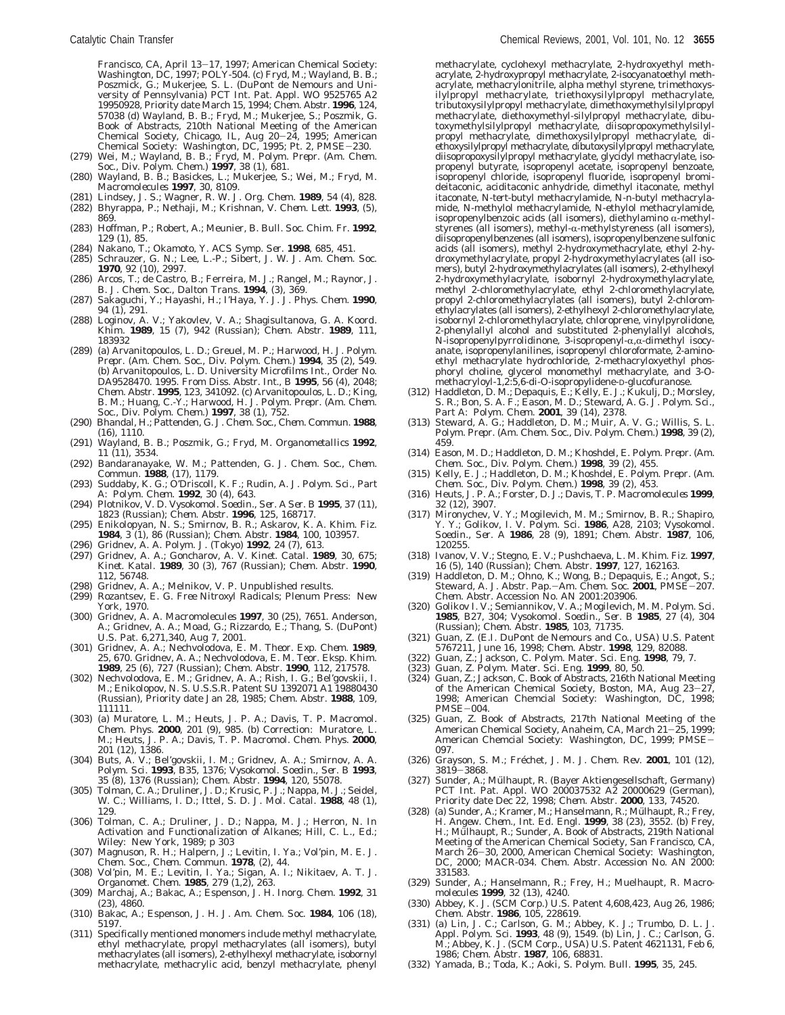Francisco, CA, April 13-17, 1997; American Chemical Society: Washington, DC, 1997; POLY-504. (c) Fryd, M.; Wayland, B. B.; Poszmick, G.; Mukerjee, S. L. (DuPont de Nemours and University of Pennsylvania) PCT Int. Pat. Appl. WO 9525765 A2 19950928, Priority date March 15, 1994; *Chem. Abstr*. **1996**, *124*, 57038 (d) Wayland, B. B.; Fryd, M.; Mukerjee, S.; Poszmik, G.<br> *Book of Abstracts*, 210th National Meeting of the American<br>
Chemical Society, Chicago, IL, Aug 20–24, 1995; American<br>
Chemical Society: Washington, DC, 1995;

- 
- (280) Wayland, B. B.; Basickes, L.; Mukerjee, S.; Wei, M.; Fryd, M. *Macromolecules* **1997**, *30*, 8109.
- (281) Lindsey, J. S.; Wagner, R. W. *J. Org. Chem.* **1989**, *54* (4), 828. (282) Bhyrappa, P.; Nethaji, M.; Krishnan, V. *Chem. Lett.* **1993**, (5), 869.
- (283) Hoffman, P.; Robert, A.; Meunier, B. *Bull. Soc. Chim. Fr.* **1992**, *129* (1), 85.
- (284) Nakano, T.; Okamoto, Y. *ACS Symp. Ser.* **1998**, *685*, 451.
- Schrauzer, G. N.; Lee, L.-P.; Sibert, J. W. *J. Am. Chem. Soc.* **1970**, *92* (10), 2997.
- (286) Arcos, T.; de Castro, B.; Ferreira, M. J.; Rangel, M.; Raynor, J.
- B. *J. Chem. Soc., Dalton Trans.* **1994**, (3), 369. (287) Sakaguchi, Y.; Hayashi, H.; I'Haya, Y. J. *J. Phys. Chem.* **1990**, *94* (1), 291.
- (288) Loginov, A. V.; Yakovlev, V. A.; Shagisultanova, G. A. *Koord. Khim.* **1989**, *15* (7), 942 (Russian); *Chem. Abstr*. **1989**, *111*, 183932
- (289) (a) Arvanitopoulos, L. D.; Greuel, M. P.; Harwood, H. J. *Polym. Prepr. (Am. Chem. Soc., Div. Polym. Chem.)* **1994**, *35* (2), 549. (b) Arvanitopoulos, L. D. University Microfilms Int., Order No. DA9528470. 1995. From *Diss. Abstr. Int., B* **1995**, *56* (4), 2048; *Chem. Abstr*. **1995**, *123*, 341092. (c) Arvanitopoulos, L. D.; King, B. M.; Huang, C.-Y.; Harwood, H. J. *Polym. Prepr. (Am. Chem. Soc., Div. Polym. Chem.)* **1997**, *38* (1), 752.
- (290) Bhandal, H.; Pattenden, G. *J. Chem. Soc., Chem. Commun.* **1988**, (16), 1110.
- (291) Wayland, B. B.; Poszmik, G.; Fryd, M. *Organometallics* **1992**, *11* (11), 3534.
- (292) Bandaranayake, W. M.; Pattenden, G. *J. Chem. Soc., Chem. Commun*. **1988**, (17), 1179.
- (293) Suddaby, K. G.; O'Driscoll, K. F.; Rudin, A. *J. Polym. Sci., Part A: Polym. Chem.* **1992**, *30* (4), 643.
- (294) Plotnikov, V. D. *Vysokomol. Soedin., Ser. A Ser. B* **1995**, *37* (11),
- 1823 (Russian); *Chem. Abstr.* **1996**, *125*, 168717.<br>(295) Enikolopyan, N. S.; Smirnov, B. R.; Askarov, K. A. *Khim. Fiz.*<br>**1984**, *3*(1), 86 (Russian); *Chem. Abstr.* **1984**, *100*, 103957.<br>(296) Gridnev, A. A. *Polym. J*
- (297) Gridnev, A. A.; Goncharov, A. V. *Kinet. Catal.* **1989**, *30*, 675; *Kinet. Katal.* **1989**, *30* (3), 767 (Russian); *Chem. Abstr*. **1990**,
- *112*, 56748.
- (298) Gridnev, A. A.; Melnikov, V. P. Unpublished results.
- (299) Rozantsev, E. G. *Free Nitroxyl Radicals*; Plenum Press: New York, 1970.
- (300) Gridnev, A. A. *Macromolecules* **1997**, *30* (25), 7651. Anderson, A.; Gridnev, A. A.; Moad, G.; Rizzardo, E.; Thang, S. (DuPont)
- U.S. Pat. 6,271,340, Aug 7, 2001. (301) Gridnev, A. A.; Nechvolodova, E. M. *Theor. Exp. Chem.* **1989**, *25,* 670. Gridnev, A. A.; Nechvolodova, E. M. *Teor. Eksp. Khim.* **1989**, *25* (6), 727 (Russian); *Chem. Abstr*. **1990**, *112*, 217578.
- (302) Nechvolodova, E. M.; Gridnev, A. A.; Rish, I. G.; Bel'govskii, I. M.; Enikolopov, N. S. U.S.S.R. Patent SU 1392071 A1 19880430 (Russian), Priority date Jan 28, 1985; *Chem. Abstr*. **1988**, *109*, 111111.
- (303) (a) Muratore, L. M.; Heuts, J. P. A.; Davis, T. P. *Macromol. Chem. Phys.* **2000**, *201* (9), 985. (b) Correction: Muratore, L. M.; Heuts, J. P. A.; Davis, T. P. *Macromol. Chem. Phys.* **2000**, *201* (12), 1386.
- (304) Buts, A. V.; Bel'govskii, I. M.; Gridnev, A. A.; Smirnov, A. A. *Polym. Sci.* **1993**, *B35*, 1376; *Vysokomol. Soedin., Ser. B* **1993**, *35* (8), 1376 (Russian); *Chem. Abstr*. **1994**, *120*, 55078.
- (305) Tolman, C. A.; Druliner, J. D.; Krusic, P. J.; Nappa, M. J.; Seidel, W. C.; Williams, I. D.; Ittel, S. D. *J. Mol. Catal.* **1988**, *48* (1), 129.
- (306) Tolman, C. A.; Druliner, J. D.; Nappa, M. J.; Herron, N. In *Activation and Functionalization of Alkanes*; Hill, C. L., Ed.; Wiley: New York, 1989; p 303
- (307) Magnuson, R. H.; Halpern, J.; Levitin, I. Ya.; Vol'pin, M. E. *J. Chem. Soc., Chem. Commun.* **1978**, (2), 44.
- (308) Vol'pin, M. E.; Levitin, I. Ya.; Sigan, A. I.; Nikitaev, A. T. *J. Organomet. Chem.* **1985**, *279* (1,2), 263.
- (309) Marchaj, A.; Bakac, A.; Espenson, J. H. *Inorg. Chem.* **1992**, *31* (23), 4860.
- (310) Bakac, A.; Espenson, J. H. *J. Am. Chem. Soc.* **1984**, *106* (18), 5197.
- (311) Specifically mentioned monomers include methyl methacrylate, ethyl methacrylate, propyl methacrylates (all isomers), butyl methacrylates (all isomers), 2-ethylhexyl methacrylate, isobornyl methacrylate, methacrylic acid, benzyl methacrylate, phenyl

methacrylate, cyclohexyl methacrylate, 2-hydroxyethyl meth-acrylate, 2-hydroxypropyl methacrylate, 2-isocyanatoethyl methacrylate, methacrylonitrile, alpha methyl styrene, trimethoxysilylpropyl methacrylate, triethoxysilylpropyl methacrylate, tributoxysilylpropyl methacrylate, dimethoxymethylsilylpropyl methacrylate, diethoxymethyl-silylpropyl methacrylate, dibutoxymethylsilylpropyl methacrylate, diisopropoxymethylsilyl-propyl methacrylate, dimethoxysilylpropyl methacrylate, di-ethoxysilylpropyl methacrylate, dibutoxysilylpropyl methacrylate, diisopropoxysilylpropyl methacrylate, glycidyl methacrylate, iso-propenyl butyrate, isopropenyl acetate, isopropenyl benzoate, isopropenyl chloride, isopropenyl fluoride, isopropenyl bromi-deitaconic, aciditaconic anhydride, dimethyl itaconate, methyl itaconate, *N*-*tert*-butyl methacrylamide, *N*-*n*-butyl methacrylamide, *N*-methylol methacrylamide, *N*-ethylol methacrylamide, isopropenylbenzoic acids (all isomers), diethylamino  $\alpha$ -methylstyrenes (all isomers), methyl- $\alpha$ -methylstyreness (all isomers), diisopropenylbenzenes (all isomers), isopropenylbenzene sulfonic acids (all isomers), methyl 2-hydroxymethacrylate, ethyl 2-hydroxymethylacrylate, propyl 2-hydroxymethylacrylates (all isomers), butyl 2-hydroxymethylacrylates (all isomers), 2-ethylhexyl 2-hydroxymethylacrylate, isobornyl 2-hydroxymethylacrylate, methyl 2-chloromethylacrylate, ethyl 2-chloromethylacrylate, propyl 2-chloromethylacrylates (all isomers), butyl 2-chloromethylacrylates (all isomers), 2-ethylhexyl 2-chloromethylacrylate, isobornyl 2-chloromethylacrylate, chloroprene, vinylpyrolidone, 2-phenylallyl alcohol and substituted 2-phenylallyl alcohols, *N*-isopropenylpyrrolidinone, 3-isopropenyl-α,α-dimethyl isocy-<br>anate, isopropenylanilines, isopropenyl chloroformate, 2-amino-<br>ethyl methacrylate hydrochloride, 2-methacryloxyethyl phosphoryl choline, glycerol monomethyl methacrylate, and 3-*O*-

- methacryloyl-1,2:5,6-di-*O*-isopropylidene-D-glucofuranose. (312) Haddleton, D. M.; Depaquis, E.; Kelly, E. J.; Kukulj, D.; Morsley, S. R.; Bon, S. A. F.; Eason, M. D.; Steward, A. G. *J. Polym. Sci., Part A: Polym. Chem.* **2001**, *39* (14), 2378. (313) Steward, A. G.; Haddleton, D. M.; Muir, A. V. G.; Willis, S. L.
- *Polym. Prepr. (Am. Chem. Soc., Div. Polym. Chem.)* **1998**, *39* (2), 459.
- (314) Eason, M. D.; Haddleton, D. M.; Khoshdel, E. *Polym. Prepr. (Am. Chem. Soc., Div. Polym. Chem.)* **1998**, *39* (2), 455.
- (315) Kelly, E. J.; Haddleton, D. M.; Khoshdel, E. *Polym. Prepr. (Am. Chem. Soc., Div. Polym. Chem.)* **1998**, *39* (2), 453.
- (316) Heuts, J. P. A.; Forster, D. J.; Davis, T. P. *Macromolecules* **1999**, *32* (12), 3907.
- (317) Mironychev, V. Y.; Mogilevich, M. M.; Smirnov, B. R.; Shapiro, Y. Y.; Golikov, I. V. *Polym. Sci.* **1986**, *A28,* 2103; *Vysokomol. Soedin., Ser. A* **1986**, *28* (9), 1891; *Chem. Abstr*. **1987**, *106*, 120255.
- (318) Ivanov, V. V.; Stegno, E. V.; Pushchaeva, L. M. *Khim. Fiz.* **1997**, *16* (5), 140 (Russian); *Chem. Abstr*. **1997**, *127*, 162163.
- (319) Haddleton, D. M.; Ohno, K.; Wong, B.; Depaquis, E.; Angot, S.;
- Steward, A. J. *Abstr. Pap. Am. Chem. Soc.* **2001**, PMSE–207.<br>Chem. Abstr. Accession No. AN 2001:203906.<br>(320) Golikov I. V.; Semiannikov, V. A.; Mogilevich, M. M. *Polym. Sci.*<br>**1985**, *B27*, 304; *Vysokomol. Soedin.,* (Russian); *Chem. Abstr*. **1985**, *103*, 71735.
- (321) Guan, Z. (E.I. DuPont de Nemours and Co., USA) U.S. Patent 5767211, June 16, 1998; *Chem. Abstr*. **1998**, *129*, 82088.
- (322) Guan, Z.; Jackson, C. *Polym. Mater. Sci. Eng.* **1998**, *79*, 7.
- (323) Guan, Z. *Polym. Mater. Sci. Eng.* **1999**, *80,* 50.
- (324) Guan, Z.; Jackson, C. *Book of Abstracts*, 216th National Meeting of the American Chemical Society, Boston, MA, Aug 23-27 1998; American Chemcial Society: Washington, DC, 1998;
- PMSE-004. (325) Guan, Z. *Book of Abstracts*, 217th National Meeting of the American Chemical Society, Anaheim, CA, March 21–25, 1999; American Chemcial Society: Washington, DC, 1999; PMSE-097.
- (326) Grayson, S. M.; Fréchet, J. M. J. *Chem. Rev.* **2001**, 101 (12), 3819-3868. 3819–3868.<br>(327) Sunder, A.; Mülhaupt, R. (Bayer Aktiengesellschaft, Germany)
- PCT Int. Pat. Appl. WO 200037532 A2 20000629 (German), Priority date Dec 22, 1998; *Chem. Abstr*. **2000**, *133*, 74520.
- (328) (a) Sunder, A.; Kramer, M.; Hanselmann, R.; Mülhaupt, R.; Frey, H. *Angew. Chem., Int. Ed. Engl.* **1999**, *38* (23), 3552. (b) Frey, H.; Mülhaupt, R.; Sunder, A. Book of Abstracts, 219th National Meeting of the American Chemical Society, San Francisco, CA, March 26-30, 2000, American Chemical Society: Washington, DC, 2000; MACR-034. *Chem. Abstr.* Accession No. AN 2000: 331583.
- (329) Sunder, A.; Hanselmann, R.; Frey, H.; Muelhaupt, R. *Macromolecules* **1999**, *32* (13), 4240.
- (330) Abbey, K. J. (SCM Corp.) U.S. Patent 4,608,423, Aug 26, 1986; *Chem. Abstr*. **1986**, *105*, 228619.
- (331) (a) Lin, J. C.; Carlson, G. M.; Abbey, K. J.; Trumbo, D. L. *J. Appl. Polym. Sci.* **1993**, *48* (9), 1549. (b) Lin, J. C.; Carlson, G. M.; Abbey, K. J. (SCM Corp., USA) U.S. Patent 4621131, Feb 6,
- 1986; *Chem. Abstr*. **1987**, *106*, 68831. (332) Yamada, B.; Toda, K.; Aoki, S. *Polym. Bull.* **1995**, *35,* 245.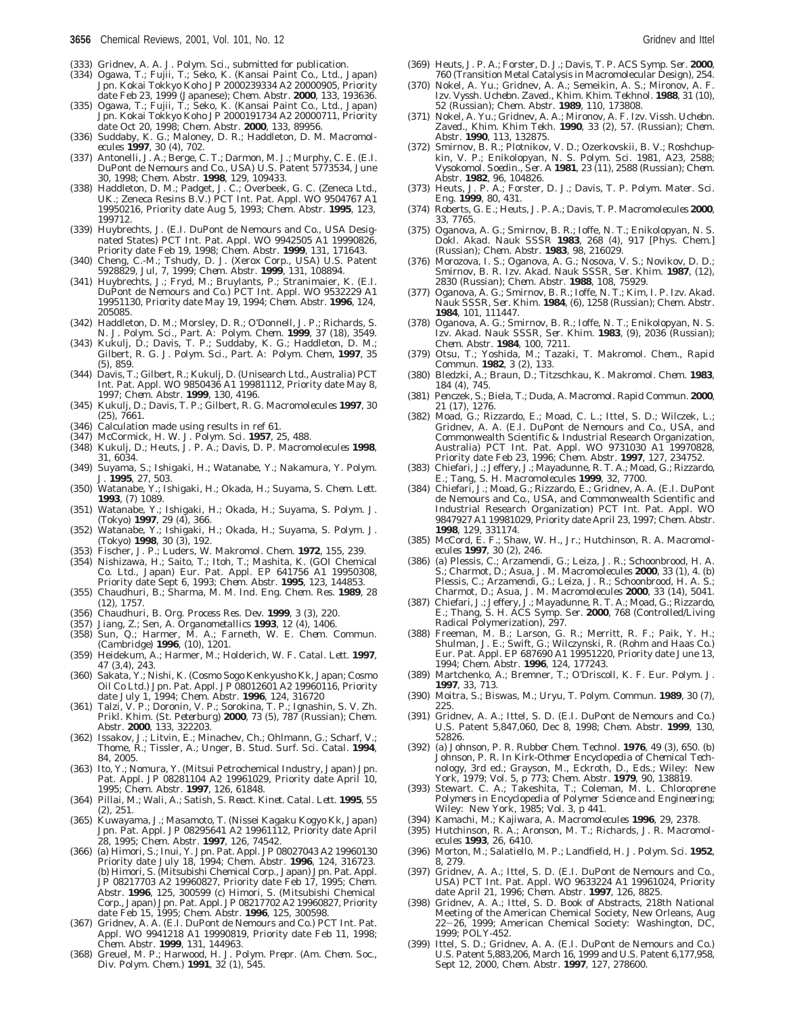- (333) Gridnev, A. A. *J. Polym. Sci*., submitted for publication.
- (334) Ogawa, T.; Fujii, T.; Seko, K. (Kansai Paint Co., Ltd., Japan) Jpn. Kokai Tokkyo Koho JP 2000239334 A2 20000905, Priority date Feb 23, 1999 (Japanese); *Chem. Abstr*. **2000**, *133*, 193636.
- (335) Ogawa, T.; Fujii, T.; Seko, K. (Kansai Paint Co., Ltd., Japan) Jpn. Kokai Tokkyo Koho JP 2000191734 A2 20000711, Priority date Oct 20, 1998; *Chem. Abstr*. **2000**, *133*, 89956.
- (336) Suddaby, K. G.; Maloney, D. R.; Haddleton, D. M. *Macromolecules* **1997**, *30* (4), 702.
- (337) Antonelli, J. A.; Berge, C. T.; Darmon, M. J.; Murphy, C. E. (E.I. DuPont de Nemours and Co., USA) U.S. Patent 5773534, June 30, 1998; *Chem. Abstr*. **1998**, *129*, 109433.
- (338) Haddleton, D. M.; Padget, J. C.; Overbeek, G. C. (Zeneca Ltd., UK.; Zeneca Resins B.V.) PCT Int. Pat. Appl. WO 9504767 A1 19950216, Priority date Aug 5, 1993; *Chem. Abstr*. **1995**, *123*, 199712.
- (339) Huybrechts, J. (E.I. DuPont de Nemours and Co., USA Designated States) PCT Int. Pat. Appl. WO 9942505 A1 19990826, Priority date Feb 19, 1998; *Chem. Abstr*. **1999**, *131*, 171643.
- (340) Cheng, C.-M.; Tshudy, D. J. (Xerox Corp., USA) U.S. Patent 5928829, Jul, 7, 1999; *Chem. Abstr*. **1999**, *131*, 108894.
- (341) Huybrechts, J.; Fryd, M.; Bruylants, P.; Stranimaier, K. (E.I. DuPont de Nemours and Co.) PCT Int. Appl. WO 9532229 A1 19951130, Priority date May 19, 1994; *Chem. Abstr*. **1996**, *124*, 205085.
- (342) Haddleton, D. M.; Morsley, D. R.; O'Donnell, J. P.; Richards, S. N. *J. Polym. Sci., Part. A: Polym. Chem.* **1999**, *37* (18), 3549.
- (343) Kukulj, D.; Davis, T. P.; Suddaby, K. G.; Haddleton, D. M.; Gilbert, R. G. *J. Polym. Sci., Part. A: Polym. Chem,* **1997**, *35* (5), 859.
- (344) Davis, T.; Gilbert, R.; Kukulj, D. (Unisearch Ltd., Australia) PCT Int. Pat. Appl. WO 9850436 A1 19981112, Priority date May 8, 1997; *Chem. Abstr*. **1999**, *130*, 4196.
- (345) Kukulj, D.; Davis, T. P.; Gilbert, R. G. *Macromolecules* **1997**, *30* (25), 7661.
- (346) Calculation made using results in ref 61.
- (347) McCormick, H. W. *J. Polym. Sci.* **1957**, *25*, 488.
- (348) Kukulj, D.; Heuts, J. P. A.; Davis, D. P. *Macromolecules* **1998**, *31*, 6034.
- (349) Suyama, S.; Ishigaki, H.; Watanabe, Y.; Nakamura, Y. *Polym. J.* **1995**, *27*, 503.
- (350) Watanabe, Y.; Ishigaki, H.; Okada, H.; Suyama, S. *Chem. Lett.* **1993**, *(7)* 1089.
- (351) Watanabe, Y.; Ishigaki, H.; Okada, H.; Suyama, S. *Polym. J.* (Tokyo) **1997**, *29* (4), 366.
- (352) Watanabe, Y.; Ishigaki, H.; Okada, H.; Suyama, S. *Polym. J.* (Tokyo) **1998**, *30* (3), 192.
- (353) Fischer, J. P.; Luders, W. *Makromol. Chem.* **1972**, *155*, 239.
- (354) Nishizawa, H.; Saito, T.; Itoh, T.; Mashita, K. (GOI Chemical Co. Ltd., Japan) Eur. Pat. Appl. EP 641756 A1 19950308, Priority date Sept 6, 1993; *Chem. Abstr*. **1995**, *123*, 144853.
- (355) Chaudhuri, B.; Sharma, M. M. *Ind. Eng. Chem. Res.* **1989**, *28* (12), 1757.
- (356) Chaudhuri, B. *Org. Process Res. Dev.* **1999**, *3* (3), 220.
- (357) Jiang, Z.; Sen, A. *Organometallics* **1993**, *12* (4), 1406.
- (358) Sun, Q.; Harmer, M. A.; Farneth, W. E. *Chem. Commun. (Cambridge)* **1996**, (10), 1201.
- (359) Heidekum, A.; Harmer, M.; Holderich, W. F. *Catal. Lett.* **1997**, *47* (3,4), 243.
- (360) Sakata, Y.; Nishi, K. (Cosmo Sogo Kenkyusho Kk, Japan; Cosmo Oil Co Ltd.) Jpn. Pat. Appl. JP 08012601 A2 19960116, Priority date July 1, 1994; *Chem. Abstr*. **1996**, *124*, 316720
- (361) Talzi, V. P.; Doronin, V. P.; Sorokina, T. P.; Ignashin, S. V. *Zh. Prikl. Khim. (St. Peterburg)* **2000**, *73* (5), 787 (Russian); *Chem. Abstr*. **2000**, *133*, 322203.
- (362) Issakov, J.; Litvin, E.; Minachev, Ch.; Ohlmann, G.; Scharf, V.; Thome, R.; Tissler, A.; Unger, B. *Stud. Surf. Sci. Catal.* **1994**, *84*, 2005.
- (363) Ito, Y.; Nomura, Y. (Mitsui Petrochemical Industry, Japan) Jpn. Pat. Appl. JP 08281104 A2 19961029, Priority date April 10, 1995; *Chem. Abstr*. **1997**, *126*, 61848.
- (364) Pillai, M.; Wali, A.; Satish, S. *React. Kinet. Catal. Lett.* **1995**, *55* (2), 251.
- (365) Kuwayama, J.; Masamoto, T. (Nissei Kagaku Kogyo Kk, Japan) Jpn. Pat. Appl. JP 08295641 A2 19961112, Priority date April 28, 1995; *Chem. Abstr*. **1997**, *126*, 74542.
- (366) (a) Himori, S.; Inui, Y. Jpn. Pat. Appl. JP 08027043 A2 19960130 Priority date July 18, 1994; *Chem. Abstr*. **1996**, *124*, 316723. (b) Himori, S. (Mitsubishi Chemical Corp., Japan) Jpn. Pat. Appl. JP 08217703 A2 19960827, Priority date Feb 17, 1995; *Chem. Abstr*. **1996**, *125*, 300599 (c) Himori, S. (Mitsubishi Chemical Corp., Japan) Jpn. Pat. Appl. JP 08217702 A2 19960827, Priority date Feb 15, 1995; *Chem. Abstr*. **1996**, *125*, 300598.
- (367) Gridnev, A. A. (E.I. DuPont de Nemours and Co.) PCT Int. Pat. Appl. WO 9941218 A1 19990819, Priority date Feb 11, 1998; *Chem. Abstr*. **1999**, *131*, 144963.
- (368) Greuel, M. P.; Harwood, H. J. *Polym. Prepr. (Am. Chem. Soc., Div. Polym. Chem.)* **1991**, *32* (1), 545.
- (369) Heuts, J. P. A.; Forster, D. J.; Davis, T. P. *ACS Symp. Ser.* **2000**, *760* (Transition Metal Catalysis in Macromolecular Design), 254.
- (370) Nokel, A. Yu.; Gridnev, A. A.; Semeikin, A. S.; Mironov, A. F. *Izv. Vyssh. Uchebn. Zaved., Khim. Khim. Tekhnol.* **1988**, *31* (10), 52 (Russian); *Chem. Abstr*. **1989**, *110*, 173808.
- (371) Nokel, A. Yu.; Gridnev, A. A.; Mironov, A. F. *Izv. Vissh. Uchebn. Zaved., Khim. Khim Tekh.* **1990**, *33* (2), 57. (Russian); *Chem. Abstr*. **1990**, *113*, 132875.
- (372) Smirnov, B. R.; Plotnikov, V. D.; Ozerkovskii, B. V.; Roshchupkin, V. P.; Enikolopyan, N. S. *Polym. Sci.* 1981, *A23,* 2588; *Vysokomol. Soedin., Ser. A* **1981**, *23* (11), 2588 (Russian); *Chem. Abstr*. **1982**, *96*, 104826.
- (373) Heuts, J. P. A.; Forster, D. J.; Davis, T. P. *Polym. Mater. Sci. Eng.* **1999**, *80*, 431.
- (374) Roberts, G. E.; Heuts, J. P. A.; Davis, T. P. *Macromolecules* **2000**, *33*, 7765.
- (375) Oganova, A. G.; Smirnov, B. R.; Ioffe, N. T.; Enikolopyan, N. S. *Dokl. Akad. Nauk SSSR* **1983**, *268* (4), 917 [Phys. Chem.] (Russian); *Chem. Abstr*. **1983**, *98*, 216029.
- (376) Morozova, I. S.; Oganova, A. G.; Nosova, V. S.; Novikov, D. D.; Smirnov, B. R. *Izv. Akad. Nauk SSSR, Ser. Khim.* **1987**, (12), 2830 (Russian); *Chem. Abstr*. **1988**, *108*, 75929.
- (377) Oganova, A. G.; Smirnov, B. R.; Ioffe, N. T.; Kim, I. P. *Izv. Akad. Nauk SSSR, Ser. Khim.* **1984**, (6), 1258 (Russian); *Chem. Abstr*. **1984**, *101*, 111447.
- (378) Oganova, A. G.; Smirnov, B. R.; Ioffe, N. T.; Enikolopyan, N. S. *Izv. Akad. Nauk SSSR, Ser. Khim.* **1983**, (9), 2036 (Russian); *Chem. Abstr*. **1984**, *100*, 7211.
- (379) Otsu, T.; Yoshida, M.; Tazaki, T. *Makromol. Chem., Rapid Commun.* **1982**, *3* (2)*,* 133.
- (380) Bledzki, A.; Braun, D.; Titzschkau, K. *Makromol. Chem.* **1983**, *184* (4), 745.
- (381) Penczek, S.; Biela, T.; Duda, A. *Macromol. Rapid Commun.* **2000**, *21* (17), 1276.
- (382) Moad, G.; Rizzardo, E.; Moad, C. L.; Ittel, S. D.; Wilczek, L.; Gridnev, A. A. (E.I. DuPont de Nemours and Co., USA, and Commonwealth Scientific & Industrial Research Organization, Australia) PCT Int. Pat. Appl. WO 9731030 A1 19970828, Priority date Feb 23, 1996; *Chem. Abstr*. **1997**, *127*, 234752.
- (383) Chiefari, J.; Jeffery, J.; Mayadunne, R. T. A.; Moad, G.; Rizzardo, E.; Tang, S. H. *Macromolecules* **1999**, *32*, 7700.
- (384) Chiefari, J.; Moad, G.; Rizzardo, E.; Gridnev, A. A. (E.I. DuPont de Nemours and Co., USA, and Commonwealth Scientific and Industrial Research Organization) PCT Int. Pat. Appl. WO 9847927 A1 19981029, Priority date April 23, 1997; *Chem. Abstr*. **1998**, *129*, 331174.
- (385) McCord, E. F.; Shaw, W. H., Jr.; Hutchinson, R. A. *Macromolecules* **1997**, *30* (2), 246.
- (386) (a) Plessis, C.; Arzamendi, G.; Leiza, J. R.; Schoonbrood, H. A. S.; Charmot, D.; Asua, J. M. *Macromolecules* **2000**, *33* (1), 4. (b) Plessis, C.; Arzamendi, G.; Leiza, J. R.; Schoonbrood, H. A. S.; Charmot, D.; Asua, J. M. *Macromolecules* **2000**, *33* (14), 5041.
- (387) Chiefari, J.; Jeffery, J.; Mayadunne, R. T. A.; Moad, G.; Rizzardo, E.; Thang, S. H. *ACS Symp. Ser.* **2000**, *768* (Controlled/Living Radical Polymerization), 297.
- (388) Freeman, M. B.; Larson, G. R.; Merritt, R. F.; Paik, Y. H.; Shulman, J. E.; Swift, G.; Wilczynski, R. (Rohm and Haas Co.) Eur. Pat. Appl. EP 687690 A1 19951220, Priority date June 13, 1994; *Chem. Abstr*. **1996**, *124*, 177243.
- (389) Martchenko, A.; Bremner, T.; O'Driscoll, K. F. *Eur. Polym. J.* **1997**, *33*, 713.
- (390) Moitra, S.; Biswas, M.; Uryu, T. *Polym. Commun.* **1989**, *30* (7), 225.
- (391) Gridnev, A. A.; Ittel, S. D. (E.I. DuPont de Nemours and Co.) U.S. Patent 5,847,060, Dec 8, 1998; *Chem. Abstr*. **1999**, *130*, 52826.
- (392) (a) Johnson, P. R. *Rubber Chem. Technol.* **1976**, *49* (3), 650. (b) Johnson, P. R. In *Kirk-Othmer Encyclopedia of Chemical Technology*, 3rd ed.; Grayson, M., Eckroth, D., Eds.; Wiley: New York, 1979; Vol. 5, p 773; *Chem. Abstr*. **1979**, *90*, 138819.
- (393) Stewart. C. A.; Takeshita, T.; Coleman, M. L. *Chloroprene Polymers in Encyclopedia of Polymer Science and Engineering*; Wiley: New York, 1985; Vol. 3, p 441.
- (394) Kamachi, M.; Kajiwara, A. *Macromolecules* **1996**, *29*, 2378.
- (395) Hutchinson, R. A.; Aronson, M. T.; Richards, J. R. *Macromolecules* **1993**, *26*, 6410.
- (396) Morton, M.; Salatiello, M. P.; Landfield, H. *J. Polym. Sci.* **1952**, *8*, 279.
- (397) Gridnev, A. A.; Ittel, S. D. (E.I. DuPont de Nemours and Co., USA) PCT Int. Pat. Appl. WO 9633224 A1 19961024, Priority date April 21, 1996; *Chem. Abstr*. **1997**, *126*, 8825.
- (398) Gridnev, A. A.; Ittel, S. D. *Book of Abstracts,* 218th National Meeting of the American Chemical Society, New Orleans, Aug <sup>22</sup>-26, 1999; American Chemical Society: Washington, DC, 1999; POLY-452.
- (399) Ittel, S. D.; Gridnev, A. A. (E.I. DuPont de Nemours and Co.) U.S. Patent 5,883,206, March 16, 1999 and U.S. Patent 6,177,958, Sept 12, 2000, *Chem. Abstr*. **1997**, *127*, 278600.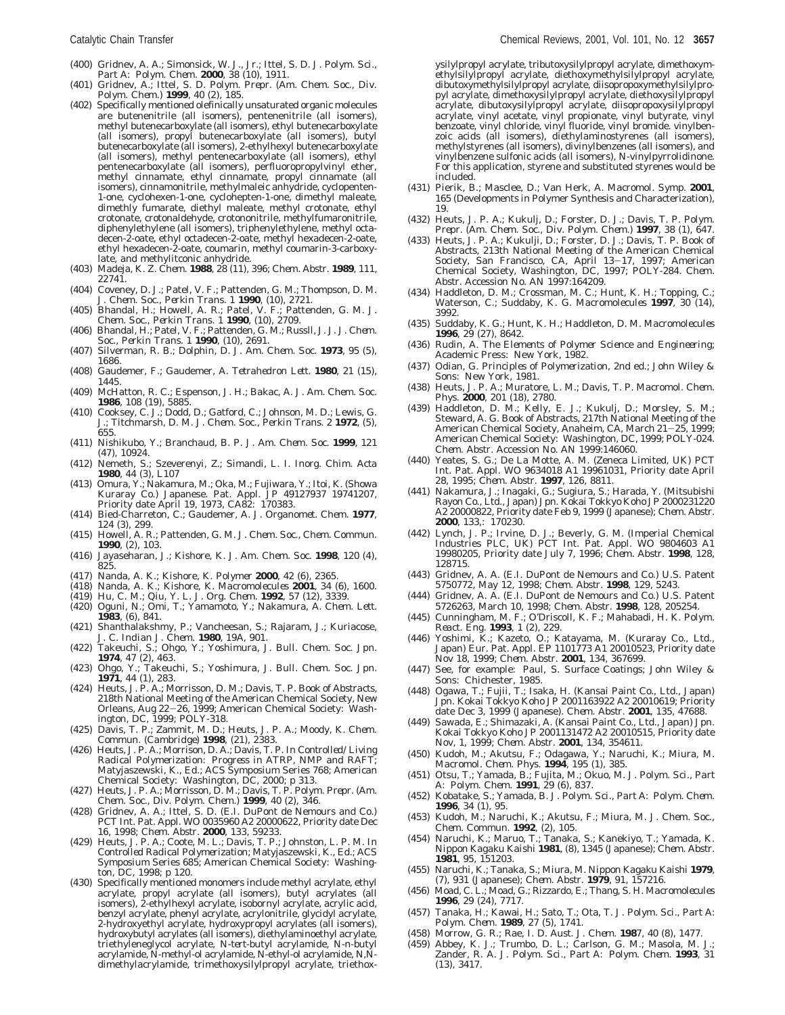- (400) Gridnev, A. A.; Simonsick, W. J., Jr.; Ittel, S. D. *J. Polym. Sci., Part A: Polym. Chem.* **2000**, *38* (10), 1911.
- (401) Gridnev, A.; Ittel, S. D. *Polym. Prepr. (Am. Chem. Soc., Div. Polym. Chem.)* **1999**, *40* (2), 185.
- (402) Specifically mentioned olefinically unsaturated organic molecules are butenenitrile (all isomers), pentenenitrile (all isomers), methyl butenecarboxylate (all isomers), ethyl butenecarboxylate (all isomers), propyl butenecarboxylate (all isomers), butyl butenecarboxylate (all isomers), 2-ethylhexyl butenecarboxylate (all isomers), methyl pentenecarboxylate (all isomers), ethyl pentenecarboxylate (all isomers), perfluoropropylvinyl ether, methyl cinnamate, ethyl cinnamate, propyl cinnamate (all isomers), cinnamonitrile, methylmaleic anhydride, cyclopenten-1-one, cyclohexen-1-one, cyclohepten-1-one, dimethyl maleate, dimethly fumarate, diethyl maleate, methyl crotonate, ethyl crotonate, crotonaldehyde, crotononitrile, methylfumaronitrile, diphenylethylene (all isomers), triphenylethylene, methyl octadecen-2-oate, ethyl octadecen-2-oate, methyl hexadecen-2-oate, ethyl hexadecen-2-oate, coumarin, methyl coumarin-3-carboxylate, and methylitconic anhydride.
- (403) Madeja, K. *Z. Chem.* **1988**, *28* (11), 396; *Chem. Abstr*. **1989**, *111*, 22741.
- (404) Coveney, D. J.; Patel, V. F.; Pattenden, G. M.; Thompson, D. M. *J. Chem. Soc., Perkin Trans. 1* **1990**, (10), 2721.
- (405) Bhandal, H.; Howell, A. R.; Patel, V. F.; Pattenden, G. M. *J. Chem. Soc., Perkin Trans. 1* **1990**, (10), 2709.
- (406) Bhandal, H.; Patel, V. F.; Pattenden, G. M.; Russll, J. J. *J. Chem. Soc., Perkin Trans. 1* **1990**, (10)*,* 2691.
- (407) Silverman, R. B.; Dolphin, D. *J. Am. Chem. Soc.* **1973**, *95* (5), 1686.
- (408) Gaudemer, F.; Gaudemer, A. *Tetrahedron Lett*. **1980**, *21* (15)*,* 1445.
- (409) McHatton, R. C.; Espenson, J. H.; Bakac, A. *J. Am. Chem. Soc.* **1986**, *108* (19), 5885.
- (410) Cooksey, C. J.; Dodd, D.; Gatford, C.; Johnson, M. D.; Lewis, G. J.; Titchmarsh, D. M. *J. Chem. Soc., Perkin Trans. 2 1972*, (5), 655.
- (411) Nishikubo, Y.; Branchaud, B. P. *J. Am. Chem. Soc.* **1999**, *121* (47), 10924.
- (412) Nemeth, S.; Szeverenyi, Z.; Simandi, L. I. *Inorg. Chim. Acta* **1980**, *44* (3), L107
- (413) Omura, Y.; Nakamura, M.; Oka, M.; Fujiwara, Y.; Itoi, K. (Showa Kuraray Co.) Japanese. Pat. Appl. JP 49127937 19741207, Priority date April 19, 1973, CA82: 170383.
- (414) Bied-Charreton, C.; Gaudemer, A*. J. Organomet. Chem.* **1977**, *124* (3), 299.
- (415) Howell, A. R.; Pattenden, G. M. *J. Chem. Soc., Chem. Commun.* **1990**, (2), 103.
- (416) Jayaseharan, J.; Kishore, K. *J. Am. Chem. Soc.* **1998**, *120* (4), 825.
- 
- (417) Nanda, A. K.; Kishore, K. *Polymer* **2000**, *42* (6), 2365. (418) Nanda, A. K.; Kishore, K. *Macromolecules* **2001**, *34* (6), 1600.
- (419) Hu, C. M.; Qiu, Y. L*. J. Org. Chem.* **1992**, *57* (12), 3339.
- (420) Oguni, N.; Omi, T.; Yamamoto, Y.; Nakamura, A. *Chem. Lett*. **1983**, (6), 841.
- (421) Shanthalakshmy, P.; Vancheesan, S.; Rajaram, J.; Kuriacose, J. C. *Indian J. Chem.* **1980**, *19A*, 901. (422) Takeuchi, S.; Ohgo, Y.; Yoshimura, J. *Bull. Chem. Soc. Jpn.*
- **1974**, *47* (2), 463.
- (423) Ohgo, Y.; Takeuchi, S.; Yoshimura, J. *Bull. Chem. Soc. Jpn.* **1971**, *44* (1), 283.
- (424) Heuts, J. P. A.; Morrisson, D. M.; Davis, T. P. *Book of Abstracts,* 218th National Meeting of the American Chemical Society*,* New Orleans, Aug 22-26, 1999; American Chemical Society: Wash-ington, DC, 1999; POLY-318. (425) Davis, T. P.; Zammit, M. D.; Heuts, J. P. A.; Moody, K. *Chem.*
- *Commun. (Cambridge)* **1998**, (21), 2383.
- (426) Heuts, J. P. A.; Morrison, D. A.; Davis, T. P. In *Controlled/Living Radical Polymerization: Progress in ATRP, NMP and RAFT*; Matyjaszewski, K., Ed.; ACS Symposium Series 768; American Chemical Society: Washington, DC, 2000; p 313. (427) Heuts, J. P. A.; Morrisson, D. M.; Davis, T. P. *Polym. Prepr. (Am.*
- *Chem. Soc., Div. Polym. Chem.)* **1999**, *40* (2), 346.
- (428) Gridnev, A. A.; Ittel, S. D. (E.I. DuPont de Nemours and Co.) PCT Int. Pat. Appl. WO 0035960 A2 20000622, Priority date Dec 16, 1998; *Chem. Abstr*. **2000**, *133*, 59233.
- (429) Heuts, J. P. A.; Coote, M. L.; Davis, T. P.; Johnston, L. P. M. In *Controlled Radical Polymerization*; Matyjaszewski, K., Ed.; ACS Symposium Series 685; American Chemical Society: Washington, DC, 1998; p 120.
- (430) Specifically mentioned monomers include methyl acrylate, ethyl acrylate, propyl acrylate (all isomers), butyl acrylates (all isomers), 2-ethylhexyl acrylate, isobornyl acrylate, acrylic acid, benzyl acrylate, phenyl acrylate, acrylonitrile, glycidyl acrylate, 2-hydroxyethyl acrylate, hydroxypropyl acrylates (all isomers), hydroxybutyl acrylates (all isomers), diethylaminoethyl acrylate, triethyleneglycol acrylate, *N*-*tert*-butyl acrylamide, N-*n*-butyl acrylamide, *N*-methyl-ol acrylamide, *N*-ethyl-ol acrylamide, *N,N*dimethylacrylamide, trimethoxysilylpropyl acrylate, triethox-

ysilylpropyl acrylate, tributoxysilylpropyl acrylate, dimethoxym-<br>ethylsilylpropyl acrylate, diethoxymethylsilylpropyl acrylate,<br>dibutoxymethylsilylpropyl acrylate, diisopropoxymethylsilylpropyl acrylate, dimethoxysilylpropyl acrylate, diethoxysilylpropyl acrylate, dibutoxysilylpropyl acrylate, diisopropoxysilylpropyl acrylate, vinyl acetate, vinyl propionate, vinyl butyrate, vinyl benzoate, vinyl chloride, vinyl fluoride, vinyl bromide. vinylbenzoic acids (all isomers), diethylaminostyrenes (all isomers), methylstyrenes (all isomers), divinylbenzenes (all isomers), and vinylbenzene sulfonic acids (all isomers), *N*-vinylpyrrolidinone. For this application, styrene and substituted styrenes would be included.

- (431) Pierik, B.; Masclee, D.; Van Herk, A. *Macromol. Symp.* **2001**, *165* (Developments in Polymer Synthesis and Characterization), 19.
- (432) Heuts, J. P. A.; Kukulj, D.; Forster, D. J.; Davis, T. P. *Polym. Prepr. (Am. Chem. Soc., Div. Polym. Chem.)* **1997**, *38* (1), 647.
- (433) Heuts, J. P. A.; Kukulji, D.; Forster, D. J.; Davis, T. P. *Book of Abstracts,* 213th National Meeting of the American Chemical<br>Society, San Francisco, CA, April 13–17, 1997; American<br>Chemical Society, Washington, DC, 1997; POLY-284. *Chem.<br>Abstr*. Accession No. AN 1997:164209.
- (434) Haddleton, D. M.; Crossman, M. C.; Hunt, K. H.; Topping, C.; Waterson, C.; Suddaby, K. G. *Macromolecules* **1997**, *30* (14), 3992.
- (435) Suddaby, K. G.; Hunt, K. H.; Haddleton, D. M. *Macromolecules* **1996**, *29* (27), 8642.
- (436) Rudin, A. *The Elements of Polymer Science and Engineering*; Academic Press: New York, 1982.
- (437) Odian, G. *Principles of Polymerization,* 2nd ed.; John Wiley & Sons: New York, 1981.
- (438) Heuts, J. P. A.; Muratore, L. M.; Davis, T. P. *Macromol. Chem. Phys.* **2000**, *201* (18), 2780.
- (439) Haddleton, D. M.; Kelly, E. J.; Kukulj, D.; Morsley, S. M.; Steward, A. G. *Book of Abstracts,* 217th National Meeting of the American Chemical Society, Anaheim, CA*,* March 21-25, 1999; American Chemical Society: Washington, DC, 1999; POLY-024. *Chem. Abstr.* Accession No. AN 1999:146060.
- (440) Yeates, S. G.; De La Motte, A. M. (Zeneca Limited, UK) PCT Int. Pat. Appl. WO 9634018 A1 19961031, Priority date April 28, 1995; *Chem. Abstr*. **1997**, *126*, 8811.
- (441) Nakamura, J.; Inagaki, G.; Sugiura, S.; Harada, Y. (Mitsubishi Rayon Co., Ltd., Japan) Jpn. Kokai Tokkyo Koho JP 2000231220 A2 20000822, Priority date Feb 9, 1999 (Japanese); *Chem. Abstr*. **2000**, *133*,: 170230.
- (442) Lynch, J. P.; Irvine, D. J.; Beverly, G. M. (Imperial Chemical Industries PLC, UK) PCT Int. Pat. Appl. WO 9804603 A1 19980205, Priority date July 7, 1996; *Chem. Abstr*. **1998**, *128*, 128715.
- (443) Gridnev, A. A. (E.I. DuPont de Nemours and Co.) U.S. Patent 5750772, May 12, 1998; *Chem. Abstr*. **1998**, *129*, 5243.
- (444) Gridnev, A. A. (E.I. DuPont de Nemours and Co.) U.S. Patent 5726263, March 10, 1998; *Chem. Abstr*. **1998**, *128*, 205254.
- (445) Cunningham, M. F.; O'Driscoll, K. F.; Mahabadi, H. K. *Polym. React. Eng*. **1993**, *1* (2), 229.
- (446) Yoshimi, K.; Kazeto, O.; Katayama, M. (Kuraray Co., Ltd., Japan) Eur. Pat. Appl. EP 1101773 A1 20010523, Priority date Nov 18, 1999; *Chem. Abstr*. **2001**, *134*, 367699.
- (447) See, for example: Paul, S. *Surface Coating*s; John Wiley & Sons: Chichester, 1985.
- (448) Ogawa, T.; Fujii, T.; Isaka, H. (Kansai Paint Co., Ltd., Japan) Jpn. Kokai Tokkyo Koho JP 2001163922 A2 20010619; Priority date Dec 3, 1999 (Japanese). *Chem. Abstr.* **2001**, *135*, 47688.
- Sawada, E.; Shimazaki, A. (Kansai Paint Co., Ltd., Japan) Jpn. Kokai Tokkyo Koho JP 2001131472 A2 20010515, Priority date Nov, 1, 1999; *Chem. Abstr*. **2001**, *134*, 354611.
- (450) Kudoh, M.; Akutsu, F.; Odagawa, Y.; Naruchi, K.; Miura, M. *Macromol. Chem. Phys.* **1994**, *195* (1), 385.
- (451) Otsu, T.; Yamada, B.; Fujita, M.; Okuo, M. *J. Polym. Sci., Part A: Polym. Chem.* **1991**, *29* (6), 837.
- (452) Kobatake, S.; Yamada, B. *J. Polym. Sci., Part A: Polym. Chem.* **1996**, *34* (1), 95.
- (453) Kudoh, M.; Naruchi, K.; Akutsu, F.; Miura, M. *J. Chem. Soc., Chem. Commun.* **1992**, (2), 105.
- (454) Naruchi, K.; Maruo, T.; Tanaka, S.; Kanekiyo, T.; Yamada, K. *Nippon Kagaku Kaishi* **1981**, (8), 1345 (Japanese); *Chem. Abstr*. **1981**, *95*, 151203.
- (455) Naruchi, K.; Tanaka, S.; Miura, M. *Nippon Kagaku Kaishi* **1979**, (7), 931 (Japanese); *Chem. Abstr*. **1979**, *91*, 157216.
- (456) Moad, C. L.; Moad, G.; Rizzardo, E.; Thang, S. H. *Macromolecules* **1996**, *29* (24), 7717.
- (457) Tanaka, H.; Kawai, H.; Sato, T.; Ota, T. *J. Polym. Sci., Part A: Polym. Chem.* **1989**, *27* (5), 1741.
- (458) Morrow, G. R.; Rae, I. D. *Aust. J. Chem.* **198**7, *40* (8), 1477.
- (459) Abbey, K. J.; Trumbo, D. L.; Carlson, G. M.; Masola, M. J.; Zander, R. A. *J. Polym. Sci., Part A: Polym. Chem.* **1993**, *31* (13), 3417.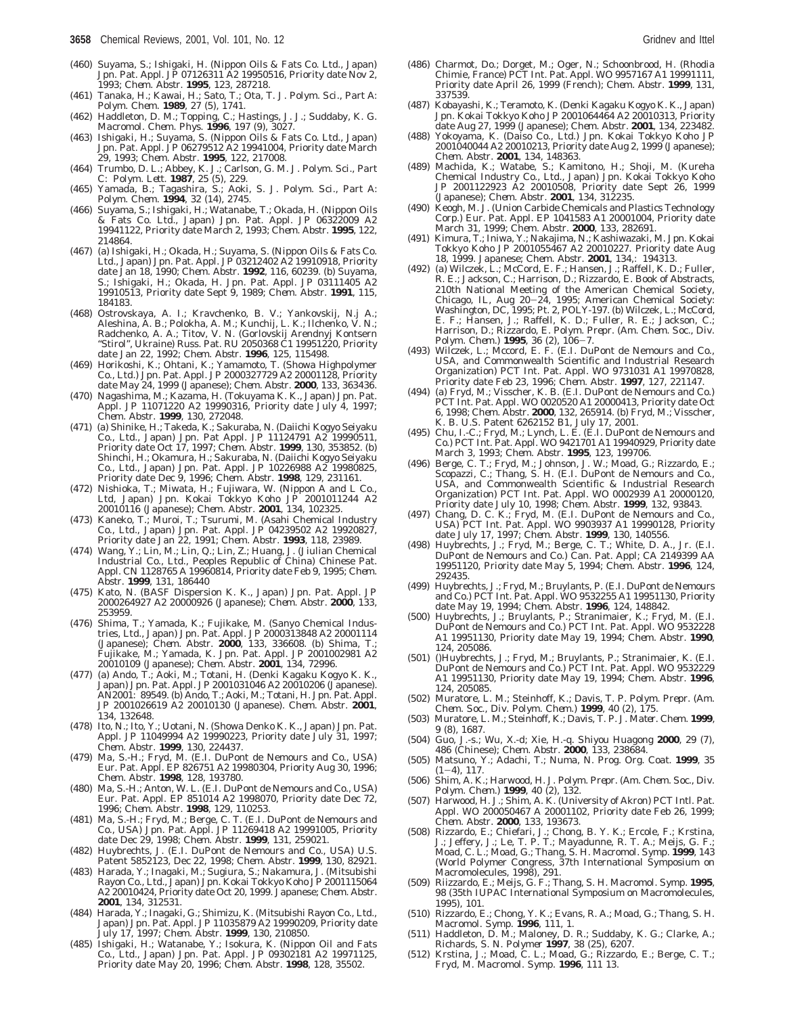- (460) Suyama, S.; Ishigaki, H. (Nippon Oils & Fats Co. Ltd., Japan) Jpn. Pat. Appl. JP 07126311 A2 19950516, Priority date Nov 2, 1993; *Chem. Abstr*. **1995**, *123*, 287218.
- (461) Tanaka, H.; Kawai, H.; Sato, T.; Ota, T. *J. Polym. Sci., Part A: Polym. Chem.* **1989**, *27 (5)*, 1741.
- (462) Haddleton, D. M.; Topping, C.; Hastings, J. J.; Suddaby, K. G. *Macromol. Chem. Phys.* **1996**, *197* (9), 3027.
- (463) Ishigaki, H.; Suyama, S. (Nippon Oils & Fats Co. Ltd., Japan) Jpn. Pat. Appl. JP 06279512 A2 19941004, Priority date March 29, 1993; *Chem. Abstr*. **1995**, *122*, 217008.
- (464) Trumbo, D. L.; Abbey, K. J.; Carlson, G. M. *J. Polym. Sci., Part C: Polym. Lett.* **1987**, *25* (5), 229.
- (465) Yamada, B.; Tagashira, S.; Aoki, S. *J. Polym. Sci., Part A: Polym. Chem.* **1994**, *32* (14), 2745.
- (466) Suyama, S.; Ishigaki, H.; Watanabe, T.; Okada, H. (Nippon Oils & Fats Co. Ltd., Japan) Jpn. Pat. Appl. JP 06322009 A2 19941122, Priority date March 2, 1993; *Chem. Abstr*. **1995**, *122*, 214864.
- (467) (a) Ishigaki, H.; Okada, H.; Suyama, S. (Nippon Oils & Fats Co. Ltd., Japan) Jpn. Pat. Appl. JP 03212402 A2 19910918, Priority date Jan 18, 1990; *Chem. Abstr*. **1992**, *116*, 60239. (b) Suyama, S.; Ishigaki, H.; Okada, H. Jpn. Pat. Appl. JP 03111405 A2 19910513, Priority date Sept 9, 1989; *Chem. Abstr*. **1991**, *115*, 184183.
- (468) Ostrovskaya, A. I.; Kravchenko, B. V.; Yankovskij, N.j A.; Aleshina, A. B.; Polokha, A. M.; Kunchij, L. K.; Ilchenko, V. N.; Radchenko, A. A.; Titov, V. N. (Gorlovskij Arendnyj Kontsern "Stirol", Ukraine) Russ. Pat. RU 2050368 C1 19951220, Priority date Jan 22, 1992; *Chem. Abstr*. **1996**, *125*, 115498.
- (469) Horikoshi, K.; Ohtani, K.; Yamamoto, T. (Showa Highpolymer Co., Ltd.) Jpn. Pat. Appl. JP 2000327729 A2 20001128, Priority date May 24, 1999 (Japanese); *Chem. Abstr*. **2000**, *133*, 363436.
- (470) Nagashima, M.; Kazama, H. (Tokuyama K. K., Japan) Jpn. Pat. Appl. JP 11071220 A2 19990316, Priority date July 4, 1997; *Chem. Abstr*. **1999**, *130*, 272048.
- (471) (a) Shinike, H.; Takeda, K.; Sakuraba, N. (Daiichi Kogyo Seiyaku Co., Ltd., Japan) Jpn. Pat Appl. JP 11124791 A2 19990511, Priority date Oct 17, 1997; *Chem. Abstr*. **1999**, *130*, 353852. (b) Shinchi, H.; Okamura, H.; Sakuraba, N. (Daiichi Kogyo Seiyaku Co., Ltd., Japan) Jpn. Pat. Appl. JP 10226988 A2 19980825, Priority date Dec 9, 1996; *Chem. Abstr*. **1998**, *129*, 231161.
- (472) Nishioka, T.; Miwata, H.; Fujiwara, W. (Nippon A and L Co., Ltd, Japan) Jpn. Kokai Tokkyo Koho JP 2001011244 A2 20010116 (Japanese); *Chem. Abstr*. **2001**, *134*, 102325.
- (473) Kaneko, T.; Muroi, T.; Tsurumi, M. (Asahi Chemical Industry Co., Ltd., Japan) Jpn. Pat. Appl. JP 04239502 A2 19920827, Priority date Jan 22, 1991; *Chem. Abstr*. **1993**, *118*, 23989.
- (474) Wang, Y.; Lin, M.; Lin, Q.; Lin, Z.; Huang, J. (Jiulian Chemical Industrial Co., Ltd., Peoples Republic of China) Chinese Pat. Appl. CN 1128765 A 19960814, Priority date Feb 9, 1995; *Chem. Abstr*. **1999**, *131*, 186440
- (475) Kato, N. (BASF Dispersion K. K., Japan) Jpn. Pat. Appl. JP 2000264927 A2 20000926 (Japanese); *Chem. Abstr*. **2000**, *133*, 253959.
- (476) Shima, T.; Yamada, K.; Fujikake, M. (Sanyo Chemical Industries, Ltd., Japan) Jpn. Pat. Appl. JP 2000313848 A2 20001114<br>(Japanese); *Chem. Abstr*. **2000**, *133*, 336608. (b) Shima, T.;<br>Fujikake, M.; Yamada, K. Jpn. Pat. Appl. JP 2001002981 A2<br>20010109 (Japanese); *Chem. Abstr*.
- (477) (a) Ando, T.; Aoki, M.; Totani, H. (Denki Kagaku Kogyo K. K., Japan) Jpn. Pat. Appl. JP 2001031046 A2 20010206 (Japanese). AN2001: 89549. (b) Ando, T.; Aoki, M.; Totani, H. Jpn. Pat. Appl. JP 2001026619 A2 20010130 (Japanese). *Chem. Abstr.* **2001**, *134*, 132648.
- (478) Ito, N.; Ito, Y.; Uotani, N. (Showa Denko K. K., Japan) Jpn. Pat. Appl. JP 11049994 A2 19990223, Priority date July 31, 1997; *Chem. Abstr*. **1999**, *130*, 224437.
- (479) Ma, S.-H.; Fryd, M. (E.I. DuPont de Nemours and Co., USA) Eur. Pat. Appl. EP 826751 A2 19980304, Priority Aug 30, 1996; *Chem. Abstr*. **1998**, *128*, 193780.
- (480) Ma, S.-H.; Anton, W. L. (E.I. DuPont de Nemours and Co., USA) Eur. Pat. Appl. EP 851014 A2 1998070, Priority date Dec 72, 1996; *Chem. Abstr*. **1998**, *129*, 110253.
- (481) Ma, S.-H.; Fryd, M.; Berge, C. T. (E.I. DuPont de Nemours and Co., USA) Jpn. Pat. Appl. JP 11269418 A2 19991005, Priority date Dec 29, 1998; *Chem. Abstr*. **1999**, *131*, 259021.
- (482) Huybrechts, J. (E.I. DuPont de Nemours and Co., USA) U.S. Patent 5852123, Dec 22, 1998; *Chem. Abstr*. **1999**, *130*, 82921.
- (483) Harada, Y.; Inagaki, M.; Sugiura, S.; Nakamura, J. (Mitsubishi Rayon Co., Ltd., Japan) Jpn. Kokai Tokkyo Koho JP 2001115064 A2 20010424, Priority date Oct 20, 1999. Japanese; *Chem. Abstr*. **2001**, *134*, 312531.
- (484) Harada, Y.; Inagaki, G.; Shimizu, K. (Mitsubishi Rayon Co., Ltd., Japan) Jpn. Pat. Appl. JP 11035879 A2 19990209, Priority date July 17, 1997; *Chem. Abstr*. **1999**, *130*, 210850.
- (485) Ishigaki, H.; Watanabe, Y.; Isokura, K. (Nippon Oil and Fats Co., Ltd., Japan) Jpn. Pat. Appl. JP 09302181 A2 19971125, Priority date May 20, 1996; *Chem. Abstr*. **1998**, *128*, 35502.
- (486) Charmot, Do.; Dorget, M.; Oger, N.; Schoonbrood, H. (Rhodia Chimie, France) PCT Int. Pat. Appl. WO 9957167 A1 19991111, Priority date April 26, 1999 (French); *Chem. Abstr*. **1999**, *131*, 337539.
- (487) Kobayashi, K.; Teramoto, K. (Denki Kagaku Kogyo K. K., Japan) Jpn. Kokai Tokkyo Koho JP 2001064464 A2 20010313, Priority date Aug 27, 1999 (Japanese); *Chem. Abstr*. **2001**, *134*, 223482.
- (488) Yokoyama, K. (Daiso Co., Ltd.) Jpn. Kokai Tokkyo Koho JP 2001040044 A2 20010213, Priority date Aug 2, 1999 (Japanese);
- Chem. Abstr. **2001**, 134, 148363.<br>(489) Machida, K.; Watabe, S.; Kamitono, H.; Shoji, M. (Kureha)<br>Chemical Industry Co., Ltd., Japan) Jpn. Kokai Tokkyo Koho<br>JP 2001122923 A2 20010508, Priority date Sept 26, 1999 (Japanese); *Chem. Abstr*. **2001**, *134*, 312235.
- (490) Keogh, M. J. (Union Carbide Chemicals and Plastics Technology Corp.) Eur. Pat. Appl. EP 1041583 A1 20001004, Priority date March 31, 1999; *Chem. Abstr*. **2000**, *133*, 282691.
- (491) Kimura, T.; Iniwa, Y.; Nakajima, N.; Kashiwazaki, M. Jpn. Kokai Tokkyo Koho JP 2001055467 A2 20010227. Priority date Aug 18, 1999. Japanese; *Chem. Abstr*. **2001**, *134*,: 194313.
- (492) (a) Wilczek, L.; McCord, E. F.; Hansen, J.; Raffell, K. D.; Fuller, R. E.; Jackson, C.; Harrison, D.; Rizzardo, E. *Book of Abstracts,* 210th National Meeting of the American Chemical Society, Chicago, IL, Aug 20-24, 1995; American Chemical Society: Washington, DC, 1995; Pt. 2, POLY-197. (b) Wilczek, L.; McCord, E. F.; Hansen, J.; Raffell, K. D.; Fuller, R. E.; Jackson, C.; Harrison, D.; Rizzardo, E. *Polym. Prepr. (Am. Chem. Soc., Div. Polym. Chem.)* **<sup>1995</sup>**, *<sup>36</sup>* (2), 106-7.
- (493) Wilczek, L.; Mccord, E. F. (E.I. DuPont de Nemours and Co., USA, and Commonwealth Scientific and Industrial Research Organization) PCT Int. Pat. Appl. WO 9731031 A1 19970828, Priority date Feb 23, 1996; *Chem. Abstr*. **1997**, *127*, 221147.
- (494) (a) Fryd, M.; Visscher, K. B. (E.I. DuPont de Nemours and Co.) PCT Int. Pat. Appl. WO 0020520 A1 20000413, Priority date Oct 6, 1998; *Chem. Abstr*. **2000**, *132*, 265914. (b) Fryd, M.; Visscher, K. B. U.S. Patent 6262152 B1, July 17, 2001.
- (495) Chu, I.-C.; Fryd, M.; Lynch, L. E. (E.I. DuPont de Nemours and Co.) PCT Int. Pat. Appl. WO 9421701 A1 19940929, Priority date<br>March 3, 1993; *Chem. Abstr*. **1995**, *123*, 199706.<br>(496) Berge, C. T.; Fryd, M.; Johnson, J. W.; Moad, G.; Rizzardo, E.;<br>Scopazzi, C.; Thang, S. H. (E.I. DuP
- USA, and Commonwealth Scientific & Industrial Research Organization) PCT Int. Pat. Appl. WO 0002939 A1 20000120, Priority date July 10, 1998; *Chem. Abstr*. **1999**, *132*, 93843.
- (497) Chang, D. C. K.; Fryd, M. (E.I. DuPont de Nemours and Co.,<br>USA) PCT Int. Pat. Appl. WO 9903937 A1 19990128, Priority<br>date July 17, 1997; *Chem. Abstr.* **1999**, *130*, 140556.<br>(498) Huybrechts, J.; Fryd, M.; Berge, C.
- DuPont de Nemours and Co.) Can. Pat. Appl; CA 2149399 AA 19951120, Priority date May 5, 1994; *Chem. Abstr*. **1996**, *124*, 292435.
- (499) Huybrechts, J.; Fryd, M.; Bruylants, P. (E.I. DuPont de Nemours and Co.) PCT Int. Pat. Appl. WO 9532255 A1 19951130, Priority
- date May 19, 1994; *Chem. Abstr*. **1996**, *124*, 148842. (500) Huybrechts, J.; Bruylants, P.; Stranimaier, K.; Fryd, M. (E.I. DuPont de Nemours and Co.) PCT Int. Pat. Appl. WO 9532228 A1 19951130, Priority date May 19, 1994; *Chem. Abstr*. **1990**, *124*, 205086.
- (501) ()Huybrechts, J.; Fryd, M.; Bruylants, P.; Stranimaier, K. (E.I. DuPont de Nemours and Co.) PCT Int. Pat. Appl. WO 9532229 A1 19951130, Priority date May 19, 1994; *Chem. Abstr*. **1996**, *124*, 205085.
- (502) Muratore, L. M.; Steinhoff, K.; Davis, T. P. *Polym. Prepr. (Am. Chem. Soc., Div. Polym. Chem.)* **1999**, *40* (2), 175.
- (503) Muratore, L. M.; Steinhoff, K.; Davis, T. P. J. *Mater. Chem.* **1999**, *9* (8), 1687.
- (504) Guo, J.-s.; Wu, X.-d; Xie, H.-q. *Shiyou Huagong* **2000**, *29* (7), 486 (Chinese); *Chem. Abstr*. **2000**, *133*, 238684.
- (505) Matsuno, Y.; Adachi, T.; Numa, N. *Prog. Org. Coat.* **1999**, *35* (1-4), 117. (506) Shim, A. K.; Harwood, H. J. *Polym. Prepr. (Am. Chem. Soc., Div.*
- *Polym. Chem.)* **1999**, *40* (2), 132.
- (507) Harwood, H. J.; Shim, A. K. (University of Akron) PCT Intl. Pat. Appl. WO 200050467 A 20001102, Priority date Feb 26, 1999; *Chem. Abstr*. **2000**, *133*, 193673.
- (508) Rizzardo, E.; Chiefari, J.; Chong, B. Y. K.; Ercole, F.; Krstina, J.; Jeffery, J.; Le, T. P. T.; Mayadunne, R. T. A.; Meijs, G. F.; Moad, C. L.; Moad, G.; Thang, S. H. *Macromol. Symp.* **1999**, *143* (World Polymer Congress, 37th International Symposium on Macromolecules, 1998), 291.
- (509) Riizzardo, E.; Meijs, G. F.; Thang, S. H. *Macromol. Symp.* **1995**, *98* (35th IUPAC International Symposium on Macromolecules, 1995), 101.
- (510) Rizzardo, E.; Chong, Y. K.; Evans, R. A.; Moad, G.; Thang, S. H. *Macromol. Symp.* **1996**, *111*, 1. (511) Haddleton, D. M.; Maloney, D. R.; Suddaby, K. G.; Clarke, A.;
- Richards, S. N. *Polymer* **1997**, *38* (25), 6207.
- (512) Krstina, J.; Moad, C. L.; Moad, G.; Rizzardo, E.; Berge, C. T.; Fryd, M. *Macromol. Symp.* **1996**, *111* 13.